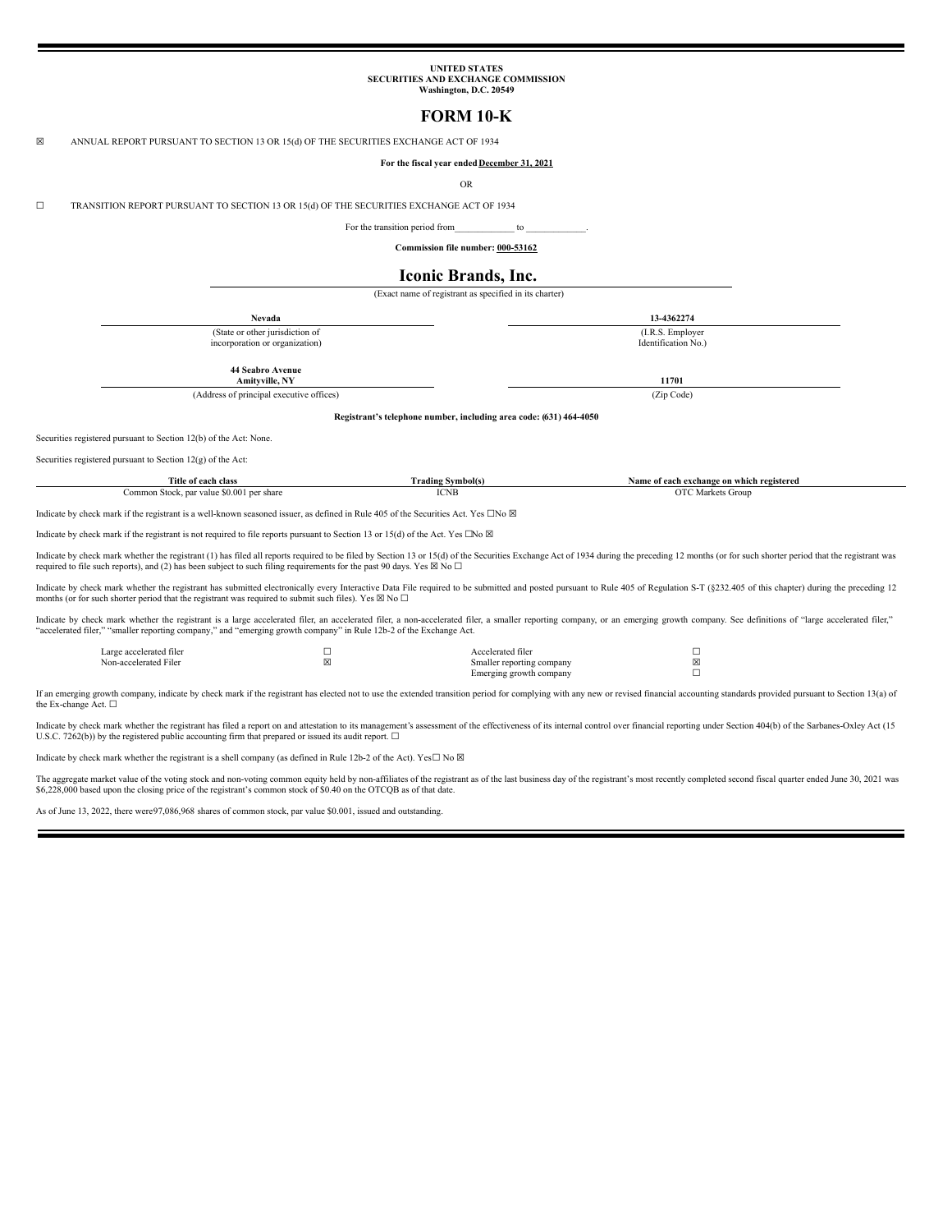#### **UNITED STATES SECURITIES AND EXCHANGE COMMISSION Washington, D.C. 20549**

# **FORM 10-K**

☒ ANNUAL REPORT PURSUANT TO SECTION 13 OR 15(d) OF THE SECURITIES EXCHANGE ACT OF 1934

**For the fiscal year ended December 31, 2021**

OR

☐ TRANSITION REPORT PURSUANT TO SECTION 13 OR 15(d) OF THE SECURITIES EXCHANGE ACT OF 1934

For the transition period from to  $\sim$ 

**Commission file number: 000-53162**

# **Iconic Brands, Inc.**

(Exact name of registrant as specified in its charter)

| Nevada                                                                                                                                            |                          | 13-4362274                                |  |  |  |  |  |  |
|---------------------------------------------------------------------------------------------------------------------------------------------------|--------------------------|-------------------------------------------|--|--|--|--|--|--|
| (State or other jurisdiction of<br>incorporation or organization)                                                                                 |                          | (I.R.S. Employer<br>Identification No.)   |  |  |  |  |  |  |
| 44 Seabro Avenue<br>Amityville, NY                                                                                                                |                          | 11701                                     |  |  |  |  |  |  |
| (Address of principal executive offices)                                                                                                          | (Zip Code)               |                                           |  |  |  |  |  |  |
| Registrant's telephone number, including area code: (631) 464-4050                                                                                |                          |                                           |  |  |  |  |  |  |
| Securities registered pursuant to Section 12(b) of the Act: None.                                                                                 |                          |                                           |  |  |  |  |  |  |
| Securities registered pursuant to Section $12(g)$ of the Act:                                                                                     |                          |                                           |  |  |  |  |  |  |
| Title of each class                                                                                                                               | <b>Trading Symbol(s)</b> | Name of each exchange on which registered |  |  |  |  |  |  |
| Common Stock, par value \$0.001 per share                                                                                                         | <b>ICNB</b>              | OTC Markets Group                         |  |  |  |  |  |  |
| Indicate by check mark if the registrant is a well-known seasoned issuer, as defined in Rule 405 of the Securities Act. Yes $\Box$ No $\boxtimes$ |                          |                                           |  |  |  |  |  |  |
| Indicate by check mark if the registrant is not required to file reports pursuant to Section 13 or 15(d) of the Act. Yes $\Box$ No $\boxtimes$    |                          |                                           |  |  |  |  |  |  |

Indicate by check mark whether the registrant (1) has filed all reports required to be filed by Section 13 or 15(d) of the Securities Exchange Act of 1934 during the preceding 12 months (or for such shorter period that the required to file such reports), and (2) has been subject to such filing requirements for the past 90 days. Yes  $\boxtimes$  No  $\Box$ 

Indicate by check mark whether the registrant has submitted electronically every Interactive Data File required to be submitted and posted pursuant to Rule 405 of Regulation S-T (§232.405 of this chapter) during the preced months (or for such shorter period that the registrant was required to submit such files). Yes  $\boxtimes$  No  $\Box$ 

Indicate by check mark whether the registrant is a large accelerated filer, an accelerated filer, a non-accelerated filer, a smaller reporting company, or an emerging growth company. See definitions of "large accelerated f "accelerated filer," "smaller reporting company," and "emerging growth company" in Rule 12b-2 of the Exchange Act.

| Large accelerated filer | Accelerated filer         |   |
|-------------------------|---------------------------|---|
| Non-accelerated Filer   | Smaller reporting company | ⊠ |
|                         | Emerging growth company   |   |

If an emerging growth company, indicate by check mark if the registrant has elected not to use the extended transition period for complying with any new or revised financial accounting standards provided pursuant to Sectio the Ex-change Act.  $\Box$ 

Indicate by check mark whether the registrant has filed a report on and attestation to its management's assessment of the effectiveness of its internal control over financial reporting under Section 404(b) of the Sarbanes-U.S.C. 7262(b)) by the registered public accounting firm that prepared or issued its audit report.  $\Box$ 

Indicate by check mark whether the registrant is a shell company (as defined in Rule 12b-2 of the Act). Yes $\Box$  No  $\boxtimes$ 

The aggregate market value of the voting stock and non-voting common equity held by non-affiliates of the registrant as of the last business day of the registrant's most recently completed second fiscal quarter ended June \$6,228,000 based upon the closing price of the registrant's common stock of \$0.40 on the OTCQB as of that date.

As of June 13, 2022, there were97,086,968 shares of common stock, par value \$0.001, issued and outstanding.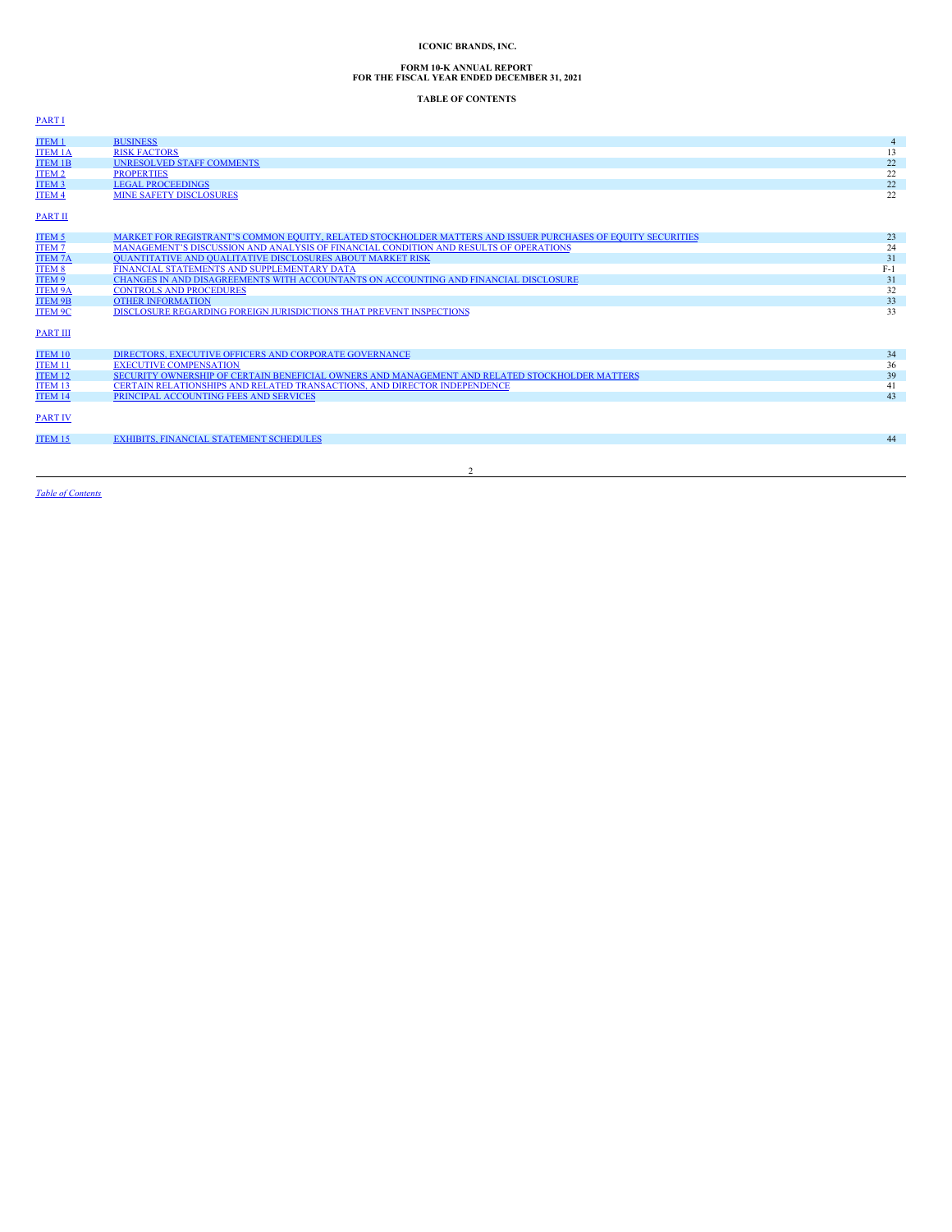# **ICONIC BRANDS, INC.**

# **FORM 10-K ANNUAL REPORT FOR THE FISCAL YEAR ENDED DECEMBER 31, 2021**

# <span id="page-1-0"></span>**TABLE OF CONTENTS**

[PART](#page-3-0) I [ITEM](#page-3-1) 1 [BUSINESS](#page-3-1) **4** BUSINESS **4** BUSINESS **4** BUSINESS **4** BUSINESS **4** BUSINESS **4** BUSINESS **4** BUSINESS **4** BUSINESS **4** [ITEM](#page-12-0) 1A RISK [FACTORS](#page-12-0) 13 [ITEM](#page-21-0) 1B<br>
ITEM 1B [UNRESOLVED](#page-21-0) STAFF COMMENTS<br>
ITEM 2 PROPERTIES<br>
ITEM 3 LEGAL PROCEEDINGS<br>
22 I<u>TEM 2</u> PROPERTIES 22<br>[ITEM](#page-21-2) 3 LEGAL [PROCEEDINGS](#page-21-2) 22 **[ITEM](#page-21-3) 4** MINE SAFETY [DISCLOSURES](#page-21-3) 22 [PART](#page-22-0) II [ITEM](#page-22-1) 5 MARKET FOR REGISTRANT'S COMMON EQUITY, RELATED [STOCKHOLDER](#page-22-1) MATTERS AND ISSUER PURCHASES OF EQUITY SECURITIES 23 [ITEM](#page-23-0) 7 [MANAGEMENT'S](#page-23-0) DISCUSSION AND ANALYSIS OF FINANCIAL CONDITION AND RESULTS OF OPERATIONS 24 [ITEM](#page-30-0) 7A [QUANTITATIVE](#page-30-0) AND QUALITATIVE DISCLOSURES ABOUT MARKET RISK 31 [ITEM](#page-31-0) 8 FINANCIAL STATEMENTS AND [SUPPLEMENTARY](#page-31-0) DATA F-1 [ITEM](#page-59-0) 9 CHANGES IN AND [DISAGREEMENTS](#page-59-0) WITH ACCOUNTANTS ON ACCOUNTING AND FINANCIAL DISCLOSURE 31 [ITEM](#page-60-0) 9A CONTROLS AND [PROCEDURES](#page-59-1) 32<br>ITEM 9B OTHER [INFORMATION](#page-60-0) 33 [ITEM](#page-60-1) 9C DISCLOSURE REGARDING FOREIGN [JURISDICTIONS](#page-60-1) THAT PREVENT INSPECTIONS 33 [PART](#page-61-0) III [ITEM](#page-61-1) 10 DIRECTORS, EXECUTIVE OFFICERS AND CORPORATE [GOVERNANCE](#page-61-1) NEWSLAPHONES AND CORPORATE GOVERNANCE STATES AND THE STATE OF THE STATE OF STATES AND CORPORATE GOVERNANCE STATES AND CORPORATE GOVERNANCE STATES AND CONFENSAT [ITEM](#page-63-0) 11 EXECUTIVE [COMPENSATION](#page-63-0) 36 [ITEM](#page-66-0) 12 SECURITY OWNERSHIP OF CERTAIN BENEFICIAL OWNERS AND MANAGEMENT AND RELATED [STOCKHOLDER](#page-66-0) MATTERS 39 [ITEM](#page-68-0) 13<br>
ITEM 14 CERTAIN RELATIONSHIPS AND RELATED [TRANSACTIONS,](#page-68-0) AND DIRECTOR INDEPENDENCE<br>
41<br>
TEM 14 PRINCIPAL ACCOUNTING FEES AND SERVICES PRINCIPAL [ACCOUNTING](#page-70-0) FEES AND SERVICES [PART](#page-71-0) IV [ITEM](#page-71-1) 15 EXHIBITS, FINANCIAL [STATEMENT](#page-71-1) SCHEDULES 44  $\overline{2}$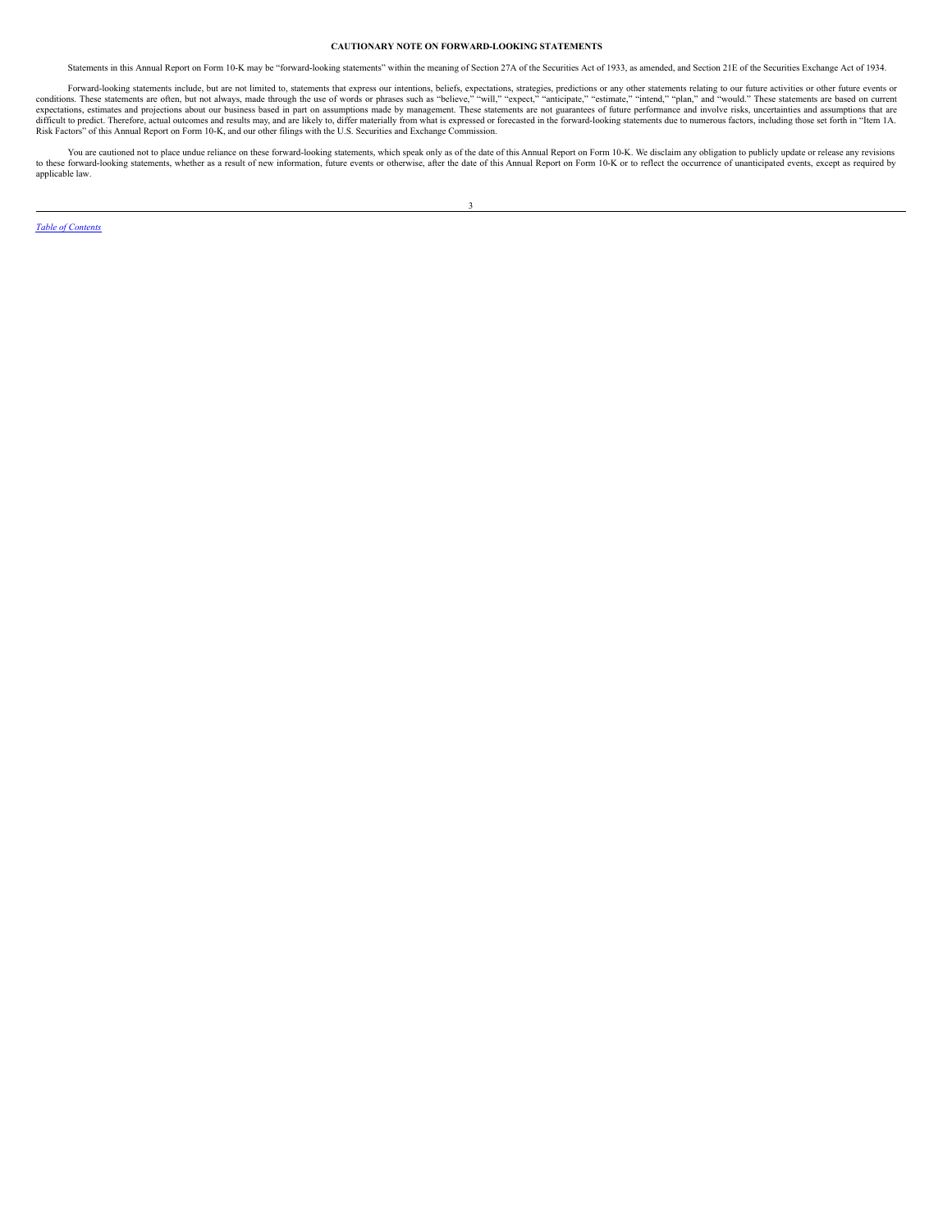# **CAUTIONARY NOTE ON FORWARD-LOOKING STATEMENTS**

Statements in this Annual Report on Form 10-K may be "forward-looking statements" within the meaning of Section 27A of the Securities Act of 1933, as amended, and Section 21E of the Securities Exchange Act of 1934.

Forward-looking statements include, but are not limited to, statements that express our intentions, beliefs, expectations, strategies, predictions or any other statements relating to our future activities or other future e

You are cautioned not to place undue reliance on these forward-looking statements, which speak only as of the date of this Annual Report on Form 10-K. We disclaim any obligation to publicly update or release any revisions to these forward-looking statements, whether as a result of new information, future events or otherwise, after the date of this Annual Report on Form 10-K or to reflect the occurrence of unanticipated events, except as req applicable law.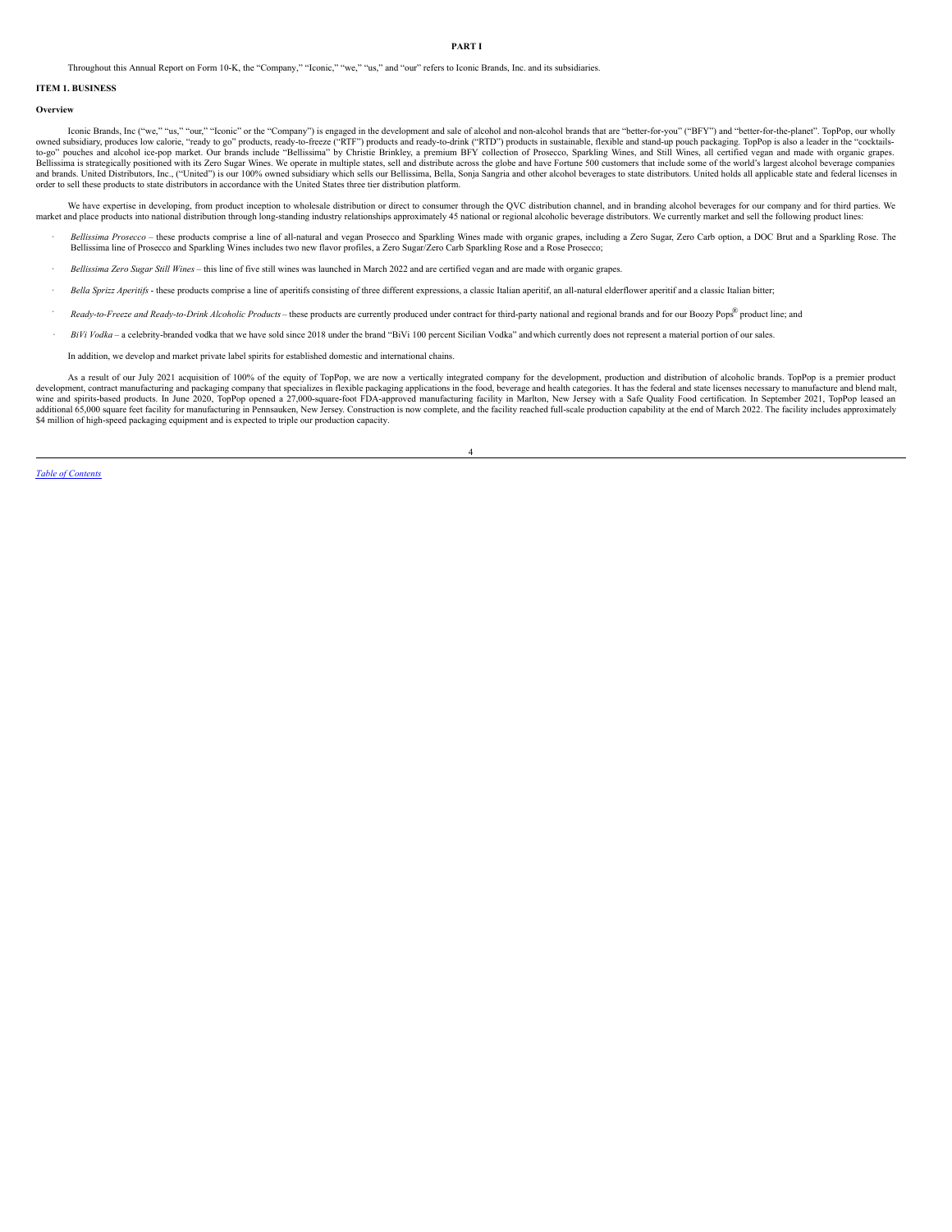# <span id="page-3-0"></span>**PART I**

Throughout this Annual Report on Form 10-K, the "Company," "Iconic," "we," "us," and "our" refers to Iconic Brands, Inc. and its subsidiaries.

# <span id="page-3-1"></span>**ITEM 1. BUSINESS**

# **Overview**

Iconic Brands, Inc ("we," "us," "our," "Iconic" or the "Company") is engaged in the development and sale of alcohol and non-alcohol brands that are "better-for-you" ("BFY") and "better-for-the-planet". TopPop, our wholly owned subsidiary, produces low calorie, "ready to go" products, ready-to-freeze ("RTF") products and ready-to-drink ("RTD") products in sustainable, flexible and stand-up pouch packaging. TopPop is also a leader in the "co Bellissima is strategically positioned with its Zero Sugar Wines. We operate in multiple states, sell and distribute across the globe and have Fortune 500 customers that include some of the world's largest alcohol beverage and brands. United Distributors, Inc., ("United") is our 100% owned subsidiary which sells our Bellissima, Bella, Sonja Sangria and other alcohol beverages to state distributors. United holds all applicable state and feder order to sell these products to state distributors in accordance with the United States three tier distribution platform.

We have expertise in developing, from product inception to wholesale distribution or direct to consumer through the QVC distribution channel, and in branding alcohol beverages for our company and for third parties. We market and place products into national distribution through long-standing industry relationships approximately 45 national or regional alcoholic beverage distributors. We currently market and sell the following product li

- Bellissima Prosecco these products comprise a line of all-natural and vegan Prosecco and Sparkling Wines made with organic grapes, including a Zero Sugar, Zero Carb option, a DOC Brut and a Sparkling Rose. The Bellissima line of Prosecco and Sparkling Wines includes two new flavor profiles, a Zero Sugar/Zero Carb Sparkling Rose and a Rose Prosecco;
- · *Bellissima Zero Sugar Still Wines* this line of five still wines was launched in March 2022 and are certified vegan and are made with organic grapes.
- Bella Sprizz Aperitifs these products comprise a line of aperitifs consisting of three different expressions, a classic Italian aperitif, an all-natural elderflower aperitif and a classic Italian bitter;
- Ready-to-Freeze and Ready-to-Drink Alcoholic Products these products are currently produced under contract for third-party national and regional brands and for our Boozy Pops® product line; and
- <sup>*BiVi Vodka* a celebrity-branded vodka that we have sold since 2018 under the brand "BiVi 100 percent Sicilian Vodka" and which currently does not represent a material portion of our sales.</sup>
	- In addition, we develop and market private label spirits for established domestic and international chains.

As a result of our July 2021 acquisition of 100% of the equity of TopPop, we are now a vertically integrated company for the development, production and distribution of alcoholic brands. TopPop is a premier product development, contract manufacturing and packaging company that specializes in flexible packaging applications in the food, beverage and health categories. It has the federal and state licenses necessary to manufacture and additional 65,000 square feet facility for manufacturing in Pennsauken, New Jersey. Construction is now complete, and the facility reached full-scale production capability at the end of March 2022. The facility includes ap \$4 million of high-speed packaging equipment and is expected to triple our production capacity.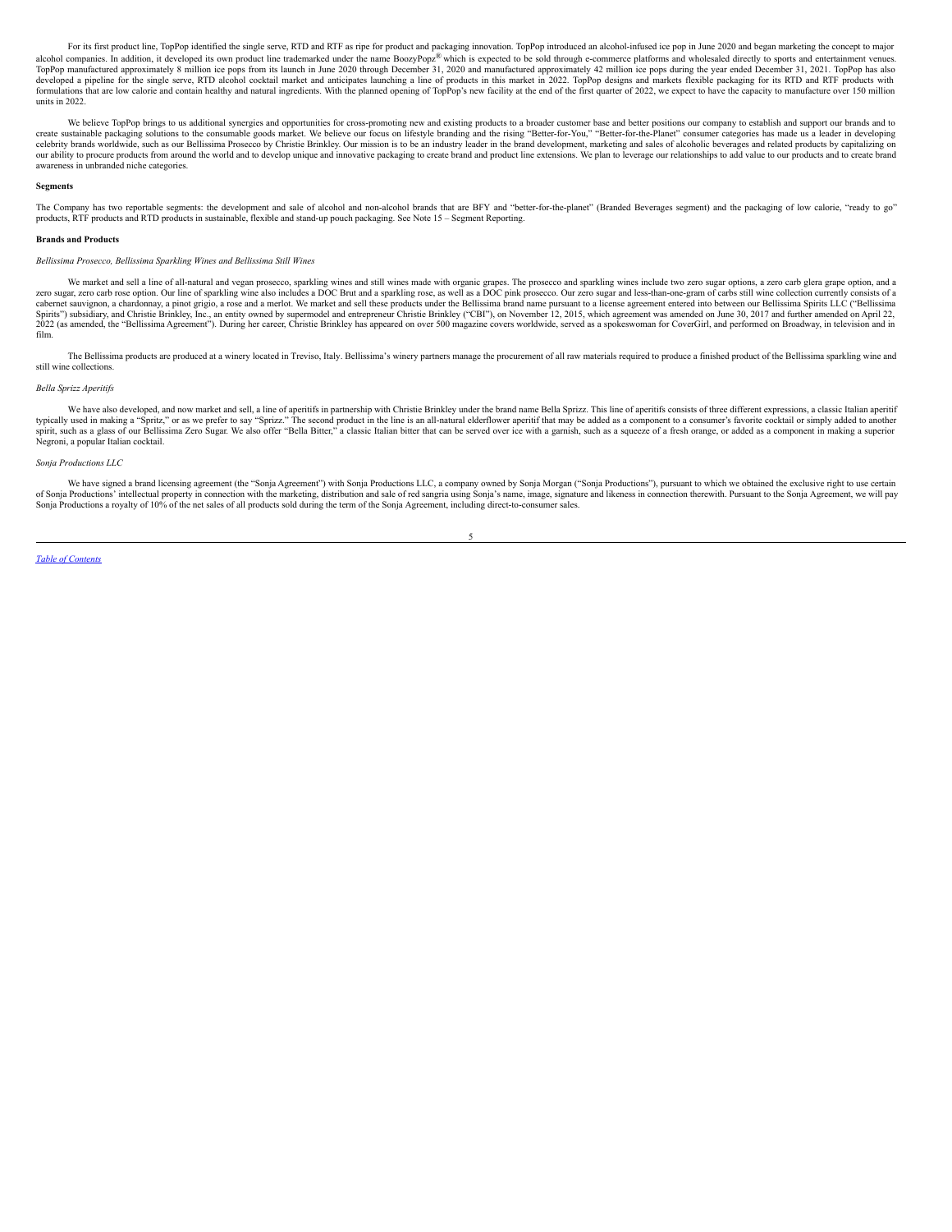For its first product line, TopPop identified the single serve, RTD and RTF as ripe for product and packaging innovation. TopPop introduced an alcohol-infused ice pop in June 2020 and began marketing the concept to major alcohol companies. In addition, it developed its own product line trademarked under the name BoozyPopz® which is expected to be sold through e-commerce platforms and wholesaled directly to sports and entertainment venues. TopPop manufactured approximately 8 million ice pops from its launch in June 2020 through December 31, 2020 and manufactured approximately 42 million ice pops during the year ended December 31, 2021. TopPop has also developed a pipeline for the single serve, RTD alcohol cocktail market and anticipates launching a line of products in this market in 2022. TopPop designs and markets flexible packaging for its RTD and RTF products with Exercise to the state of the distribution in the and contain healthy and natural ingredients. With the planned opening of TopPop's new facility at the end of the first quarter of 2022, we expect to have the capacity to man units in 2022.

We believe TopPop brings to us additional synergies and opportunities for cross-promoting new and existing products to a broader customer base and better positions our company to establish and support our brands and to create sustainable packaging solutions to the consumable goods market. We believe our focus on lifestyle branding and the rising "Better-for-You," "Better-for-the-Planet" consumer categories has made us a leader in develop our ability to procure products from around the world and to develop unique and innovative packaging to create brand and product line extensions. We plan to leverage our relationships to add value to our products and to cr awareness in unbranded niche categories.

#### **Segments**

The Company has two reportable segments: the development and sale of alcohol and non-alcohol brands that are BFY and "better-for-the-planet" (Branded Beverages segment) and the packaging of low calorie, "ready to go"<br>produ

#### **Brands and Products**

#### *Bellissima Prosecco, Bellissima Sparkling Wines and Bellissima Still Wines*

We market and sell a line of all-natural and vegan prosecco, sparkling wines and still wines made with organic grapes. The prosecco and sparkling wines include two zero sugar options, a zero carb glera grape option, and a zero sugar, zero carb rose option. Our line of sparkling wine also includes a DOC Brut and a sparkling rose, as well as a DOC pink prosecco. Our zero sugar and less-than-one-gram of carbs still wine collection currently co Spirits") subsidiary, and Christie Brinkley, Inc., an entity owned by supermodel and entrepreneur Christie Brinkley ("CBI"), on November 12, 2015, which agreement was amended on June 30, 2017 and further amended on April 2 film.

The Bellissima products are produced at a winery located in Treviso, Italy. Bellissima's winery partners manage the procurement of all raw materials required to produce a finished product of the Bellissima sparkling wine a still wine collections.

#### *Bella Sprizz Aperitifs*

We have also developed, and now market and sell, a line of aperitifs in partnership with Christie Brinkley under the brand name Bella Sprizz. This line of aperitifs consists of three different expressions, a classic Italia typically used in making a "Spritz," or as we prefer to say "Sprizz." The second product in the line is an all-natural elderflower aperitif that may be added as a component to a consumer's favorite cocktail or simply added Negroni, a popular Italian cocktail.

#### *Sonja Productions LLC*

We have signed a brand licensing agreement (the "Sonja Agreement") with Sonja Productions LLC, a company owned by Sonja Morgan ("Sonja Productions"), pursuant to which we obtained the exclusive right to use certain of Sonja Productions' intellectual property in connection with the marketing, distribution and sale of red sangria using Sonja's name, image, signature and likeness in connection therewith. Pursuant to the Sonja Agreement,

*Table of [Contents](#page-1-0)*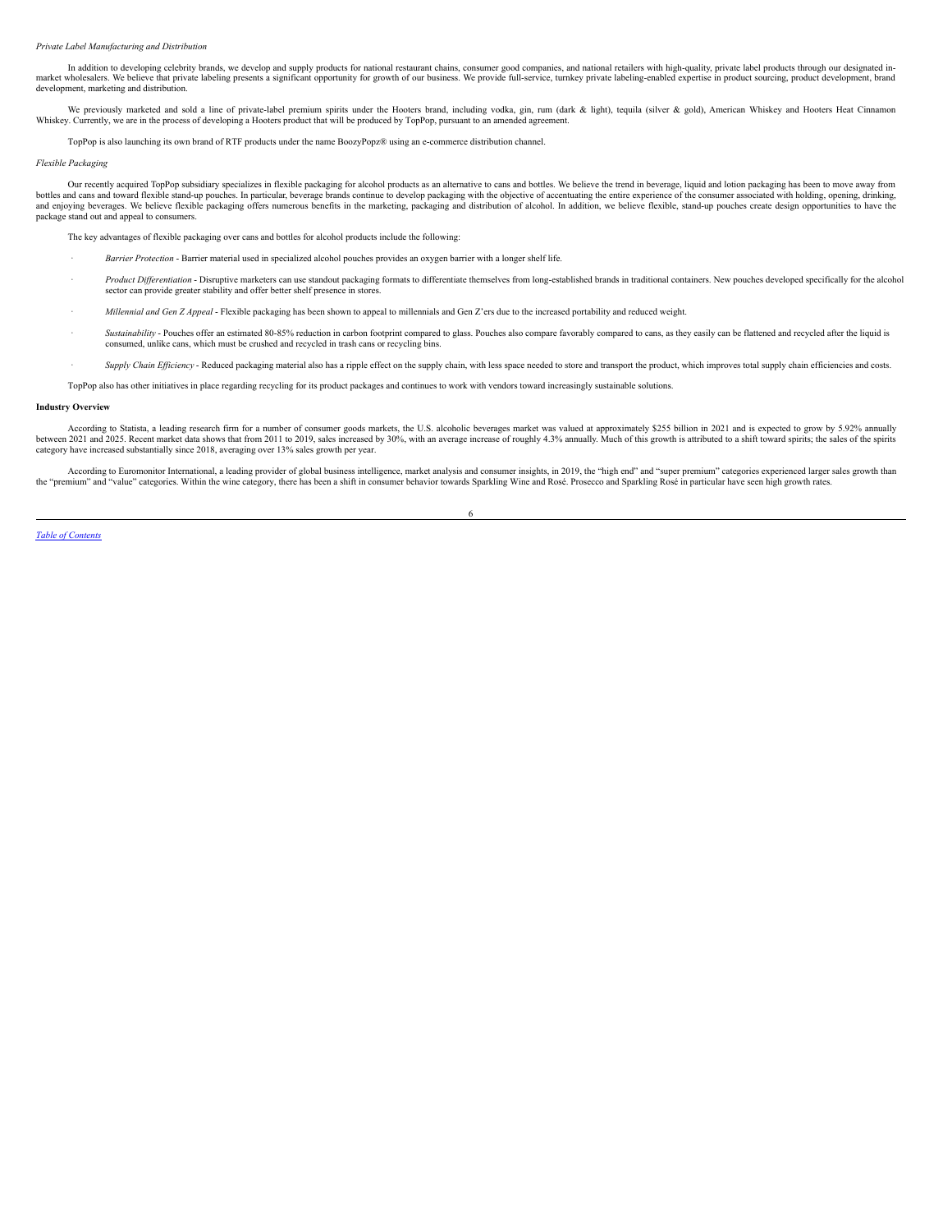# *Private Label Manufacturing and Distribution*

In addition to developing celebrity brands, we develop and supply products for national restaurant chains, consumer good companies, and national retailers with high-quality, private label products through our designated in development, marketing and distribution.

We previously marketed and sold a line of private-label premium spirits under the Hooters brand, including vodka, gin, rum (dark & light), tequila (silver & gold), American Whiskey and Hooters Heat Cinnamon Whiskey. Currently, we are in the process of developing a Hooters product that will be produced by TopPop, pursuant to an amended agreement.

TopPop is also launching its own brand of RTF products under the name BoozyPopz® using an e-commerce distribution channel.

# *Flexible Packaging*

Our recently acquired TopPop subsidiary specializes in flexible packaging for alcohol products as an alternative to cans and bottles. We believe the trend in beverage, liquid and lotion packaging has been to move away from bottles and cans and toward flexible stand-up pouches. In particular, beverage brands continue to develop packaging with the objective of accentuating the entire experience of the consumer associated with holding, opening, package stand out and appeal to consumers.

The key advantages of flexible packaging over cans and bottles for alcohol products include the following:

- · *Barrier Protection* Barrier material used in specialized alcohol pouches provides an oxygen barrier with a longer shelf life.
- Product Differentiation Disruptive marketers can use standout packaging formats to differentiate themselves from long-established brands in traditional containers. New pouches developed specifically for the alcohol sector can provide greater stability and offer better shelf presence in stores.
- · *Millennial and Gen Z Appeal* Flexible packaging has been shown to appeal to millennials and Gen Z'ers due to the increased portability and reduced weight.
- Sustainability Pouches offer an estimated 80-85% reduction in carbon footprint compared to glass. Pouches also compare favorably compared to cans, as they easily can be flattened and recycled after the liquid is consumed, unlike cans, which must be crushed and recycled in trash cans or recycling bins.
- Supply Chain Efficiency Reduced packaging material also has a ripple effect on the supply chain, with less space needed to store and transport the product, which improves total supply chain efficiencies and costs.

TopPop also has other initiatives in place regarding recycling for its product packages and continues to work with vendors toward increasingly sustainable solutions.

#### **Industry Overview**

According to Statista, a leading research firm for a number of consumer goods markets, the U.S. alcoholic beverages market was valued at approximately \$255 billion in 2021 and is expected to grow by 5.92% annually between 2021 and 2025. Recent market data shows that from 2011 to 2019, sales increased by 30%, with an average increase of roughly 4.3% annually. Much of this growth is attributed to a shift toward spirits; the sales of t category have increased substantially since 2018, averaging over 13% sales growth per year.

According to Euromonitor International, a leading provider of global business intelligence, market analysis and consumer insights, in 2019, the "high end" and "super premium" categories experienced larger sales growth than the "premium" and "value" categories. Within the wine category, there has been a shift in consumer behavior towards Sparkling Wine and Rosé. Prosecco and Sparkling Rosé in particular have seen high growth rates.

6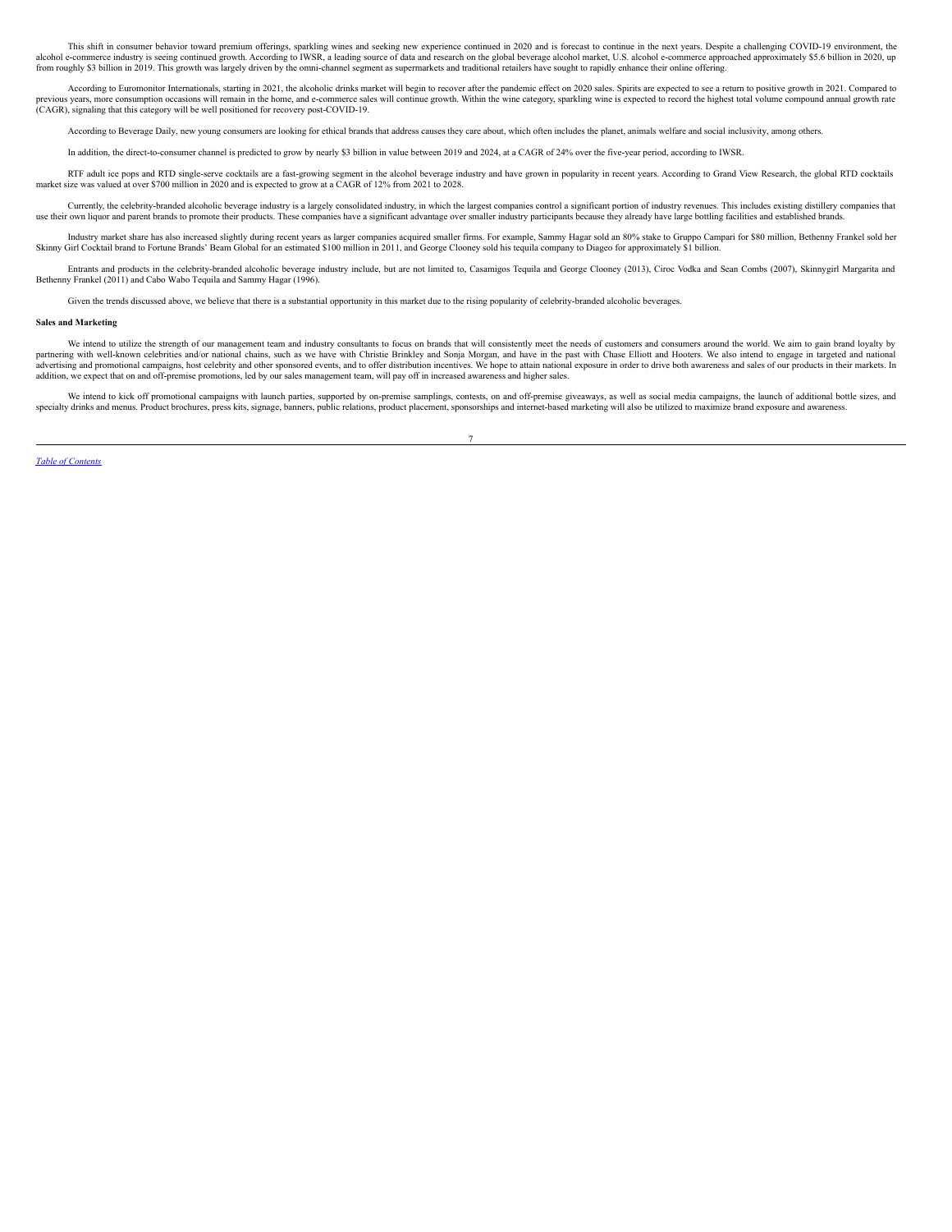This shift in consumer behavior toward premium offerings, sparkling wines and seeking new experience continued in 2020 and is forecast to continue in the next years. Despite a challenging COVID-19 environment, the alcohol e-commerce industry is seeing continued growth. According to IWSR, a leading source of data and research on the global beverage alcohol market, U.S. alcohol e-commerce approached approximately \$5.6 billion in 2020, from roughly \$3 billion in 2019. This growth was largely driven by the omni-channel segment as supermarkets and traditional retailers have sought to rapidly enhance their online offering.

According to Euromonitor Internationals, starting in 2021, the alcoholic drinks market will begin to recover after the pandemic effect on 2020 sales. Spirits are expected to see a return to positive growth in 2021. Compare previous years, more consumption occasions will remain in the home, and e-commerce sales will continue growth. Within the wine category, sparkling wine is expected to record the highest total volume compound annual growth (CAGR), signaling that this category will be well positioned for recovery post-COVID-19.

According to Beverage Daily, new young consumers are looking for ethical brands that address causes they care about, which often includes the planet, animals welfare and social inclusivity, among others.

In addition, the direct-to-consumer channel is predicted to grow by nearly \$3 billion in value between 2019 and 2024, at a CAGR of 24% over the five-year period, according to IWSR.

RTF adult ice pops and RTD single-serve cocktails are a fast-growing segment in the alcohol beverage industry and have grown in popularity in recent years. According to Grand View Research, the global RTD cocktails market

Currently, the celebrity-branded alcoholic beverage industry is a largely consolidated industry, in which the largest companies control a significant portion of industry revenues. This includes existing distillery companie use their own liquor and parent brands to promote their products. These companies have a significant advantage over smaller industry participants because they already have large bottling facilities and established brands.

Industry market share has also increased slightly during recent years as larger companies acquired smaller firms. For example, Sammy Hagar sold an 80% stake to Gruppo Campari for \$80 million, Bethenny Frankel sold her<br>Skin

Entrants and products in the celebrity-branded alcoholic beverage industry include, but are not limited to, Casamigos Tequila and George Clooney (2013), Ciroc Vodka and Sean Combs (2007), Skinnygirl Margarita and Bethenny Frankel (2011) and Cabo Wabo Tequila and Sammy Hagar (1996).

Given the trends discussed above, we believe that there is a substantial opportunity in this market due to the rising popularity of celebrity-branded alcoholic beverages.

#### **Sales and Marketing**

We intend to utilize the strength of our management team and industry consultants to focus on brands that will consistently meet the needs of customers and consumers around the world. We aim to gain brand loyalty by where the well-known celebrities and/or national chains, such as we have with Christie Brinkley and Sonja Morgan, and have in the past with Chase Elliott and Hooters. We also intend to engage in targeted and national partn advertising and promotional campaigns, host celebrity and other sponsored events, and to offer distribution incentives. We hope to attain national exposure in order to drive both awareness and sales of our products in thei addition, we expect that on and off-premise promotions, led by our sales management team, will pay off in increased awareness and higher sales.

We intend to kick off promotional campaigns with launch parties, supported by on-premise samplings, contests, on and off-premise giveaways, as well as social media campaigns, the launch of additional bottle sizes, and<br>spec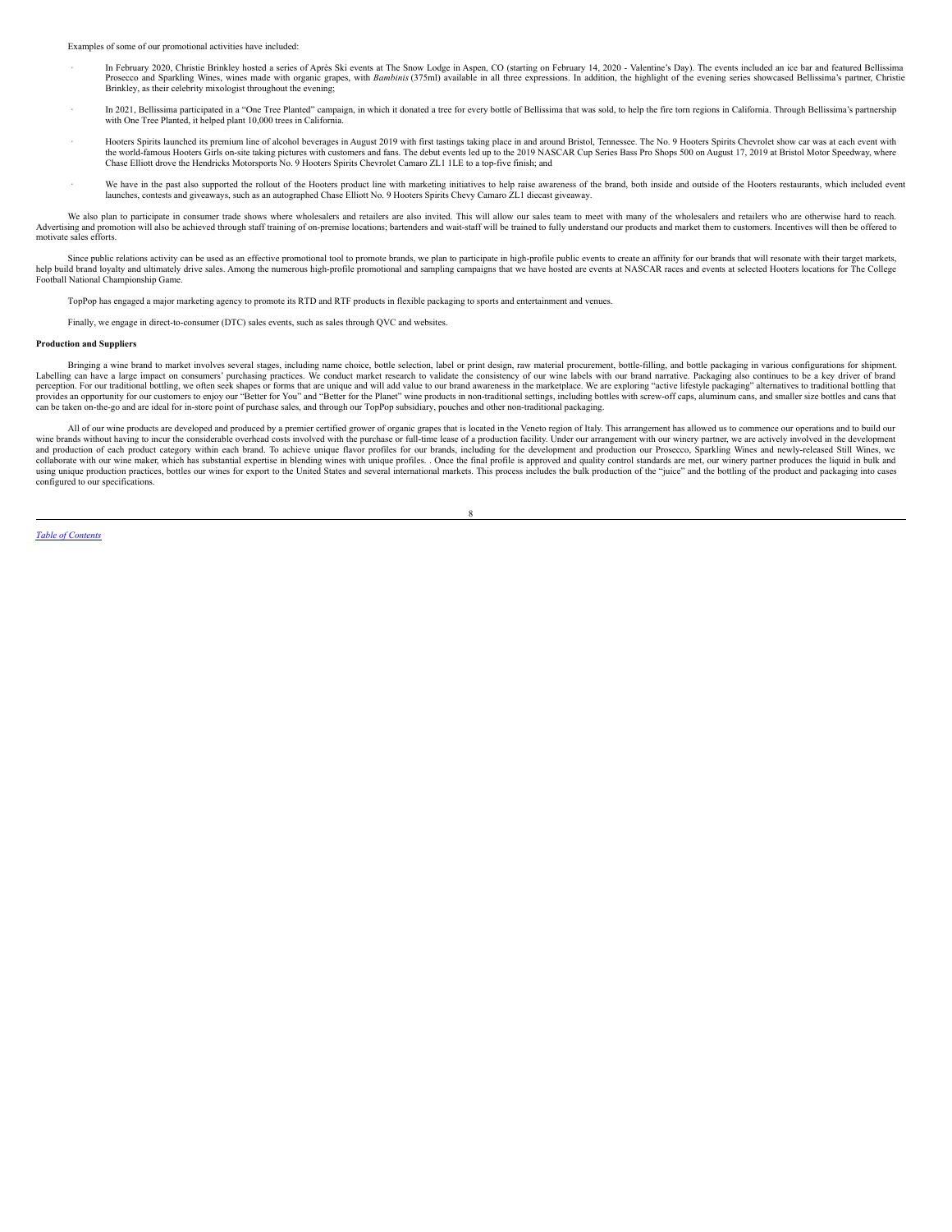Examples of some of our promotional activities have included:

- In February 2020, Christie Brinkley hosted a series of Après Ski events at The Snow Lodge in Aspen, CO (starting on February 14, 2020 Valentine's Day). The events included an ice bar and featured Bellissima<br>Prosecco and Brinkley, as their celebrity mixologist throughout the evening;
- · In 2021, Bellissima participated in a "One Tree Planted" campaign, in which it donated a tree for every bottle of Bellissima that was sold, to help the fire torn regions in California. Through Bellissima's partnership with One Tree Planted, it helped plant 10,000 trees in California.
- Hooters Spirits launched its premium line of alcohol beverages in August 2019 with first tastings taking place in and around Bristol, Tennessee. The No. 9 Hooters Spirits Chevrolet show car was at each event with<br>the world Chase Elliott drove the Hendricks Motorsports No. 9 Hooters Spirits Chevrolet Camaro ZL1 1LE to a top-five finish; and
- We have in the past also supported the rollout of the Hooters product line with marketing initiatives to help raise awareness of the brand, both inside and outside of the Hooters restaurants, which included event launches, contests and giveaways, such as an autographed Chase Elliott No. 9 Hooters Spirits Chevy Camaro ZL1 diecast giveaway.

We also plan to participate in consumer trade shows where wholesalers and retailers are also invited. This will allow our sales team to meet with many of the wholesalers and ertailers who are otherwise hard to reach.<br>Adver motivate sales efforts.

Since public relations activity can be used as an effective promotional tool to promote brands, we plan to participate in high-profile public events to create an affinity for our brands that will resonate with their target help build brand loyalty and ultimately drive sales. Among the numerous high-profile promotional and sampling campaigns that we have hosted are events at NASCAR races and events at selected Hooters locations for The Colleg Football National Championship Game.

TopPop has engaged a major marketing agency to promote its RTD and RTF products in flexible packaging to sports and entertainment and venues.

Finally, we engage in direct-to-consumer (DTC) sales events, such as sales through QVC and websites.

#### **Production and Suppliers**

Bringing a wine brand to market involves several stages, including name choice, bottle selection, label or print design, raw material procurement, bottle-filling, and bottle packaging in various configurations for shipment Labelling can have a large impact on consumers' purchasing practices. We conduct market research to validate the consistency of our wine labels with our brand narrative. Packaging also continues to be a key driver of brand provides an opportunity for our customers to enjoy our "Better for You" and "Better for the Planet" wine products in non-traditional settings, including bottles with screw-off caps, aluminum cans, and smaller size bottles can be taken on-the-go and are ideal for in-store point of purchase sales, and through our TopPop subsidiary, pouches and other non-traditional packaging.

All of our wine products are developed and produced by a premier certified grower of organic grapes that is located in the Veneto region of Italy. This arrangement has allowed us to commence our operations and to build our wine brands without having to incur the considerable overhead costs involved with the purchase or full-time lease of a production facility. Under our arrangement with our winery partner, we are actively involved in the dev and production of each product category within each brand. To achieve unique flavor profiles for our brands, including for the development and production our Prosecco, Sparkling Wines and newly-released Still Wines, we<br>col using unique production practices, bottles our wines for export to the United States and several international markets. This process includes the bulk production of the "juice" and the bottling of the product and packaging configured to our specifications.

| I |  |
|---|--|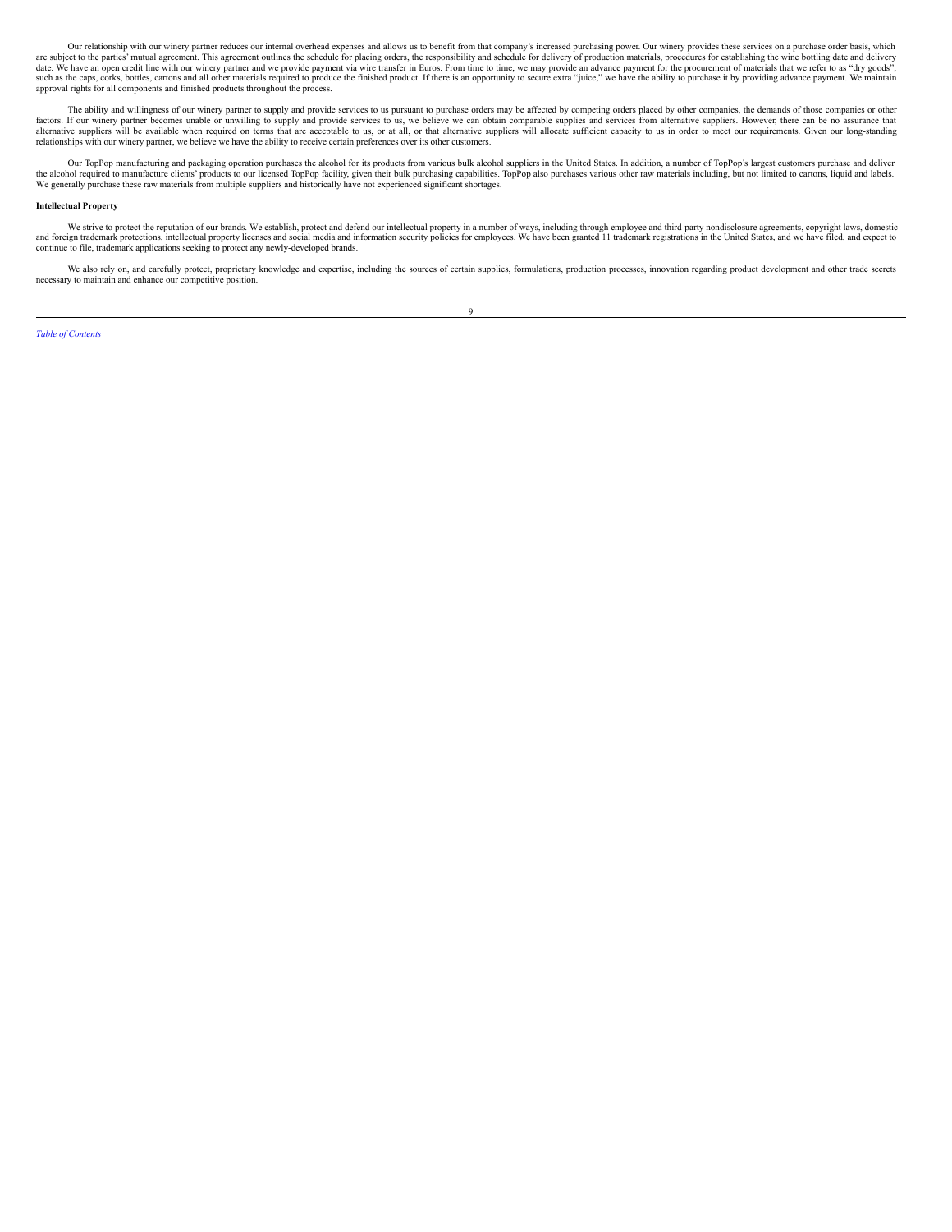Our relationship with our winery partner reduces our internal overhead expenses and allows us to benefit from that company's increased purchasing power. Our winery provides these services on a purchase order basis, which are subject to the parties' mutual agreement. This agreement outlines the schedule for placing orders, the responsibility and schedule for delivery of production materials, procedures for establishing the wine bottling dat date. We have an open credit line with our winery partner and we provide payment via wire transfer in Euros. From time to time, we may provide an advance payment for the procurement of materials that we refer to as "dry go approval rights for all components and finished products throughout the process.

The ability and willingness of our winery partner to supply and provide services to us pursuant to purchase orders may be affected by competing orders placed by other companies, the demands of those companies or other factors. If our winery partner becomes unable or unwilling to supply and provide services to us, we believe we can obtain comparable supplies and services from alternative suppliers. However, there can be no assurance that relationships with our winery partner, we believe we have the ability to receive certain preferences over its other customers.

Our TopPop manufacturing and packaging operation purchases the alcohol for its products from various bulk alcohol suppliers in the United States. In addition, a number of TopPop's largest customers purchase and deliver the alcohol required to manufacture clients' products to our licensed TopPop facility, given their bulk purchasing capabilities. TopPop also purchases various other raw materials including, but not limited to cartons, liqu

# **Intellectual Property**

We strive to protect the reputation of our brands. We establish, protect and defend our intellectual property in a number of ways, including through employee and third-party nondisclosure agreements, copyright laws, domest and foreign trademark protections, intellectual property licenses and social media and information security policies for employees. We have been granted 11 trademark registrations in the United States, and we have filed, a continue to file, trademark applications seeking to protect any newly-developed brands.

We also rely on, and carefully protect, proprietary knowledge and expertise, including the sources of certain supplies, formulations, production processes, innovation regarding product development and other trade secrets n

 $\alpha$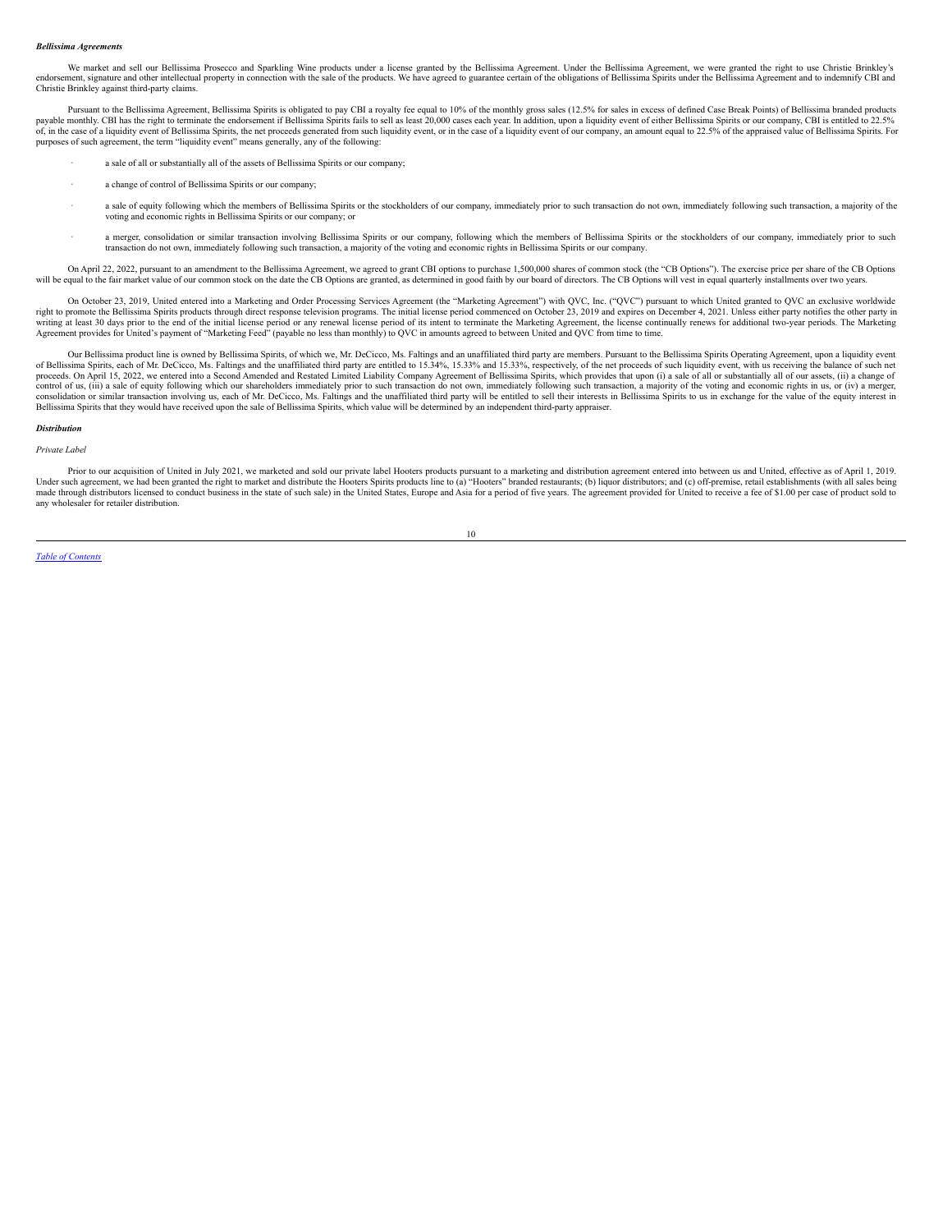# *Bellissima Agreements*

We market and sell our Bellissima Prosecco and Sparkling Wine products under a license granted by the Bellissima Agreement. Under the Bellissima Agreement, we were granted the right to use Christie Brinkley's endorsement, Christie Brinkley against third-party claims.

Pursuant to the Bellissima Agreement, Bellissima Spirits is obligated to pay CBI a royalty fee equal to 10% of the monthly gross sales (12.5% for sales in excess of defined Case Break Points) of Bellissima branded products payable monthly. CBI has the right to terminate the endorsement if Bellissima Spirits fails to sell as least 20,000 cases each year. In addition, upon a liquidity event of either Bellissima Spirits or our company. CBI is e of, in the case of a liquidity event of Bellissima Spirits, the net proceeds generated from such liquidity event, or in the case of a liquidity event of our company, an amount equal to 22.5% of the appraised value of Belli purposes of such agreement, the term "liquidity event" means generally, any of the following:

- a sale of all or substantially all of the assets of Bellissima Spirits or our company;
- · a change of control of Bellissima Spirits or our company;
- a sale of equity following which the members of Bellissima Spirits or the stockholders of our company, immediately prior to such transaction do not own, immediately following such transaction, a majority of the voting and economic rights in Bellissima Spirits or our company; or
- · a merger, consolidation or similar transaction involving Bellissima Spirits or our company, following which the members of Bellissima Spirits or the stockholders of our company, immediately prior to such transaction do not own, immediately following such transaction, a majority of the voting and economic rights in Bellissima Spirits or our company.

On April 22, 2022, pursuant to an amendment to the Bellissima Agreement, we agreed to grant CBI options to purchase 1,500,000 shares of common stock (the "CB Options"). The exercise price per share of the CB Options will be equal to the fair market value of our common stock on the date the CB Options are granted, as determined in good faith by our board of directors. The CB Options will vest in equal quarterly installments over two ye

On October 23, 2019, United entered into a Marketing and Order Processing Services Agreement (the "Marketing Agreement") with QVC, Inc. ("QVC") pursuant to which United granted to QVC an exclusive worldwide right to promote the Bellissima Spirits products through direct response television programs. The initial license period commenced on October 23, 2019 and expires on December 4, 2021. Unless either party notifies the other writing at least 30 days prior to the end of the initial license period or any renewal license period of its intent to terminate the Marketing Agreement, the license continually renews for additional two-year periods. The

Our Bellissima product line is owned by Bellissima Spirits, of which we, Mr. DeCicco, Ms. Faltings and an unaffiliated third party are members. Pursuant to the Bellissima Spirits Operating Agreement, upon a liquidity event of Bellissima Spirits, each of Mr. DeCicco, Ms. Faltings and the unaffiliated third party are entitled to 15.34%, 15.33% and 15.33%, respectively, of the net proceeds of such liquidity event, with us receiving the balance proceeds. On April 15, 2022, we entered into a Second Amended and Restated Limited Liability Company Agreement of Bellissima Spirits, which provides that upon (i) a sale of all or substantially all of our assets, (ii) a ch consolidation or similar transaction involving us, each of Mr. DeCicco, Ms. Faltings and the unaffiliated third party will be entitled to sell their interests in Bellissima Spirits to us in exchange for the value of the eq

#### *Distribution*

#### *Private Label*

Prior to our acquisition of United in July 2021, we marketed and sold our private label Hooters products pursuant to a marketing and distribution agreement entered into between us and United, effective as of April 1, 2019. Under such agreement, we had been granted the right to market and distribute the Hooters Spirits products line to (a) "Hooters" branded restaurants; (b) liquor distributors; and (c) off-premise, retail establishments (with made through distributors licensed to conduct business in the state of such sale) in the United States, Europe and Asia for a period of five years. The agreement provided for United to receive a fee of \$1.00 per case of pr any wholesaler for retailer distribution.

10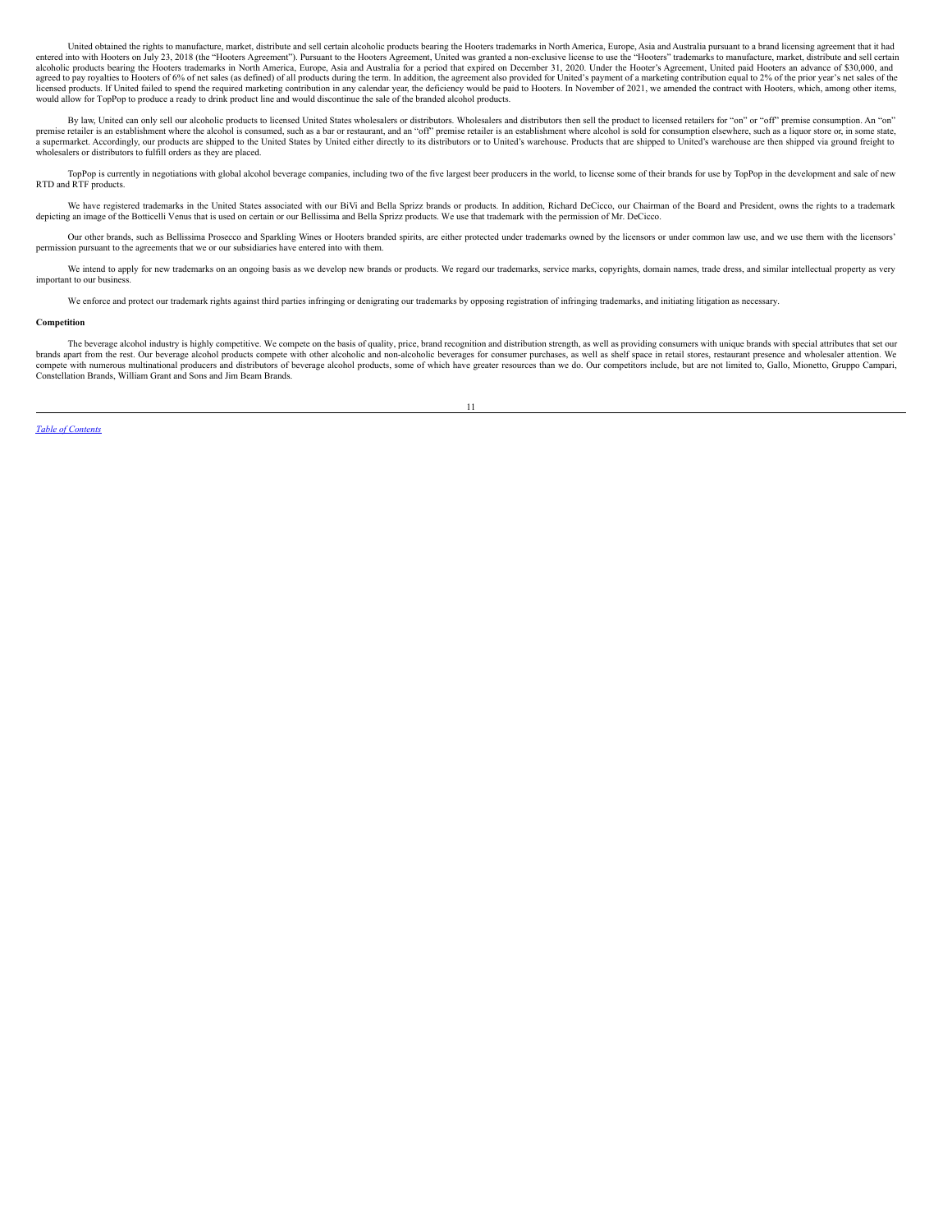United obtained the rights to manufacture, market, distribute and sell certain alcoholic products bearing the Hooters trademarks in North America, Europe, Asia and Australia pursuant to a brand licensing agreement that it entered into with Hooters on July 23, 2018 (the "Hooters Agreement"). Pursuant to the Hooters Agreement, United was granted a non-exclusive license to use the "Hooters" trademarks to manufacture, market, distribute and sel alcoholic products bearing the Hooters trademarks in North America, Europe, Asia and Australia for a period that expired on December 31, 2020. Under the Hooter's Agreement, United paid Hooters an advance of \$30,000, and<br>ag licensed products. If United failed to spend the required marketing contribution in any calendar year, the deficiency would be paid to Hooters. In November of 2021, we amended the contract with Hooters, which, among other

By law, United can only sell our alcoholic products to licensed United States wholesalers or distributors. Wholesalers and distributors then sell the product to licensed retailers for "on" or "off" premise consumption. An premise retailer is an establishment where the alcohol is consumed, such as a bar or restaurant, and an "off" premise retailer is an establishment where alcohol is sold for consumption elsewhere, such as a liquor store or, a supermarket. The column cycle is the supermarket. The column cycle is the supermutation of the supermutation of the supermutation of the supermutation of the supermutation of the supermutation of the supermutation of the

TopPop is currently in negotiations with global alcohol beverage companies, including two of the five largest beer producers in the world, to license some of their brands for use by TopPop in the development and sale of ne RTD and RTF products.

We have registered trademarks in the United States associated with our BiVi and Bella Sprizz brands or products. In addition, Richard DeCicco, our Chairman of the Board and President, owns the rights to a trademark depicting an image of the Botticelli Venus that is used on certain or our Bellissima and Bella Sprizz products. We use that trademark with the permission of Mr. DeCicco.

Our other brands, such as Bellissima Prosecco and Sparkling Wines or Hooters branded spirits, are either protected under trademarks owned by the licensors or under common law use, and we use them with the licensors' permission pursuant to the agreements that we or our subsidiaries have entered into with them.

We intend to apply for new trademarks on an ongoing basis as we develop new brands or products. We regard our trademarks, service marks, copyrights, domain names, trade dress, and similar intellectual property as very important to our business.

We enforce and protect our trademark rights against third parties infringing or denigrating our trademarks by opposing registration of infringing trademarks, and initiating litigation as necessary.

## **Competition**

The beverage alcohol industry is highly competitive. We compete on the basis of quality, price, brand recognition and distribution strength, as well as providing consumers with unique brands with special attributes that se compete with numerous multinational producers and distributors of beverage alcohol products, some of which have greater resources than we do. Our competitors include, but are not limited to, Gallo, Mionetto, Gruppo Campari, Constellation Brands, William Grant and Sons and Jim Beam Brands.

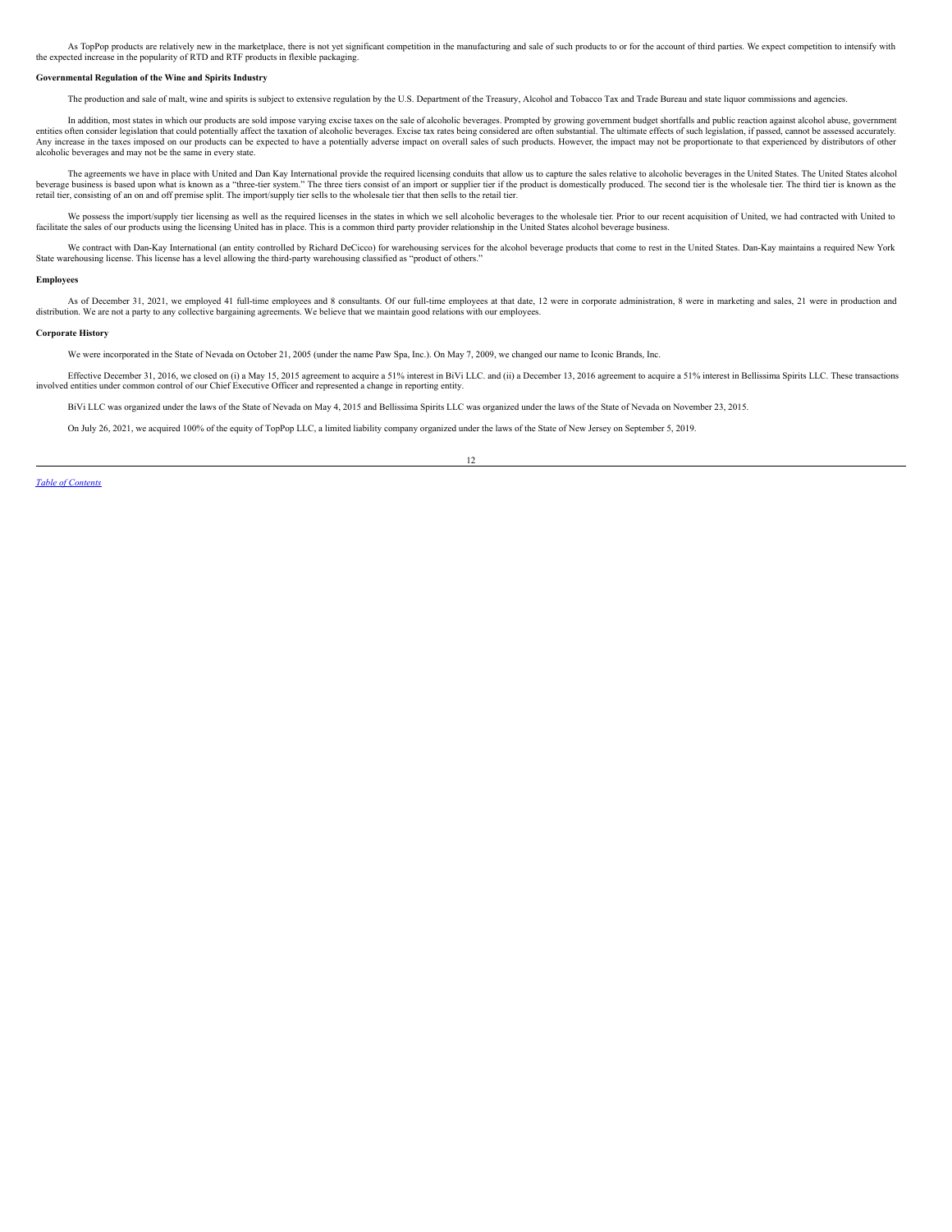As TopPop products are relatively new in the marketplace, there is not yet significant competition in the manufacturing and sale of such products to or for the account of third parties. We expect competition to intensify w the expected increase in the popularity of RTD and RTF products in flexible packaging.

# **Governmental Regulation of the Wine and Spirits Industry**

The production and sale of malt, wine and spirits is subject to extensive regulation by the U.S. Department of the Treasury, Alcohol and Tobacco Tax and Trade Bureau and state liquor commissions and agencies.

In addition, most states in which our products are sold impose varying excise taxes on the sale of alcoholic beverages. Prompted by growing government budget shortfalls and public reaction against alcohol abuse, government Any increase in the taxes imposed on our products can be expected to have a potentially adverse impact on overall sales of such products. However, the impact may not be proportionate to that experienced by distributors of alcoholic beverages and may not be the same in every state.

The agreements we have in place with United and Dan Kay International provide the required licensing conduits that allow us to capture the sales relative to alcoholic beverages in the United States. The United States alcoh retail tier, consisting of an on and off premise split. The import/supply tier sells to the wholesale tier that then sells to the retail tier.

We possess the import/supply tier licensing as well as the required licenses in the states in which we sell alcoholic beverages to the wholesale tier. Prior to our recent acquisition of United, we had contracted with Unite

We contract with Dan-Kay International (an entity controlled by Richard DeCicco) for warehousing services for the alcohol beverage products that come to rest in the United States. Dan-Kay maintains a required New York State warehousing license. This license has a level allowing the third-party warehousing classified as "product of others."

#### **Employees**

As of December 31, 2021, we employed 41 full-time employees and 8 consultants. Of our full-time employees at that date, 12 were in corporate administration, 8 were in marketing and sales, 21 were in production and distribution. We are not a party to any collective bargaining agreements. We believe that we maintain good relations with our employees.

# **Corporate History**

We were incorporated in the State of Nevada on October 21, 2005 (under the name Paw Spa, Inc.). On May 7, 2009, we changed our name to Iconic Brands, Inc.

Effective December 31, 2016, we closed on (i) a May 15, 2015 agreement to acquire a 51% interest in BiVi LLC. and (ii) a December 13, 2016 agreement to acquire a 51% interest in Bellissima Spirits LLC. These transactions i

BiVi LLC was organized under the laws of the State of Nevada on May 4, 2015 and Bellissima Spirits LLC was organized under the laws of the State of Nevada on November 23, 2015.

On July 26, 2021, we acquired 100% of the equity of TopPop LLC, a limited liability company organized under the laws of the State of New Jersey on September 5, 2019.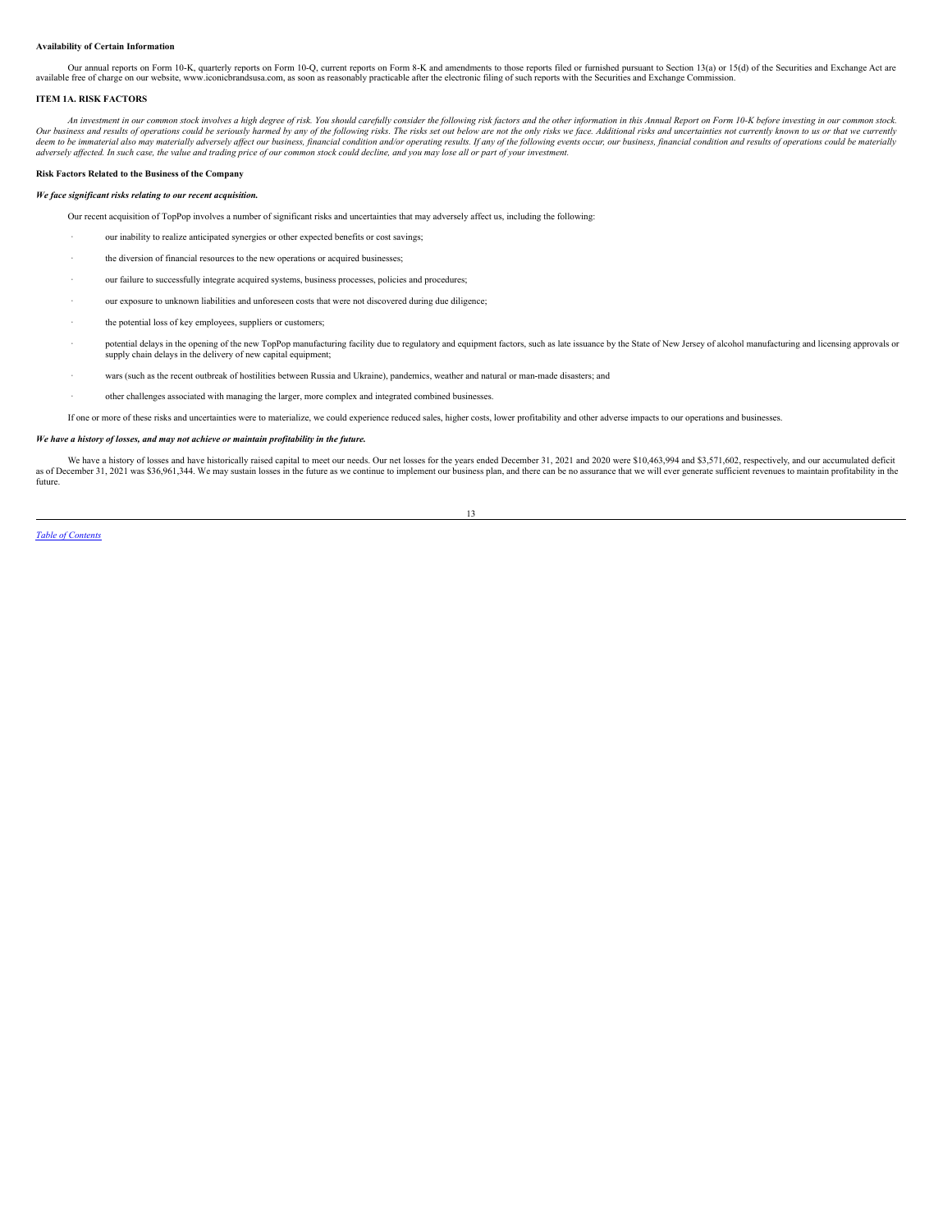#### **Availability of Certain Information**

Our annual reports on Form 10-K, quarterly reports on Form 10-Q, current reports on Form 8-K and amendments to those reports filed or furnished pursuant to Section 13(a) or 15(d) of the Securities and Exchange Act are avai

#### <span id="page-12-0"></span>**ITEM 1A. RISK FACTORS**

An investment in our common stock involves a high degree of risk. You should carefully consider the following risk factors and the other information in this Annual Report on Form 10-K before investing in our common stock.<br>

#### **Risk Factors Related to the Business of the Company**

#### *We face significant risks relating to our recent acquisition.*

Our recent acquisition of TopPop involves a number of significant risks and uncertainties that may adversely affect us, including the following:

- our inability to realize anticipated synergies or other expected benefits or cost savings;
- the diversion of financial resources to the new operations or acquired businesses;
- our failure to successfully integrate acquired systems, business processes, policies and procedures;
- · our exposure to unknown liabilities and unforeseen costs that were not discovered during due diligence;
- the potential loss of key employees, suppliers or customers;
- potential delays in the opening of the new TopPop manufacturing facility due to regulatory and equipment factors, such as late issuance by the State of New Jersey of alcohol manufacturing and licensing approvals or supply
- wars (such as the recent outbreak of hostilities between Russia and Ukraine), pandemics, weather and natural or man-made disasters; and
- other challenges associated with managing the larger, more complex and integrated combined businesses.

If one or more of these risks and uncertainties were to materialize, we could experience reduced sales, higher costs, lower profitability and other adverse impacts to our operations and businesses.

# *We have a history of losses, and may not achieve or maintain profitability in the future.*

We have a history of losses and have historically raised capital to meet our needs. Our net losses for the years ended December 31, 2021 and 2020 were \$10,463,994 and \$3,571,602, respectively, and our accumulated deficit as of December 31, 2021 was \$36,961,344. We may sustain losses in the future as we continue to implement our business plan, and there can be no assurance that we will ever generate sufficient revenues to maintain profitabi future.

13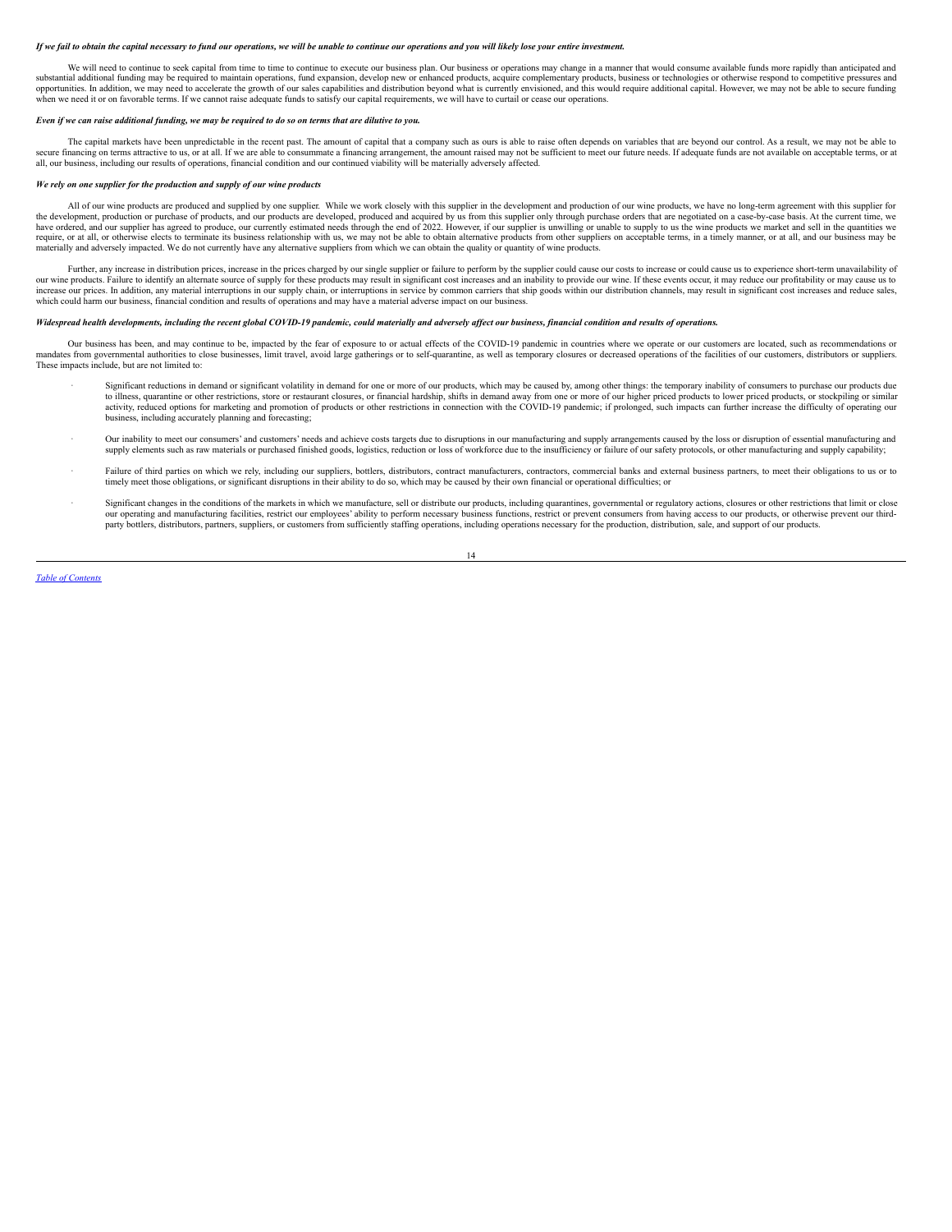# If we fail to obtain the capital necessary to fund our operations, we will be unable to continue our operations and you will likely lose your entire investment.

We will need to continue to seek capital from time to time to continue to execute our business plan. Our business or operations may change in a manner that would consume available funds more rapidly than anticipated and substantial additional funding may be required to maintain operations, fund expansion, develop new or enhanced products, acquire complementary products, business or technologies or otherwise respond to competitive pressure opportunities. In addition, we may need to accelerate the growth of our sales capabilities and distribution beyond what is currently envisioned, and this would require additional capital. However, we may not be able to sec when we need it or on favorable terms. If we cannot raise adequate funds to satisfy our capital requirements, we will have to curtail or cease our operations.

#### Even if we can raise additional funding, we may be required to do so on terms that are dilutive to you.

The capital markets have been unpredictable in the recent past. The amount of capital that a company such as ours is able to raise often depends on variables that are beyond our control. As a result, we may not be able to all, our business, including our results of operations, financial condition and our continued viability will be materially adversely affected.

#### *We rely on one supplier for the production and supply of our wine products*

All of our wine products are produced and supplied by one supplier. While we work closely with this supplier in the development and production of our wine products, we have no long-term agreement with this supplier for the development, production or purchase of products, and our products are developed, produced and acquired by us from this supplier only through purchase orders that are negotiated on a case-by-case basis. At the current t require, or at all, or otherwise elects to terminate its business relationship with us, we may not be able to obtain alternative products from other suppliers on acceptable terms, in a timely manner, or at all, and our bus materially and adversely impacted. We do not currently have any alternative suppliers from which we can obtain the quality or quantity of wine products.

Further, any increase in distribution prices, increase in the prices charged by our single supplier or failure to perform by the supplier could cause our costs to increase or could cause us to experience short-term unavail increase our prices. In addition, any material interruptions in our supply chain, or interruptions in service by common carriers that ship goods within our distribution channels, may result in significant cost increases an which could harm our business, financial condition and results of operations and may have a material adverse impact on our business.

# Widespread health developments, including the recent global COVID-19 pandemic, could materially and adversely affect our business, financial condition and results of operations.

Our business has been, and may continue to be, impacted by the fear of exposure to or actual effects of the COVID-19 pandemic in countries where we operate or our customers are located, such as recommendations or mandates from governmental authorities to close businesses, limit travel, avoid large gatherings or to self-quarantine, as well as temporary closures or decreased operations of the facilities of our customers, distributors These impacts include, but are not limited to:

- Significant reductions in demand or significant volatility in demand for one or more of our products, which may be caused by, among other things: the temporary inability of consumers to purchase our products due to illness, quarantine or other restrictions, store or restaurant closures, or financial hardship, shifts in demand away from one or more of our higher priced products to lower priced products, or stockpiling or similar<br>ac business, including accurately planning and forecasting;
- Our inability to meet our consumers' and customers' needs and achieve costs targets due to disruptions in our manufacturing and supply arrangements caused by the loss or disruption of essential manufacturing and supply elements such as raw materials or purchased finished goods, logistics, reduction or loss of workforce due to the insufficiency or failure of our safety protocols, or other manufacturing and supply capability;
- Failure of third parties on which we rely, including our suppliers, bottlers, distributors, contract manufacturers, contractors, commercial banks and external business partners, to meet their obligations to us or to timely meet those obligations, or significant disruptions in their ability to do so, which may be caused by their own financial or operational difficulties; or
- Significant changes in the conditions of the markets in which we manufacture, sell or distribute our products, including quarantines, governmental or regulatory actions, closures or other restrictions that limit or close<br>o party bottlers, distributors, partners, suppliers, or customers from sufficiently staffing operations, including operations necessary for the production, distribution, sale, and support of our products.

14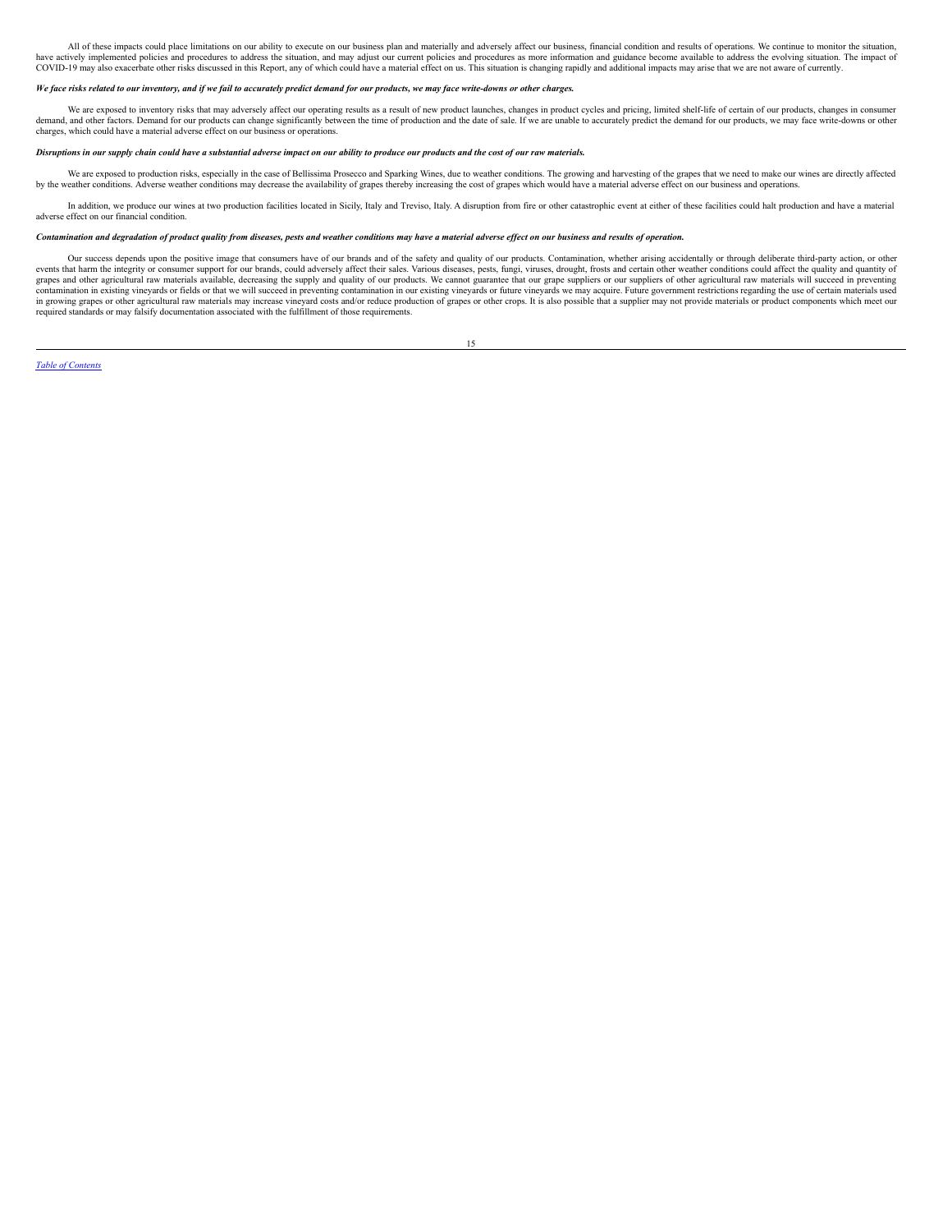All of these impacts could place limitations on our ability to execute on our business plan and materially and adversely affect our business, financial condition and results of operations. We continue to monitor the situat have actively implemented policies and procedures to address the situation, and may adjust our current policies and procedures as more information and guidance become available to address the evolving situation. The impact COVID-19 may also exacerbate other risks discussed in this Report, any of which could have a material effect on us. This situation is changing rapidly and additional impacts may arise that we are not aware of currently.

#### We face risks related to our inventory, and if we fail to accurately predict demand for our products, we may face write-downs or other charges.

We are exposed to inventory risks that may adversely affect our operating results as a result of new product launches, changes in product cycles and pricing, limited shelf-life of certain of our products, changes in consum demand, and other factors. Demand for our products can change significantly between the time of production and the date of sale. If we are unable to accurately predict the demand for our products, we may face write-downs o

# Disruptions in our supply chain could have a substantial adverse impact on our ability to produce our products and the cost of our raw materials.

We are exposed to production risks, especially in the case of Bellissima Prosecco and Sparking Wines, due to weather conditions. The growing and harvesting of the grapes that we need to make our wines are directly affected

In addition, we produce our wines at two production facilities located in Sicily, Italy and Treviso, Italy. A disruption from fire or other catastrophic event at either of these facilities could halt production and have a adverse effect on our financial condition.

# Contamination and degradation of product quality from diseases, pests and weather conditions may have a material adverse effect on our business and results of operation

Our success depends upon the positive image that consumers have of our brands and of the safety and quality of our products. Contamination, whether arising accidentally or through deliberate third-party action, or other events that harm the integrity or consumer support for our brands, could adversely affect their sales. Various diseases, pests, fungi, viruses, drought, frosts and certain other weather conditions could affect the quality grapes and other agricultural raw materials will succeed in preventing<br>grapes and other agricultural raw materials available, decreasing the supply and quality of our products. We cannot guarantee that our grape suppliers contamination in existing vineyards or fields or that we will succeed in preventing contamination in our existing vineyards or future vineyards we may acquire. Future government restrictions regarding the use of certain ma in growing grapes or other agricultural raw materials may increase vineyard costs and/or reduce production of grapes or other crops. It is also possible that a supplier may not provide materials or product components which required standards or may falsify documentation associated with the fulfillment of those requirements.

15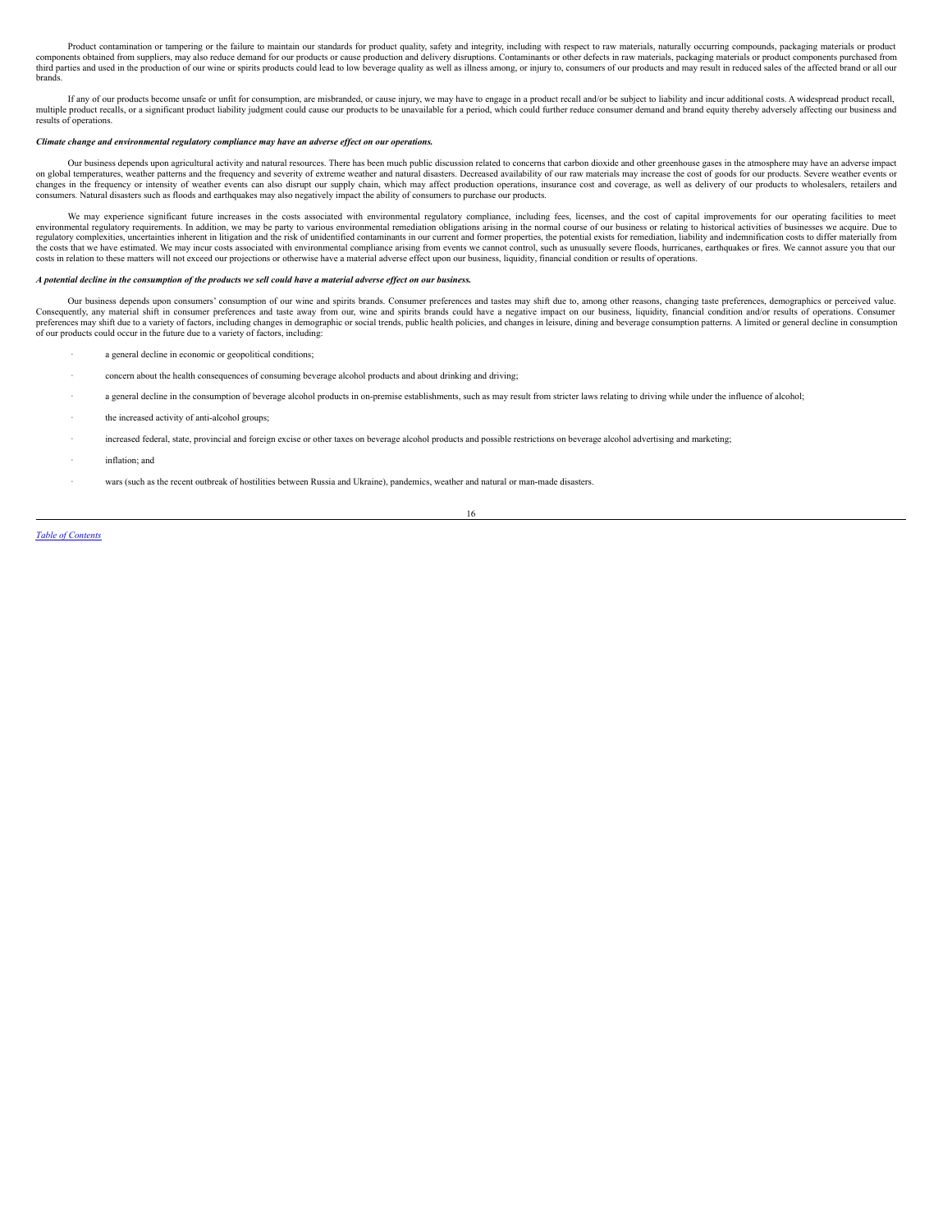Product contamination or tampering or the failure to maintain our standards for product quality, safety and integrity, including with respect to raw materials, naturally occurring compounds, packaging materials or product components obtained from suppliers, may also reduce demand for our products or cause production and delivery disruptions. Contaminants or other defects in raw materials, packaging materials or product components purchased third parties and used in the production of our wine or spirits products could lead to low beverage quality as well as illness among, or injury to, consumers of our products and may result in reduced sales of the affected brands.

If any of our products become unsafe or unfit for consumption, are misbranded, or cause injury, we may have to engage in a product recall and/or be subject to liability and incur additional costs. A widespread product reca multiple product recalls, or a significant product liability judgment could cause our products to be unavailable for a period, which could further reduce consumer demand and brand equity thereby adversely affecting our bus results of operations.

# *Climate change and environmental regulatory compliance may have an adverse ef ect on our operations.*

Our business depends upon agricultural activity and natural resources. There has been much public discussion related to concerns that carbon dioxide and other greenhouse gases in the atmosphere may have an adverse impact on global temperatures, weather patterns and the frequency and severity of extreme weather and natural disasters. Decreased availability of our raw materials may increase the cost of goods for our products. Severe weather consumers. Natural disasters such as floods and earthquakes may also negatively impact the ability of consumers to purchase our products.

We may experience significant future increases in the costs associated with environmental regulatory compliance, including fees, licenses, and the cost of capital improvements for our operating facilities to meet n and the map of the map of the map of the map of the map of the map of the map of the season of the season in the normal course of our business or relating to historical activities of businesses we acquire. Due to environ regulatory complexities, uncertainties inherent in litigation and the risk of unidentified contaminants in our current and former properties, the potential exists for remediation, liability and indemnification costs to dif the costs that we have estimated. We may incur costs associated with environmental compliance arising from events we cannot control, such as unusually severe floods, hurricanes, earthquakes or fires. We cannot assure you t costs in relation to these matters will not exceed our projections or otherwise have a material adverse effect upon our business, liquidity, financial condition or results of operations.

# A potential decline in the consumption of the products we sell could have a material adverse effect on our business.

Our business depends upon consumers' consumption of our wine and spirits brands. Consumer preferences and tastes may shift due to, among other reasons, changing taste preferences, demographics or perceived value.<br>Consequen preferences may shift due to a variety of factors, including changes in demographic or social trends, public health policies, and changes in leisure, dining and beverage consumption patterns. A limited or general decline i

- a general decline in economic or geopolitical conditions;
- · concern about the health consequences of consuming beverage alcohol products and about drinking and driving;
- · a general decline in the consumption of beverage alcohol products in on-premise establishments, such as may result from stricter laws relating to driving while under the influence of alcohol;
- the increased activity of anti-alcohol groups;
- · increased federal, state, provincial and foreign excise or other taxes on beverage alcohol products and possible restrictions on beverage alcohol advertising and marketing;
- · inflation; and
- · wars (such as the recent outbreak of hostilities between Russia and Ukraine), pandemics, weather and natural or man-made disasters.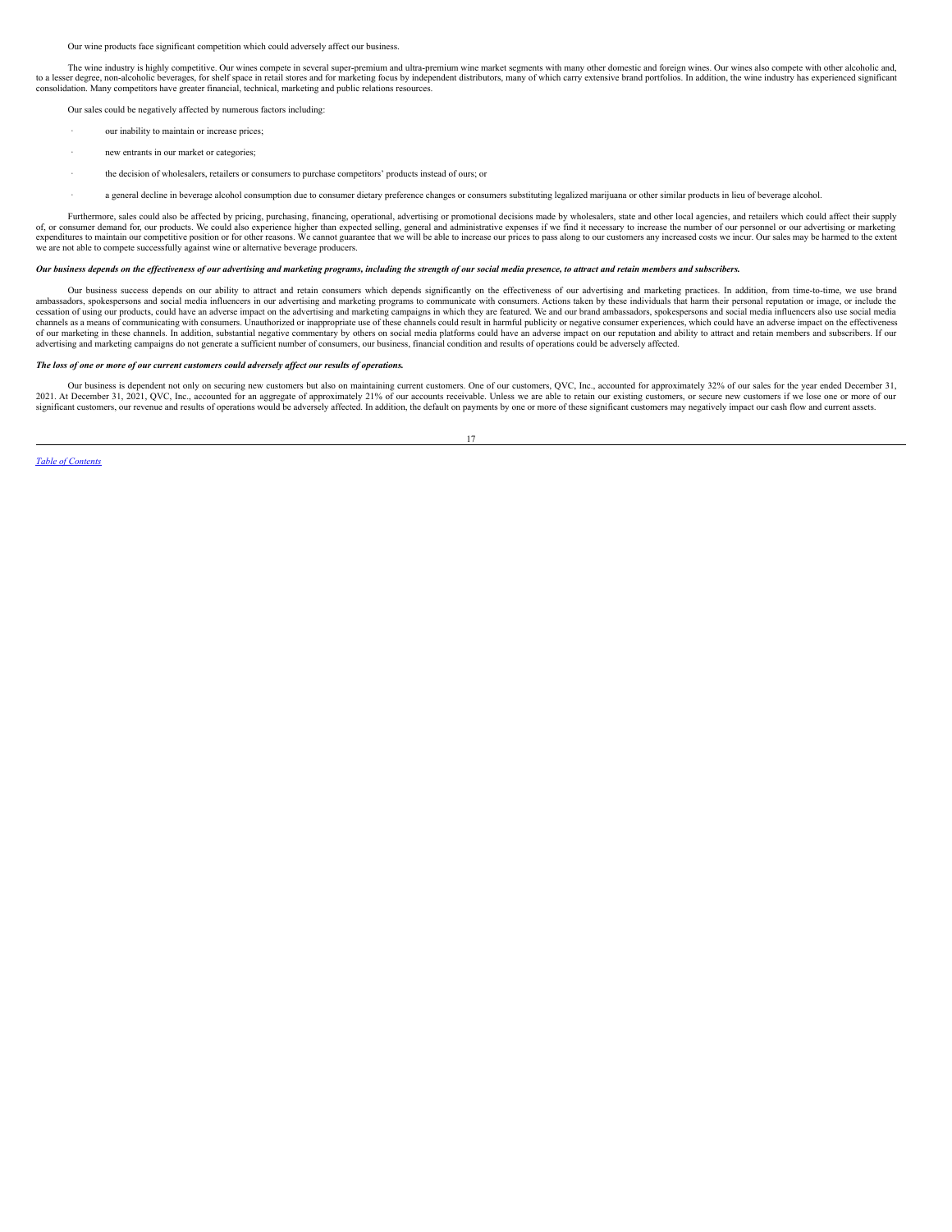# Our wine products face significant competition which could adversely affect our business.

The wine industry is highly compettive. Our wines compete in several super-premium and ultra-premium wine market segments with many other domestic and foreign wines. Our wines also compete with other alcoholic and, to a le consolidation. Many competitors have greater financial, technical, marketing and public relations resources.

Our sales could be negatively affected by numerous factors including:

- our inability to maintain or increase prices;
- new entrants in our market or categories:
- · the decision of wholesalers, retailers or consumers to purchase competitors' products instead of ours; or
- a general decline in beverage alcohol consumption due to consumer dietary preference changes or consumers substituting legalized marijuana or other similar products in lieu of beverage alcohol.

Furthermore, sales could also be affected by pricing, purchasing, financing, operational, advertising or promotional decisions made by wholesalers, state and other local agencies, and retailers which could affect their sup expenditures to maintain our competitive position or for other reasons. We cannot guarantee that we will be able to increase our prices to pass along to our customers any increased costs we incur. Our sales may be harmed t we are not able to compete successfully against wine or alternative beverage producers.

#### Our business depends on the effectiveness of our advertising and marketing programs, including the strength of our social media presence, to attract and retain members and subscribers.

Our business success depends on our ability to attract and retain consumers which depends significantly on the effectiveness of our advertising and marketing practices. In addition, from time-to-time, we use brand ambassadors, spokespersons and social media influencers in our advertising and marketing programs to communicate with consumers. Actions taken by these individuals that harm their personal reputation or image, or include t channels as a means of communicating with consumers. Unauthorized or inappropriate use of these channels could result in harmful publicity or negative consumer experiences, which could have an adverse impact on the effecti advertising and marketing campaigns do not generate a sufficient number of consumers, our business, financial condition and results of operations could be adversely affected.

# *The loss of one or more of our current customers could adversely af ect our results of operations.*

Our business is dependent not only on securing new customers but also on maintaining current customers. One of our customers, QVC, Inc., accounted for approximately 32% of our sales for the year ended December 31, 2021. At December 31, 2021, QVC, Inc., accounted for an aggregate of approximately 21% of our accounts receivable. Unless we are able to retain our existing customers, or secure new customers if we lose one or more of our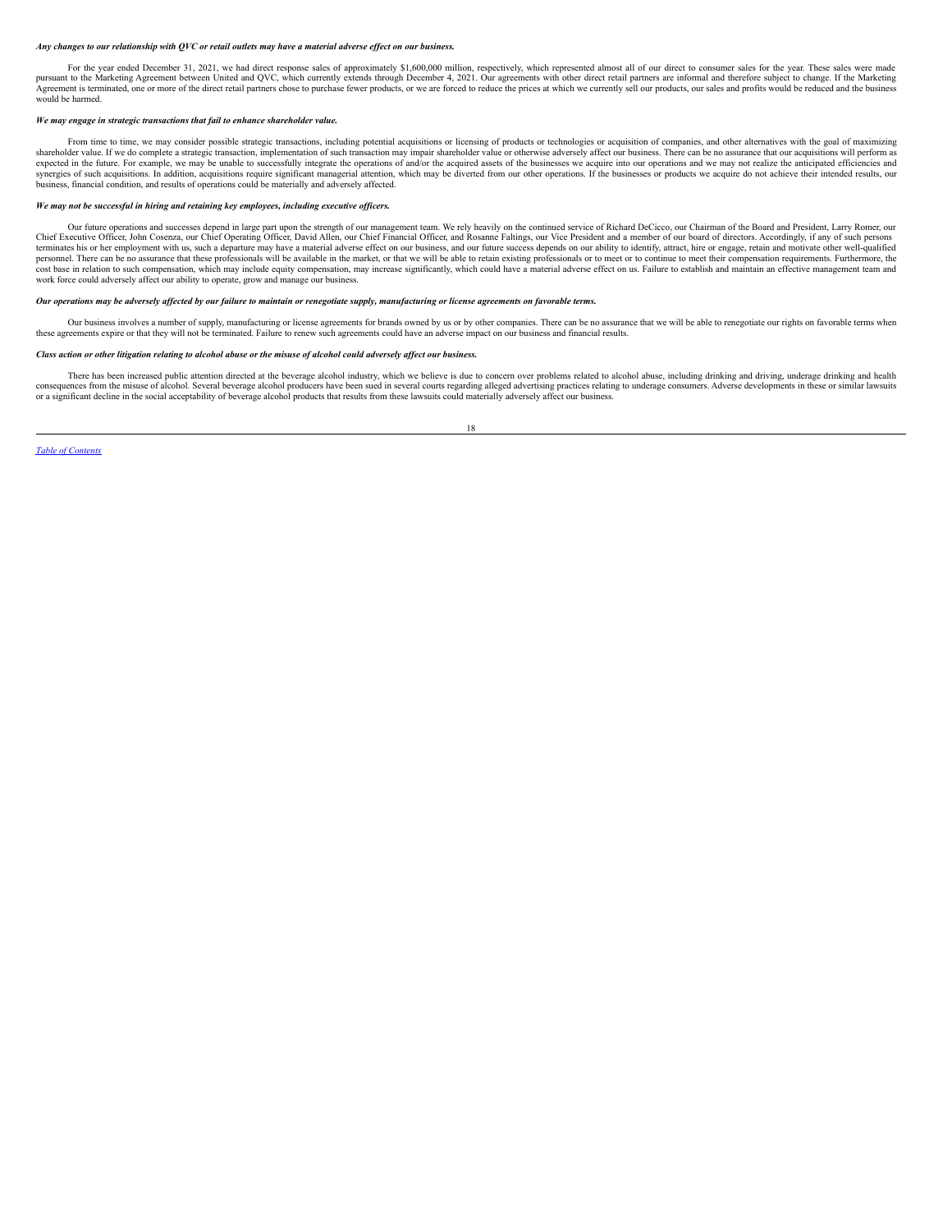# Any changes to our relationship with QVC or retail outlets may have a material adverse effect on our business.

For the year ended December 31, 2021, we had direct response sales of approximately \$1,600,000 million, respectively, which represented almost all of our direct to consumer sales for the year. These sales were made pursuan Agreement is terminated, one or more of the direct retail partners chose to purchase fewer products, or we are forced to reduce the prices at which we currently sell our products, our sales and profits would be reduced and would be harmed.

#### *We may engage in strategic transactions that fail to enhance shareholder value.*

From time to time, we may consider possible strategic transactions, including potential acquisitions or licensing of products or technologies or acquisition of companies, and other alternatives with the goal of maximizing expected in the future. For example, we may be unable to successfully integrate the operations of and/or the acquired assets of the businesses we acquire into our operations and we may not realize the anticipated efficienc synergies of such acquisitions. In addition, acquisitions require significant managerial attention, which may be diverted from our other operations. If the businesses or products we acquire do not achieve their intended re business, financial condition, and results of operations could be materially and adversely affected.

# *We may not be successful in hiring and retaining key employees, including executive of icers.*

Our future operations and successes depend in large part upon the strength of our management team. We rely heavily on the continued service of Richard DeCicco, our Chairman of the Board and President, Larry Romer, our Chief Executive Officer, John Cosenza, our Chief Operating Officer, David Allen, our Chief Financial Officer, and Rosanne Faltings, our Vice President and a member of our board of directors. Accordingly, if any of such per terminates his or her employment with us, such a departure may have a material adverse effect on our business, and our future success depends on our ability to identify, attract, hire or engage, retain and motivate other w personnel. There can be no assurance that these professionals will be available in the market, or that we will be able to retain existing professionals or to meet or to continue to meet their compensation requirements. Fur cost base in relation to such compensation, which may include equity compensation, may increase significantly, which could have a material adverse effect on us. Failure to establish and maintain an effective management tea

#### Our operations may be adversely affected by our failure to maintain or renegotiate supply, manufacturing or license agreements on favorable terms,

Our business involves a number of supply, manufacturing or license agreements for brands owned by us or by other companies. There can be no assurance that we will be able to renegotiate our rights on favorable terms when t

# Class action or other litigation relating to alcohol abuse or the misuse of alcohol could adversely affect our business.

There has been increased public attention directed at the beverage alcohol industry, which we believe is due to concern over problems related to alcohol abuse, including drinking and driving, underage drinking and health consequences from the misuse of alcohol. Several beverage alcohol producers have been sued in several courts regarding alleged advertising practices relating to underage consumers. Adverse developments in these or similar or a significant decline in the social acceptability of beverage alcohol products that results from these lawsuits could materially adversely affect our business.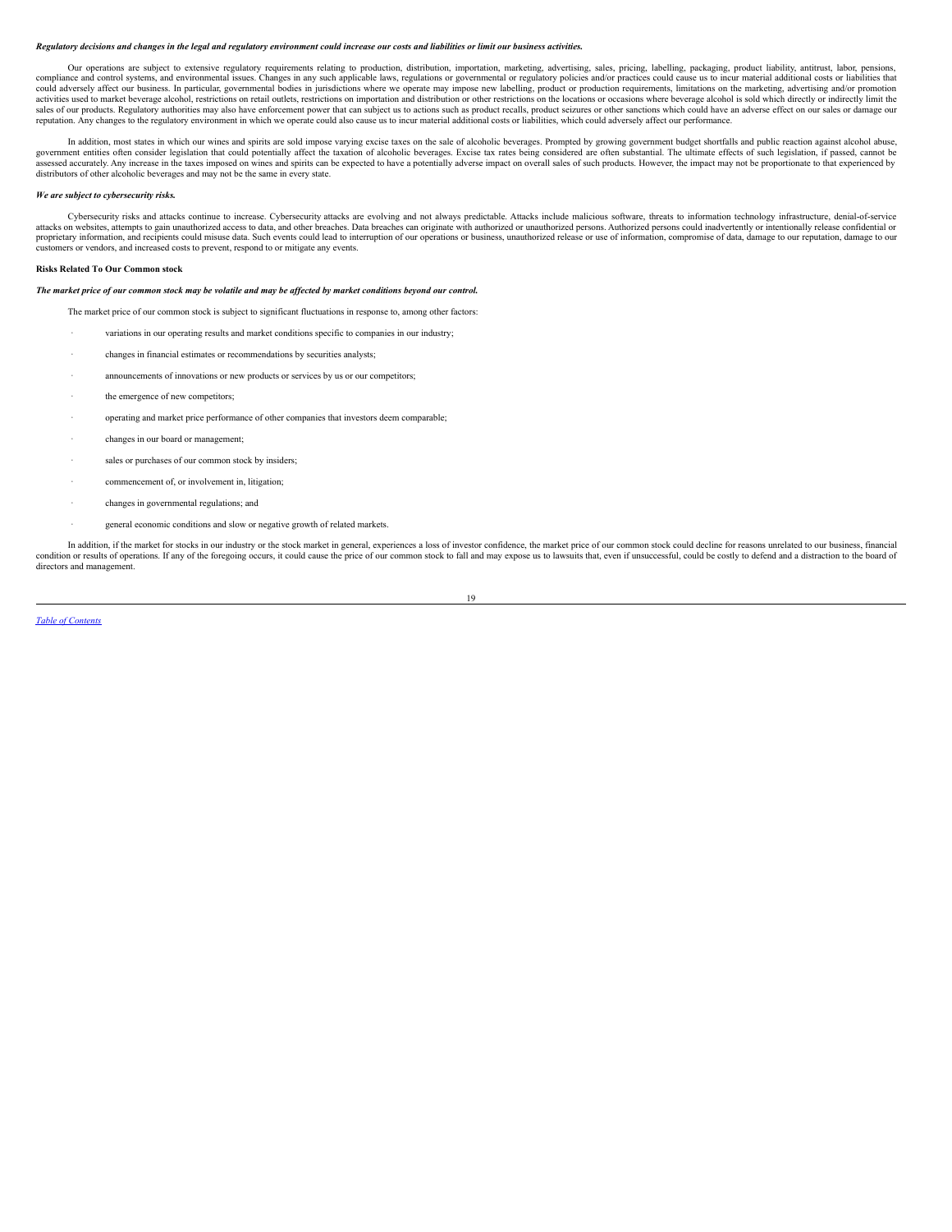# Regulatory decisions and changes in the legal and regulatory environment could increase our costs and liabilities or limit our business activities.

Our operations are subject to extensive regulatory requirements relating to production, distribution, importation, marketing, advertising, sales, pricing, labelling, packaging, product liability, antitrust, labor, pensions could adversely affect our business. In particular, governmental bodies in jurisdictions where we operate may impose new labelling, product or production requirements, limitations on the marketing, advertising and/or promo extend to market beverage alcohol, restrictions on retail outlets, restrictions on inportation and distribution or other restrictions on the locations on the locations on the cations where beverage alcohol is sold which di sales of our products. Regulatory authorities may also have enforcement power that can subject us to actions such as product recalls, product seizures or other sanctions which could have an adverse effect on our sales or d reputation. Any changes to the regulatory environment in which we operate could also cause us to incur material additional costs or liabilities, which could adversely affect our performance.

In addition, most states in which our wines and spirits are sold impose varying excise taxes on the sale of alcoholic beverages. Prompted by growing government budget shortfalls and public reaction against alcohol abuse, g assessed accurately. Any increase in the taxes imposed on wines and spirits can be expected to have a potentially adverse impact on overall sales of such products. However, the impact may not be proportionate to that exper distributors of other alcoholic beverages and may not be the same in every state.

#### *We are subject to cybersecurity risks.*

Cybersecurity risks and attacks continue to increase. Cybersecurity attacks are evolving and not always predictable. Attacks include malicious software, threats to information technology infrastructure, denial-of-service attacks on websites, attempts to gain unauthorized access to data, and other breaches. Data breaches can originate with authorized or unauthorized persons. Authorized persons could inadvertently or intentionally release co proprietary information, and recipients could misuse data. Such events could lead to interruption of our operations or business, unauthorized release or use of information, compromise of data, damage to our reputation, dam customers or vendors, and increased costs to prevent, respond to or mitigate any events.

#### **Risks Related To Our Common stock**

The market price of our common stock may be volatile and may be affected by market conditions beyond our control.

The market price of our common stock is subject to significant fluctuations in response to, among other factors:

- variations in our operating results and market conditions specific to companies in our industry;
- · changes in financial estimates or recommendations by securities analysts;
- announcements of innovations or new products or services by us or our competitors;
- the emergence of new competitors;
- · operating and market price performance of other companies that investors deem comparable;
- changes in our board or management;
- sales or purchases of our common stock by insiders;
- commencement of, or involvement in, litigation;
- · changes in governmental regulations; and
- general economic conditions and slow or negative growth of related markets.

In addition, if the market for stocks in our industry or the stock market in general, experiences a loss of investor confidence, the market price of our common stock could decline for reasons unrelated to our business, fin condition or results of operations. If any of the foregoing occurs, it could cause the price of our common stock to fall and may expose us to lawsuits that, even if unsuccessful, could be costly to defend and a distraction directors and management

19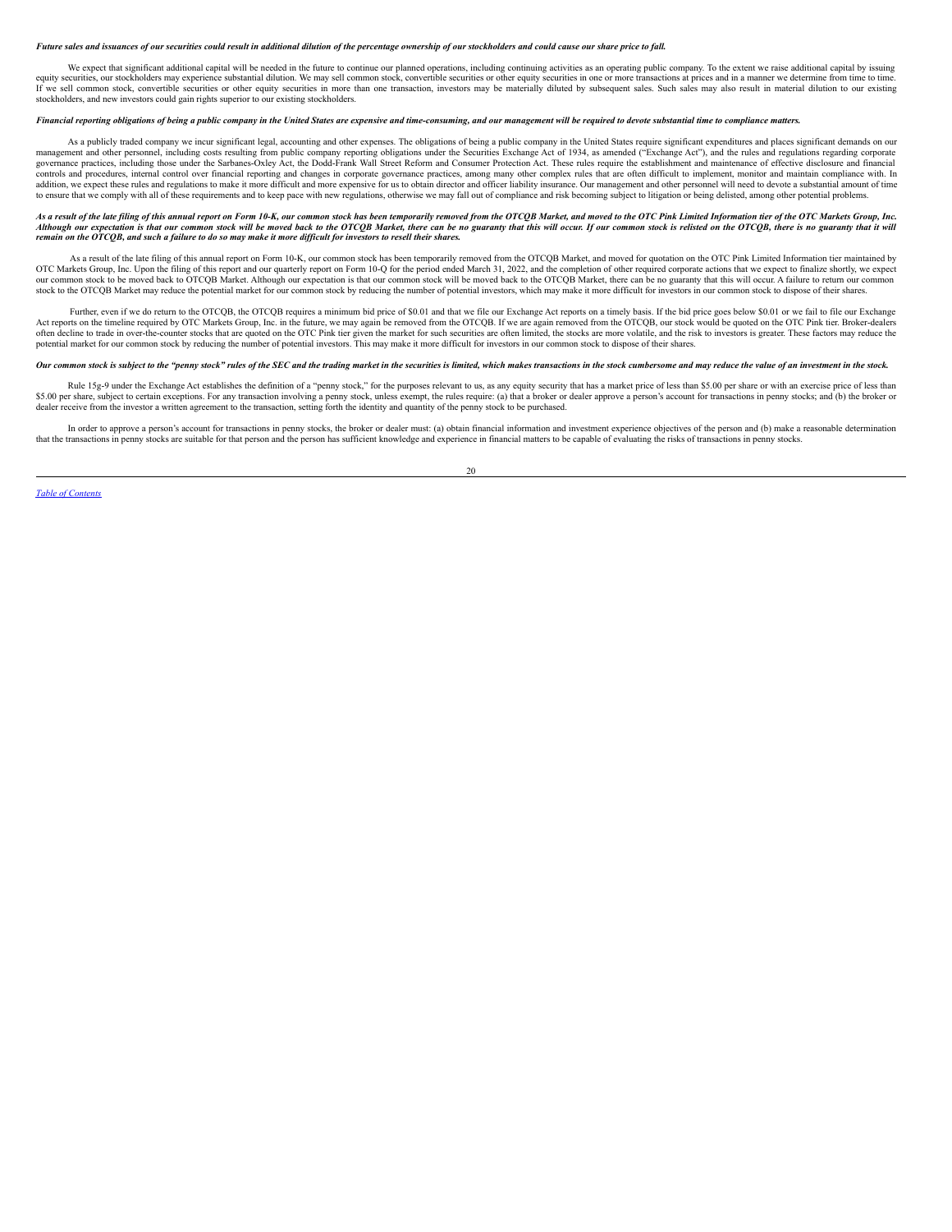# Future sales and issuances of our securities could result in additional dilution of the percentage ownership of our stockholders and could cause our share price to fall.

We expect that significant additional capital will be needed in the future to continue our planned operations, including continuing activities as an operating public company. To the extent we raise additional capital by is equity securities, our stockholders may experience substantial dilution. We may sell common stock, convertible securities or other equity securities in one or more transactions at prices and in a manner we determine from t If we sell common stock, convertible securities or other equity securities in more than one transaction, investors may be materially diluted by subsequent sales. Such sales may also result in material dilution to our exist stockholders, and new investors could gain rights superior to our existing stockholders.

#### Financial reporting obligations of being a public company in the United States are expensive and time-consuming, and our management will be required to devote substantial time to compliance matters.

As a publicly traded company we incur significant legal, accounting and other expenses. The obligations of being a public company in the United States require significant expenditures and places significant demands on our governance practices, including those under the Sarbanes-Oxley Act, the Dodd-Frank Wall Street Reform and Consumer Protection Act. These rules require the establishment and maintenance of effective disclosure and financial controls and procedures, internal control over financial reporting and changes in corporate governance practices, among many other complex rules that are often difficult to implement, monitor and maintain compliance with. to ensure that we comply with all of these requirements and to keep pace with new regulations, otherwise we may fall out of compliance and risk becoming subject to litigation or being delisted, among other potential proble

# As a result of the late filing of this annual report on Form 10-K, our common stock has been temporarily removed from the OTCD Market, and moved to the OTC Pink Limited Information tier of the OTC Markets Group, Inc.<br>Altho remain on the OTCQB, and such a failure to do so may make it more difficult for investors to resell their shares.

As a result of the late filing of this annual report on Form 10-K, our common stock has been temporarily removed from the OTCQB Market, and moved for quotation on the OTC Pink Limited Information tier maintained by OTC Markets Group, Inc. Upon the filing of this report and our quarterly report on Form 10-Q for the period ended March 31, 2022, and the completion of other required corporate actions that we expect to finalize shortly, w our common stock to be moved back to OTCQB Market. Although our expectation is that our common stock will be moved back to the OTCQB Market, there can be no guaranty that this will occur. A failure to return our common stock to the OTCQB Market may reduce the potential market for our common stock by reducing the number of potential investors, which may make it more difficult for investors in our common stock to dispose of their shares.

Further, even if we do return to the OTCQB, the OTCQB requires a minimum bid price of \$0.01 and that we file our Exchange Act reports on a timely basis. If the bid price goes below \$0.01 or we fail to file our Exchange Act reports on the timeline required by OTC Markets Group, Inc. in the future, we may again be removed from the OTCQB. If we are again removed from the OTCQB, our stock would be quoted on the OTC Pink tier. Broker-dealers potential market for our common stock by reducing the number of potential investors. This may make it more difficult for investors in our common stock to dispose of their shares.

# Our common stock is subject to the "penny stock" rules of the SEC and the trading market in the securities is limited, which makes transactions in the stock cumbersome and may reduce the value of an investment in the stock

Rule 15g-9 under the Exchange Act establishes the definition of a "penny stock," for the purposes relevant to us, as any equity security that has a market price of less than \$5.00 per share or with an exercise price of les \$5.00 per share, subject to certain exceptions. For any transaction involving a penny stock, unless exempt, the rules require: (a) that a broker or dealer approve a person's account for transactions in penny stocks; and (b dealer receive from the investor a written agreement to the transaction, setting forth the identity and quantity of the penny stock to be purchased.

In order to approve a person's account for transactions in penny stocks, the broker or dealer must: (a) obtain financial information and investment experience objectives of the person and (b) make a reasonable determinati that the transactions in penny stocks are suitable for that person and the person has sufficient knowledge and experience in financial matters to be capable of evaluating the risks of transactions in penny stocks.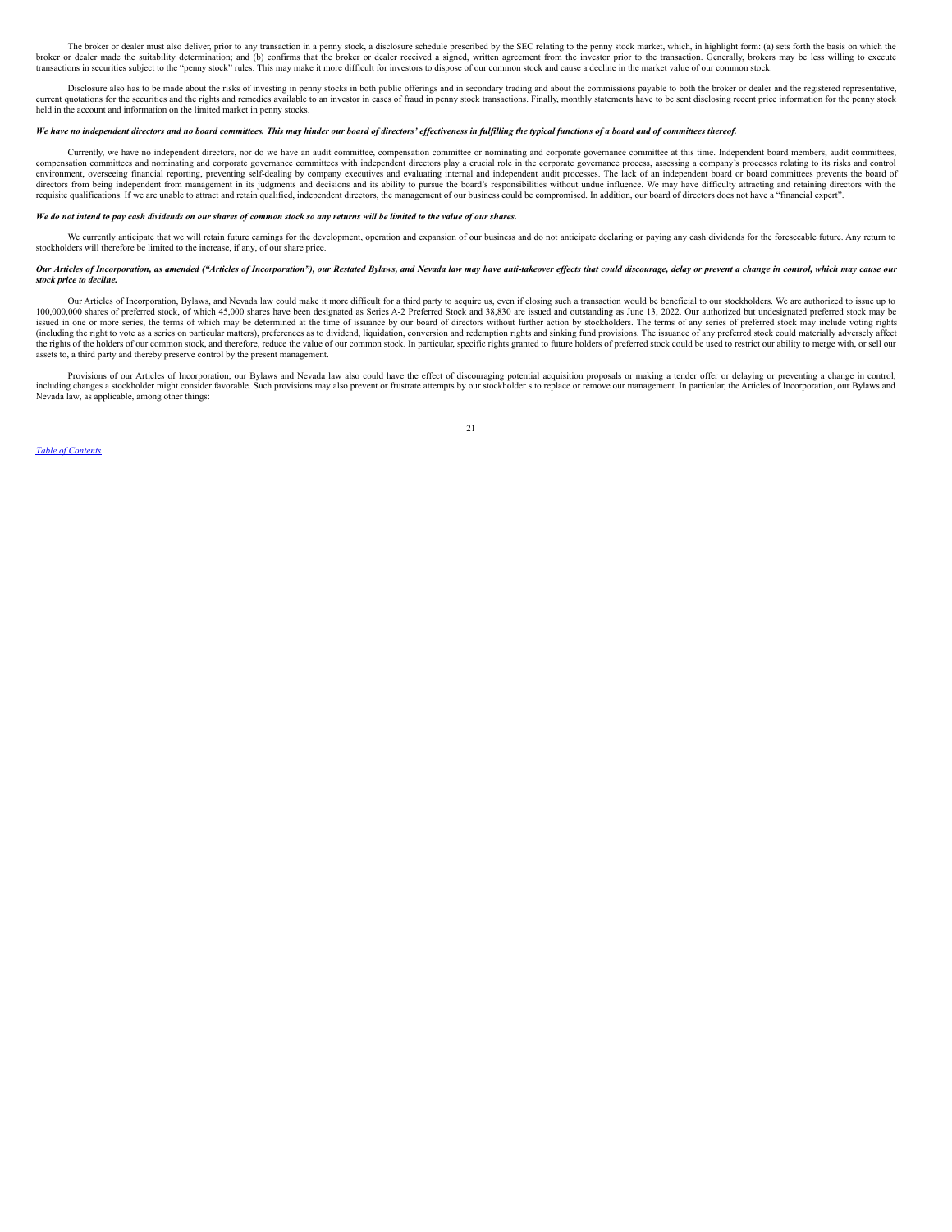The broker or dealer must also deliver, prior to any transaction in a penny stock, a disclosure schedule prescribed by the SEC relating to the penny stock market, which, in highlight form: (a) sets forth the basis on which broker or dealer made the suitability determination; and (b) confirms that the broker or dealer received a signed, written agreement from the investor prior to the transaction. Generally, brokers may be less willing to exe transactions in securities subject to the "penny stock" rules. This may make it more difficult for investors to dispose of our common stock and cause a decline in the market value of our common stock.

Disclosure also has to be made about the risks of investing in penny stocks in both public offerings and in secondary trading and about the commissions payable to both the broker or dealer and the registered representative, current quotations for the securities and the rights and remedies available to an investor in cases of fraud in penny stock transactions. Finally, monthly statements have to be sent disclosing recent price information for held in the account and information on the limited market in penny stocks.

### We have no independent directors and no board committees. This may hinder our board of directors' effectiveness in fulfilling the typical functions of a board and of committees thereof.

Currently, we have no independent directors, nor do we have an audit committee, compensation committee or nominating and corporate governance committee at this time. Independent board members, audit committees, compensation committees and nominating and corporate governance committees with independent directors play a crucial role in the corporate governance process, assessing a company's processes relating to its risks and control environment, overseeing financial reporting, preventing self-dealing by company executives and evaluating internal and independent audit processes. The lack of an independent board or board committees prevents the board of requisite qualifications. If we are unable to attract and retain qualified, independent directors, the management of our business could be compromised. In addition, our board of directors does not have a "financial expert".

#### We do not intend to pay cash dividends on our shares of common stock so any returns will be limited to the value of our shares.

We currently anticipate that we will retain future earnings for the development, operation and expansion of our business and do not anticipate declaring or paying any cash dividends for the foreseeable future. Any return t stockholders will therefore be limited to the increase, if any, of our share price.

Our Articles of Incorporation, as amended ("Articles of Incorporation"), our Restated Bylaws, and Nevada law may have anti-takeover effects that could discourage, delay or prevent a change in control, which may cause our *stock price to decline.*

Our Articles of Incorporation, Bylaws, and Nevada law could make it more difficult for a third party to acquire us, even if closing such a transaction would be beneficial to our stockholders. We are authorized to issue up to 100,000,000 shares of preferred stock, of which 45,000 shares have been designated as Series A-2 Preferred Stock and 38,830 are issued and outstanding as June 13, 2022. Our authorized but undesignated preferred stock may be issued in one or more series, the terms of which may be determined at the time of issuance by our board of directors without further action by stockholders. The terms of any series of preferred stock may include voting rig the rights of the holders of our common stock, and therefore, reduce the value of our common stock. In particular, specific rights granted to future holders of preferred stock could be used to restrict our ability to merge assets to, a third party and thereby preserve control by the present management.

Provisions of our Articles of Incorporation, our Bylaws and Nevada law also could have the effect of discouraging potential acquisition proposals or making a tender offer or delaying or preventing a change in control, incl Nevada law, as applicable, among other things: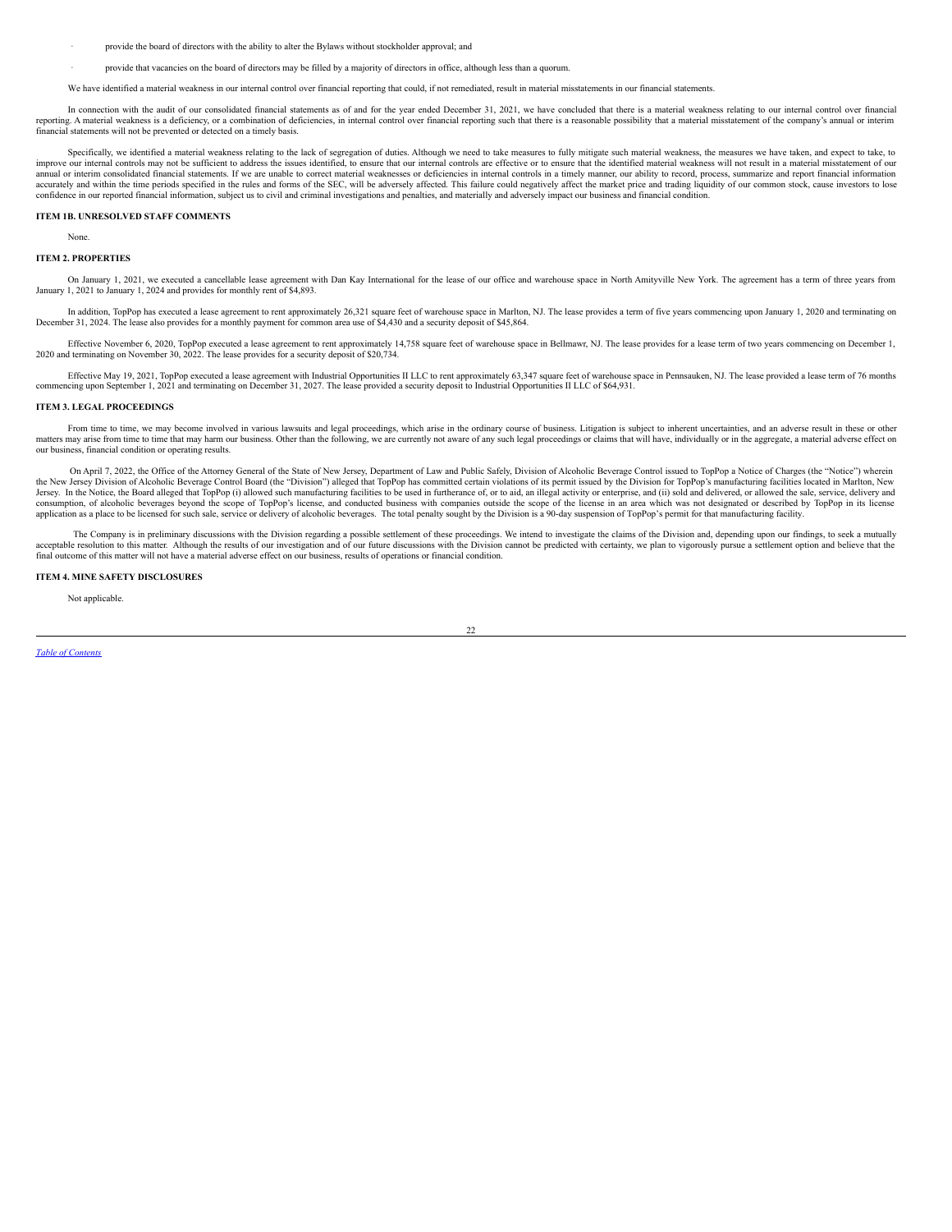· provide the board of directors with the ability to alter the Bylaws without stockholder approval; and

provide that vacancies on the board of directors may be filled by a majority of directors in office, although less than a quorum.

We have identified a material weakness in our internal control over financial reporting that could, if not remediated, result in material misstatements in our financial statements.

In connection with the audit of our consolidated financial statements as of and for the year ended December 31, 2021, we have concluded that there is a material weakness relating to our internal control over financial reporting. A material weakness is a deficiency, or a combination of deficiencies, in internal control over financial reporting such that there is a reasonable possibility that a material misstatement of the company's annua financial statements will not be prevented or detected on a timely basis.

Specifically, we identified a material weakness relating to the lack of segregation of duties. Although we need to take measures to fully mitigate such material weakness, the measures we have taken, and expect to take, to improve our internal controls may not be sufficient to address the issues identified, to ensure that our internal controls are effective or to ensure that the identified material weakness will not result in a material miss annual or interim consolidated financial statements. If we are unable to correct material weaknesses or deficiencies in internal controls in a timely manner, our ability to record, process, summarize and report financial i accurately and within the time periods specified in the rules and forms of the SEC, will be adversely affected. This failure could negatively affect the market price and trading liquidity of our common stock, cause investo confidence in our reported financial information, subject us to civil and criminal investigations and penalties, and materially and adversely impact our business and financial condition.

# <span id="page-21-0"></span>**ITEM 1B. UNRESOLVED STAFF COMMENTS**

None.

# <span id="page-21-1"></span>**ITEM 2. PROPERTIES**

On January 1, 2021, we executed a cancellable lease agreement with Dan Kay International for the lease of our office and warehouse space in North Amityville New York. The agreement has a term of three years from January 1, 2021 to January 1, 2024 and provides for monthly rent of \$4,893.

In addition, TopPop has executed a lease agreement to rent approximately 26,321 square feet of warehouse space in Marlton, NJ. The lease provides a term of five years commencing upon January 1, 2020 and terminating on December 31, 2024. The lease also provides for a monthly payment for common area use of \$4,430 and a security deposit of \$45,864.

Effective November 6, 2020, TopPop executed a lease agreement to rent approximately 14,758 square feet of warehouse space in Bellmawr, NJ. The lease provides for a lease term of two years commencing on December 1, 2020 and

Effective May 19, 2021, TopPop executed a lease agreement with Industrial Opportunities II LLC to rent approximately 63,347 square feet of warehouse space in Pennsauken, NJ. The lease provided a lease term of 76 months com

#### <span id="page-21-2"></span>**ITEM 3. LEGAL PROCEEDINGS**

From time to time, we may become involved in various lawsuits and legal proceedings, which arise in the ordinary course of business. Litigation is subject to inherent uncertainties, and an adverse result in these or other matters may arise from time to time that may harm our business. Other than the following, we are currently not aware of any such legal proceedings or claims that will have, individually or in the aggregate, a material adve our business, financial condition or operating results.

On April 7, 2022, the Office of the Attorney General of the State of New Jersey, Department of Law and Public Safely, Division of Alcoholic Beverage Control issued to TopPop a Notice of Charges (the "Notice") wherein the New Jersey Division of Alcoholic Beverage Control Board (the "Division") alleged that TopPop has committed certain violations of its permit issued by the Division for TopPop's manufacturing facilities located in Marlto Jersey. In the Notice, the Board alleged that TopPop (i) allowed such manufacturing facilities to be used in furtherance of, or to aid, an illegal activity or enterprise, and (ii) sold and delivered, or allowed the sale, s consumption, of alcoholic beverages beyond the scope of TopPop's license, and conducted business with companies outside the scope of the license in an area which was not designated or described by TopPop in its license app

The Company is in preliminary discussions with the Division regarding a possible settlement of these proceedings. We intend to investigate the claims of the Division and, depending upon our findings, to seek a mutually acceptable resolution to this matter. Although the results of our investigation and of our future discussions with the Division cannot be predicted with certainty, we plan to vigorously pursue a settlement option and belie final outcome of this matter will not have a material adverse effect on our business, results of operations or financial condition.

#### <span id="page-21-3"></span>**ITEM 4. MINE SAFETY DISCLOSURES**

Not applicable.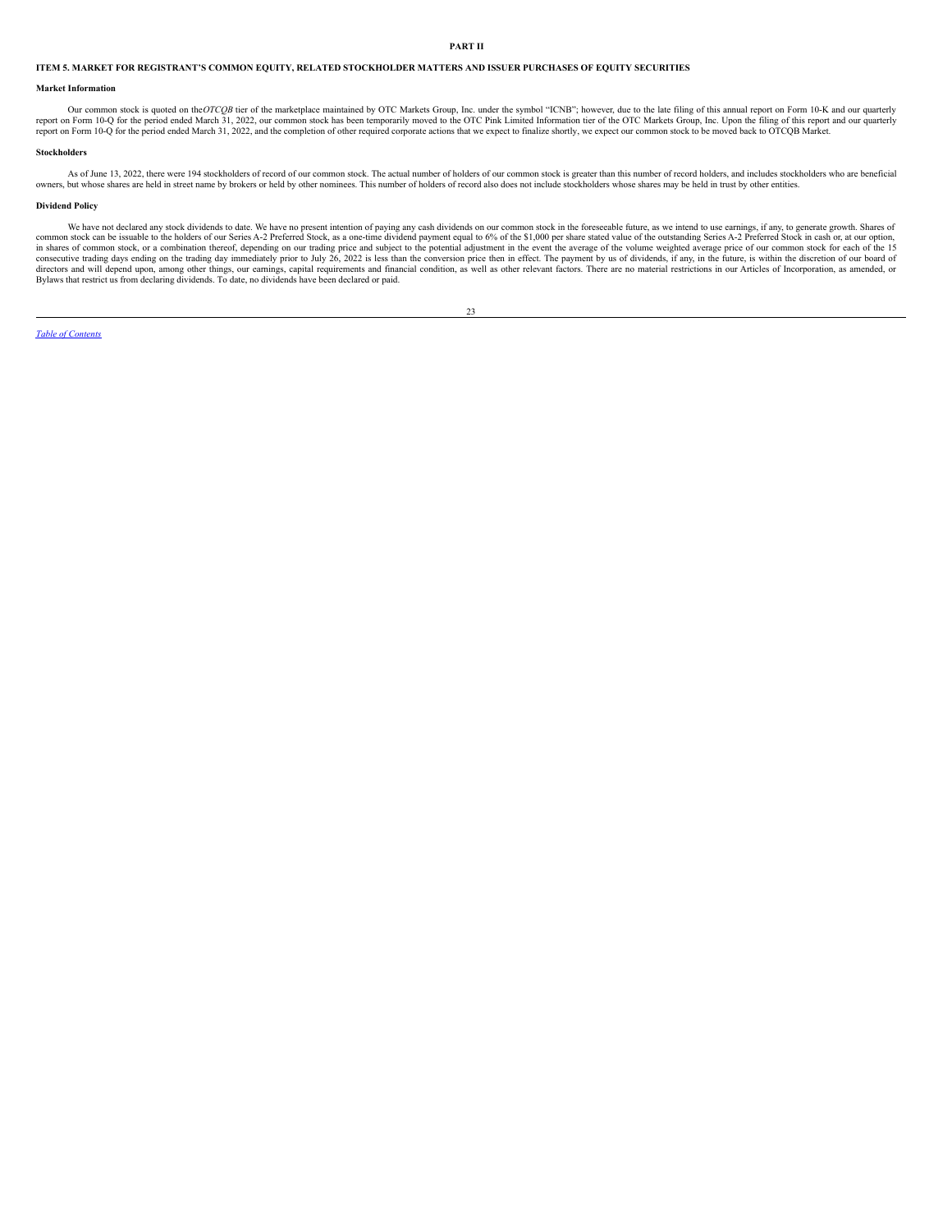# <span id="page-22-0"></span>**PART II**

# <span id="page-22-1"></span>ITEM 5. MARKET FOR REGISTRANT'S COMMON EQUITY, RELATED STOCKHOLDER MATTERS AND ISSUER PURCHASES OF EQUITY SECURITIES

#### **Market Information**

Our common stock is quoted on the OTCOB tier of the marketplace maintained by OTC Markets Group, Inc. under the symbol "ICNB"; however, due to the late filing of this annual report on Form 10-Q for the period ended March 3 report on Form 10-Q for the period ended March 31, 2022, and the completion of other required corporate actions that we expect to finalize shortly, we expect our common stock to be moved back to OTCQB Market.

# **Stockholders**

As of June 13, 2022, there were 194 stockholders of record of our common stock. The actual number of holders of our common stock is greater than this number of record holders, and includes stockholders who are beneficial o

# **Dividend Policy**

We have not declared any stock dividends to date. We have no present intention of paying any cash dividends on our common stock in the foreseeable future, as we intend to use earnings, if any, to generate growth. Shares of common stock can be issuable to the holders of our Series A-2 Preferred Stock, as a one-time dividend payment equal to 6% of the \$1,000 per share stated value of the outstanding Series A-2 Preferred Stock in cash or, at ou directors and will depend upon, among other things, our earnings, capital requirements and financial condition, as well as other relevant factors. There are no material restrictions in our Articles of Incorporation, as ame

23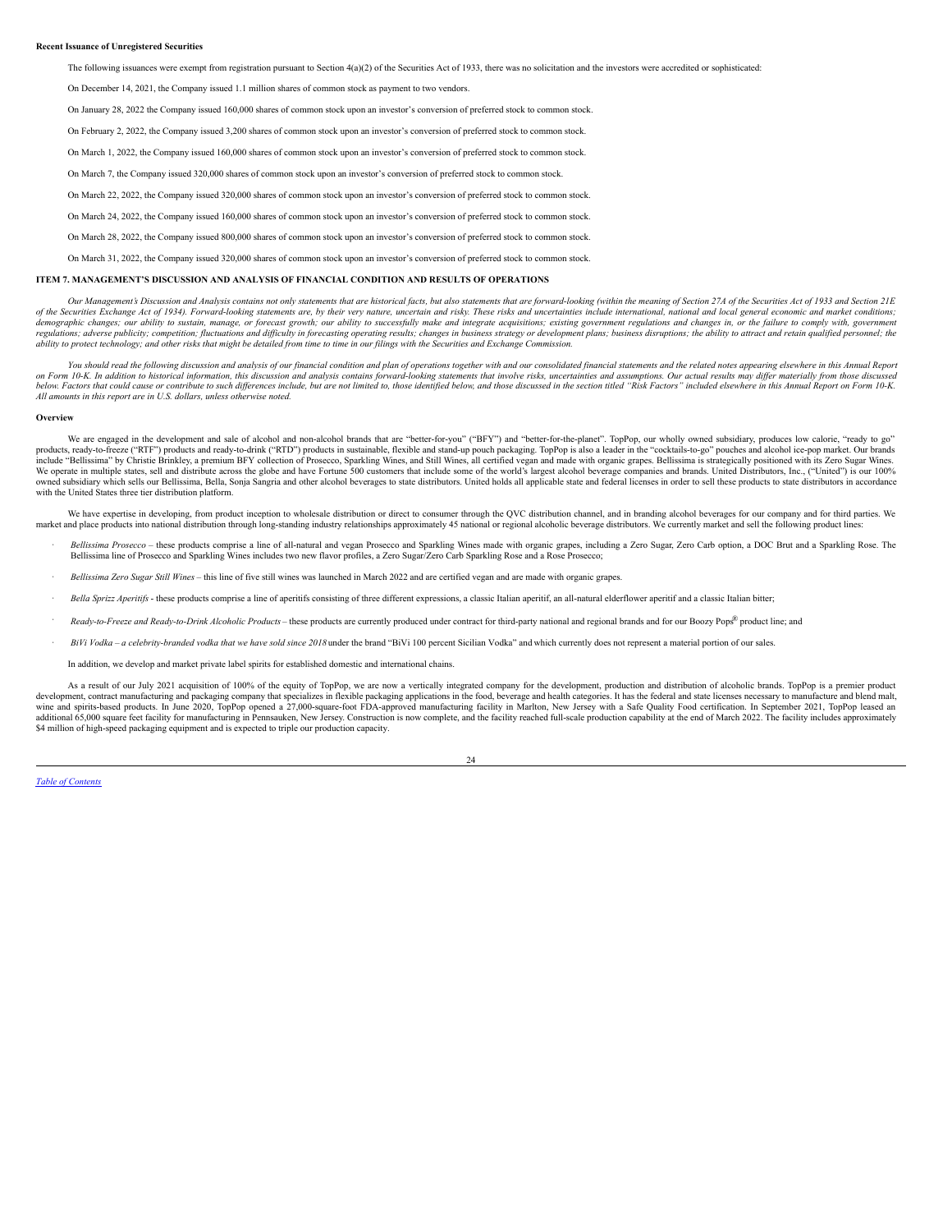#### **Recent Issuance of Unregistered Securities**

The following issuances were exempt from registration pursuant to Section  $4(a)(2)$  of the Securities Act of 1933, there was no solicitation and the investors were accredited or sophisticated

On December 14, 2021, the Company issued 1.1 million shares of common stock as payment to two vendors.

On January 28, 2022 the Company issued 160,000 shares of common stock upon an investor's conversion of preferred stock to common stock.

On February 2, 2022, the Company issued 3,200 shares of common stock upon an investor's conversion of preferred stock to common stock.

On March 1, 2022, the Company issued 160,000 shares of common stock upon an investor's conversion of preferred stock to common stock.

On March 7, the Company issued 320,000 shares of common stock upon an investor's conversion of preferred stock to common stock.

On March 22, 2022, the Company issued 320,000 shares of common stock upon an investor's conversion of preferred stock to common stock.

- On March 24, 2022, the Company issued 160,000 shares of common stock upon an investor's conversion of preferred stock to common stock.
- On March 28, 2022, the Company issued 800,000 shares of common stock upon an investor's conversion of preferred stock to common stock.
- On March 31, 2022, the Company issued 320,000 shares of common stock upon an investor's conversion of preferred stock to common stock.

# <span id="page-23-0"></span>**ITEM 7. MANAGEMENT'S DISCUSSION AND ANALYSIS OF FINANCIAL CONDITION AND RESULTS OF OPERATIONS**

Our Management's Discussion and Analysis contains not only statements that are historical facts, but also statements that are forward-looking (within the meaning of Section 27A of the Securities Act of 1933 and Section 21E of the Securities Exchange Act of 1934). Forward-looking statements are, by their very nature, uncertain and risky. These risks and uncertainties include international, national and local general economic and market condit demographic changes; our ability to sustain, manage, or forecast growth; our ability to successfully make and integrate acquisitions; existing government regulations; and changes in, or the failure to comply with, governme ability to protect technology; and other risks that might be detailed from time to time in our filings with the Securities and Exchange Commission.

You should read the following discussion and analysis of our financial condition and plan of operations together with and our consolidated financial statements and the related notes appearing elsewhere in this Annual Repor on Form 10-K. In addition to historical information, this discussion and analysis contains forward-looking statements that involve risks, uncertainties and assumptions. Our actual results may differ materially from those d *All amounts in this report are in U.S. dollars, unless otherwise noted.*

#### **Overview**

We are engaged in the development and sale of alcohol and non-alcohol brands that are "better-for-you" ("BFY") and "better-for-the-planet". TopPop, our wholly owned subsidiary, produces low calorie, "ready to go" products, ready-to-freeze ("RTF") products and ready-to-drink ("RTD") products in sustainable, flexible and stand-up pouch packaging. TopPop is also a leader in the "cocktails-to-go" pouches and alcohol ice-pop market. Our We operate in multiple states, sell and distribute across the globe and have Fortune 500 customers that include some of the world's largest alcohol beverage companies and brands. United Distributors, Inc., ("United") is ou owned subsidiary which sells our Bellissima, Bella, Sonja Sangria and other alcohol beverages to state distributors. United holds all applicable state and federal licenses in order to sell these products to state distribut with the United States three tier distribution platform.

We have expertise in developing, from product inception to wholesale distribution or direct to consumer through the QVC distribution channel, and in branding alcohol beverages for our company and for third parties. We market and place products into national distribution through long-standing industry relationships approximately 45 national or regional alcoholic beverage distributors. We currently market and sell the following product li

- Bellissima Prosecco these products comprise a line of all-natural and vegan Prosecco and Sparkling Wines made with organic grapes, including a Zero Sugar, Zero Carb option, a DOC Brut and a Sparkling Rose. The Bellissima line of Prosecco and Sparkling Wines includes two new flavor profiles, a Zero Sugar/Zero Carb Sparkling Rose and a Rose Prosecco;
- · *Bellissima Zero Sugar Still Wines –* this line of five still wines was launched in March 2022 and are certified vegan and are made with organic grapes.
- Bella Sprizz Aperitifs these products comprise a line of aperitifs consisting of three different expressions, a classic Italian aperitif, an all-natural elderflower aperitif and a classic Italian bitter;
- Ready-to-Freeze and Ready-to-Drink Alcoholic Products these products are currently produced under contract for third-party national and regional brands and for our Boozy Pops® product line; and
- BiVi Vodka a celebrity-branded vodka that we have sold since 2018 under the brand "BiVi 100 percent Sicilian Vodka" and which currently does not represent a material portion of our sales.
	- In addition, we develop and market private label spirits for established domestic and international chains.

As a result of our July 2021 acquisition of 100% of the equity of TopPop, we are now a vertically integrated company for the development, production and distribution of alcoholic brands. TopPop is a premier product development, contract manufacturing and packaging company that specializes in flexible packaging applications in the food, beverage and health categories. It has the federal and state licenses necessary to manufacture and wine and spirits-based products. In June 2020, TopPop opened a 27,000-square-foot FDA-approved manufacturing facility in Marlton, New Jersey with a Safe Quality Food certification. In September 2021, TopPop leased an additional 65,000 square feet facility for manufacturing in Pennsauken, New Jersey. Construction is now complete, and the facility reached full-scale production capability at the end of March 2022. The facility includes ap \$4 million of high-speed packaging equipment and is expected to triple our production capacity.

24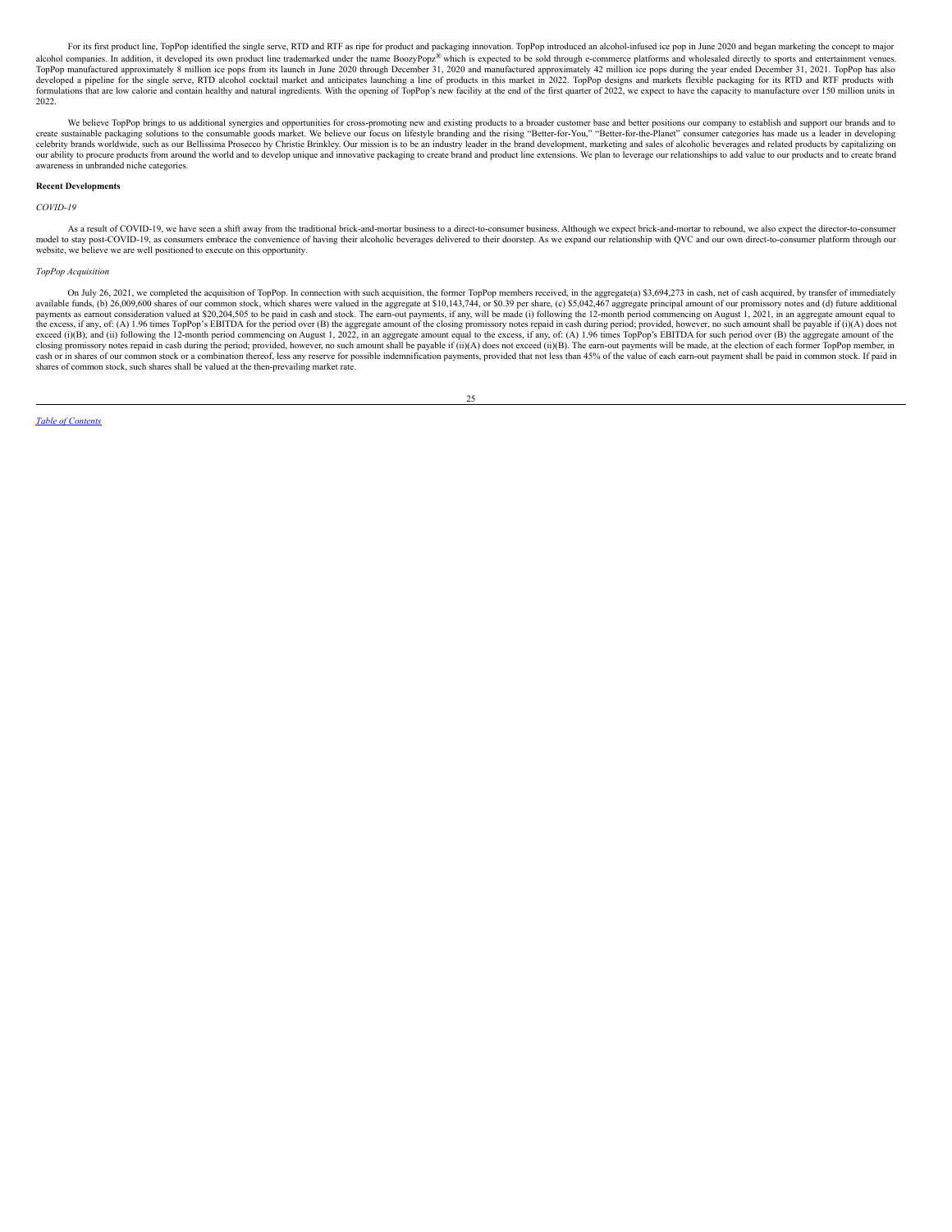For its first product line, TopPop identified the single serve, RTD and RTF as ripe for product and packaging innovation. TopPop introduced an alcohol-infused ice pop in June 2020 and began marketing the concept to major alcohol companies. In addition, it developed its own product line trademarked under the name BoozyPopz® which is expected to be sold through e-commerce platforms and wholesaled directly to sports and entertainment venues. TopPop manufactured approximately 8 million ice pops from its launch in June 2020 through December 31, 2020 and manufactured approximately 42 million ice pops during the year ended December 31, 2021. TopPop has also developed a pipeline for the single serve, RTD alcohol cocktail market and anticipates launching a line of products in this market in 2022. TopPop designs and markets flexible packaging for its RTD and RTF products with<br>fo 2022.

We believe TopPop brings to us additional synergies and opportunities for cross-promoting new and existing products to a broader customer base and better positions our company to establish and support our brands and to create sustainable packaging solutions to the consumable goods market. We believe our focus on lifestyle branding and the rising "Better-for-You," "Better-for-the-Planet" consumer categories has made us a leader in develop our ability to procure products from around the world and to develop unique and innovative packaging to create brand and product line extensions. We plan to leverage our relationships to add value to our products and to cr awareness in unbranded niche categories.

# **Recent Developments**

# *COVID-19*

As a result of COVID-19, we have seen a shift away from the traditional brick-and-mortar business to a direct-to-consumer business. Although we expect brick-and-mortar to rebound, we also expect the director-to-consumer model to stay post-COVID-19, as consumers embrace the convenience of having their alcoholic beverages delivered to their doorstep. As we expand our relationship with QVC and our own direct-to-consumer platform through our website, we believe we are well positioned to execute on this opportunity.

# *TopPop Acquisition*

On July 26, 2021, we completed the acquisition of TopPop. In connection with such acquisition, the former TopPop members received, in the aggregate(a) \$3,694,273 in cash, net of cash acquired, by transfer of immediately available funds, (b) 26,009,600 shares of our common stock, which shares were valued in the aggregate at \$10,143,744, or \$0.39 per share, (c) \$5,042,467 aggregate principal amount of our promissory notes and (d) future add exceed (i)(B); and (ii) following the 12-month period commencing on August 1, 2022, in an aggregate amount equal to the excess, if any, of: (A) 1.96 times TopPop's EBITDA for such period over (B) the aggregate amount of th cash or in shares of our common stock or a combination thereof, less any reserve for possible indemnification payments, provided that not less than 45% of the value of each earn-out payment shall be paid in common stock. I shares of common stock, such shares shall be valued at the then-prevailing market rate.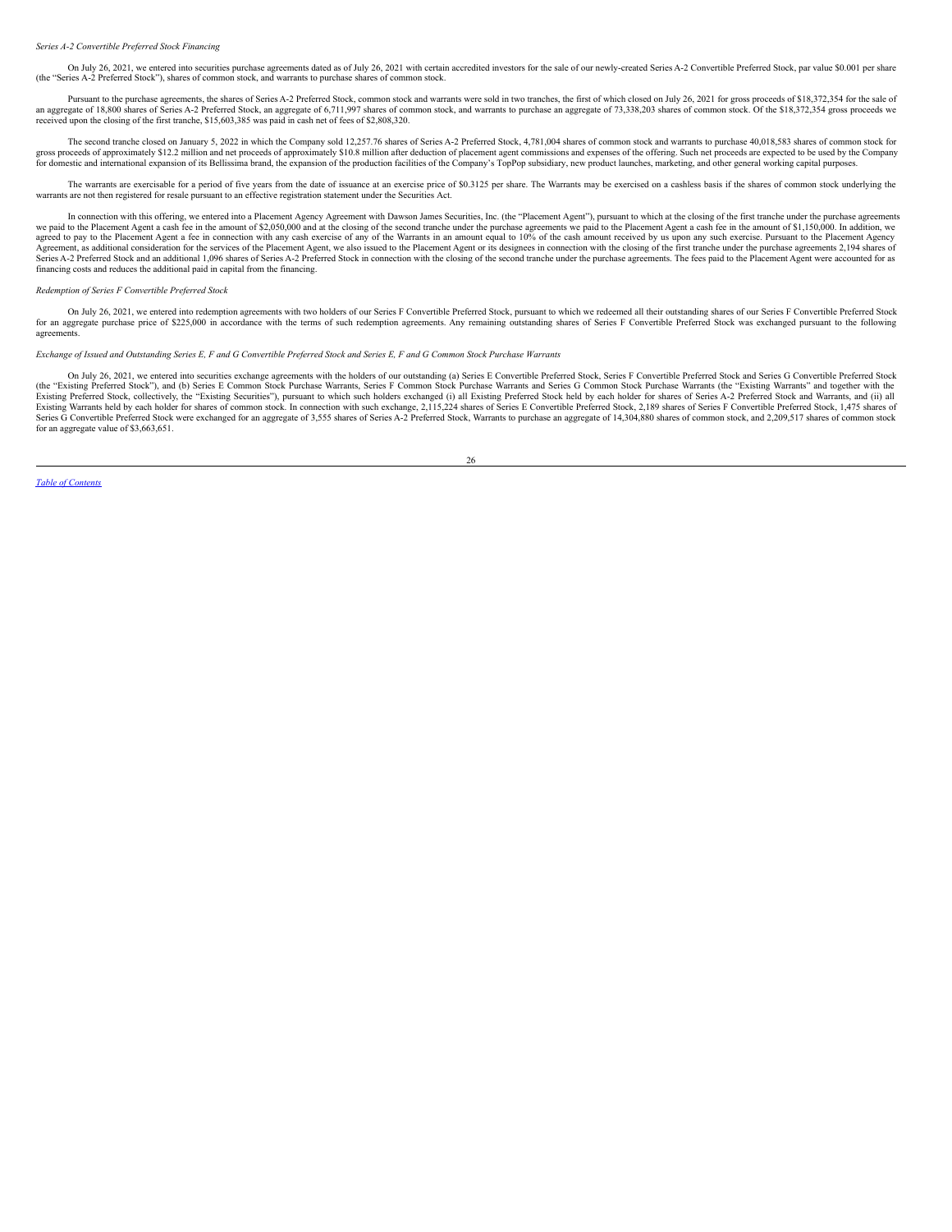#### *Series A-2 Convertible Preferred Stock Financing*

On July 26, 2021, we entered into securities purchase agreements dated as of July 26, 2021 with certain accredited investors for the sale of our newly-created Series A-2 Convertible Preferred Stock, par value \$0.001 per sh

Pursuant to the purchase agreements, the shares of Series A-2 Preferred Stock, common stock and warrants were sold in two tranches, the first of which closed on July 26, 2021 for gross proceeds of \$18,372,354 for the sale an aggregate of 18,800 shares of Series A-2 Preferred Stock, an aggregate of 6,711,997 shares of common stock, and warrants to purchase an aggregate of 73,338,203 shares of common stock. Of the \$18,372,354 gross proceeds w received upon the closing of the first tranche, \$15,603,385 was paid in cash net of fees of \$2,808,320.

The second tranche closed on January 5, 2022 in which the Company sold 12,257.76 shares of Series A-2 Preferred Stock, 4,781,004 shares of common stock and warrants to purchase 40,018,583 shares of common stock for gross p for domestic and international expansion of its Bellissima brand, the expansion of the production facilities of the Company's TopPop subsidiary, new product launches, marketing, and other general working capital purposes.

The warrants are exercisable for a period of five years from the date of issuance at an exercise price of \$0.3125 per share. The Warrants may be exercised on a cashless basis if the shares of common stock underlying the warrants are not then registered for resale pursuant to an effective registration statement under the Securities Act.

In connection with this offering, we entered into a Placement Agency Agreement with Dawson James Securities, Inc. (the "Placement Agent"), pursuant to which at the closing of the first tranche under the purchase agreements agreed to pay to the Placement Agent a fee in connection with any cash exercise of any of the Warrants in an amount equal to 10% of the cash amount received by us upon any such exercise. Pursuant to the Placement Agency Agreement, as additional consideration for the services of the Placement Agent, we also issued to the Placement Agent or its designees in connection with the closing of the first tranche under the purchase agreements 2.194 Series A-2 Preferred Stock and an additional 1,096 shares of Series A-2 Preferred Stock in connection with the closing of the second tranche under the purchase agreements. The fees paid to the Placement Agent were accounte financing costs and reduces the additional paid in capital from the financing.

# *Redemption of Series F Convertible Preferred Stock*

On July 26, 2021, we entered into redemption agreements with two holders of our Series F Convertible Preferred Stock, pursuant to which we redeemed all their outstanding shares of our Series F Convertible Preferred Stock for an aggregate purchase price of \$225,000 in accordance with the terms of such redemption agreements. Any remaining outstanding shares of Series F Convertible Preferred Stock was exchanged pursuant to the following agreements.

# Exchange of Issued and Outstanding Series E, F and G Convertible Preferred Stock and Series E, F and G Common Stock Purchase Warrants

On July 26, 2021, we entered into securities exchange agreements with the holders of our outstanding (a) Series E Convertible Preferred Stock, Series F Convertible Preferred Stock and Series G Convertible Preferred Stock a Existing Preferred Stock, collectively, the "Existing Securities"), pursuant to which such holders exchanged (i) all Existing Preferred Stock held by each holder for shares of Series A-2 Preferred Stock and Warrants, and ( Series G Convertible Preferred Stock were exchanged for an aggregate of 3,555 shares of Series A-2 Preferred Stock, Warrants to purchase an aggregate of 14,304,880 shares of common stock, and 2,209,517 shares of common sto for an aggregate value of \$3,663,651.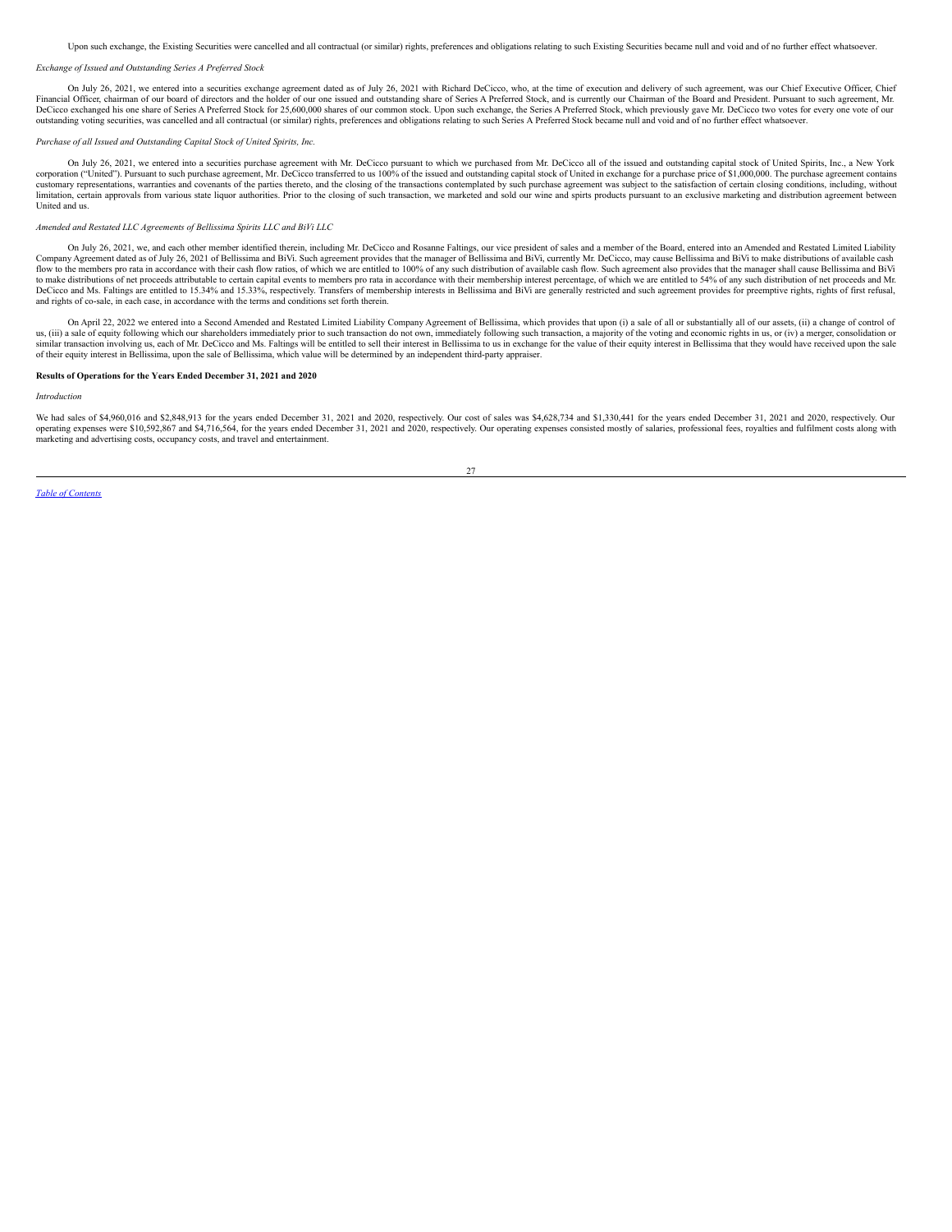Upon such exchange, the Existing Securities were cancelled and all contractual (or similar) rights, preferences and obligations relating to such Existing Securities became null and void and of no further effect whatsoever.

#### *Exchange of Issued and Outstanding Series A Preferred Stock*

On July 26, 2021, we entered into a securities exchange agreement dated as of July 26, 2021 with Richard DeCicco, who, at the time of execution and delivery of such agreement, was our Chief Executive Officer, Chief<br>Financi DeCicco exchanged his one share of Series A Preferred Stock for 25,600,000 shares of our common stock. Upon such exchange, the Series A Preferred Stock, which previously gave Mr. DeCicco two votes for every one vote of our outstanding voting securities, was cancelled and all contractual (or similar) rights, preferences and obligations relating to such Series A Preferred Stock became null and void and of no further effect whatsoever.

#### *Purchase of all Issued and Outstanding Capital Stock of United Spirits, Inc.*

On July 26, 2021, we entered into a securities purchase agreement with Mr. DeCicco pursuant to which we purchased from Mr. DeCicco all of the issued and outstanding capital stock of United Spirits, Inc., a New York corporation ("United"). Pursuant to such purchase agreement, Mr. DeCicco transferred to us 100% of the issued and outstanding capital stock of United in exchange for a purchase price of \$1,000,000. The purchase agreement c limitation, certain approvals from various state liquor authorities. Prior to the closing of such transaction, we marketed and sold our wine and spirts products pursuant to an exclusive marketing and distribution agreement United and us.

# *Amended and Restated LLC Agreements of Bellissima Spirits LLC and BiVi LLC*

On July 26, 2021, we, and each other member identified therein, including Mr. DeCicco and Rosanne Faltings, our vice president of sales and a member of the Board, entered into an Amended and Restated Limited Liability Company Agreement dated as of July 26, 2021 of Bellissima and BiVi. Such agreement provides that the manager of Bellissima and BiVi, currently Mr. DeCicco, may cause Bellissima and BiVi to make distributions of available c flow to the members pro rata in accordance with their cash flow ratios, of which we are entitled to 100% of any such distribution of available cash flow. Such agreement also provides that the manager shall cause Bellissima DeCicco and Ms. Faltings are entitled to 15.34% and 15.33%, respectively. Transfers of membership interests in Bellissima and BiVi are generally restricted and such agreement provides for preemptive rights, rights of first and rights of co-sale, in each case, in accordance with the terms and conditions set forth therein.

On April 22, 2022 we entered into a Second Amended and Restated Limited Liability Company Agreement of Bellissima, which provides that upon (i) a sale of all or substantially all of our assets, (ii) a change of control of similar transaction involving us, each of Mr. DeCicco and Ms. Faltings will be entitled to sell their interest in Bellissima to us in exchange for the value of their equity interest in Bellissima that they would have recei of their equity interest in Bellissima, upon the sale of Bellissima, which value will be determined by an independent third-party appraiser.

# **Results of Operations for the Years Ended December 31, 2021 and 2020**

*Introduction*

We had sales of \$4,960,016 and \$2,848,913 for the years ended December 31, 2021 and 2020, respectively. Our cost of sales was \$4,628,734 and \$1,330,441 for the years ended December 31, 2021 and 2020, respectively. Our oper marketing and advertising costs, occupancy costs, and travel and entertainment.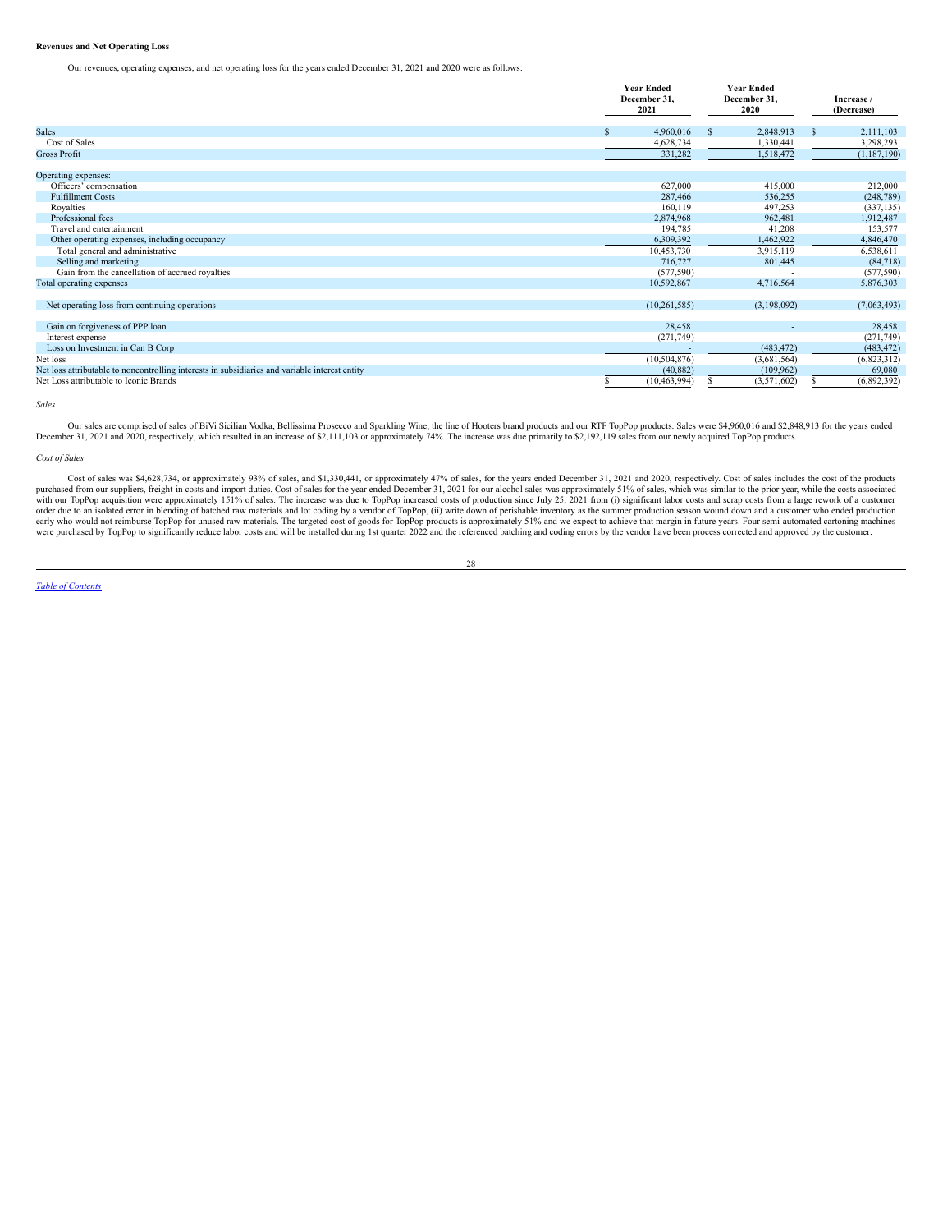# **Revenues and Net Operating Loss**

Our revenues, operating expenses, and net operating loss for the years ended December 31, 2021 and 2020 were as follows:

|                                                                                                | <b>Year Ended</b><br>December 31.<br>2021 |    | <b>Year Ended</b><br>December 31.<br>2020 |    | Increase /<br>(Decrease) |  |
|------------------------------------------------------------------------------------------------|-------------------------------------------|----|-------------------------------------------|----|--------------------------|--|
| <b>Sales</b>                                                                                   | 4.960.016<br>S.                           | -S | 2,848,913                                 | S. | 2,111,103                |  |
| Cost of Sales                                                                                  | 4,628,734                                 |    | 1,330,441                                 |    | 3,298,293                |  |
| <b>Gross Profit</b>                                                                            | 331,282                                   |    | 1,518,472                                 |    | (1,187,190)              |  |
| Operating expenses:                                                                            |                                           |    |                                           |    |                          |  |
| Officers' compensation                                                                         | 627,000                                   |    | 415,000                                   |    | 212,000                  |  |
| <b>Fulfillment Costs</b>                                                                       | 287,466                                   |    | 536,255                                   |    | (248, 789)               |  |
| Royalties                                                                                      | 160,119                                   |    | 497,253                                   |    | (337, 135)               |  |
| Professional fees                                                                              | 2,874,968                                 |    | 962.481                                   |    | 1,912,487                |  |
| Travel and entertainment                                                                       | 194,785                                   |    | 41,208                                    |    | 153,577                  |  |
| Other operating expenses, including occupancy                                                  | 6,309,392                                 |    | 1,462,922                                 |    | 4,846,470                |  |
| Total general and administrative                                                               | 10,453,730                                |    | 3,915,119                                 |    | 6,538,611                |  |
| Selling and marketing                                                                          | 716,727                                   |    | 801,445                                   |    | (84,718)                 |  |
| Gain from the cancellation of accrued royalties                                                | (577, 590)                                |    |                                           |    | (577, 590)               |  |
| Total operating expenses                                                                       | 10,592,867                                |    | 4,716,564                                 |    | 5,876,303                |  |
| Net operating loss from continuing operations                                                  | (10, 261, 585)                            |    | (3,198,092)                               |    | (7,063,493)              |  |
| Gain on forgiveness of PPP loan                                                                | 28,458                                    |    |                                           |    | 28,458                   |  |
| Interest expense                                                                               | (271,749)                                 |    |                                           |    | (271, 749)               |  |
| Loss on Investment in Can B Corp                                                               |                                           |    | (483, 472)                                |    | (483, 472)               |  |
| Net loss                                                                                       | (10, 504, 876)                            |    | (3,681,564)                               |    | (6,823,312)              |  |
| Net loss attributable to noncontrolling interests in subsidiaries and variable interest entity | (40, 882)                                 |    | (109, 962)                                |    | 69,080                   |  |
| Net Loss attributable to Iconic Brands                                                         | (10, 463, 994)                            |    | (3,571,602)                               |    | (6,892,392)              |  |

*Sales*

Our sales are comprised of sales of BiVi Sicilian Vodka, Bellissima Prosecco and Sparkling Wine, the line of Hooters brand products and our RTF TopPop products. Sales were \$4,960,016 and \$2,848,913 for the years ended<br>Dece

*Cost of Sales*

Cost of sales was \$4,628,734, or approximately 93% of sales, and \$1,330,441, or approximately 47% of sales, for the years ended December 31, 2021 and 2020, respectively. Cost of sales includes the cost of the products purc early who would not reimburse TopPop for unused raw materials. The targeted cost of goods for TopPop products is approximately 51% and we expect to achieve that margin in future years. Four semi-automated cartoning machine

28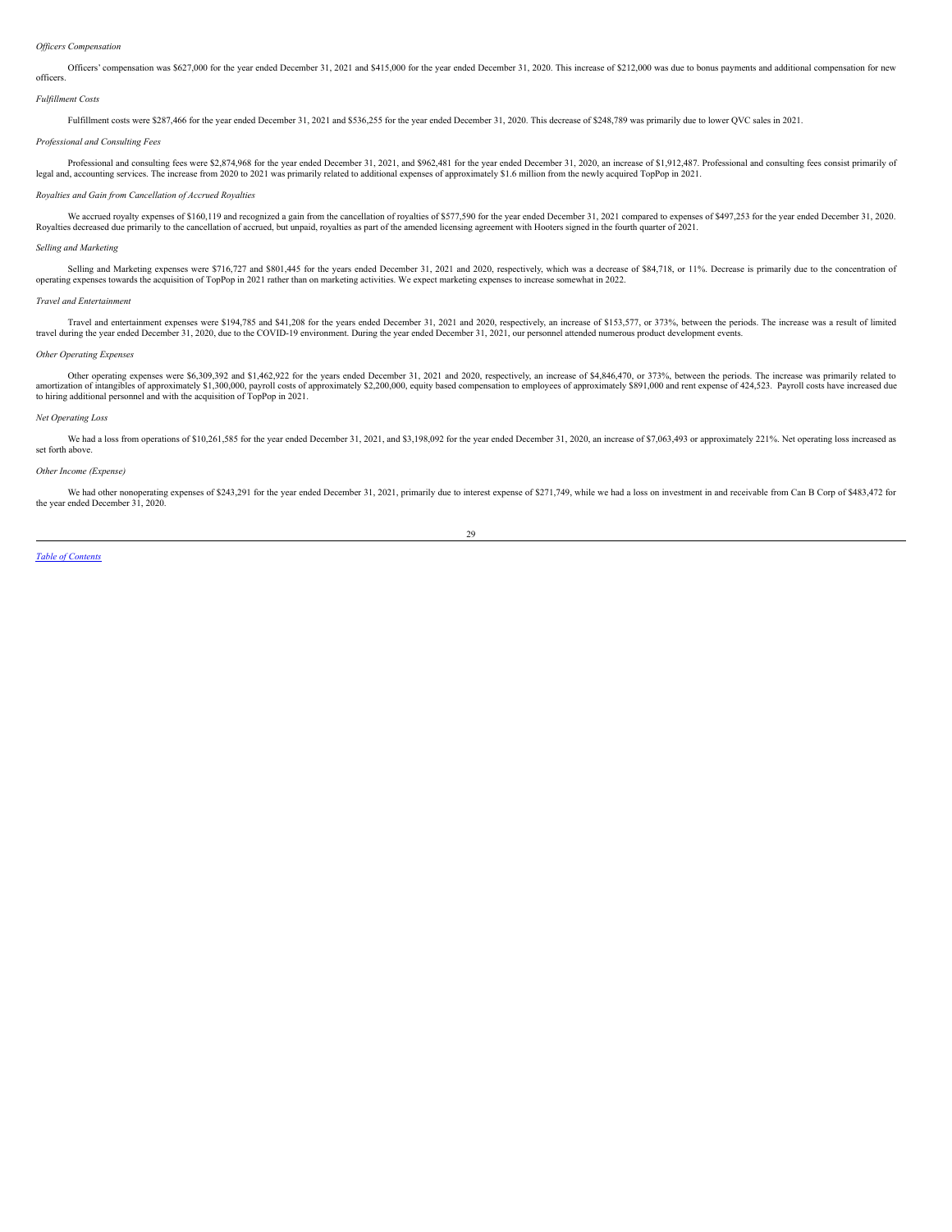# *Of icers Compensation*

Officers' compensation was \$627,000 for the year ended December 31, 2021 and \$415,000 for the year ended December 31, 2020. This increase of \$212,000 was due to bonus payments and additional compensation for new officers.

# *Fulfillment Costs*

Fulfillment costs were \$287,466 for the year ended December 31, 2021 and \$536,255 for the year ended December 31, 2020. This decrease of \$248,789 was primarily due to lower QVC sales in 2021.

#### *Professional and Consulting Fees*

Professional and consulting fees were \$2,874,968 for the year ended December 31, 2021, and \$962,481 for the year ended December 31, 2020, an increase of \$1,912,487. Professional and consulting fees consist primarily of legal and, accounting services. The increase from 2020 to 2021 was primarily related to additional expenses of approximately \$1.6 million from the newly acquired TopPop in 2021.

#### *Royalties and Gain from Cancellation of Accrued Royalties*

We accrued royalty expenses of \$160,119 and recognized a gain from the cancellation of royalties of \$577,590 for the year ended December 31, 2021 compared to expenses of \$497,253 for the year ended December 31, 2020.<br>Royal

# *Selling and Marketing*

Selling and Marketing expenses were \$716,727 and \$801,445 for the years ended December 31, 2021 and 2020, respectively, which was a decrease of \$84,718, or 11%. Decrease is primarily due to the concentration of operating expenses towards the acquisition of TopPop in 2021 rather than on marketing activities. We expect marketing expenses to increase somewhat in 2022.

#### *Travel and Entertainment*

Travel and entertainment expenses were \$194,785 and \$41,208 for the years ended December 31, 2021 and 2020, respectively, an increase of \$153,577, or 373%, between the periods. The increase was a result of limited travel d

# *Other Operating Expenses*

Other operating expenses were \$6,309,392 and \$1,462,922 for the years ended December 31, 2021 and 2020, respectively, an increase of \$4,846,470, or 373%, between the periods. The increase was primarily related to amortizat to hiring additional personnel and with the acquisition of TopPop in 2021.

#### *Net Operating Loss*

We had a loss from operations of \$10,261,585 for the year ended December 31, 2021, and \$3,198,092 for the year ended December 31, 2020, an increase of \$7,063,493 or approximately 221%. Net operating loss increased as set forth above.

#### *Other Income (Expense)*

We had other nonoperating expenses of \$243,291 for the year ended December 31, 2021, primarily due to interest expense of \$271,749, while we had a loss on investment in and receivable from Can B Corp of \$483,472 for the year ended December 31, 2020.

29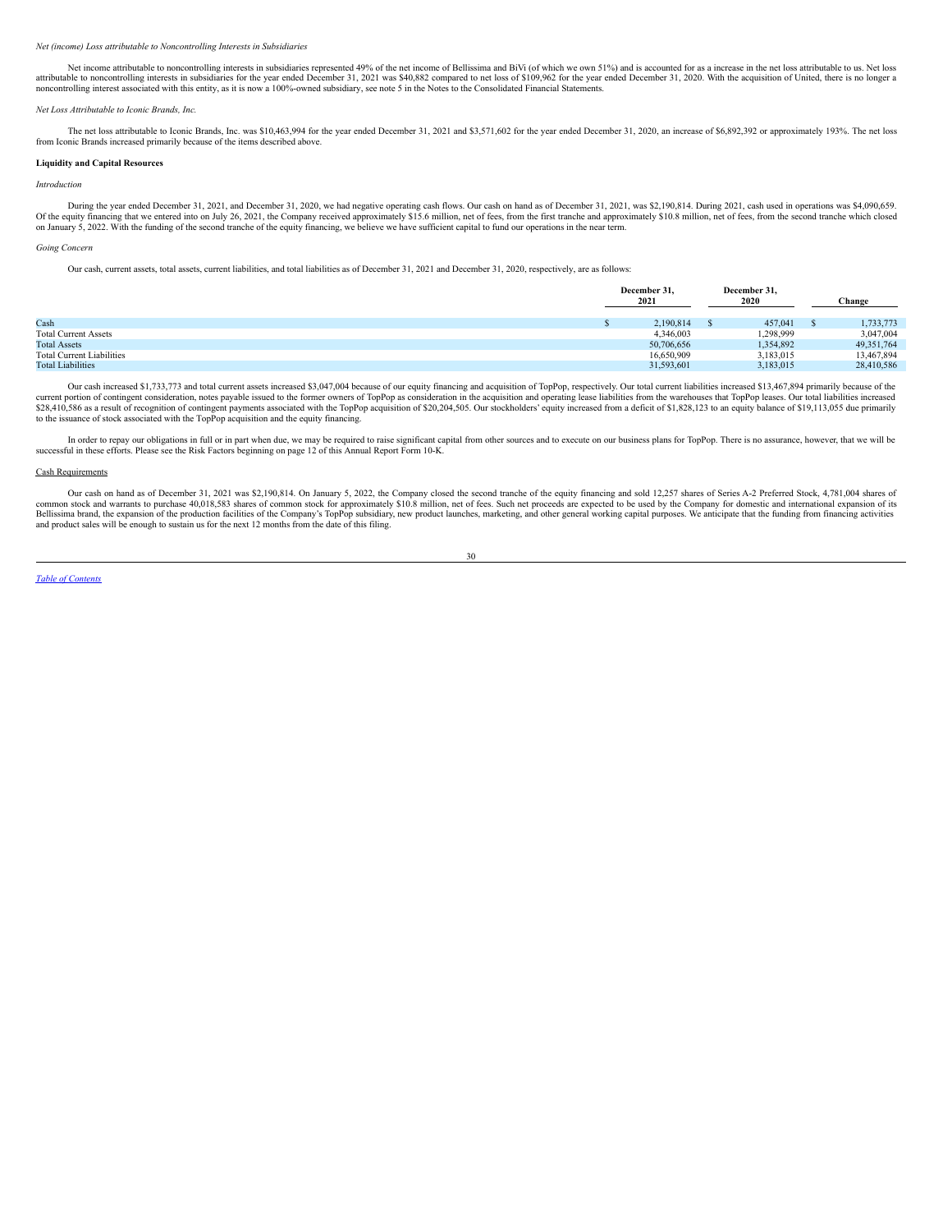# *Net (income) Loss attributable to Noncontrolling Interests in Subsidiaries*

Net income attributable to noncontrolling interests in subsidiaries represented 49% of the net income of Bellissima and BiVi (of which we own 51%) and is accounted for as a increase in the net loss attributable to us. Net noncontrolling interest associated with this entity, as it is now a 100%-owned subsidiary, see note 5 in the Notes to the Consolidated Financial Statements.

# *Net Loss Attributable to Iconic Brands, Inc.*

The net loss attributable to Iconic Brands, Inc. was \$10,463,994 for the year ended December 31, 2021 and \$3,571,602 for the year ended December 31, 2020, an increase of \$6,892,392 or approximately 193%. The net loss from Iconic Brands increased primarily because of the items described above.

# **Liquidity and Capital Resources**

#### *Introduction*

During the year ended December 31, 2021, and December 31, 2020, we had negative operating cash flows. Our cash on hand as of December 31, 2021, was \$2,190,814. During 2021, cash used in operations was \$4,090,659. Of the equity financing that we entered into on July 26, 2021, the Company received approximately \$15.6 million, net of fees, from the first tranche and approximately \$10.8 million, net of fees, from the second tranche whi

#### *Going Concern*

Our cash, current assets, total assets, current liabilities, and total liabilities as of December 31, 2021 and December 31, 2020, respectively, are as follows:

|                                  | December 31,<br>2021 | December 31,<br>2020 | Change       |
|----------------------------------|----------------------|----------------------|--------------|
| Cash                             | 2,190,814            | 457,041              | 1,733,773    |
| <b>Total Current Assets</b>      | 4,346,003            | 1,298,999            | 3,047,004    |
| <b>Total Assets</b>              | 50,706,656           | 1,354,892            | 49, 351, 764 |
| <b>Total Current Liabilities</b> | 16,650,909           | 3.183.015            | 13,467,894   |
| <b>Total Liabilities</b>         | 31.593.601           | 3,183,015            | 28,410,586   |

Our cash increased \$1,733,773 and total current assets increased \$3,047,004 because of our equity financing and acquisition of TopPop, respectively. Our total current liabilities increased \$13,467,894 primarily because of current portion of contingent consideration, notes payable issued to the former owners of TopPop as consideration in the acquisition and operating lease liabilities from the warehouses that TopPop leases. Our total liabili to the issuance of stock associated with the TopPop acquisition and the equity financing.

In order to repay our obligations in full or in part when due, we may be required to raise significant capital from other sources and to execute on our business plans for TopPop. There is no assurance, however, that we wil successful in these efforts. Please see the Risk Factors beginning on page 12 of this Annual Report Form 10-K.

#### Cash Requirements

Our cash on hand as of December 31, 2021 was \$2,190,814. On January 5, 2022, the Company closed the second tranche of the equity financing and sold 12,257 shares of Series A-2 Preferred Stock, 4,781,004 shares of common stock and warrants to purchase 40,018,583 shares of common stock for approximately \$10.8 million, net of fees. Such net proceeds are expected to be used by the Company for domestic and international expansion of its and product sales will be enough to sustain us for the next 12 months from the date of this filing.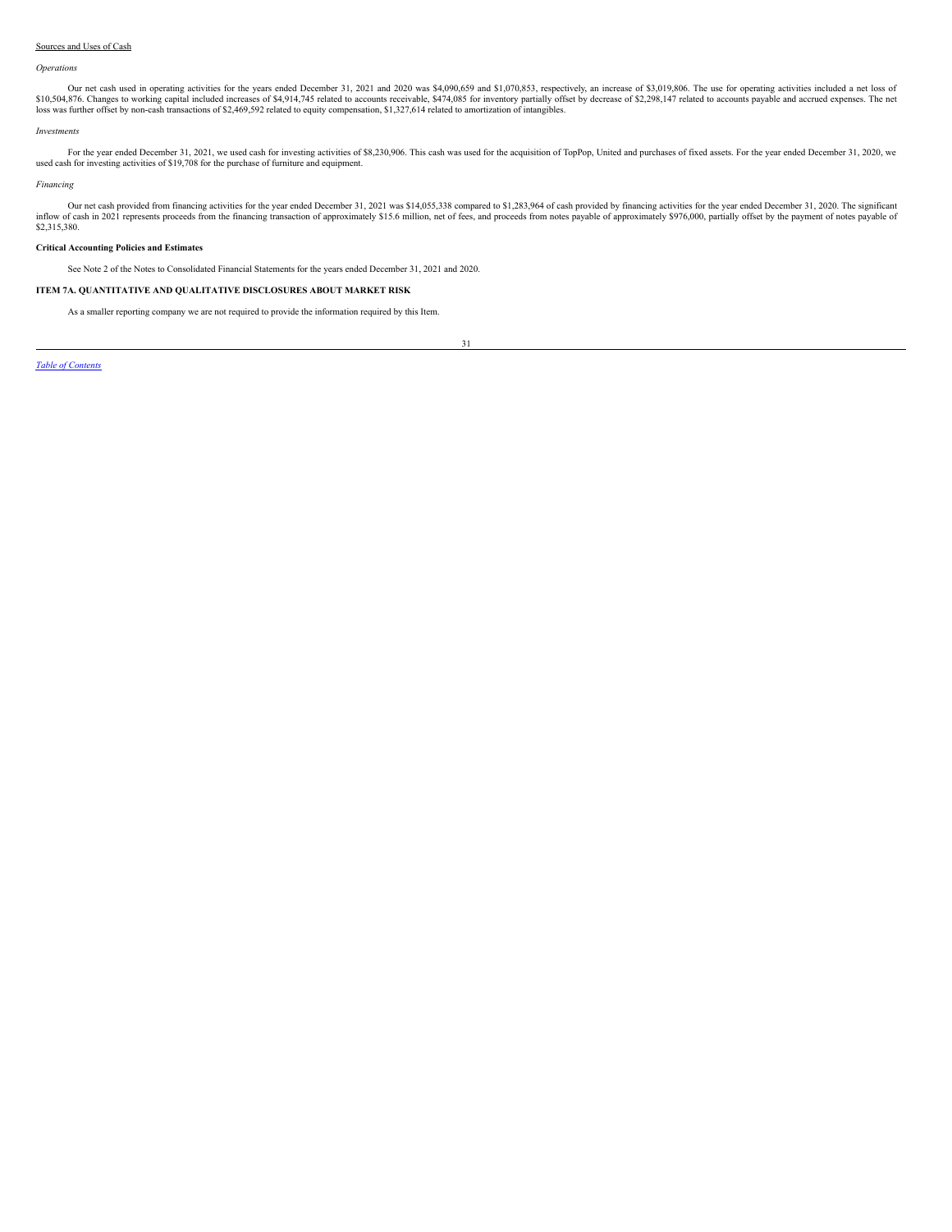#### Sources and Uses of Cash

#### *Operations*

Our net cash used in operating activities for the years ended December 31, 2021 and 2020 was \$4,090,659 and \$1,070,853, respectively, an increase of \$2,019,806. The use for operating activities included a net loss of \$1,09

#### *Investments*

For the year ended December 31, 2021, we used cash for investing activities of \$8,230,906. This cash was used for the acquisition of TopPop, United and purchases of fixed assets. For the year ended December 31, 2020, we used cash for investing activities of \$19,708 for the purchase of furniture and equipment.

#### *Financing*

Our net cash provided from financing activities for the year ended December 31, 2021 was \$14,055,338 compared to \$1,283,964 of cash provided by financing activities for the year ended December 31, 2020. The significant inflow of cash in 2021 represents proceeds from the financing transaction of approximately \$15.6 million, net of fees, and proceeds from notes payable of approximately \$976,000, partially offset by the payment of notes pay

# **Critical Accounting Policies and Estimates**

See Note 2 of the Notes to Consolidated Financial Statements for the years ended December 31, 2021 and 2020.

# <span id="page-30-0"></span>**ITEM 7A. QUANTITATIVE AND QUALITATIVE DISCLOSURES ABOUT MARKET RISK**

As a smaller reporting company we are not required to provide the information required by this Item.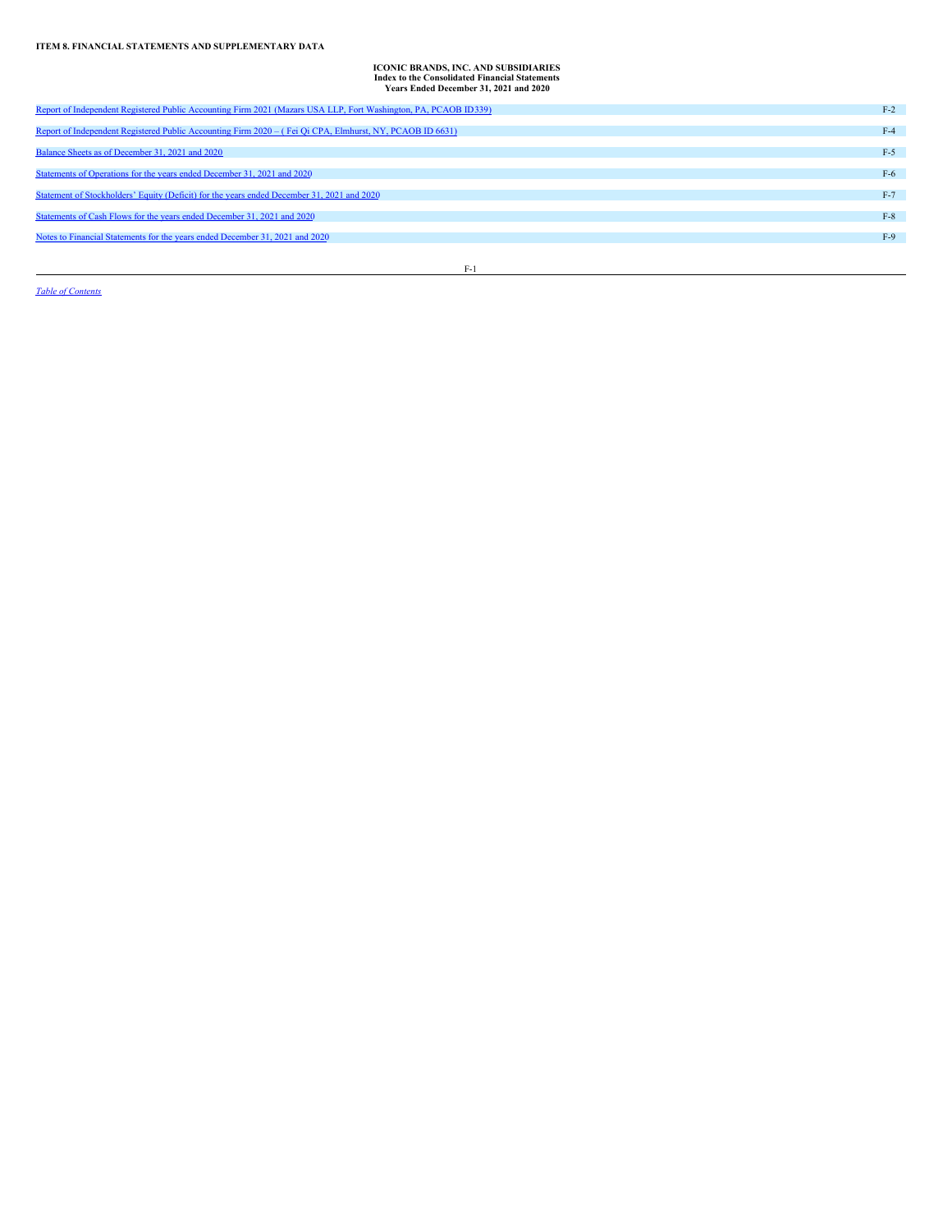# <span id="page-31-1"></span>**ICONIC BRANDS, INC. AND SUBSIDIARIES**<br>Index to the Consolidated Financial Statements<br>Years Ended December 31, 2021 and 2020

<span id="page-31-0"></span>

| Report of Independent Registered Public Accounting Firm 2021 (Mazars USA LLP, Fort Washington, PA, PCAOB ID339) | $F-2$ |
|-----------------------------------------------------------------------------------------------------------------|-------|
|                                                                                                                 |       |
| Report of Independent Registered Public Accounting Firm 2020 – (Fei Qi CPA, Elmhurst, NY, PCAOB ID 6631)        | $F-4$ |
| Balance Sheets as of December 31, 2021 and 2020                                                                 | $F-5$ |
| Statements of Operations for the years ended December 31, 2021 and 2020                                         | $F-6$ |
| Statement of Stockholders' Equity (Deficit) for the years ended December 31, 2021 and 2020                      | $F-7$ |
| Statements of Cash Flows for the years ended December 31, 2021 and 2020                                         | $F-8$ |
| Notes to Financial Statements for the years ended December 31, 2021 and 2020                                    | $F-9$ |
|                                                                                                                 |       |

*Table of [Contents](#page-31-1)*

F-1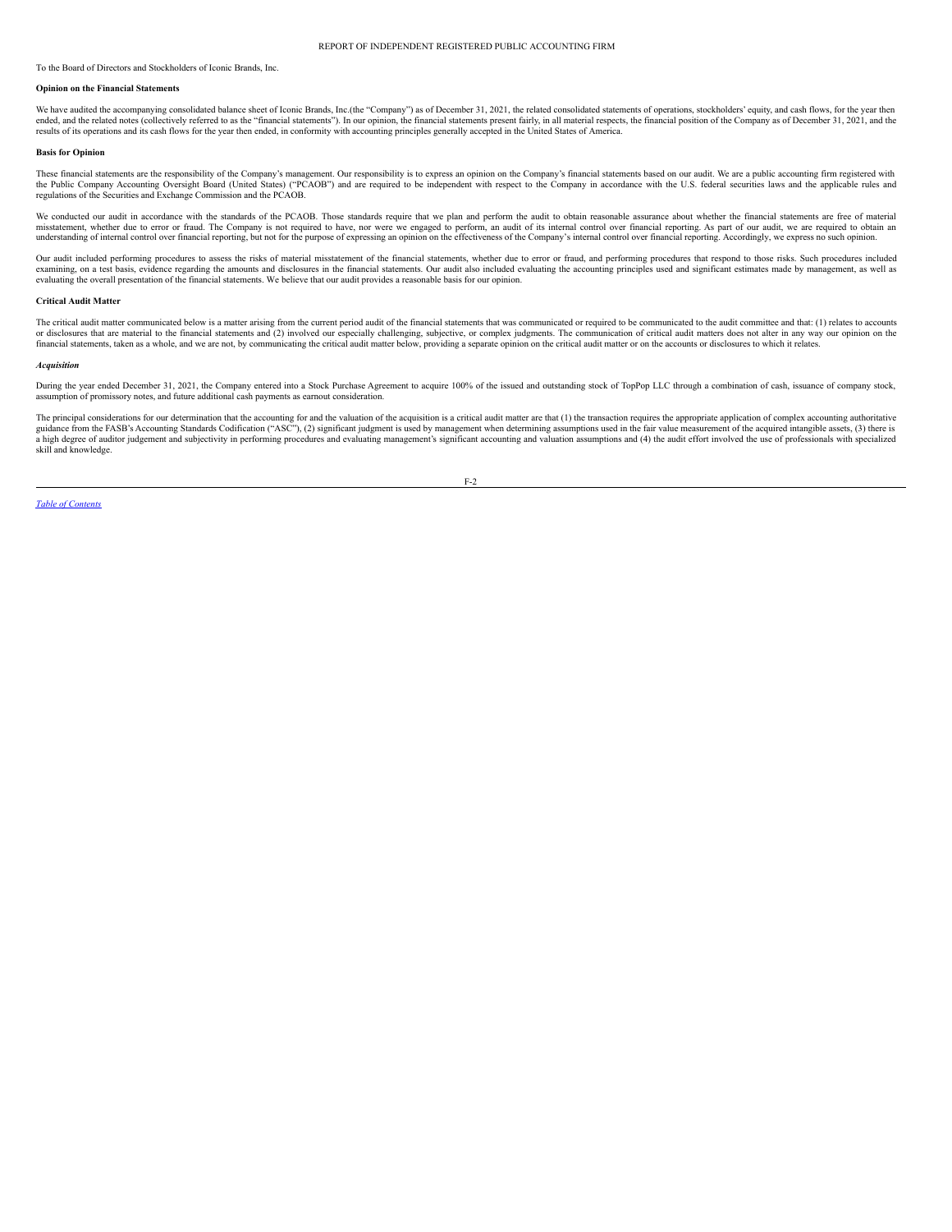# <span id="page-32-0"></span>To the Board of Directors and Stockholders of Iconic Brands, Inc.

# **Opinion on the Financial Statements**

We have audited the accompanying consolidated balance sheet of Iconic Brands, Inc.(the "Company") as of December 31, 2021, the related consolidated statements of operations, stockholders' equity, and cash flows, for the ye ended, and the related notes (collectively referred to as the "financial statements"). In our opinion, the financial statements present fairly, in all material respects, the financial position of the Company as of December results of its operations and its cash flows for the year then ended, in conformity with accounting principles generally accepted in the United States of America.

# **Basis for Opinion**

These financial statements are the responsibility of the Company's management. Our responsibility is to express an opinion on the Company's financial statements based on our audit. We are a public accounting firm registere regulations of the Securities and Exchange Commission and the PCAOB.

We conducted our audit in accordance with the standards of the PCAOB. Those standards require that we plan and perform the audit to obtain reasonable assurance about whether the financial statements are free of material mi understanding of internal control over financial reporting, but not for the purpose of expressing an opinion on the effectiveness of the Company's internal control over financial reporting. Accordingly, we express no such

Our audit included performing procedures to assess the risks of material misstatement of the financial statements, whether due to error or fraud, and performing procedures that respond to those risks. Such procedures inclu examining, on a test basis, evidence regarding the amounts and disclosures in the financial statements. Our audit also included evaluating the accounting principles used and significant estimates made by management, as wel

#### **Critical Audit Matter**

The critical audit matter communicated below is a matter arising from the current period audit of the financial statements that was communicated or required to be communicated to the audit committee and that: (1) relates t or disclosures that are material to the financial statements and (2) involved our especially challenging, subjective, or complex judgments. The communication of critical audit matters does not alter in any way our opinion financial statements, taken as a whole, and we are not, by communicating the critical audit matter below, providing a separate opinion on the critical audit matter or on the accounts or disclosures to which it relates.

# *Acquisition*

During the year ended December 31, 2021, the Company entered into a Stock Purchase Agreement to acquire 100% of the issued and outstanding stock of TopPop LLC through a combination of cash, issuance of company stock, assumption of promissory notes, and future additional cash payments as earnout consideration.

The principal considerations for our determination that the accounting for and the valuation of the acquisition is a critical audit matter are that (1) the transaction requires the appropriate application of complex accoun a high degree of auditor judgement and subjectivity in performing procedures and evaluating management's significant accounting and valuation assumptions and (4) the audit effort involved the use of professionals with spec skill and knowledge.

F-2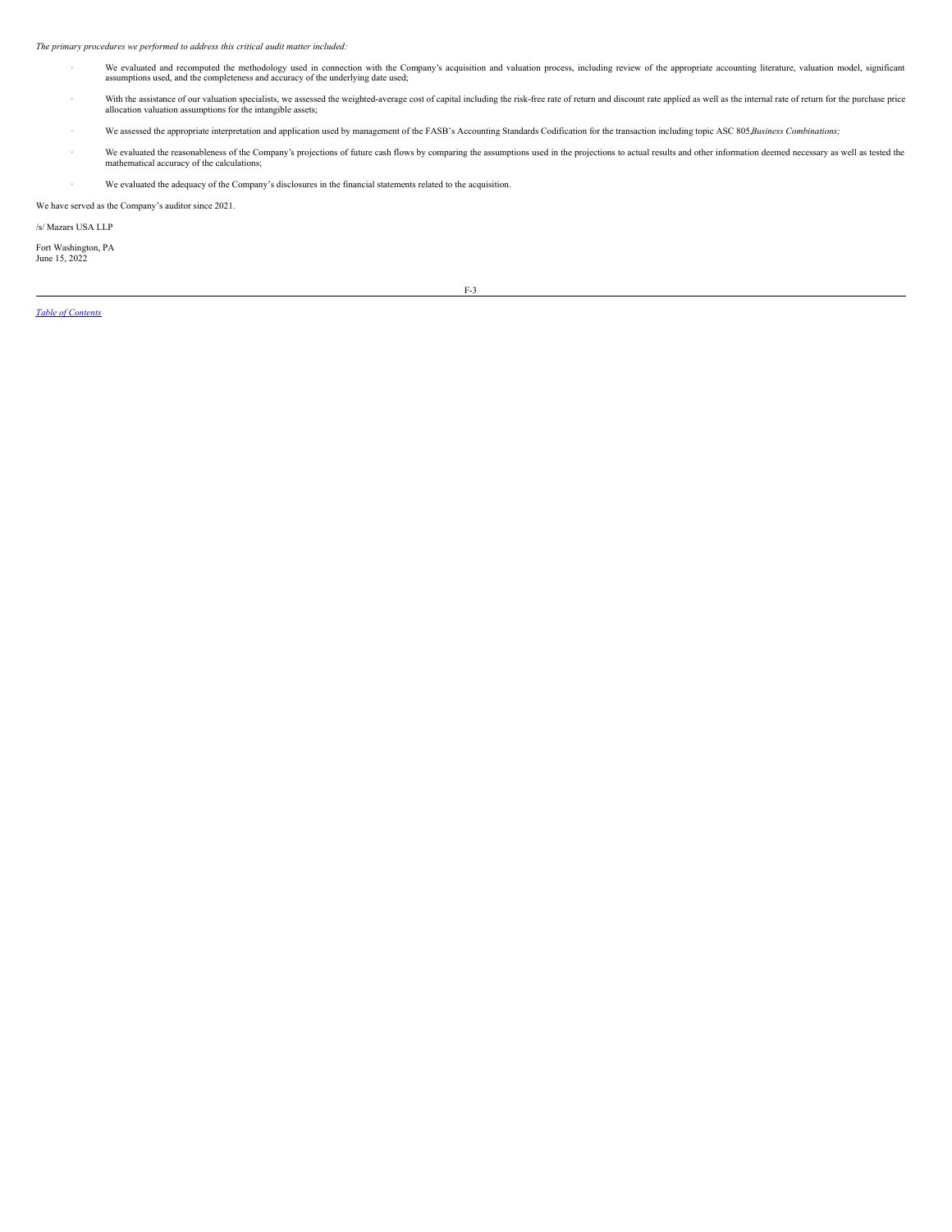# *The primary procedures we performed to address this critical audit matter included:*

- We evaluated and recomputed the methodology used in connection with the Company's acquisition and valuation process, including review of the appropriate accounting literature, valuation model, significant assumptions used,
- With the assistance of our valuation specialists, we assessed the weighted-average cost of capital including the risk-free rate of return and discount rate applied as well as the internal rate of return for the purchase pr
- · We assessed the appropriate interpretation and application used by management of the FASB's Accounting Standards Codification for the transaction including topic ASC 805,*Business Combinations;*
- · We evaluated the reasonableness of the Company's projections of future cash flows by comparing the assumptions used in the projections to actual results and other information deemed necessary as well as tested the mathematical accuracy of the calculations;
- We evaluated the adequacy of the Company's disclosures in the financial statements related to the acquisition.

# We have served as the Company's auditor since 2021.

/s/ Mazars USA LLP

Fort Washington, PA June 15, 2022

F-3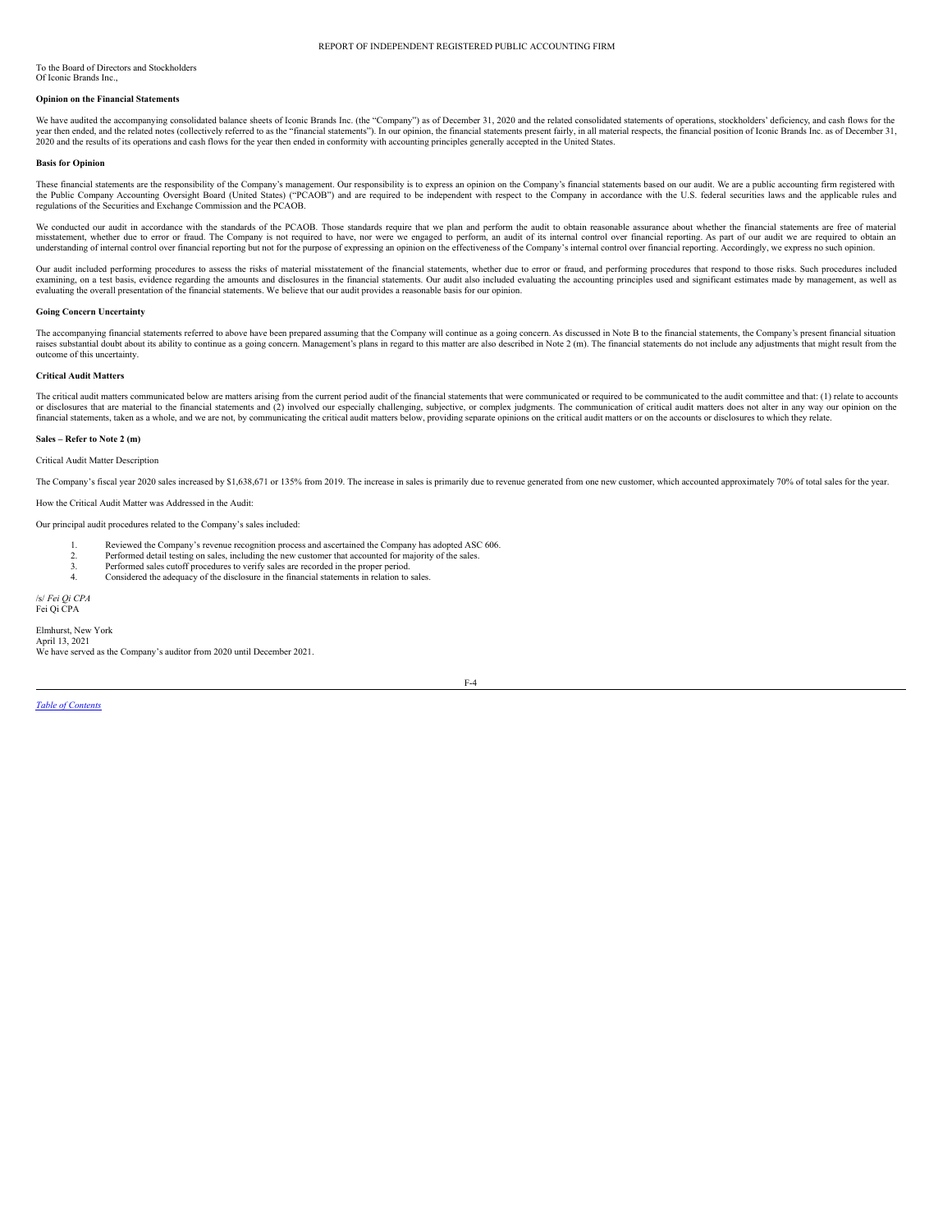#### <span id="page-34-0"></span>To the Board of Directors and Stockholders Of Iconic Brands Inc.,

#### **Opinion on the Financial Statements**

We have audited the accompanying consolidated balance sheets of Iconic Brands Inc. (the "Company") as of December 31, 2020 and the related consolidated statements of operations, stockholders' deficiency, and cash flows for year then ended, and the related notes (collectively referred to as the "financial statements"). In our opinion, the financial statements present fairly, in all material respects, the financial position of Iconic Brands In

#### **Basis for Opinion**

These financial statements are the responsibility of the Company's management. Our responsibility is to express an opinion on the Company's financial statements based on our audit. We are a public accounting firm registere regulations of the Securities and Exchange Commission and the PCAOB.

We conducted our audit in accordance with the standards of the PCAOB. Those standards require that we plan and perform the audit to obtain reasonable assurance about whether the financial statements are free of material misstatement, whether due to error or fraud. The Company is not required to have, nor were we engaged to perform, an audit of its internal control over financial reporting. As part of our audit we are required to obtain an understanding of internal control over financial reporting but not for the purpose of expressing an opinion on the effectiveness of the Company's internal control over financial reporting. Accordingly, we express no such o

Our audit included performing procedures to assess the risks of material misstatement of the financial statements, whether due to error or fraud, and performing procedures that respond to those risks. Such procedures inclu evaluating the overall presentation of the financial statements. We believe that our audit provides a reasonable basis for our opinion.

#### **Going Concern Uncertainty**

The accompanying financial statements referred to above have been prepared assuming that the Company will continue as a going concern. As discussed in Note B to the financial statements, the Company's present financial sit raises substantial doubt about its ability to continue as a going concern. Management's plans in regard to this matter are also described in Note 2 (m). The financial statements do not include any adjustments that might re outcome of this uncertainty.

# **Critical Audit Matters**

The critical audit matters communicated below are matters arising from the current period audit of the financial statements that were communicated or required to be communicated ot the audit committee and that: (1) relate or disclosures that are material to the financial statements and (2) involved our especially challenging, subjective, or complex judgments. The communication of critical audit matters does not alter in any way our opinion

#### **Sales – Refer to Note 2 (m)**

Critical Audit Matter Description

The Company's fiscal year 2020 sales increased by \$1,638,671 or 135% from 2019. The increase in sales is primarily due to revenue generated from one new customer, which accounted approximately 70% of total sales for the ye

How the Critical Audit Matter was Addressed in the Audit:

Our principal audit procedures related to the Company's sales included:

- 1. Reviewed the Company's revenue recognition process and ascertained the Company has adopted ASC 606.
- 2. Performed detail testing on sales, including the new customer that accounted for majority of the sales.<br>Performed sales cutoff procedures to verify sales are recorded in the proper period.
- 3. Performed sales cutoff procedures to verify sales are recorded in the proper period. 4. Considered the adequacy of the disclosure in the financial statements in relation to sales.
- 

/s/ *Fei Qi CPA* Fei Qi CPA

Elmhurst, New York April 13, 2021 We have served as the Company's auditor from 2020 until December 2021.

F-4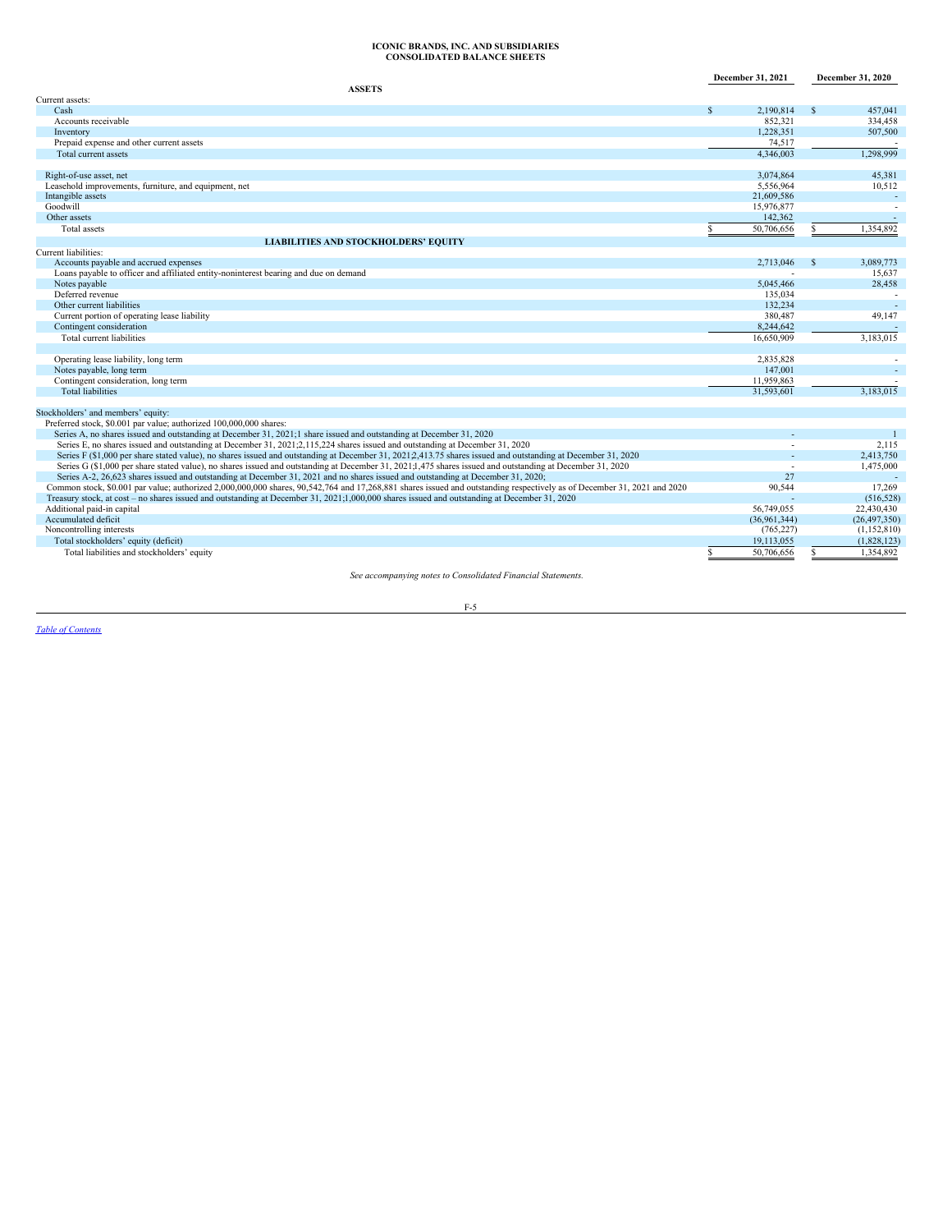# <span id="page-35-0"></span>**ICONIC BRANDS, INC. AND SUBSIDIARIES CONSOLIDATED BALANCE SHEETS**

|                                                                                                                                                                         |    | December 31, 2021 |               | December 31, 2020 |
|-------------------------------------------------------------------------------------------------------------------------------------------------------------------------|----|-------------------|---------------|-------------------|
| <b>ASSETS</b>                                                                                                                                                           |    |                   |               |                   |
| Current assets:                                                                                                                                                         |    |                   |               |                   |
| Cash                                                                                                                                                                    | S. | 2,190,814         | <sup>\$</sup> | 457,041           |
| Accounts receivable                                                                                                                                                     |    | 852,321           |               | 334.458           |
| Inventory                                                                                                                                                               |    | 1,228,351         |               | 507,500           |
| Prepaid expense and other current assets                                                                                                                                |    | 74,517            |               |                   |
| Total current assets                                                                                                                                                    |    | 4,346,003         |               | 1,298,999         |
|                                                                                                                                                                         |    |                   |               |                   |
| Right-of-use asset, net                                                                                                                                                 |    | 3,074,864         |               | 45,381            |
| Leasehold improvements, furniture, and equipment, net                                                                                                                   |    | 5.556.964         |               | 10,512            |
| Intangible assets                                                                                                                                                       |    | 21,609,586        |               |                   |
| Goodwill                                                                                                                                                                |    | 15,976,877        |               |                   |
| Other assets                                                                                                                                                            |    | 142,362           |               |                   |
| <b>Total</b> assets                                                                                                                                                     |    | 50,706,656        |               | 1,354,892         |
| <b>LIABILITIES AND STOCKHOLDERS' EQUITY</b>                                                                                                                             |    |                   |               |                   |
| Current liabilities:                                                                                                                                                    |    |                   |               |                   |
| Accounts payable and accrued expenses                                                                                                                                   |    | 2.713.046         | $\mathbf{s}$  | 3,089,773         |
| Loans payable to officer and affiliated entity-noninterest bearing and due on demand                                                                                    |    |                   |               | 15.637            |
| Notes payable                                                                                                                                                           |    | 5.045.466         |               | 28,458            |
| Deferred revenue                                                                                                                                                        |    | 135,034           |               |                   |
| Other current liabilities                                                                                                                                               |    | 132.234           |               |                   |
| Current portion of operating lease liability                                                                                                                            |    | 380,487           |               | 49,147            |
| Contingent consideration                                                                                                                                                |    | 8.244.642         |               |                   |
| Total current liabilities                                                                                                                                               |    | 16,650,909        |               | 3,183,015         |
|                                                                                                                                                                         |    |                   |               |                   |
| Operating lease liability, long term                                                                                                                                    |    | 2,835,828         |               |                   |
| Notes payable, long term                                                                                                                                                |    | 147,001           |               |                   |
| Contingent consideration, long term                                                                                                                                     |    | 11.959.863        |               |                   |
| <b>Total liabilities</b>                                                                                                                                                |    | 31,593,601        |               | 3.183.015         |
|                                                                                                                                                                         |    |                   |               |                   |
| Stockholders' and members' equity:                                                                                                                                      |    |                   |               |                   |
| Preferred stock, \$0.001 par value; authorized 100,000,000 shares:                                                                                                      |    |                   |               |                   |
| Series A, no shares issued and outstanding at December 31, 2021;1 share issued and outstanding at December 31, 2020                                                     |    |                   |               |                   |
| Series E, no shares issued and outstanding at December 31, 2021;2,115,224 shares issued and outstanding at December 31, 2020                                            |    |                   |               | 2.115             |
| Series F (\$1,000 per share stated value), no shares issued and outstanding at December 31, 20212,413.75 shares issued and outstanding at December 31, 2020             |    |                   |               | 2.413.750         |
| Series G (\$1,000 per share stated value), no shares issued and outstanding at December 31, 2021;1,475 shares issued and outstanding at December 31, 2020               |    | $\sim$            |               | 1,475,000         |
| Series A-2, 26,623 shares issued and outstanding at December 31, 2021 and no shares issued and outstanding at December 31, 2020;                                        |    | 27                |               |                   |
| Common stock, \$0.001 par value; authorized 2,000,000,000 shares, 90,542,764 and 17,268,881 shares issued and outstanding respectively as of December 31, 2021 and 2020 |    | 90,544            |               | 17,269            |
| Treasury stock, at cost – no shares issued and outstanding at December 31, 2021;1,000,000 shares issued and outstanding at December 31, 2020                            |    |                   |               | (516, 528)        |
| Additional paid-in capital                                                                                                                                              |    | 56,749,055        |               | 22,430,430        |
| Accumulated deficit                                                                                                                                                     |    | (36,961,344)      |               | (26, 497, 350)    |
| Noncontrolling interests                                                                                                                                                |    | (765, 227)        |               | (1,152,810)       |
| Total stockholders' equity (deficit)                                                                                                                                    |    | 19,113,055        |               | (1,828,123)       |
| Total liabilities and stockholders' equity                                                                                                                              | S  | 50,706,656        | S             | 1.354.892         |

*See accompanying notes to Consolidated Financial Statements.*

F-5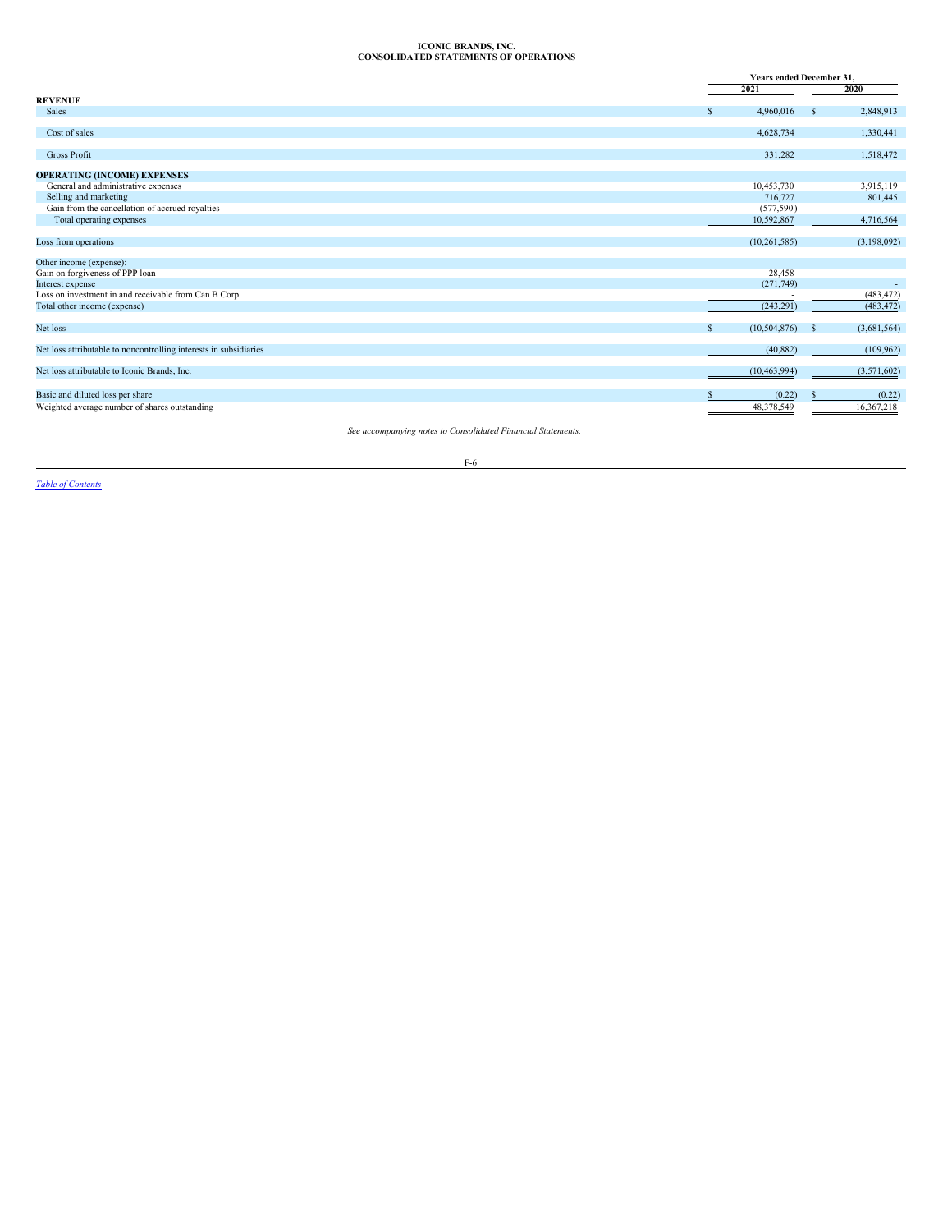# **ICONIC BRANDS, INC. CONSOLIDATED STATEMENTS OF OPERATIONS**

|                                                                   |                                | Years ended December 31,  |
|-------------------------------------------------------------------|--------------------------------|---------------------------|
|                                                                   | 2021                           | 2020                      |
| <b>REVENUE</b>                                                    |                                |                           |
| <b>Sales</b>                                                      | 4.960.016<br>$\mathbb{S}$      | 2,848,913<br>$\mathbf{s}$ |
|                                                                   |                                |                           |
| Cost of sales                                                     | 4,628,734                      | 1,330,441                 |
|                                                                   |                                |                           |
| <b>Gross Profit</b>                                               | 331,282                        | 1,518,472                 |
| <b>OPERATING (INCOME) EXPENSES</b>                                |                                |                           |
| General and administrative expenses                               | 10,453,730                     | 3,915,119                 |
| Selling and marketing                                             | 716,727                        | 801,445                   |
| Gain from the cancellation of accrued royalties                   | (577, 590)                     |                           |
| Total operating expenses                                          | 10,592,867                     | 4,716,564                 |
|                                                                   |                                |                           |
| Loss from operations                                              | (10, 261, 585)                 | (3,198,092)               |
| Other income (expense):                                           |                                |                           |
| Gain on forgiveness of PPP loan                                   | 28,458                         |                           |
| Interest expense                                                  | (271, 749)                     |                           |
| Loss on investment in and receivable from Can B Corp              |                                | (483, 472)                |
| Total other income (expense)                                      | (243, 291)                     | (483, 472)                |
| Net loss                                                          | $\mathbf{s}$<br>(10, 504, 876) | (3,681,564)<br>s.         |
| Net loss attributable to noncontrolling interests in subsidiaries | (40, 882)                      | (109, 962)                |
| Net loss attributable to Iconic Brands, Inc.                      | (10, 463, 994)                 | (3,571,602)               |
|                                                                   |                                |                           |
| Basic and diluted loss per share                                  | (0.22)                         | (0.22)                    |
| Weighted average number of shares outstanding                     | 48,378,549                     | 16,367,218                |

*See accompanying notes to Consolidated Financial Statements.*

F-6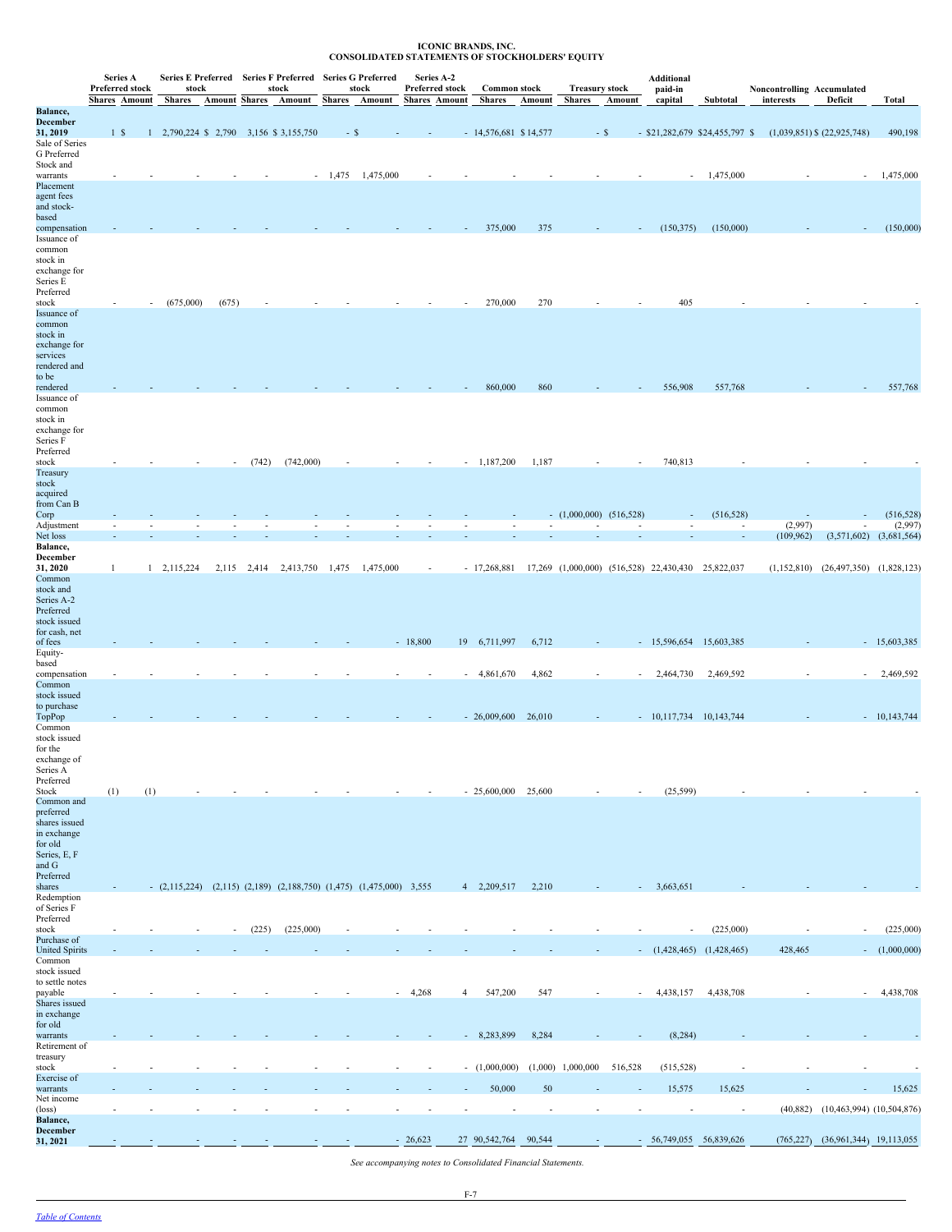# **ICONIC BRANDS, INC. CONSOLIDATED STATEMENTS OF STOCKHOLDERS' EQUITY**

|                                 | Series A                                |     |                        |                      |             | Series E Preferred Series F Preferred Series G Preferred              |               |                      | Series A-2                              |                                      |        |                                        |         | Additional                                         |                          |                                         |                                            |               |
|---------------------------------|-----------------------------------------|-----|------------------------|----------------------|-------------|-----------------------------------------------------------------------|---------------|----------------------|-----------------------------------------|--------------------------------------|--------|----------------------------------------|---------|----------------------------------------------------|--------------------------|-----------------------------------------|--------------------------------------------|---------------|
|                                 | Preferred stock<br><b>Shares</b> Amount |     | stock<br><b>Shares</b> | <b>Amount Shares</b> |             | stock<br>Amount                                                       | <b>Shares</b> | stock<br>Amount      | Preferred stock<br><b>Shares Amount</b> | <b>Common stock</b><br><b>Shares</b> | Amount | <b>Treasury stock</b><br><b>Shares</b> | Amount  | paid-in<br>capital                                 | Subtotal                 | Noncontrolling Accumulated<br>interests | Deficit                                    | Total         |
| Balance,                        |                                         |     |                        |                      |             |                                                                       |               |                      |                                         |                                      |        |                                        |         |                                                    |                          |                                         |                                            |               |
| <b>December</b>                 |                                         |     |                        |                      |             |                                                                       |               |                      |                                         |                                      |        |                                        |         |                                                    |                          |                                         |                                            |               |
| 31, 2019<br>Sale of Series      | 1 <sup>s</sup>                          |     |                        |                      |             | 1 2,790,224 \$ 2,790 3,156 \$ 3,155,750                               | - \$          |                      |                                         | $-14,576,681$ \$14,577               |        | - \$                                   |         | - \$21,282,679 \$24,455,797 \$                     |                          |                                         | $(1,039,851)$ \$ $(22,925,748)$            | 490,198       |
| G Preferred                     |                                         |     |                        |                      |             |                                                                       |               |                      |                                         |                                      |        |                                        |         |                                                    |                          |                                         |                                            |               |
| Stock and                       |                                         |     |                        |                      |             |                                                                       |               |                      |                                         |                                      |        |                                        |         |                                                    |                          |                                         |                                            |               |
| warrants                        |                                         |     |                        |                      |             |                                                                       |               | $-1,475$ $1,475,000$ |                                         |                                      |        |                                        |         | $\blacksquare$                                     | 1,475,000                |                                         |                                            | 1,475,000     |
| Placement<br>agent fees         |                                         |     |                        |                      |             |                                                                       |               |                      |                                         |                                      |        |                                        |         |                                                    |                          |                                         |                                            |               |
| and stock-                      |                                         |     |                        |                      |             |                                                                       |               |                      |                                         |                                      |        |                                        |         |                                                    |                          |                                         |                                            |               |
| based                           |                                         |     |                        |                      |             |                                                                       |               |                      |                                         |                                      |        |                                        |         |                                                    |                          |                                         |                                            |               |
| compensation                    |                                         |     |                        |                      |             |                                                                       |               |                      |                                         | 375,000                              | 375    |                                        |         | (150, 375)                                         | (150,000)                |                                         |                                            | (150,000)     |
| Issuance of<br>common           |                                         |     |                        |                      |             |                                                                       |               |                      |                                         |                                      |        |                                        |         |                                                    |                          |                                         |                                            |               |
| stock in                        |                                         |     |                        |                      |             |                                                                       |               |                      |                                         |                                      |        |                                        |         |                                                    |                          |                                         |                                            |               |
| exchange for                    |                                         |     |                        |                      |             |                                                                       |               |                      |                                         |                                      |        |                                        |         |                                                    |                          |                                         |                                            |               |
| Series E                        |                                         |     |                        |                      |             |                                                                       |               |                      |                                         |                                      |        |                                        |         |                                                    |                          |                                         |                                            |               |
| Preferred                       |                                         |     |                        |                      |             |                                                                       |               |                      |                                         |                                      |        |                                        |         |                                                    |                          |                                         |                                            |               |
| stock<br>Issuance of            |                                         |     | (675,000)              | (675)                |             |                                                                       |               |                      |                                         | 270,000                              | 270    |                                        |         | 405                                                |                          |                                         |                                            |               |
| common                          |                                         |     |                        |                      |             |                                                                       |               |                      |                                         |                                      |        |                                        |         |                                                    |                          |                                         |                                            |               |
| stock in                        |                                         |     |                        |                      |             |                                                                       |               |                      |                                         |                                      |        |                                        |         |                                                    |                          |                                         |                                            |               |
| exchange for                    |                                         |     |                        |                      |             |                                                                       |               |                      |                                         |                                      |        |                                        |         |                                                    |                          |                                         |                                            |               |
| services<br>rendered and        |                                         |     |                        |                      |             |                                                                       |               |                      |                                         |                                      |        |                                        |         |                                                    |                          |                                         |                                            |               |
| to be                           |                                         |     |                        |                      |             |                                                                       |               |                      |                                         |                                      |        |                                        |         |                                                    |                          |                                         |                                            |               |
| rendered                        |                                         |     |                        |                      |             |                                                                       |               |                      |                                         | 860,000                              | 860    |                                        |         | 556,908                                            | 557,768                  |                                         |                                            | 557,768       |
| Issuance of                     |                                         |     |                        |                      |             |                                                                       |               |                      |                                         |                                      |        |                                        |         |                                                    |                          |                                         |                                            |               |
| common                          |                                         |     |                        |                      |             |                                                                       |               |                      |                                         |                                      |        |                                        |         |                                                    |                          |                                         |                                            |               |
| stock in<br>exchange for        |                                         |     |                        |                      |             |                                                                       |               |                      |                                         |                                      |        |                                        |         |                                                    |                          |                                         |                                            |               |
| Series F                        |                                         |     |                        |                      |             |                                                                       |               |                      |                                         |                                      |        |                                        |         |                                                    |                          |                                         |                                            |               |
| Preferred                       |                                         |     |                        |                      |             |                                                                       |               |                      |                                         |                                      |        |                                        |         |                                                    |                          |                                         |                                            |               |
| stock                           |                                         |     |                        |                      | (742)       | (742,000)                                                             |               |                      |                                         | 1,187,200<br>$\sim$                  | 1,187  |                                        |         | 740,813                                            |                          |                                         |                                            |               |
| Treasury                        |                                         |     |                        |                      |             |                                                                       |               |                      |                                         |                                      |        |                                        |         |                                                    |                          |                                         |                                            |               |
| stock<br>acquired               |                                         |     |                        |                      |             |                                                                       |               |                      |                                         |                                      |        |                                        |         |                                                    |                          |                                         |                                            |               |
| from Can B                      |                                         |     |                        |                      |             |                                                                       |               |                      |                                         |                                      |        |                                        |         |                                                    |                          |                                         |                                            |               |
| Corp                            |                                         |     |                        |                      |             |                                                                       |               |                      |                                         |                                      |        | $-$ (1,000,000) (516,528)              |         |                                                    | (516, 528)               |                                         |                                            | (516, 528)    |
| Adjustment                      |                                         |     |                        |                      |             |                                                                       |               |                      |                                         |                                      |        |                                        |         |                                                    | $\overline{\phantom{a}}$ | (2,997)                                 |                                            | (2,997)       |
| Net loss<br>Balance,            |                                         |     |                        |                      |             |                                                                       |               |                      |                                         |                                      |        |                                        |         |                                                    |                          | (109, 962)                              | $(3,571,602)$ $(3,681,564)$                |               |
| December                        |                                         |     |                        |                      |             |                                                                       |               |                      |                                         |                                      |        |                                        |         |                                                    |                          |                                         |                                            |               |
| 31, 2020                        | -1                                      |     | 1, 2, 115, 224         |                      | 2,115 2,414 | 2,413,750                                                             | 1,475         | 1,475,000            |                                         | $-17,268,881$                        |        |                                        |         | 17,269 (1,000,000) (516,528) 22,430,430 25,822,037 |                          |                                         | $(1,152,810)$ $(26,497,350)$ $(1,828,123)$ |               |
| Common                          |                                         |     |                        |                      |             |                                                                       |               |                      |                                         |                                      |        |                                        |         |                                                    |                          |                                         |                                            |               |
| stock and                       |                                         |     |                        |                      |             |                                                                       |               |                      |                                         |                                      |        |                                        |         |                                                    |                          |                                         |                                            |               |
| Series A-2<br>Preferred         |                                         |     |                        |                      |             |                                                                       |               |                      |                                         |                                      |        |                                        |         |                                                    |                          |                                         |                                            |               |
| stock issued                    |                                         |     |                        |                      |             |                                                                       |               |                      |                                         |                                      |        |                                        |         |                                                    |                          |                                         |                                            |               |
| for cash, net                   |                                         |     |                        |                      |             |                                                                       |               |                      |                                         |                                      |        |                                        |         |                                                    |                          |                                         |                                            |               |
| of fees                         |                                         |     |                        |                      |             |                                                                       |               |                      | $-18,800$                               | 19 6,711,997                         | 6,712  |                                        |         | - 15,596,654 15,603,385                            |                          |                                         |                                            | $-15,603,385$ |
| Equity-<br>based                |                                         |     |                        |                      |             |                                                                       |               |                      |                                         |                                      |        |                                        |         |                                                    |                          |                                         |                                            |               |
| compensation                    |                                         |     |                        |                      |             |                                                                       |               |                      |                                         | 4,861,670                            | 4,862  |                                        |         | 2,464,730                                          | 2,469,592                |                                         | $\sim$                                     | 2,469,592     |
| Common                          |                                         |     |                        |                      |             |                                                                       |               |                      |                                         |                                      |        |                                        |         |                                                    |                          |                                         |                                            |               |
| stock issued                    |                                         |     |                        |                      |             |                                                                       |               |                      |                                         |                                      |        |                                        |         |                                                    |                          |                                         |                                            |               |
| to purchase                     |                                         |     |                        |                      |             |                                                                       |               |                      |                                         |                                      |        |                                        |         |                                                    |                          |                                         |                                            |               |
| TopPop<br>Common                |                                         |     |                        |                      |             |                                                                       |               |                      |                                         | $-26,009,600$ 26,010                 |        |                                        |         | $-10,117,734$ $10,143,744$                         |                          |                                         |                                            | $-10,143,744$ |
| stock issued                    |                                         |     |                        |                      |             |                                                                       |               |                      |                                         |                                      |        |                                        |         |                                                    |                          |                                         |                                            |               |
| for the                         |                                         |     |                        |                      |             |                                                                       |               |                      |                                         |                                      |        |                                        |         |                                                    |                          |                                         |                                            |               |
| exchange of                     |                                         |     |                        |                      |             |                                                                       |               |                      |                                         |                                      |        |                                        |         |                                                    |                          |                                         |                                            |               |
| Series A<br>Preferred           |                                         |     |                        |                      |             |                                                                       |               |                      |                                         |                                      |        |                                        |         |                                                    |                          |                                         |                                            |               |
| Stock                           | (1)                                     | (1) |                        |                      |             |                                                                       |               |                      |                                         | $-25,600,000$ 25,600                 |        |                                        |         | (25, 599)                                          |                          |                                         |                                            |               |
| Common and                      |                                         |     |                        |                      |             |                                                                       |               |                      |                                         |                                      |        |                                        |         |                                                    |                          |                                         |                                            |               |
| preferred                       |                                         |     |                        |                      |             |                                                                       |               |                      |                                         |                                      |        |                                        |         |                                                    |                          |                                         |                                            |               |
| shares issued<br>in exchange    |                                         |     |                        |                      |             |                                                                       |               |                      |                                         |                                      |        |                                        |         |                                                    |                          |                                         |                                            |               |
| for old                         |                                         |     |                        |                      |             |                                                                       |               |                      |                                         |                                      |        |                                        |         |                                                    |                          |                                         |                                            |               |
| Series, E, F                    |                                         |     |                        |                      |             |                                                                       |               |                      |                                         |                                      |        |                                        |         |                                                    |                          |                                         |                                            |               |
| and G                           |                                         |     |                        |                      |             |                                                                       |               |                      |                                         |                                      |        |                                        |         |                                                    |                          |                                         |                                            |               |
| Preferred                       |                                         |     |                        |                      |             |                                                                       |               |                      |                                         |                                      |        |                                        |         |                                                    |                          |                                         |                                            |               |
| shares<br>Redemption            |                                         |     |                        |                      |             | $-$ (2,115,224) (2,115) (2,189) (2,188,750) (1,475) (1,475,000) 3,555 |               |                      |                                         | 4 2,209,517                          | 2,210  |                                        |         | 3,663,651                                          |                          |                                         |                                            |               |
| of Series F                     |                                         |     |                        |                      |             |                                                                       |               |                      |                                         |                                      |        |                                        |         |                                                    |                          |                                         |                                            |               |
| Preferred                       |                                         |     |                        |                      |             |                                                                       |               |                      |                                         |                                      |        |                                        |         |                                                    |                          |                                         |                                            |               |
| stock                           |                                         |     |                        | $\sim$               | (225)       | (225,000)                                                             |               |                      |                                         |                                      |        |                                        |         | ÷,                                                 | (225,000)                |                                         |                                            | (225,000)     |
| Purchase of                     |                                         |     |                        |                      |             |                                                                       |               |                      |                                         |                                      |        |                                        |         |                                                    |                          |                                         |                                            |               |
| <b>United Spirits</b><br>Common |                                         |     |                        |                      |             |                                                                       |               |                      |                                         |                                      |        |                                        |         | $(1,428,465)$ $(1,428,465)$                        |                          | 428,465                                 |                                            | (1,000,000)   |
| stock issued                    |                                         |     |                        |                      |             |                                                                       |               |                      |                                         |                                      |        |                                        |         |                                                    |                          |                                         |                                            |               |
| to settle notes                 |                                         |     |                        |                      |             |                                                                       |               |                      |                                         |                                      |        |                                        |         |                                                    |                          |                                         |                                            |               |
| payable                         |                                         |     |                        |                      |             |                                                                       |               | $\sim$               | 4,268                                   | 547,200<br>4                         | 547    |                                        | $\sim$  | 4,438,157                                          | 4,438,708                |                                         | $\sim$                                     | 4,438,708     |
| Shares issued                   |                                         |     |                        |                      |             |                                                                       |               |                      |                                         |                                      |        |                                        |         |                                                    |                          |                                         |                                            |               |
| in exchange<br>for old          |                                         |     |                        |                      |             |                                                                       |               |                      |                                         |                                      |        |                                        |         |                                                    |                          |                                         |                                            |               |
| warrants                        |                                         |     |                        |                      |             |                                                                       |               |                      |                                         | 8,283,899                            | 8,284  |                                        |         | (8, 284)                                           |                          |                                         |                                            |               |
| Retirement of                   |                                         |     |                        |                      |             |                                                                       |               |                      |                                         |                                      |        |                                        |         |                                                    |                          |                                         |                                            |               |
| treasury                        |                                         |     |                        |                      |             |                                                                       |               |                      |                                         |                                      |        |                                        |         |                                                    |                          |                                         |                                            |               |
| stock                           |                                         |     |                        |                      |             |                                                                       |               |                      |                                         | $- (1,000,000)$                      |        | $(1,000)$ 1,000,000                    | 516,528 | (515, 528)                                         |                          |                                         |                                            |               |
| Exercise of<br>warrants         |                                         |     |                        |                      |             |                                                                       |               |                      |                                         | 50,000                               | 50     |                                        |         | 15,575                                             | 15,625                   |                                         |                                            | 15,625        |
| Net income                      |                                         |     |                        |                      |             |                                                                       |               |                      |                                         |                                      |        |                                        |         |                                                    |                          |                                         |                                            |               |
| $(\text{loss})$                 |                                         |     |                        |                      |             |                                                                       |               |                      |                                         |                                      |        |                                        |         |                                                    |                          | (40, 882)                               | $(10,463,994)$ $(10,504,876)$              |               |
| Balance,                        |                                         |     |                        |                      |             |                                                                       |               |                      |                                         |                                      |        |                                        |         |                                                    |                          |                                         |                                            |               |
| December<br>31, 2021            |                                         |     |                        |                      |             |                                                                       |               |                      | $-26,623$                               | 27 90,542,764                        | 90,544 |                                        |         | 56,749,055 56,839,626                              |                          |                                         | $(765,227)$ $(36,961,344)$ 19,113,055      |               |

*See accompanying notes to Consolidated Financial Statements.*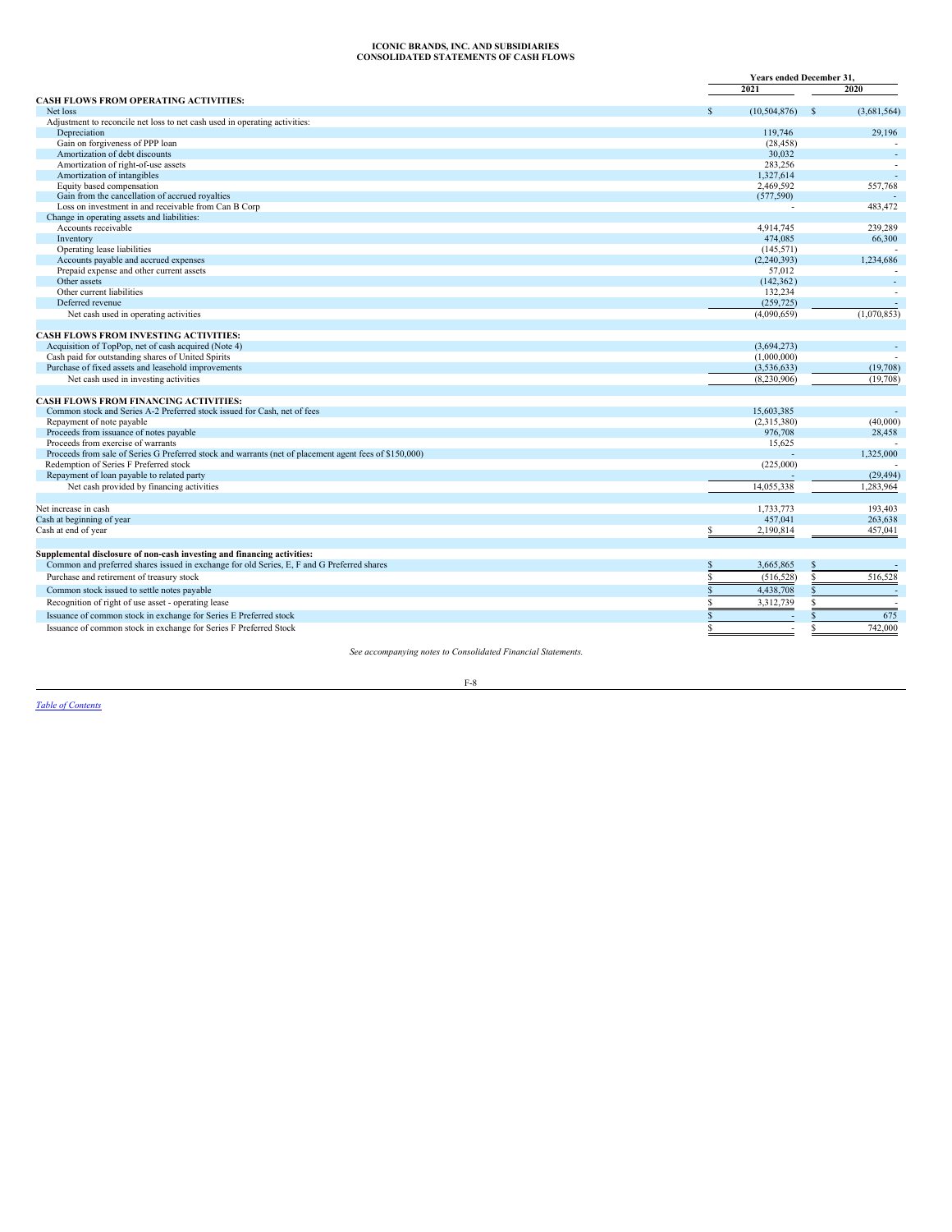# **ICONIC BRANDS, INC. AND SUBSIDIARIES CONSOLIDATED STATEMENTS OF CASH FLOWS**

|                                                                                                        | <b>Years ended December 31.</b> |                              |
|--------------------------------------------------------------------------------------------------------|---------------------------------|------------------------------|
|                                                                                                        | 2021                            | 2020                         |
| CASH FLOWS FROM OPERATING ACTIVITIES:                                                                  |                                 |                              |
| Net loss                                                                                               | $\mathbf{s}$<br>(10, 504, 876)  | (3,681,564)<br>$\mathcal{S}$ |
| Adjustment to reconcile net loss to net cash used in operating activities:                             |                                 |                              |
| Depreciation                                                                                           | 119,746                         | 29,196                       |
| Gain on forgiveness of PPP loan                                                                        | (28, 458)                       | $\overline{\phantom{a}}$     |
| Amortization of debt discounts                                                                         | 30,032                          |                              |
| Amortization of right-of-use assets                                                                    | 283,256                         | $\sim$                       |
| Amortization of intangibles                                                                            | 1,327,614                       |                              |
| Equity based compensation                                                                              | 2,469,592                       | 557,768                      |
| Gain from the cancellation of accrued royalties                                                        | (577, 590)                      |                              |
| Loss on investment in and receivable from Can B Corp                                                   |                                 | 483,472                      |
| Change in operating assets and liabilities:                                                            |                                 |                              |
| Accounts receivable                                                                                    | 4.914.745                       | 239,289                      |
| Inventory                                                                                              | 474,085                         | 66,300                       |
| Operating lease liabilities                                                                            | (145, 571)                      |                              |
| Accounts payable and accrued expenses                                                                  | (2,240,393)                     | 1,234,686                    |
| Prepaid expense and other current assets                                                               | 57,012                          |                              |
| Other assets                                                                                           | (142, 362)                      |                              |
| Other current liabilities                                                                              | 132,234                         |                              |
| Deferred revenue                                                                                       | (259, 725)                      |                              |
| Net cash used in operating activities                                                                  | (4,090,659)                     | (1,070,853)                  |
| <b>CASH FLOWS FROM INVESTING ACTIVITIES:</b>                                                           |                                 |                              |
| Acquisition of TopPop, net of cash acquired (Note 4)                                                   | (3,694,273)                     | $\blacksquare$               |
| Cash paid for outstanding shares of United Spirits                                                     | (1,000,000)                     |                              |
| Purchase of fixed assets and leasehold improvements                                                    | (3,536,633)                     | (19,708)                     |
| Net cash used in investing activities                                                                  | (8,230,906)                     | (19,708)                     |
| <b>CASH FLOWS FROM FINANCING ACTIVITIES:</b>                                                           |                                 |                              |
|                                                                                                        |                                 |                              |
| Common stock and Series A-2 Preferred stock issued for Cash, net of fees                               | 15.603.385                      |                              |
| Repayment of note payable                                                                              | (2,315,380)                     | (40,000)                     |
| Proceeds from issuance of notes payable                                                                | 976,708                         | 28,458                       |
| Proceeds from exercise of warrants                                                                     | 15.625                          |                              |
| Proceeds from sale of Series G Preferred stock and warrants (net of placement agent fees of \$150,000) |                                 | 1,325,000                    |
| Redemption of Series F Preferred stock                                                                 | (225,000)                       |                              |
| Repayment of loan payable to related party                                                             |                                 | (29, 494)                    |
| Net cash provided by financing activities                                                              | 14,055,338                      | 1,283,964                    |
| Net increase in cash                                                                                   | 1,733,773                       | 193,403                      |
| Cash at beginning of year                                                                              | 457,041                         | 263,638                      |
| Cash at end of year                                                                                    | s<br>2,190,814                  | 457,041                      |
| Supplemental disclosure of non-cash investing and financing activities:                                |                                 |                              |
| Common and preferred shares issued in exchange for old Series, E, F and G Preferred shares             | 3,665,865<br>S.                 | S                            |
| Purchase and retirement of treasury stock                                                              | (516, 528)                      | 516,528<br>S                 |
| Common stock issued to settle notes payable                                                            | 4,438,708                       |                              |
| Recognition of right of use asset - operating lease                                                    | 3,312,739                       |                              |
| Issuance of common stock in exchange for Series E Preferred stock                                      |                                 | 675                          |
| Issuance of common stock in exchange for Series F Preferred Stock                                      | -S                              | 742,000<br>S                 |
|                                                                                                        |                                 |                              |

*See accompanying notes to Consolidated Financial Statements.*

F-8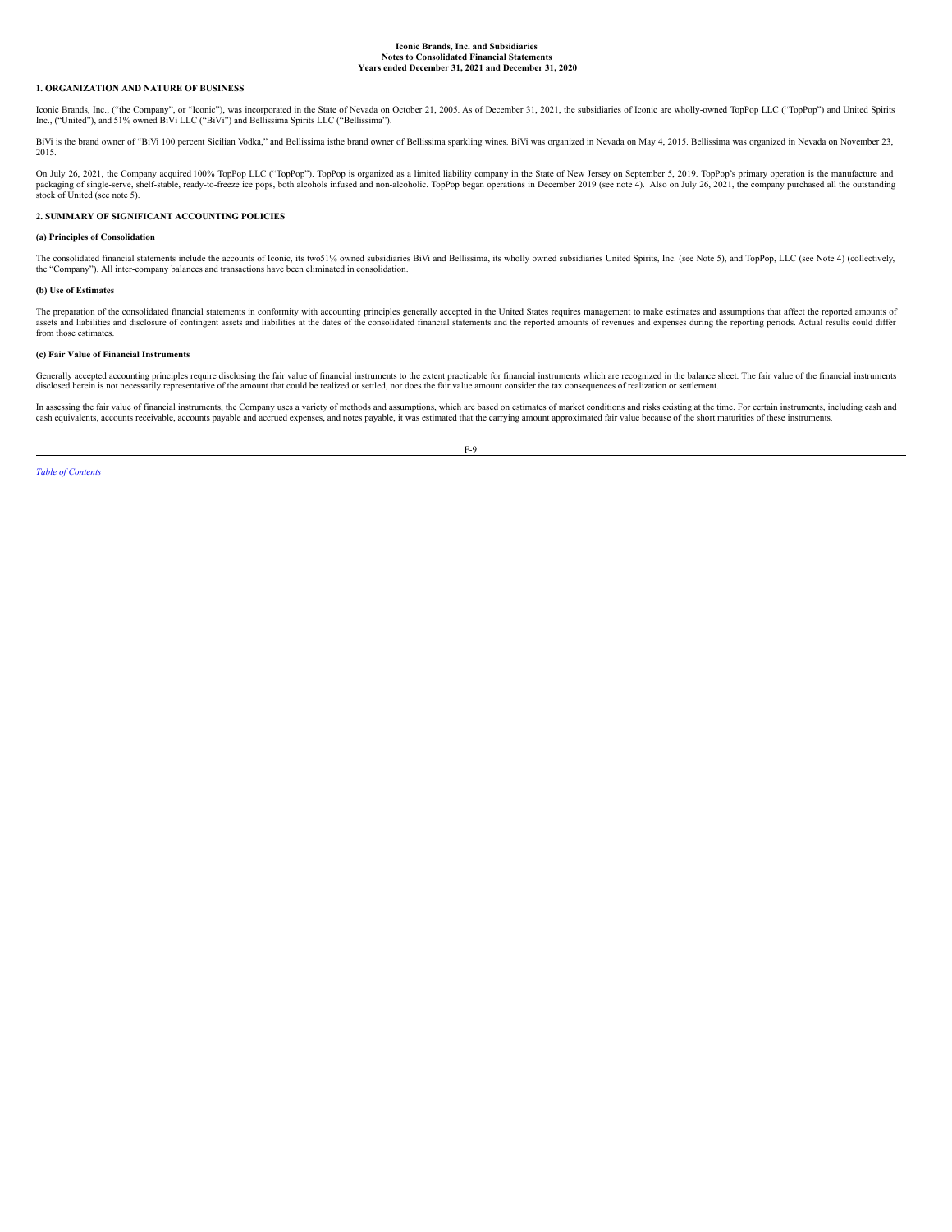#### **Iconic Brands, Inc. and Subsidiaries Notes to Consolidated Financial Statements Years ended December 31, 2021 and December 31, 2020**

#### **1. ORGANIZATION AND NATURE OF BUSINESS**

Iconic Brands, Inc., ("the Company", or "Iconic"), was incorporated in the State of Nevada on October 21, 2005. As of December 31, 2021, the subsidiaries of Iconic are wholly-owned TopPop LLC ("TopPop") and United Spirits

BiVi is the brand owner of "BiVi 100 percent Sicilian Vodka," and Bellissima isthe brand owner of Bellissima sparkling wines. BiVi was organized in Nevada on May 4, 2015. Bellissima was organized in Nevada on November 23, 2015.

On July 26, 2021, the Company acquired 100% TopPop LLC ("TopPop"). TopPop is organized as a limited liability company in the State of New Jersey on September 5, 2019. TopPop's primary operation is the manufacture and packa stock of United (see note 5).

# **2. SUMMARY OF SIGNIFICANT ACCOUNTING POLICIES**

# **(a) Principles of Consolidation**

The consolidated financial statements include the accounts of Iconic, its two51% owned subsidiaries BiVi and Bellissima, its wholly owned subsidiaries United Spirits, Inc. (see Note 5), and TopPop, LLC (see Note 4) (collec the "Company"). All inter-company balances and transactions have been eliminated in consolidation.

#### **(b) Use of Estimates**

The preparation of the consolidated financial statements in conformity with accounting principles generally accepted in the United States requires management to make estimates and assumptions that affect the reported amoun assets and liabilities and disclosure of contingent assets and liabilities at the dates of the consolidated financial statements and the reported amounts of revenues and expenses during the reporting periods. Actual result from those estimates.

# **(c) Fair Value of Financial Instruments**

Generally accepted accounting principles require disclosing the fair value of financial instruments to the extent practicable for financial instruments which are recognized in the balance sheet. The fair value of the finan disclosed herein is not necessarily representative of the amount that could be realized or settled, nor does the fair value amount consider the tax consequences of realization or settlement.

In assessing the fair value of financial instruments, the Company uses a variety of methods and assumptions, which are based on estimates of market conditions and risks existing at the time. For certain instruments, includ cash equivalents, accounts receivable, accounts payable and accrued expenses, and notes payable, it was estimated that the carrying amount approximated fair value because of the short maturities of these instruments.

F-9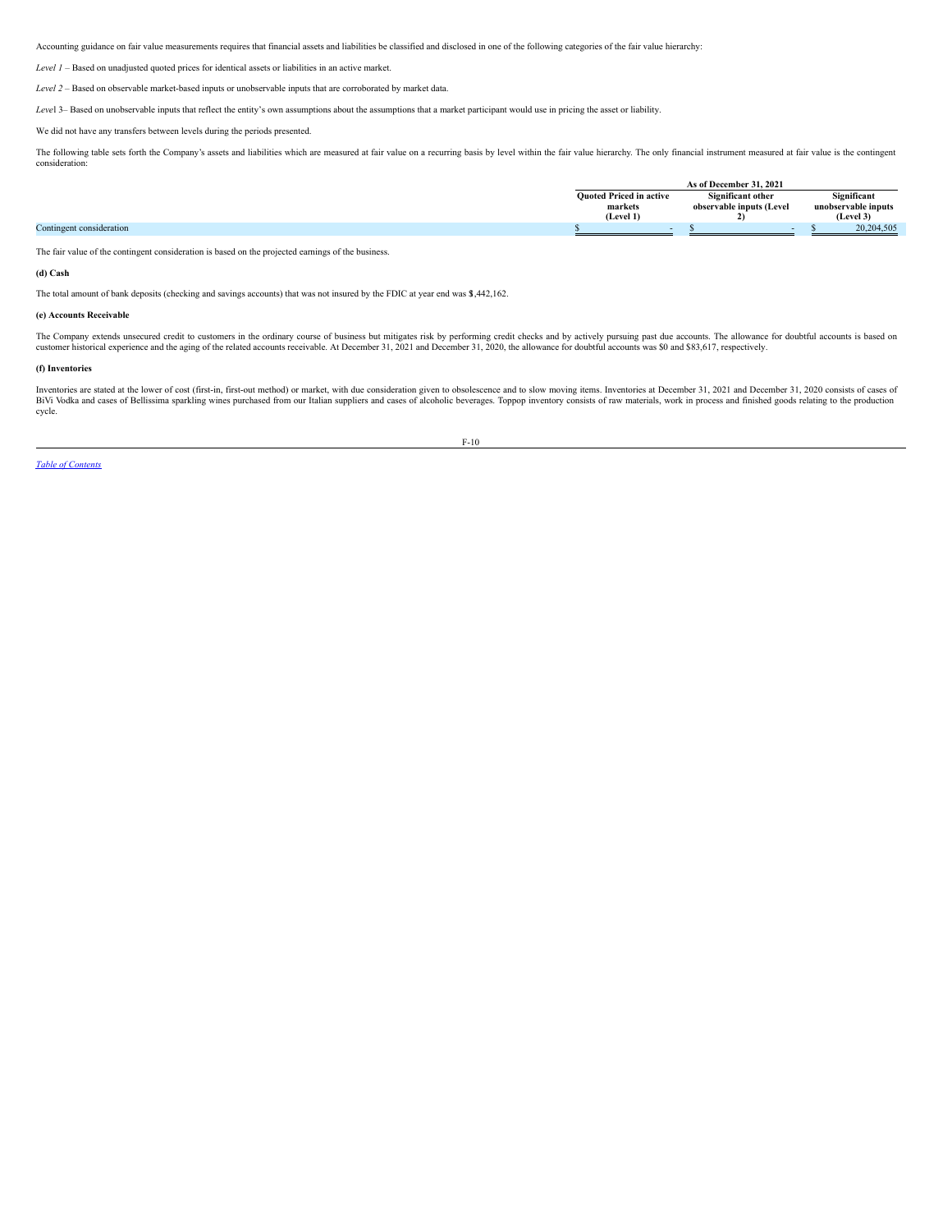Accounting guidance on fair value measurements requires that financial assets and liabilities be classified and disclosed in one of the following categories of the fair value hierarchy:

*Level 1* – Based on unadjusted quoted prices for identical assets or liabilities in an active market.

*Level 2* – Based on observable market-based inputs or unobservable inputs that are corroborated by market data.

*Leve*l 3– Based on unobservable inputs that reflect the entity's own assumptions about the assumptions that a market participant would use in pricing the asset or liability.

We did not have any transfers between levels during the periods presented.

The following table sets forth the Company's assets and liabilities which are measured at fair value on a recurring basis by level within the fair value hierarchy. The only financial instrument measured at fair value is th consideration:

|                          |                                | As of December 31, 2021  |                     |
|--------------------------|--------------------------------|--------------------------|---------------------|
|                          | <b>Ouoted Priced in active</b> | Significant other        | Significant         |
|                          | markets                        | observable inputs (Level | unobservable inputs |
|                          | (Level 1)                      |                          | (Level 3)           |
| Contingent consideration |                                |                          | 20.204.505          |
|                          |                                |                          |                     |

The fair value of the contingent consideration is based on the projected earnings of the business.

# **(d) Cash**

The total amount of bank deposits (checking and savings accounts) that was not insured by the FDIC at year end was \$1,442,162.

# **(e) Accounts Receivable**

The Company extends unsecured credit to customers in the ordinary course of business but mitigates risk by performing credit checks and by actively pursuing past due accounts. The allowance for doubtful accounts is based o

### **(f) Inventories**

Inventories are stated at the lower of cost (first-in, first-out method) or market, with due consideration given to obsolescence and to slow moving items. Inventories at December 31, 2021 and December 31, 2020 consists of cycle.

F-10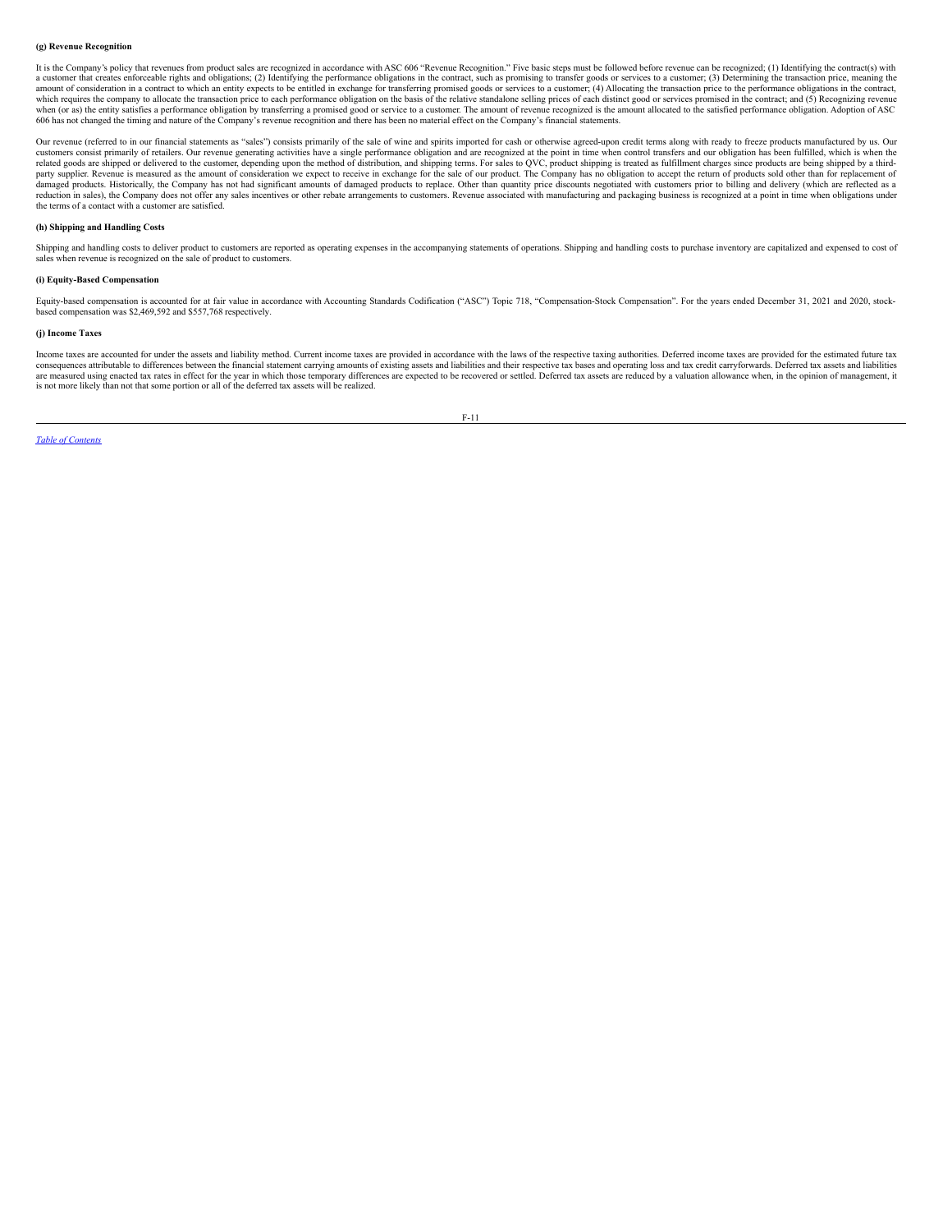# **(g) Revenue Recognition**

It is the Company's policy that revenues from product sales are recognized in accordance with ASC 606 "Revenue Recognition." Five basic steps must be followed before revenue can be recognized; (1) Identifying the contract( a customer that creates enforceable rights and obligations; (2) Identifying the performance obligations in the contract, such as promising to transfer goods or services to a customer; (3) Determining the transaction price, amount of consideration in a contract to which an entity expects to be entitled in exchange for transferring promised goods or services to a customer; (4) Allocating the transaction price to the performance obligations in when (or as) the entity satisfies a performance obligation by transferring a promised good or service to a customer. The amount of revenue recognized is the amount allocated to the satisfied performance obligation. Adoptio 606 has not changed the timing and nature of the Company's revenue recognition and there has been no material effect on the Company's financial statements.

Our revenue (referred to in our financial statements as "sales") consists primarily of the sale of wine and spirits imported for cash or otherwise agreed-upon credit terms along with ready to freeze products manufactured b related goods are shipped or delivered to the customer, depending upon the method of distribution, and shipping terms. For sales to QVC, product shipping is treated as fulfillment charges since products are being shipped b party supplier. Revenue is measured as the amount of consideration we expect to receive in exchange for the sale of our product. The Company has no obligation to accept the return of products sold other than for replacemen reduction in sales), the Company does not offer any sales incentives or other rebate arrangements to customers. Revenue associated with manufacturing and packaging business is recognized at a point in time when obligations

# **(h) Shipping and Handling Costs**

Shipping and handling costs to deliver product to customers are renorted as operating expenses in the accompanying statements of operations. Shipping and handling costs to purchase inventory are capitalized and expensed to sales when revenue is recognized on the sale of product to customers.

# **(i) Equity-Based Compensation**

Equity-based compensation is accounted for at fair value in accordance with Accounting Standards Codification ("ASC") Topic 718, "Compensation-Stock Compensation". For the years ended December 31, 2021 and 2020, stockbased compensation was \$2,469,592 and \$557,768 respectively.

# **(j) Income Taxes**

Income taxes are accounted for under the assets and liability method. Current income taxes are provided in accordance with the laws of the respective taxing authorities. Deferred income taxes are provided for the estimated consequences attributable to differences between the financial statement carrying amounts of existing assets and liabilities and their respective tax bases and operating loss and tax credit carryforwards. Deferred tax asse are measured using enacted tax rates in effect for the year in which those temporary differences are expected to be recovered or settled. Deferred tax assets are reduced by a valuation allowance when, in the opinion of man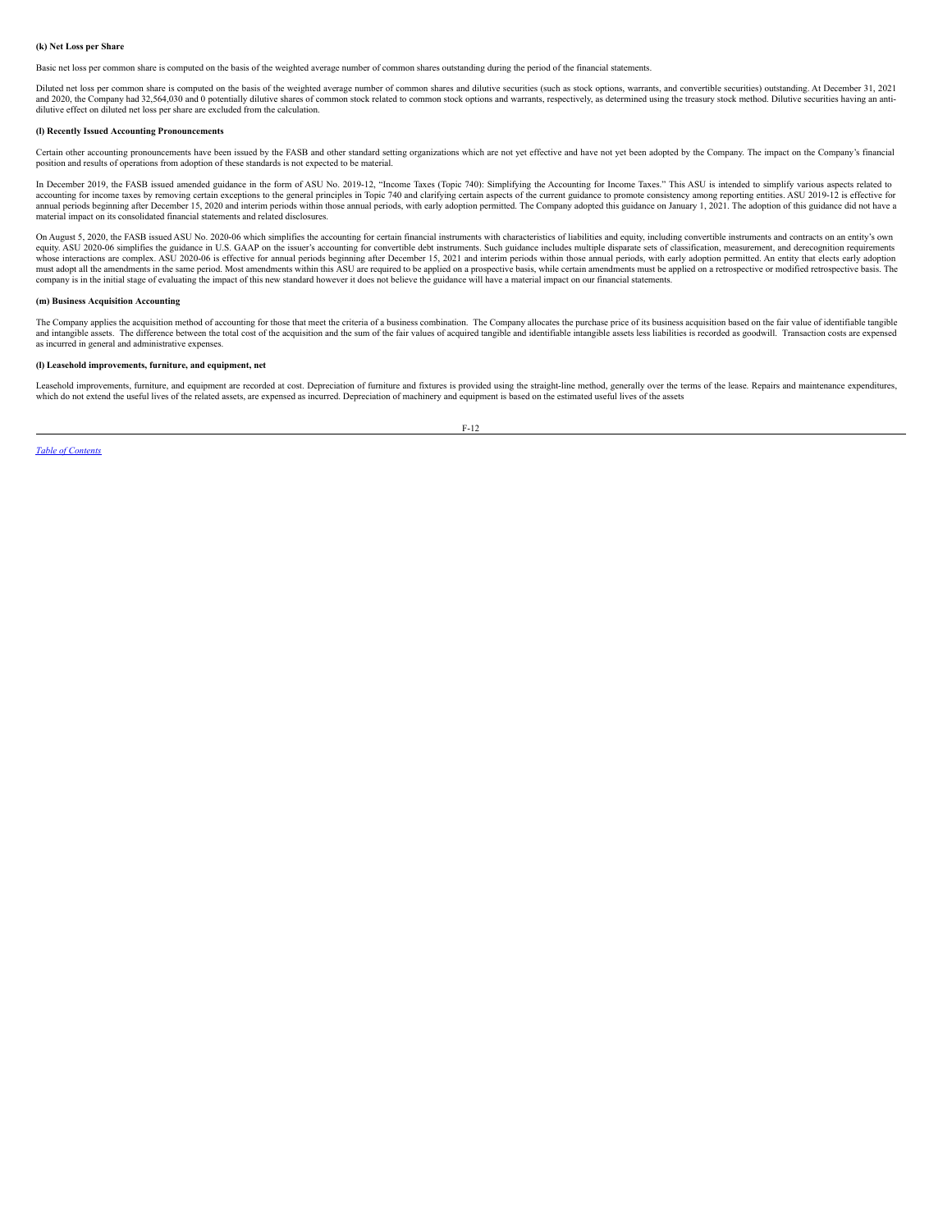# **(k) Net Loss per Share**

Basic net loss per common share is computed on the basis of the weighted average number of common shares outstanding during the period of the financial statements.

Diluted net loss per common share is computed on the basis of the weighted average number of common shares and dilutive securities (such as stock options, warrants, and convertible securities) outstanding. At December 31, dilutive effect on diluted net loss per share are excluded from the calculation.

### **(l) Recently Issued Accounting Pronouncements**

Certain other accounting pronouncements have been issued by the FASB and other standard setting organizations which are not yet effective and have not yet been adopted by the Company. The impact on the Company's financial position and results of operations from adoption of these standards is not expected to be material.

In December 2019, the FASB issued amended guidance in the form of ASU No. 2019-12, "Income Taxes (Topic 740): Simplifying the Accounting for Income Taxes." This ASU is intended to simplify various aspects related to accounting for income taxes by removing certain exceptions to the general principles in Topic 740 and clarifying certain aspects of the current guidance to promote consistency among reporting entities. ASU 2019-12 is effec material impact on its consolidated financial statements and related disclosures.

On August 5, 2020, the FASB issued ASU No. 2020-06 which simplifies the accounting for certain financial instruments with characteristics of liabilities and equity, including convertible instruments and contracts on an ent equity. ASU 2020-06 simplifies the guidance in U.S. GAAP on the issuer's accounting for convertible debt instruments. Such guidance includes multiple disparate sets of classification, measurement, and derecognition require whose interactions are complex. ASU 2020-06 is effective for annual periods beginning after December 15, 2021 and interim periods within those annual periods, with early adoption permitted. An entity that elects early adop must adopt all the amendments in the same period. Most amendments within this ASU are required to be applied on a prospective basis, while certain amendments must be applied on a retrospective or modified retrospective bas

#### **(m) Business Acquisition Accounting**

The Company applies the acquisition method of accounting for those that meet the criteria of a business combination. The Company allocates the purchase price of its business acquisition based on the fair value of identifia as incurred in general and administrative expenses.

### **(l) Leasehold improvements, furniture, and equipment, net**

Leasehold improvements, furniture, and equipment are recorded at cost. Depreciation of furniture and fixtures is provided using the straight-line method, generally over the terms of the lease. Repairs and maintenance expen which do not extend the useful lives of the related assets, are expensed as incurred. Depreciation of machinery and equipment is based on the estimated useful lives of the assets

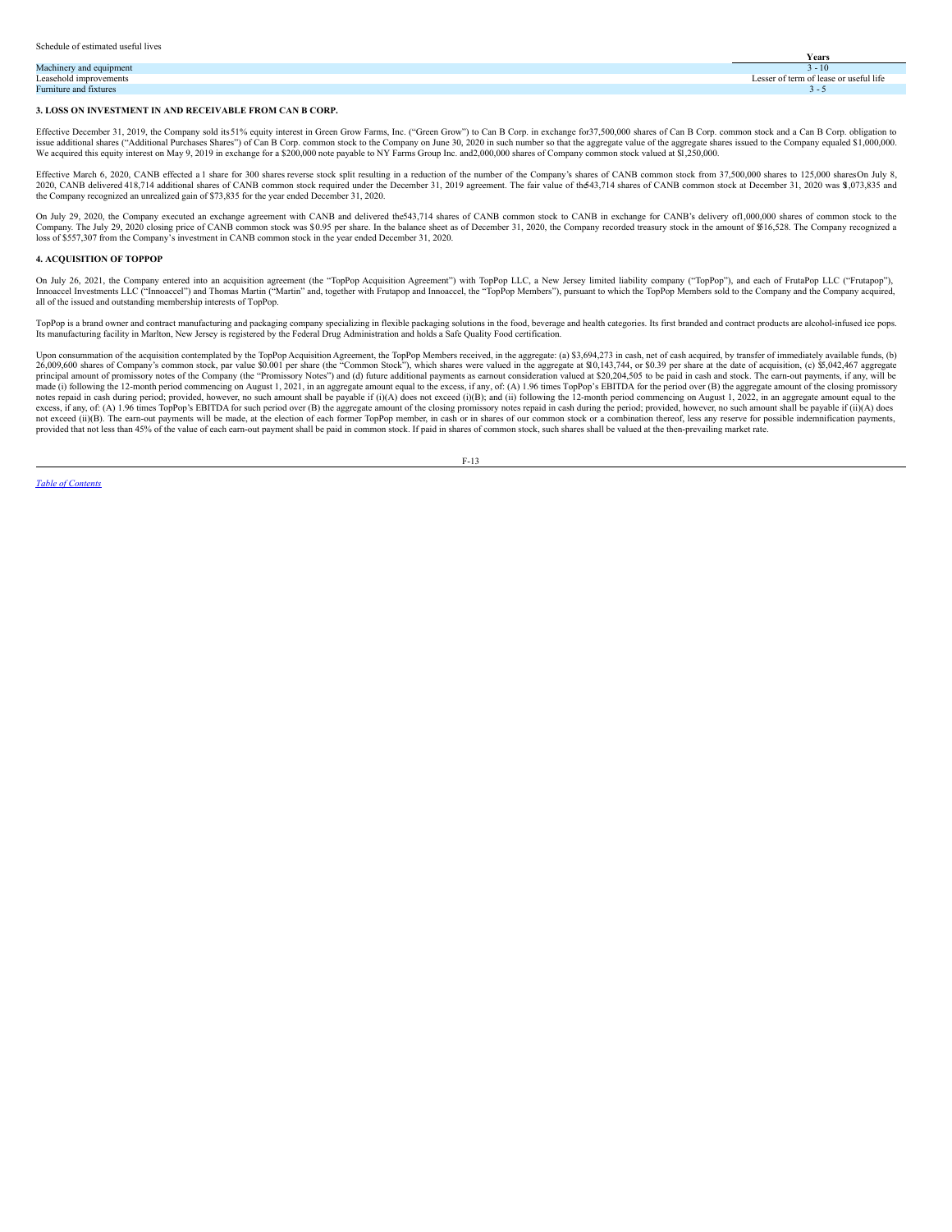|                         | Years                                  |
|-------------------------|----------------------------------------|
| Machinery and equipment |                                        |
| Leasehold improvements  | Lesser of term of lease or useful life |
| Furniture and fixtures  |                                        |

# **3. LOSS ON INVESTMENT IN AND RECEIVABLE FROM CAN B CORP.**

Effective December 31, 2019, the Company sold its 51% equity interest in Green Grow Farms, Inc. ("Green Grow") to Can B Corp. in exchange for37,500,000 shares of Can B Corp. common stock and a Can B Corp. obligation to issue additional shares ("Additional Purchases Shares") of Can B Corp. common stock to the Company on June 30, 2020 in such number so that the aggregate value of the aggregate shares issued to the Company equaled \$1,000,00

Effective March 6, 2020, CANB effected a 1 share for 300 shares reverse stock split resulting in a reduction of the number of the Company's shares of CANB common stock from 37,500,000 shares to 125,000 sharesOn July 8,<br>202 the Company recognized an unrealized gain of \$73,835 for the year ended December 31, 2020.

On July 29, 2020, the Company executed an exchange agreement with CANB and delivered the543,714 shares of CANB common stock to CANB in exchange for CANB's delivery of1,000,000 shares of common stock to the Company. The July 29, 2020 closing price of CANB common stock was \$0.95 per share. In the balance sheet as of December 31, 2020, the Company recorded treasury stock in the amount of \$516,528. The Company recognized a loss of \$557,307 from the Company's investment in CANB common stock in the year ended December 31, 2020.

# **4. ACQUISITION OF TOPPOP**

*Table of [Contents](#page-31-0)*

On July 26, 2021, the Company entered into an acquisition agreement (the "TopPop Acquisition Agreement") with TopPop LLC, a New Jersey limited liability company ("TopPop"), and each of FrutaPop LLC ("Frutapop"), Innoaccel Investments LLC ("Innoaccel") and Thomas Martin ("Martin" and, together with Frutapop and Innoaccel, the "TopPop Members"), pursuant to which the TopPop Members sold to the Company and the Company acquired, all of the issued and outstanding membership interests of TopPop.

TopPop is a brand owner and contract manufacturing and packaging company specializing in flexible packaging solutions in the food, beverage and health categories. Its first branded and contract products are alcohol-infused

Upon consummation of the acquisition contemplated by the TopPop Acquisition Agreement, the TopPop Members received, in the aggregate: (a) \$3,694,273 in cash, net of cash acquired, by transfer of immediately available funds principal amount of promissory notes of the Company (the "Promissory Notes") and (d) future additional payments as earnout consideration valued at \$20,204,505 to be paid in cash and stock. The earn-out payments, if any, wi notes repaid in cash during period; provided, however, no such amount shall be payable if (i)(A) does not exceed (i)(B); and (ii) following the 12-month period commencing on August 1, 2022, in an aggregate amount equal to not exceed (ii)(B). The earn-out payments will be made, at the election of each former TopPop member, in cash or in shares of our common stock or a combination thereof, less any reserve for possible indemnification payment provided that not less than 45% of the value of each earn-out payment shall be paid in common stock. If paid in shares of common stock, such shares shall be valued at the then-prevailing market rate.

F-13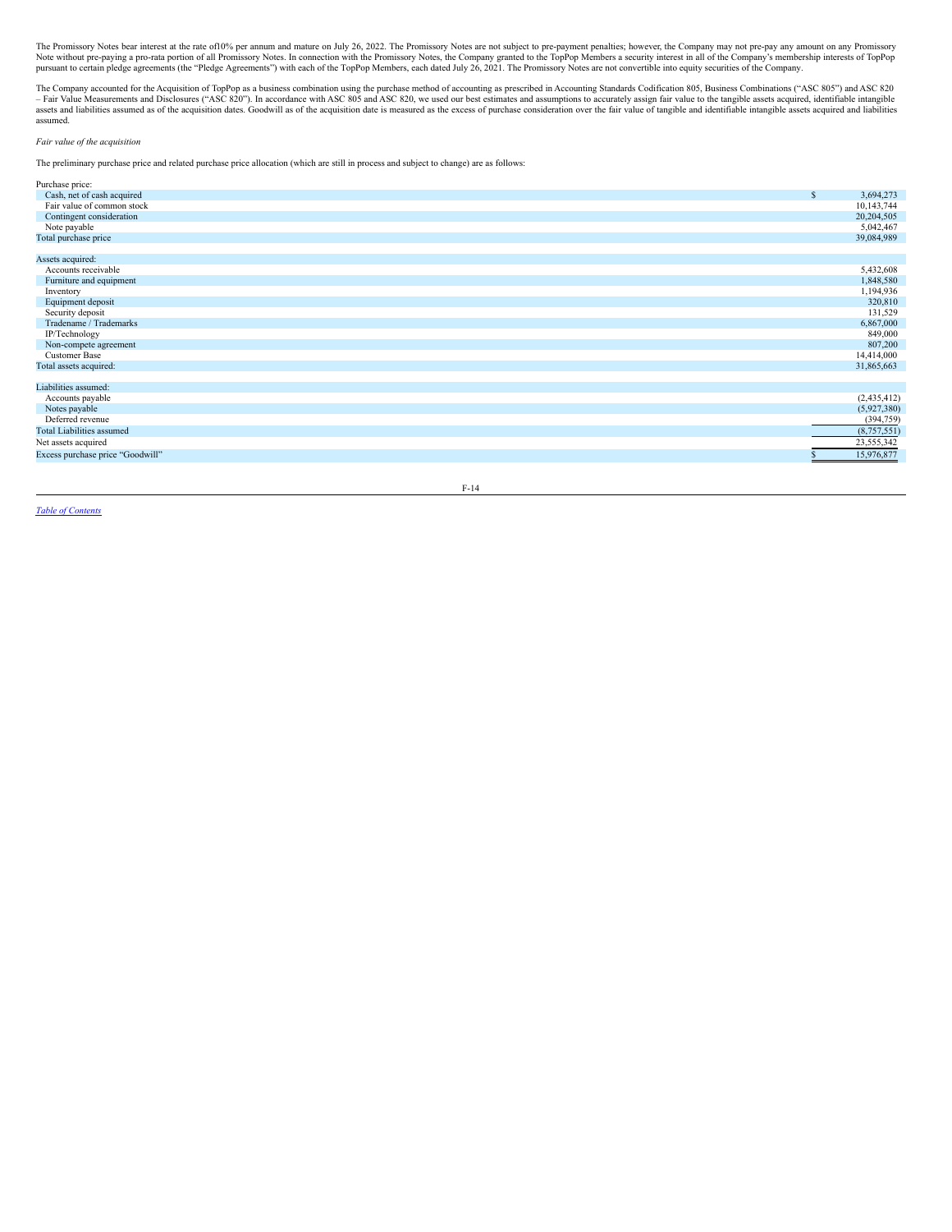The Promissory Notes bear interest at the rate of10% per annum and mature on July 26, 2022. The Promissory Notes are not subject to pre-payment penalties; however, the Company may not pre-pay any amount on any Promissory Note without pre-paying a pro-rata portion of all Promissory Notes. In connection with the Promissory Notes, the Company granted to the TopPop Members a security interest in all of the Company's membership interests of Top

The Company accounted for the Acquisition of TopPop as a business combination using the purchase method of accounting as prescribed in Accounting Standards Codification 805, Business Combinations ("ASC 805") and ASC 820<br>– assumed.

### *Fair value of the acquisition*

The preliminary purchase price and related purchase price allocation (which are still in process and subject to change) are as follows:

| Purchase price:                  |              |             |
|----------------------------------|--------------|-------------|
| Cash, net of cash acquired       | $\mathbf{s}$ | 3,694,273   |
| Fair value of common stock       |              | 10,143,744  |
| Contingent consideration         |              | 20,204,505  |
| Note payable                     |              | 5,042,467   |
| Total purchase price             |              | 39,084,989  |
|                                  |              |             |
| Assets acquired:                 |              |             |
| Accounts receivable              |              | 5,432,608   |
| Furniture and equipment          |              | 1,848,580   |
| Inventory                        |              | 1,194,936   |
| Equipment deposit                |              | 320,810     |
| Security deposit                 |              | 131,529     |
| Tradename / Trademarks           |              | 6,867,000   |
| IP/Technology                    |              | 849,000     |
| Non-compete agreement            |              | 807,200     |
| <b>Customer Base</b>             |              | 14,414,000  |
| Total assets acquired:           |              | 31,865,663  |
|                                  |              |             |
| Liabilities assumed:             |              |             |
| Accounts payable                 |              | (2,435,412) |
| Notes payable                    |              | (5,927,380) |
| Deferred revenue                 |              | (394, 759)  |
| <b>Total Liabilities assumed</b> |              | (8,757,551) |
| Net assets acquired              |              | 23,555,342  |
| Excess purchase price "Goodwill" |              | 15,976,877  |
|                                  |              |             |

*Table of [Contents](#page-31-0)*

F-14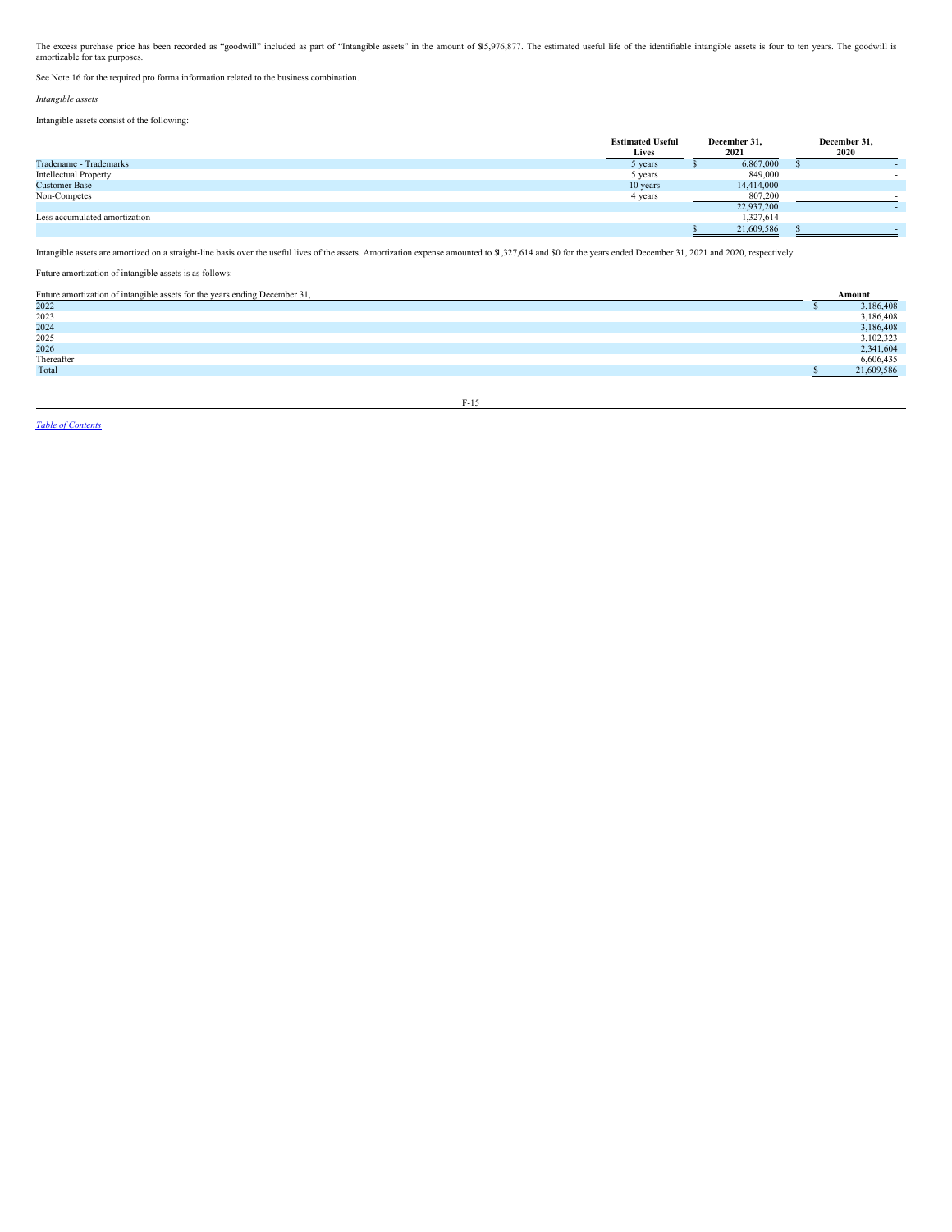The excess purchase price has been recorded as "goodwill" included as part of "Intangible assets" in the amount of \$5,976,877. The estimated useful life of the identifiable intangible assets is four to ten years. The goodw

See Note 16 for the required pro forma information related to the business combination.

*Intangible assets*

Intangible assets consist of the following:

|                               | <b>Estimated Useful</b><br>Lives | December 31,<br>2021 |  | December 31,<br>2020 |  |
|-------------------------------|----------------------------------|----------------------|--|----------------------|--|
| Tradename - Trademarks        | 5 years                          | 6,867,000            |  |                      |  |
| Intellectual Property         | 5 years                          | 849,000              |  |                      |  |
| <b>Customer Base</b>          | 10 years                         | 14,414,000           |  |                      |  |
| Non-Competes                  | 4 years                          | 807,200              |  |                      |  |
|                               |                                  | 22,937,200           |  |                      |  |
| Less accumulated amortization |                                  | 1,327,614            |  |                      |  |
|                               |                                  | 21,609,586           |  |                      |  |

Intangible assets are amortized on a straight-line basis over the useful lives of the assets. Amortization expense amounted to \$1,327,614 and \$0 for the years ended December 31, 2021 and 2020, respectively.

Future amortization of intangible assets is as follows:

| Future amortization of intangible assets for the years ending December 31, | Amount     |
|----------------------------------------------------------------------------|------------|
| 2022                                                                       | 3,186,408  |
| 2023                                                                       | 3,186,408  |
| 2024                                                                       | 3,186,408  |
| 2025                                                                       | 3,102,323  |
| 2026                                                                       | 2,341,604  |
| Thereafter                                                                 | 6,606,435  |
| Total                                                                      | 21,609,586 |

F-15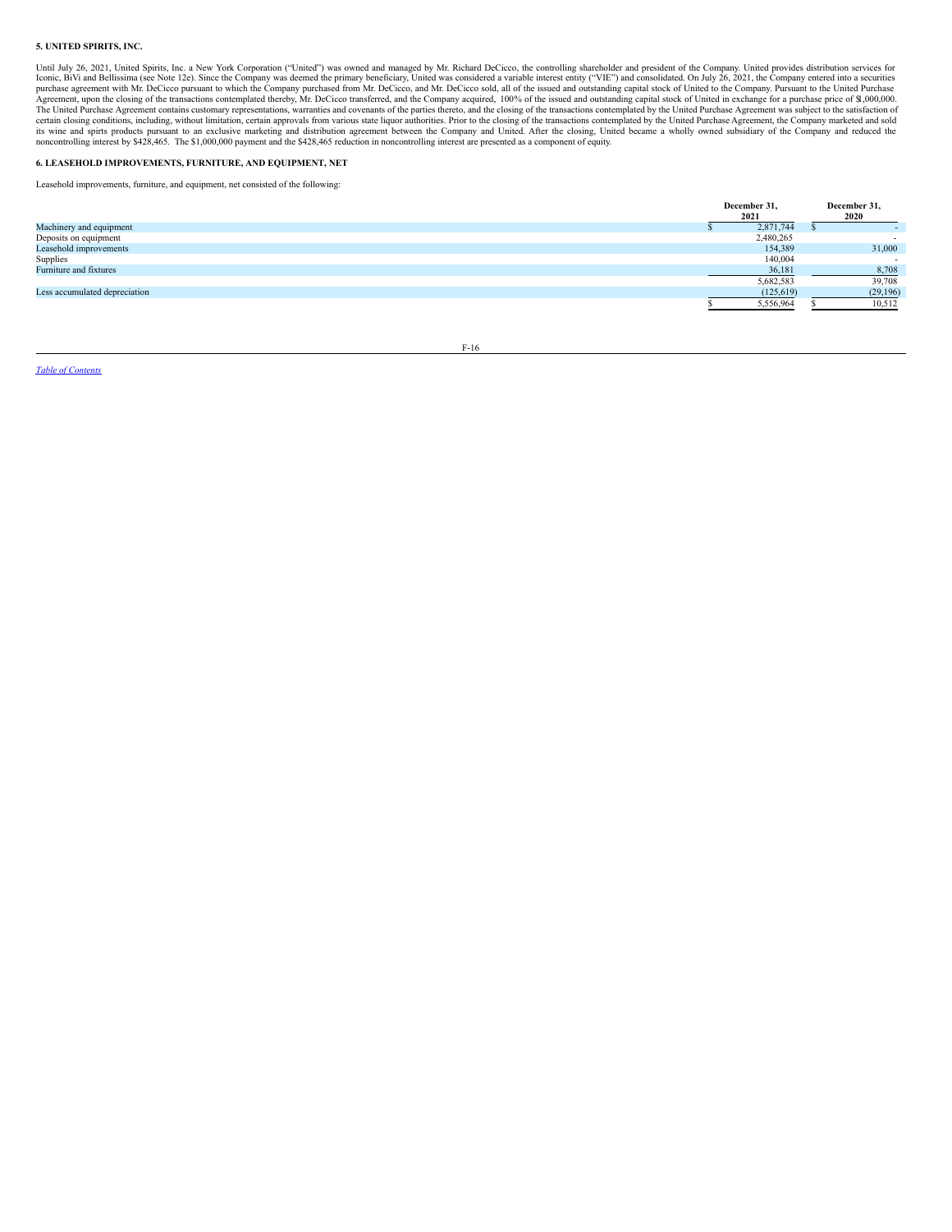# **5. UNITED SPIRITS, INC.**

Until July 26, 2021, United Spirits, Inc. a New York Corporation ("United") was owned and managed by Mr. Richard DeCicco, the controlling shareholder and president of the Company. United provides distribution services for<br> purchase agreement with Mr. DeCicco pursuant to which the Company purchased from Mr. DeCicco, and Mr. DeCicco sold, all of the issued and outstanding capital stock of United to the Company. Pursuant to the United Purchase<br>

# **6. LEASEHOLD IMPROVEMENTS, FURNITURE, AND EQUIPMENT, NET**

Leasehold improvements, furniture, and equipment, net consisted of the following:

|                               | December 31,<br>2021 |  | December 31,<br>2020     |  |
|-------------------------------|----------------------|--|--------------------------|--|
| Machinery and equipment       | 2,871,744            |  | $\overline{\phantom{a}}$ |  |
| Deposits on equipment         | 2,480,265            |  | $\overline{\phantom{a}}$ |  |
| Leasehold improvements        | 154,389              |  | 31,000                   |  |
| Supplies                      | 140,004              |  | $\overline{\phantom{a}}$ |  |
| Furniture and fixtures        | 36,181               |  | 8,708                    |  |
|                               | 5,682,583            |  | 39,708                   |  |
| Less accumulated depreciation | (125, 619)           |  | (29,196)                 |  |
|                               | 5,556,964            |  | 10,512                   |  |

F-16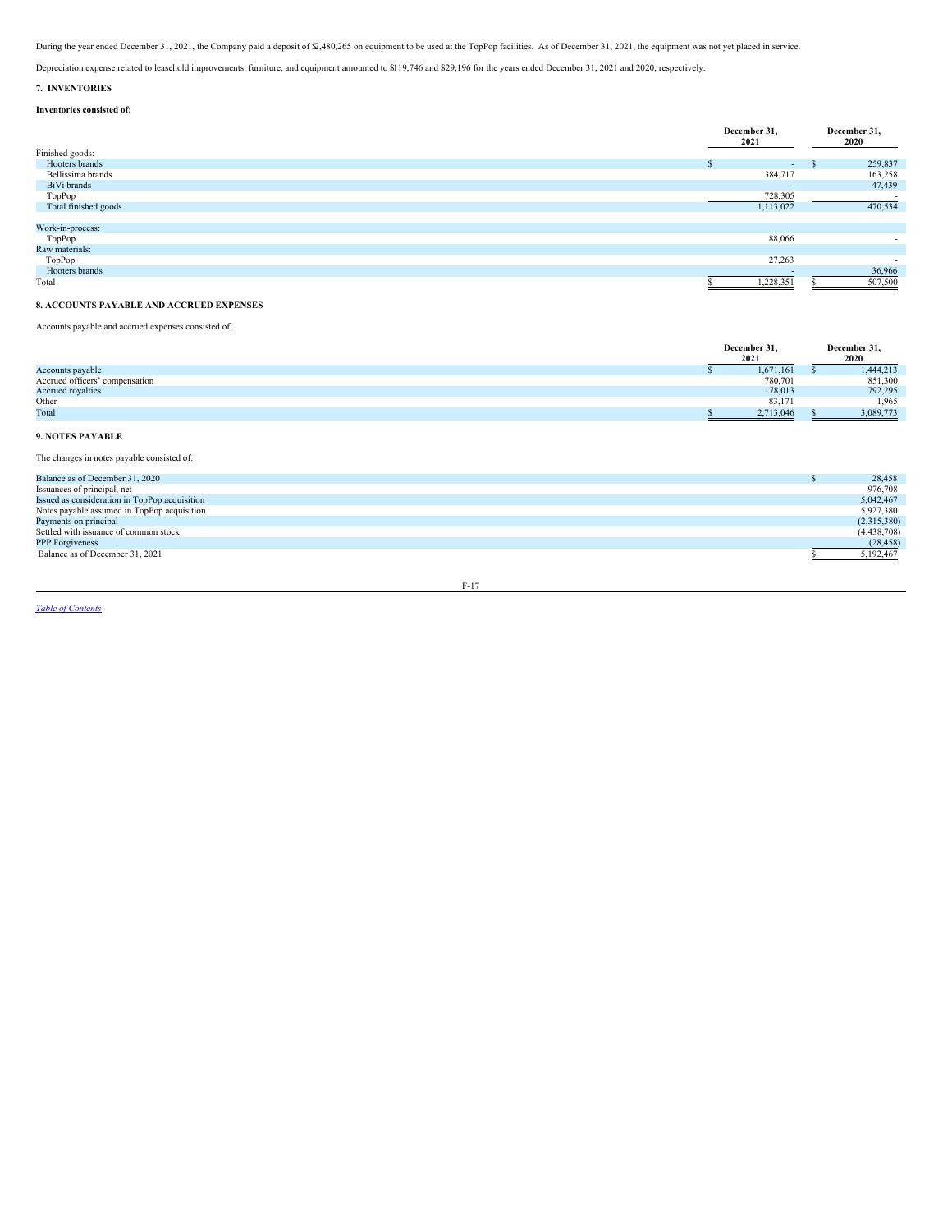During the year ended December 31, 2021, the Company paid a deposit of \$2,480,265 on equipment to be used at the TopPop facilities. As of December 31, 2021, the equipment was not yet placed in service.

Depreciation expense related to leasehold improvements, furniture, and equipment amounted to \$119,746 and \$29,196 for the years ended December 31, 2021 and 2020, respectively.

# **7. INVENTORIES**

**Inventories consisted of:**

|                      | December 31,<br>2021 | December 31,<br>2020 |
|----------------------|----------------------|----------------------|
| Finished goods:      |                      |                      |
| Hooters brands       | <b>Service</b>       | 259,837<br>- S       |
| Bellissima brands    | 384,717              | 163,258              |
| BiVi brands          | $\sim$               | 47,439               |
| TopPop               | 728,305              |                      |
| Total finished goods | 1,113,022            | 470,534              |
| Work-in-process:     |                      |                      |
| TopPop               | 88,066               |                      |
| Raw materials:       |                      |                      |
| TopPop               | 27,263               | $\sim$               |
| Hooters brands       |                      | 36,966               |
| Total                | 1,228,351            | 507,500              |

# **8. ACCOUNTS PAYABLE AND ACCRUED EXPENSES**

Accounts payable and accrued expenses consisted of:

|                                                                       | December 31,<br>2021 |  | December 31,<br>2020 |
|-----------------------------------------------------------------------|----------------------|--|----------------------|
| Accounts payable                                                      | 1,671,161            |  | 1,444,213            |
| Accrued officers' compensation                                        | 780,701              |  | 851,300              |
| Accrued royalties                                                     | 178,013              |  | 792,295              |
| Other                                                                 | 83,171               |  | 1,965                |
| Total                                                                 | 2,713,046            |  | 3,089,773            |
| <b>9. NOTES PAYABLE</b><br>The changes in notes payable consisted of: |                      |  |                      |
| Balance as of December 31, 2020                                       |                      |  | 28,458               |
| Issuances of principal, net                                           |                      |  | 976,708              |
| Issued as consideration in TopPop acquisition                         |                      |  | 5,042,467            |
| Notes payable assumed in TopPop acquisition                           |                      |  | 5,927,380            |
| Payments on principal                                                 |                      |  | (2,315,380)          |
| Settled with issuance of common stock                                 |                      |  | (4,438,708)          |
| <b>PPP</b> Forgiveness                                                |                      |  | (28, 458)            |
| Balance as of December 31, 2021                                       |                      |  | 5,192,467            |

F-17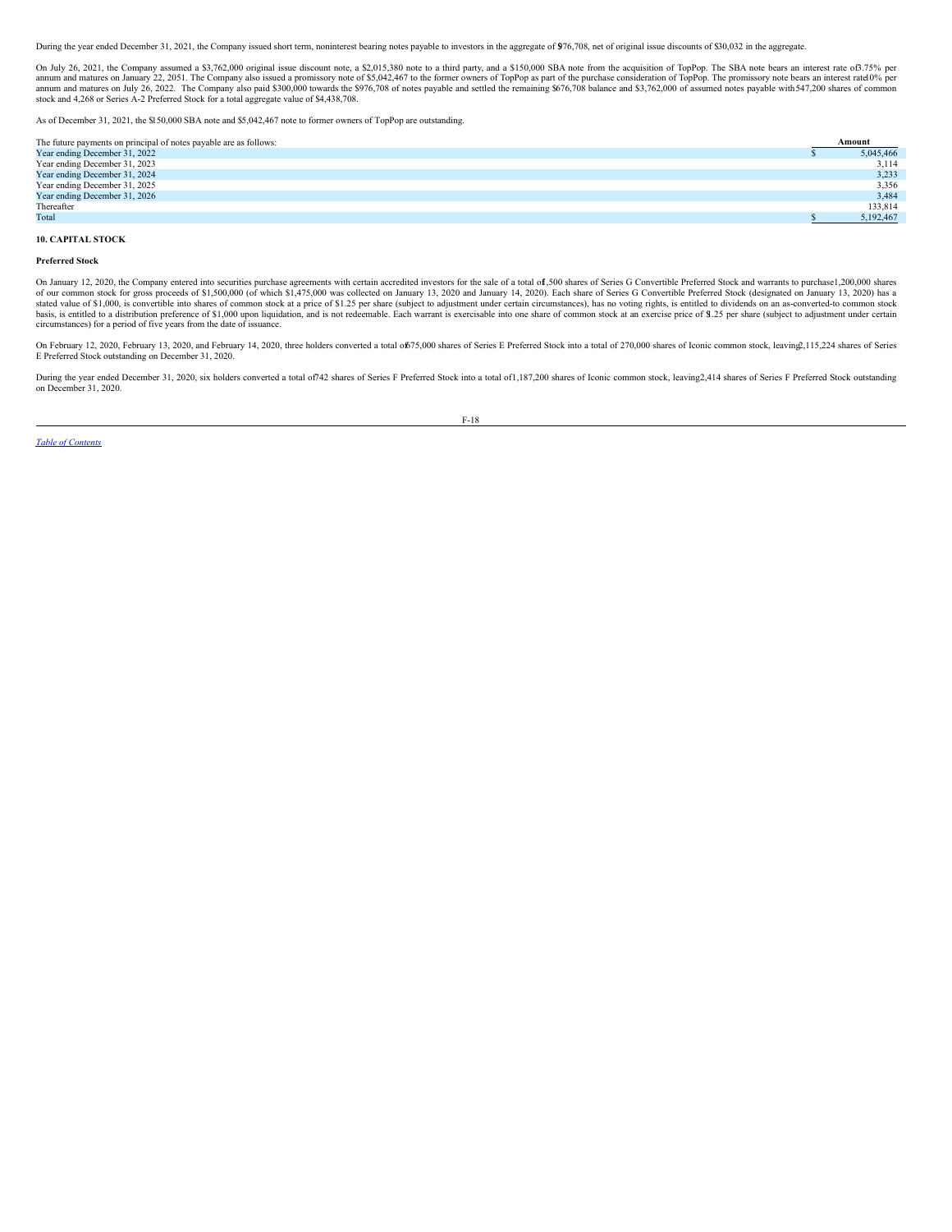During the year ended December 31, 2021, the Company issued short term, noninterest bearing notes payable to investors in the aggregate of 976,708, net of original issue discounts of \$30,032 in the aggregate.

On July 26, 2021, the Company assumed a \$3,762,000 original issue discount note, a \$2,015,380 note to a third party, and a \$150,000 SBA note from the acquisition of TopPop. The SBA note bears an interest rate of3.75% per<br>a annum and matures on July 26, 2022. The Company also paid \$300,000 towards the \$976,708 of notes payable and settled the remaining \$676,708 balance and \$3,762,000 of assumed notes payable with 547,200 shares of common stoc

As of December 31, 2021, the \$150,000 SBA note and \$5,042,467 note to former owners of TopPop are outstanding.

| The future payments on principal of notes payable are as follows: | Amount    |
|-------------------------------------------------------------------|-----------|
| Year ending December 31, 2022                                     | 5,045,466 |
| Year ending December 31, 2023                                     | 3.114     |
| Year ending December 31, 2024                                     | 3,233     |
| Year ending December 31, 2025                                     | 3,356     |
| Year ending December 31, 2026                                     | 3.484     |
| Thereafter                                                        | 133,814   |
| Total                                                             | 5.192.467 |

# **10. CAPITAL STOCK**

# **Preferred Stock**

On January 12, 2020, the Company entered into securities purchase agreements with certain accredited investors for the sale of a total of 500 shares of Series G Convertible Preferred Stock and warrants to purchase1,200,000 of our common stock for gross proceeds of \$1,500,000 (of which \$1,475,000 was collected on January 13, 2020 and January 14, 2020). Each share of Scries G Convertible Preferred Stock (designated on January 13, 2020) has a<br>s basis, is entitled to a distribution preference of \$1,000 upon liquidation, and is not redeemable. Each warrant is exercisable into one share of common stock at an exercise price of \$.25 per share (subject to adjustment un circumstances) for a period of five years from the date of issuance.

On February 12, 2020, February 13, 2020, and February 14, 2020, three holders converted a total of 675,000 shares of Series E Preferred Stock into a total of 270,000 shares of Iconic common stock, leaving, 115, 224 shares E Preferred Stock outstanding on December 31, 2020.

During the year ended December 31, 2020, six holders converted a total of742 shares of Series F Preferred Stock into a total of1,187,200 shares of Iconic common stock, leaving2,414 shares of Series F Preferred Stock outsta on December 31, 2020.

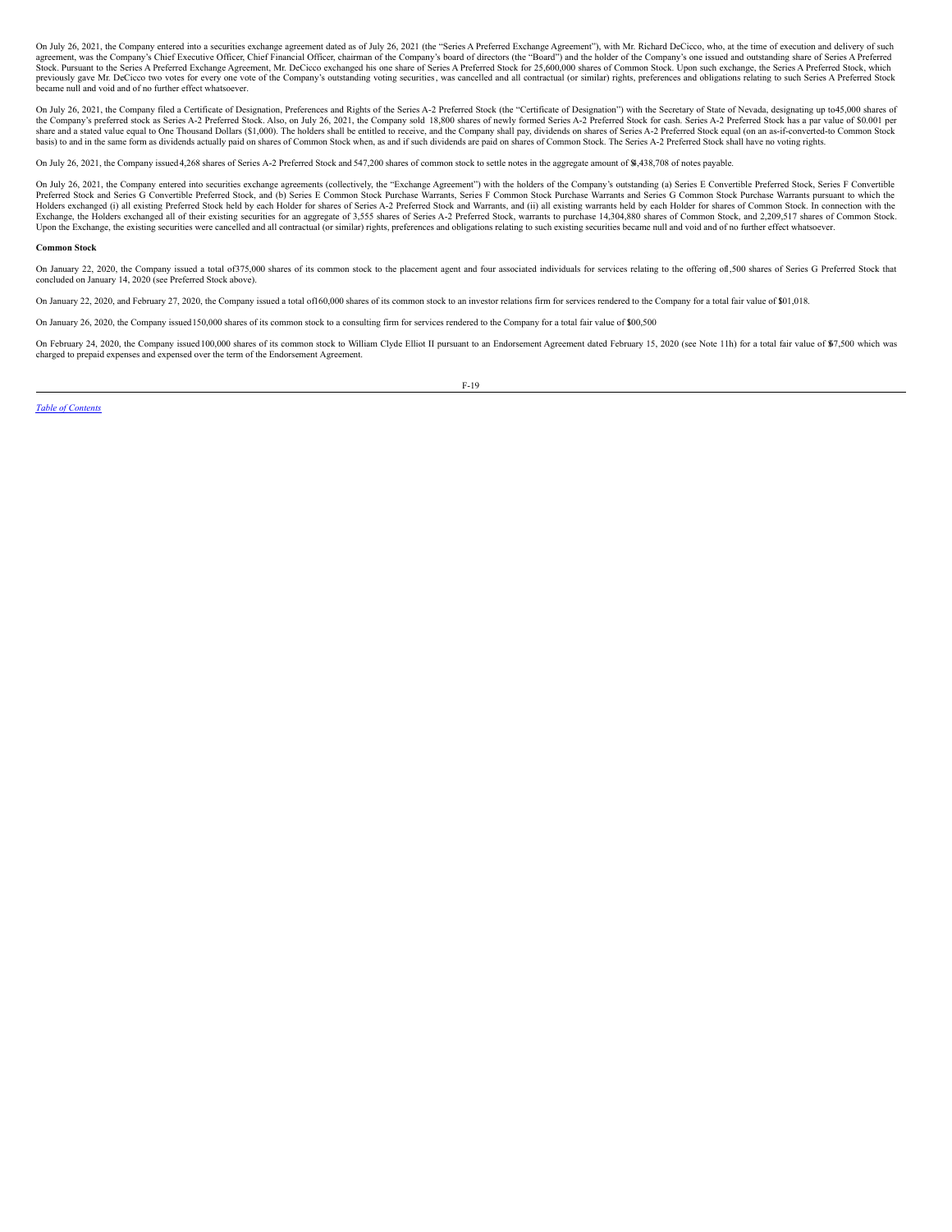On July 26, 2021, the Company entered into a securities exchange agreement dated as of July 26, 2021 (the "Series A Preferred Exchange Agreement"), with Mr. Richard DeCicco, who, at the time of execution and delivery of su agreement, was the Company's Chief Executive Officer, Chief Financial Officer, chairman of the Company's board of directors (the "Board") and the holder of the Company's one issued and outstanding share of Series A Preferred Stock. Pursuant to the Series A Preferred Exchange Agreement, Mr. DeCicco exchanged his one share of Series A Preferred Stock for 25,600,000 shares of Common Stock. Upon such exchange, the Series A Preferred Stock, which<br>p became null and void and of no further effect whatsoever.

On July 26, 2021, the Company filed a Certificate of Designation, Preferences and Rights of the Series A-2 Preferred Stock (the "Certificate of Designation") with the Secretary of State of Nevada, designating up to45,000 s share and a stated value equal to One Thousand Dollars (\$1,000). The holders shall be entitled to receive, and the Company shall pay, dividends on shares of Series A-2 Preferred Stock equal (on an as-if-converted-to Common basis) to and in the same form as dividends actually paid on shares of Common Stock when, as and if such dividends are paid on shares of Common Stock. The Series A-2 Preferred Stock shall have no voting rights.

On July 26, 2021, the Company issued 4,268 shares of Series A-2 Preferred Stock and 547,200 shares of common stock to settle notes in the aggregate amount of \$4,438,708 of notes payable.

On July 26, 2021, the Company entered into securities exchange agreements (collectively, the "Exchange Agreement") with the holders of the Company's outstanding (a) Series E Convertible Preferred Stock, Series F Convertible Preferred Stock and Series G Convertible Preferred Stock, and (b) Series E Common Stock Purchase Warrants, Series F Common Stock Purchase Warrants and Series G Common Stock Purchase Warrants pursuant to which the Holders exchanged (i) all existing Preferred Stock held by each Holder for shares of Series of Series A-2 Preferred Stock and Warrants, and (ii) all existing warrants held by each Holder for shares of Common Stock. In conn Exchange, the Holders exchanged all of their existing securities for an aggregate of 3,555 shares of Series A-2 Preferred Stock, warrants to purchase 14,304,880 shares of Common Stock, and 2,209,517 shares of Common Stock.

#### **Common Stock**

On January 22, 2020, the Company issued a total of375,000 shares of its common stock to the placement agent and four associated individuals for services relating to the offering of 500 shares of Series G Preferred Stock th

On January 22, 2020, and February 27, 2020, the Company issued a total of160,000 shares of its common stock to an investor relations firm for services rendered to the Company for a total fair value of \$01,018.

On January 26, 2020, the Company issued150,000 shares of its common stock to a consulting firm for services rendered to the Company for a total fair value of \$00,500

On February 24, 2020, the Company issued 100,000 shares of its common stock to William Clyde Elliot II pursuant to an Endorsement Agreement dated February 15, 2020 (see Note 11h) for a total fair value of \$7,500 which was charged to prepaid expenses and expensed over the term of the Endorsement Agreement.

F-19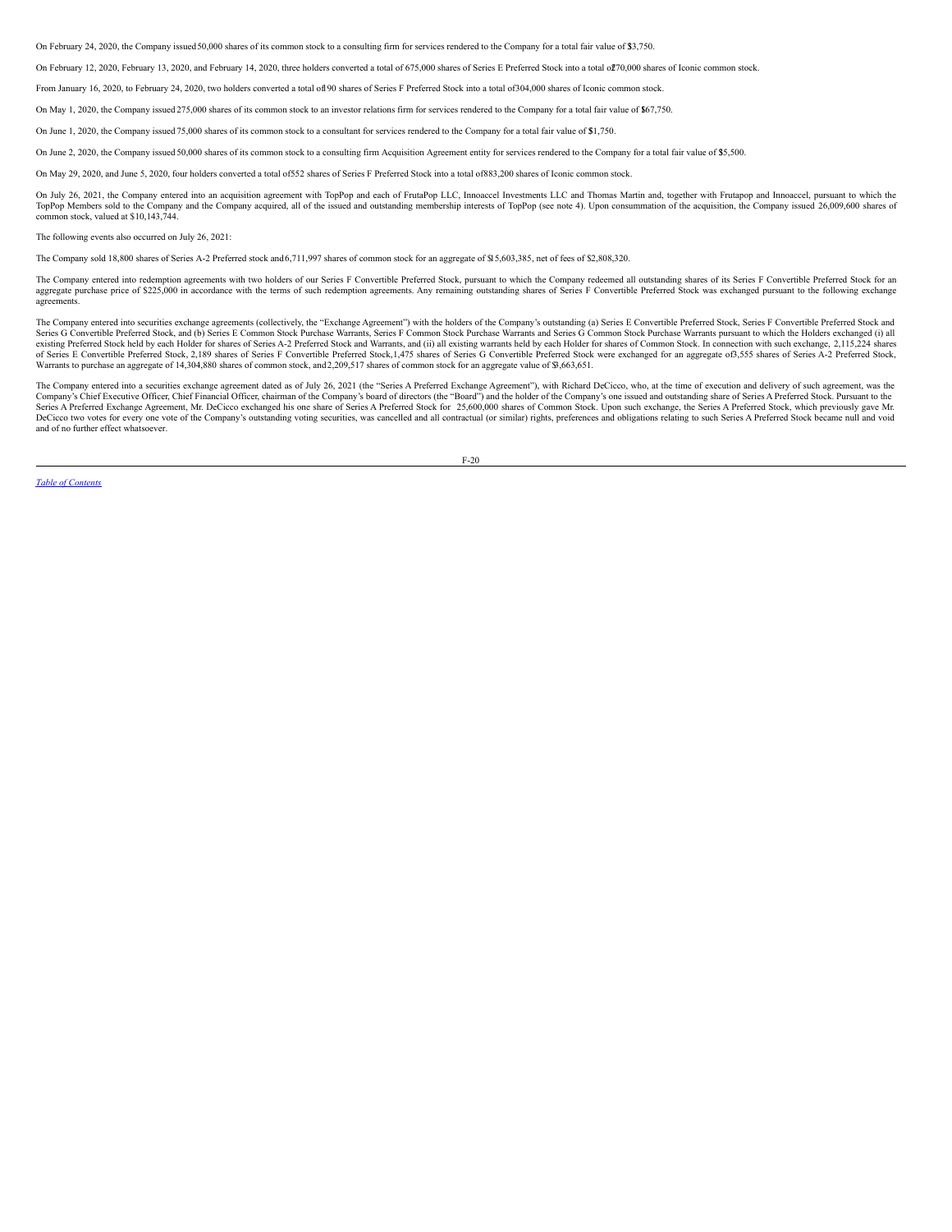On February 24, 2020, the Company issued 50,000 shares of its common stock to a consulting firm for services rendered to the Company for a total fair value of \$3,750.

On February 12, 2020, February 13, 2020, and February 14, 2020, three holders converted a total of 675,000 shares of Series E Preferred Stock into a total of 70,000 shares of Iconic common stock.

From January 16, 2020, to February 24, 2020, two holders converted a total of 90 shares of Series F Preferred Stock into a total of 304,000 shares of Iconic common stock.

On May 1, 2020, the Company issued 275,000 shares of its common stock to an investor relations firm for services rendered to the Company for a total fair value of \$67,750.

On June 1, 2020, the Company issued 75,000 shares of its common stock to a consultant for services rendered to the Company for a total fair value of \$51,750.

On June 2, 2020, the Company issued 50,000 shares of its common stock to a consulting firm Acquisition Agreement entity for services rendered to the Company for a total fair value of \$35,500.

On May 29, 2020, and June 5, 2020, four holders converted a total of552 shares of Series F Preferred Stock into a total of883,200 shares of Iconic common stock.

On July 26, 2021, the Company entered into an acquisition agreement with TopPop and each of FrutaPop LLC, Innoaccel Investments LLC and Thomas Martin and, together with Frutapop and Innoaccel, pursuant to which the<br>TopPop common stock, valued at \$10,143,744.

The following events also occurred on July 26, 2021:

The Company sold 18,800 shares of Series A-2 Preferred stock and6,711,997 shares of common stock for an aggregate of \$15,603,385, net of fees of \$2,808,320.

The Company entered into redemption agreements with two holders of our Series F Convertible Preferred Stock, pursuant to which the Company redeemed all outstanding shares of its Series F Convertible Preferred Stock for an aggregate purchase price of \$225,000 in accordance with the terms of such redemption agreements. Any remaining outstanding shares of Series F Convertible Preferred Stock was exchanged pursuant to the following exchange agreements.

The Company entered into securities exchange agreements (collectively, the "Exchange Agreement") with the holders of the Company's outstanding (a) Series E Convertible Preferred Stock, Series F Convertible Preferred Stock existing Preferred Stock held by each Holder for shares of Series A-2 Preferred Stock and Warrants, and (ii) all existing warrants held by each Holder for shares of Common Stock. In connection with such exchange, 2,115,224 Warrants to purchase an aggregate of 14,304,880 shares of common stock, and 2,209,517 shares of common stock for an aggregate value of \$3,663,651.

The Company entered into a securities exchange agreement dated as of July 26, 2021 (the "Series A Preferred Exchange Agreement"), with Richard DeCicco, who, at the time of execution and delivery of such agreement, was the Company's Chief Executive Officer, Chief Financial Officer, chairman of the Company's board of directors (the "Board") and the holder of the Company's one issued and outstanding share of Series A Preferred Stock. Pursuant DeCicco two votes for every one vote of the Company's outstanding voting securities, was cancelled and all contractual (or similar) rights, preferences and obligations relating to such Series A Preferred Stock became null and of no further effect whatsoever.

F-20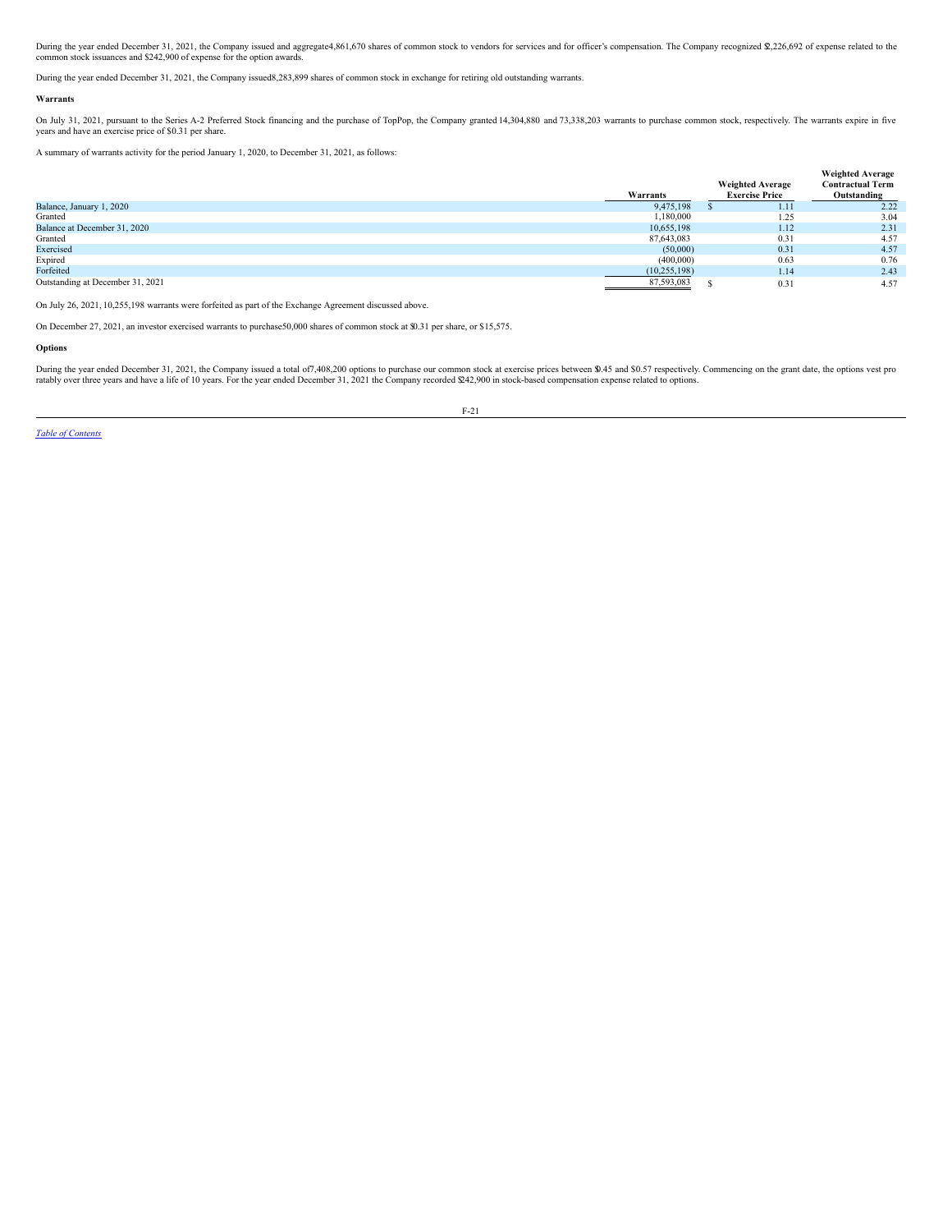During the year ended December 31, 2021, the Company issued and aggregate4,861,670 shares of common stock to vendors for services and for officer's compensation. The Company recognized \$2,226,692 of expense related to the common stock issuances and \$242,900 of expense for the option awards.

During the year ended December 31, 2021, the Company issued8,283,899 shares of common stock in exchange for retiring old outstanding warrants.

### **Warrants**

On July 31, 2021, pursuant to the Series A-2 Preferred Stock financing and the purchase of TopPop, the Company granted 14,304,880 and 73,338,203 warrants to purchase common stock, respectively. The warrants expire in five years and have an exercise price of \$0.31 per share.

A summary of warrants activity for the period January 1, 2020, to December 31, 2021, as follows:

|                                  | Warrants       | <b>Weighted Average</b><br><b>Exercise Price</b> | <b>Weighted Average</b><br><b>Contractual Term</b><br>Outstanding |
|----------------------------------|----------------|--------------------------------------------------|-------------------------------------------------------------------|
| Balance, January 1, 2020         | 9,475,198      | 1.11                                             | 2.22                                                              |
| Granted                          | 1,180,000      | 1.25                                             | 3.04                                                              |
| Balance at December 31, 2020     | 10,655,198     | 1.12                                             | 2.31                                                              |
| Granted                          | 87,643,083     | 0.31                                             | 4.57                                                              |
| Exercised                        | (50,000)       | 0.31                                             | 4.57                                                              |
| Expired                          | (400,000)      | 0.63                                             | 0.76                                                              |
| Forfeited                        | (10, 255, 198) | 1.14                                             | 2.43                                                              |
| Outstanding at December 31, 2021 | 87,593,083     | 0.31                                             | 4.57                                                              |

On July 26, 2021, 10,255,198 warrants were forfeited as part of the Exchange Agreement discussed above.

On December 27, 2021, an investor exercised warrants to purchase50,000 shares of common stock at \$0.31 per share, or \$15,575.

# **Options**

During the year ended December 31, 2021, the Company issued a total of7,408,200 options to purchase our common stock at exercise prices between \$.45 and \$0.57 respectively. Commencing on the grant date, the options vest pr

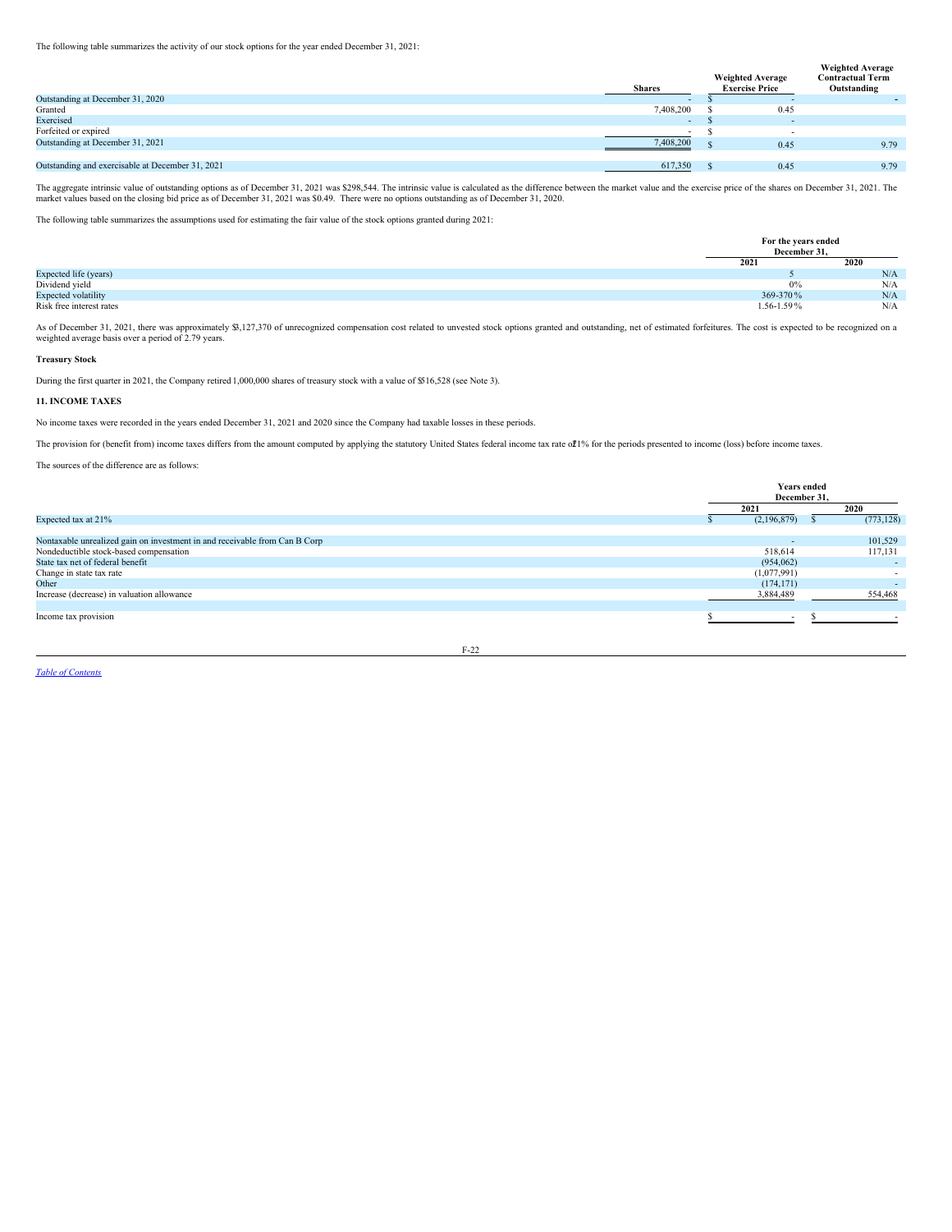The following table summarizes the activity of our stock options for the year ended December 31, 2021:

|                                                  | <b>Shares</b>            | <b>Weighted Average</b><br><b>Exercise Price</b> |                          | <b>Weighted Average</b><br><b>Contractual Term</b><br>Outstanding |  |
|--------------------------------------------------|--------------------------|--------------------------------------------------|--------------------------|-------------------------------------------------------------------|--|
| Outstanding at December 31, 2020                 | $\overline{\phantom{a}}$ |                                                  |                          |                                                                   |  |
| Granted                                          | 7,408,200                |                                                  | 0.45                     |                                                                   |  |
| Exercised                                        | $\sim$                   |                                                  |                          |                                                                   |  |
| Forfeited or expired                             | -                        |                                                  | $\overline{\phantom{a}}$ |                                                                   |  |
| Outstanding at December 31, 2021                 | 7.408.200                |                                                  | 0.45                     | 9.79                                                              |  |
|                                                  |                          |                                                  |                          |                                                                   |  |
| Outstanding and exercisable at December 31, 2021 | 617,350                  |                                                  | 0.45                     | 9.79                                                              |  |

The aggregate intrinsic value of outstanding options as of December 31, 2021 was \$298,544. The intrinsic value is calculated as the difference between the market value and the exercise price of the shares on December 31, 2

The following table summarizes the assumptions used for estimating the fair value of the stock options granted during 2021:

|                            | For the years ended<br>December 31. |      |
|----------------------------|-------------------------------------|------|
|                            | 2021                                | 2020 |
| Expected life (years)      |                                     | N/A  |
| Dividend yield             | 0%                                  | N/A  |
| <b>Expected volatility</b> | 369-370%                            | N/A  |
| Risk free interest rates   | $1.56 - 1.59\%$                     | N/A  |

As of December 31, 2021, there was approximately \$3,127,370 of unrecognized compensation cost related to unvested stock options granted and outstanding, net of estimated forfeitures. The cost is expected to be recognized o

# **Treasury Stock**

During the first quarter in 2021, the Company retired 1,000,000 shares of treasury stock with a value of \$516,528 (see Note 3).

# **11. INCOME TAXES**

No income taxes were recorded in the years ended December 31, 2021 and 2020 since the Company had taxable losses in these periods.

The provision for (benefit from) income taxes differs from the amount computed by applying the statutory United States federal income tax rate o21% for the periods presented to income (loss) before income taxes.

The sources of the difference are as follows:

|                                                                            | <b>Years</b> ended<br>December 31, |  |            |
|----------------------------------------------------------------------------|------------------------------------|--|------------|
|                                                                            | 2021                               |  | 2020       |
| Expected tax at 21%                                                        | (2,196,879)                        |  | (773, 128) |
|                                                                            |                                    |  |            |
| Nontaxable unrealized gain on investment in and receivable from Can B Corp |                                    |  | 101,529    |
| Nondeductible stock-based compensation                                     | 518,614                            |  | 117,131    |
| State tax net of federal benefit                                           | (954, 062)                         |  | $\sim$     |
| Change in state tax rate                                                   | (1,077,991)                        |  | $\sim$     |
| Other                                                                      | (174, 171)                         |  | $\sim$     |
| Increase (decrease) in valuation allowance                                 | 3,884,489                          |  | 554,468    |
|                                                                            |                                    |  |            |
| Income tax provision                                                       | -                                  |  |            |
|                                                                            |                                    |  |            |

F-22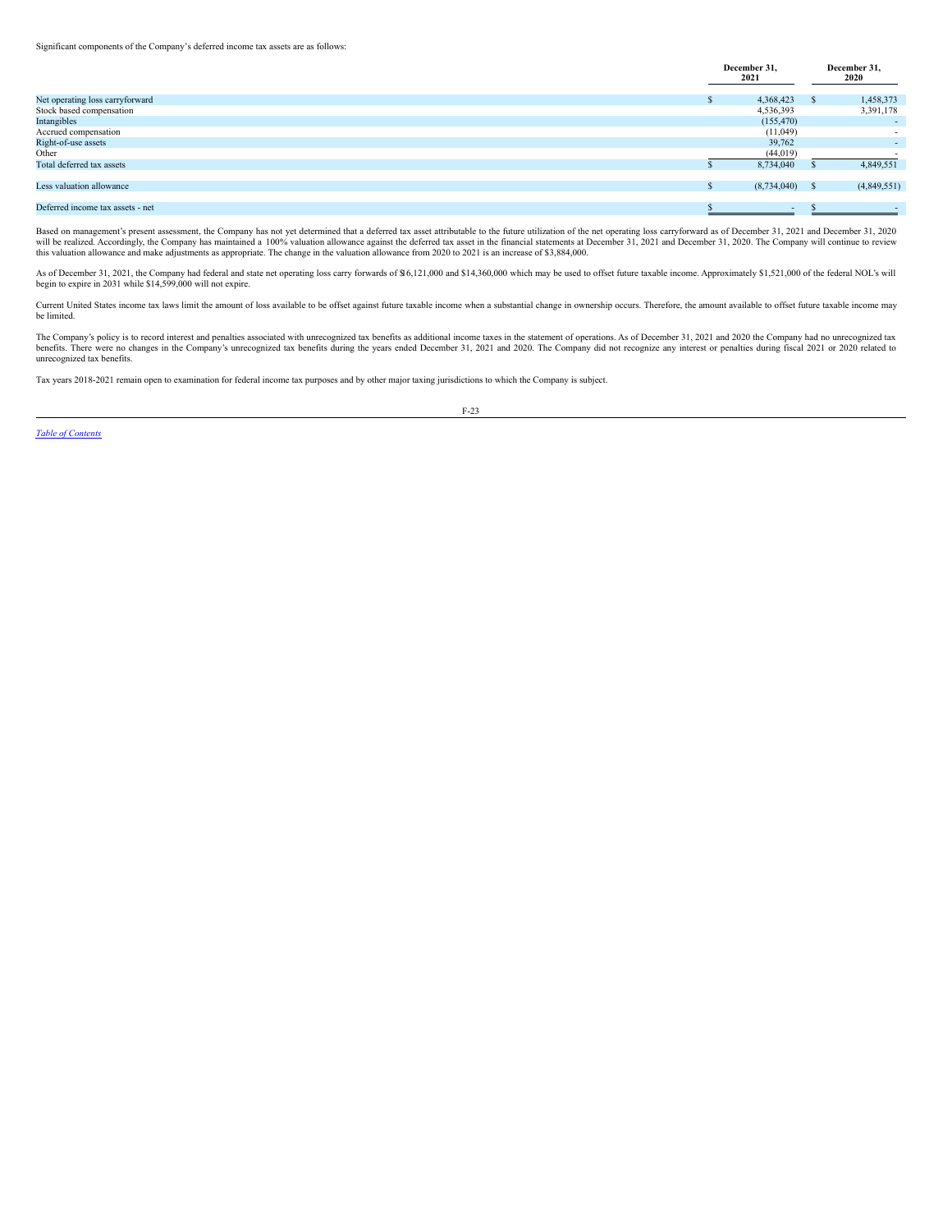# Significant components of the Company's deferred income tax assets are as follows:

|                                  | December 31,<br>2021 |  | December 31,<br>2020     |  |
|----------------------------------|----------------------|--|--------------------------|--|
| Net operating loss carryforward  | 4,368,423            |  | 1,458,373                |  |
| Stock based compensation         | 4,536,393            |  | 3,391,178                |  |
| Intangibles                      | (155, 470)           |  | $\overline{\phantom{a}}$ |  |
| Accrued compensation             | (11,049)             |  | $\sim$                   |  |
| Right-of-use assets              | 39,762               |  | $\sim$ .                 |  |
| Other                            | (44, 019)            |  | $\overline{\phantom{a}}$ |  |
| Total deferred tax assets        | 8,734,040            |  | 4,849,551                |  |
|                                  |                      |  |                          |  |
| Less valuation allowance         | (8,734,040)          |  | (4,849,551)              |  |
|                                  |                      |  |                          |  |
| Deferred income tax assets - net | $\sim$               |  |                          |  |
|                                  |                      |  |                          |  |

Based on management's present assessment, the Company has not yet determined that a deferred tax asset attributable to the future utilization of the net operating loss carryforward as of December 31, 2021 and December 31,

As of December 31, 2021, the Company had federal and state net operating loss carry forwards of \$6,121,000 and \$14,360,000 which may be used to offset future taxable income. Approximately \$1,521,000 of the federal NOL's wi

Current United States income tax laws limit the amount of loss available to be offset against future taxable income when a substantial change in ownership occurs. Therefore, the amount available to offset future taxable in be limited.

The Company's policy is to record interest and penalties associated with unrecognized tax benefits as additional income taxes in the statement of operations. As of December 31, 2021 and 2020 the Company had no unrecognized

Tax years 2018-2021 remain open to examination for federal income tax purposes and by other major taxing jurisdictions to which the Company is subject.

*Table of [Contents](#page-31-0)*

F-23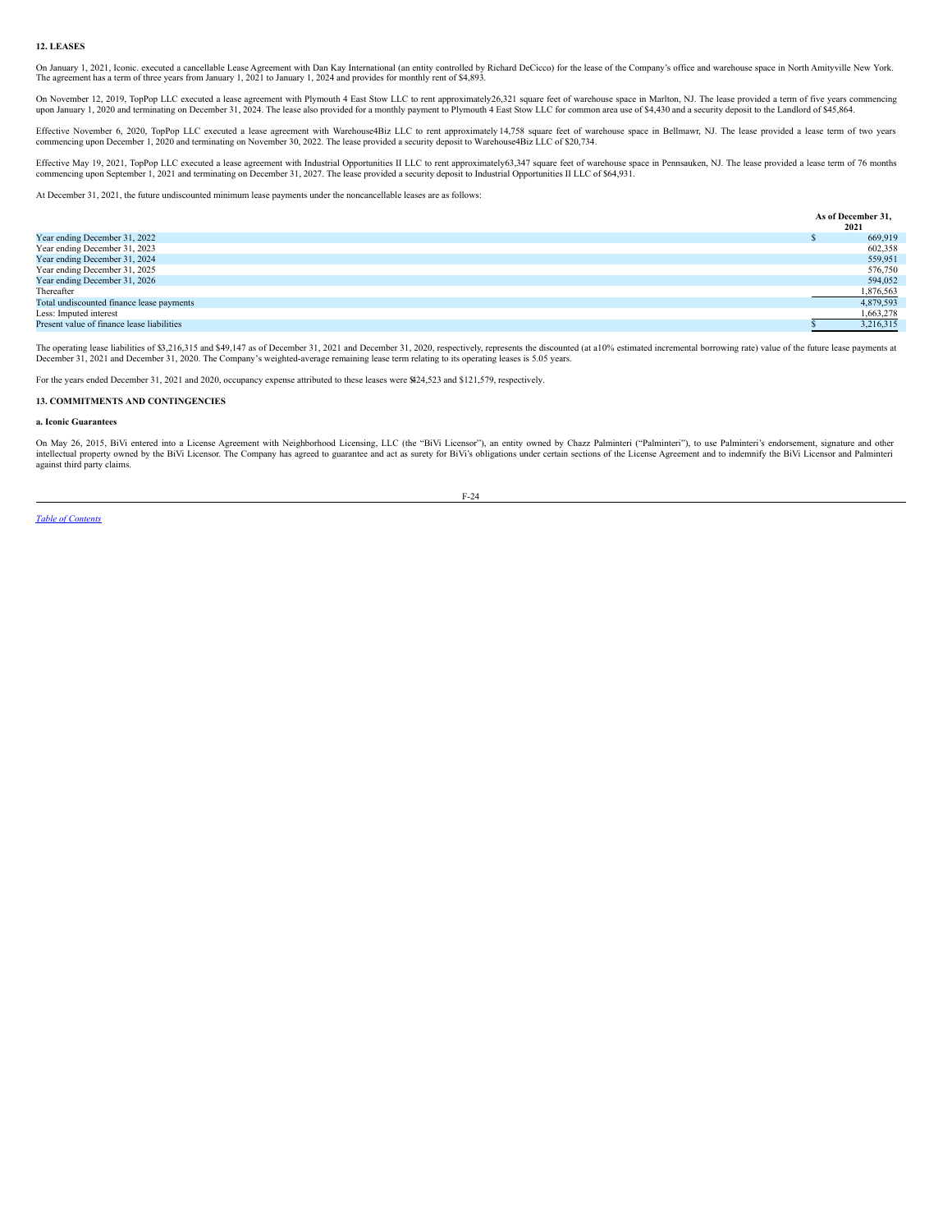On January 1, 2021, Iconic. executed a cancellable Lease Agreement with Dan Kay International (an entity controlled by Richard DeCicco) for the lease of the Company's office and warehouse space in North Amityville New York

On November 12, 2019, TopPop LLC executed a lease agreement with Plymouth 4 East Stow LLC to rent approximately26,321 square feet of warehouse space in Marlton, NJ. The lease provided a term of five years commencing upon January 1, 2020 and terminating on December 31, 2024. The lease also provided for a monthly payment to Plymouth 4 East Stow LLC for common area use of \$4,430 and a security deposit to the Landlord of \$45,864.

Effective November 6, 2020, TopPop LLC executed a lease agreement with Warehouse4Biz LLC to rent approximately 14,758 square feet of warehouse space in Bellmawr, NJ. The lease provided a lease term of two years<br>commencing

Effective May 19, 2021, TopPop LLC executed a lease agreement with Industrial Opportunities II LLC to rent approximately63,347 square feet of warehouse space in Pennsauken, NJ. The lease provided a lease term of 76 months<br>

At December 31, 2021, the future undiscounted minimum lease payments under the noncancellable leases are as follows:

|                                            | As of December 31, |           |
|--------------------------------------------|--------------------|-----------|
|                                            |                    | 2021      |
| Year ending December 31, 2022              |                    | 669,919   |
| Year ending December 31, 2023              |                    | 602,358   |
| Year ending December 31, 2024              |                    | 559,951   |
| Year ending December 31, 2025              |                    | 576,750   |
| Year ending December 31, 2026              |                    | 594,052   |
| Thereafter                                 |                    | 1,876,563 |
| Total undiscounted finance lease payments  |                    | 4,879,593 |
| Less: Imputed interest                     |                    | 1,663,278 |
| Present value of finance lease liabilities |                    | 3,216,315 |

The operating lease liabilities of \$3,216,315 and \$49,147 as of December 31, 2021 and December 31, 2020, respectively, represents the discounted (at a 10% estimated incremental borrowing rate) value of the future lease pay

For the years ended December 31, 2021 and 2020, occupancy expense attributed to these leases were \$424,523 and \$121,579, respectively.

# **13. COMMITMENTS AND CONTINGENCIES**

# **a. Iconic Guarantees**

On May 26, 2015, BiVi entered into a License Agreement with Neighborhood Licensing, LLC (the "BiVi Licensor"), an entity owned by Chazz Palminteri ("Palminteri"), to use Palminteri's endorsement, signature and other intellectual property owned by the BiVi Licensor. The Company has agreed to guarantee and act as surety for BiVi's obligations under certain sections of the License Agreement and to indemnify the BiVi Licensor and Palminte

F-24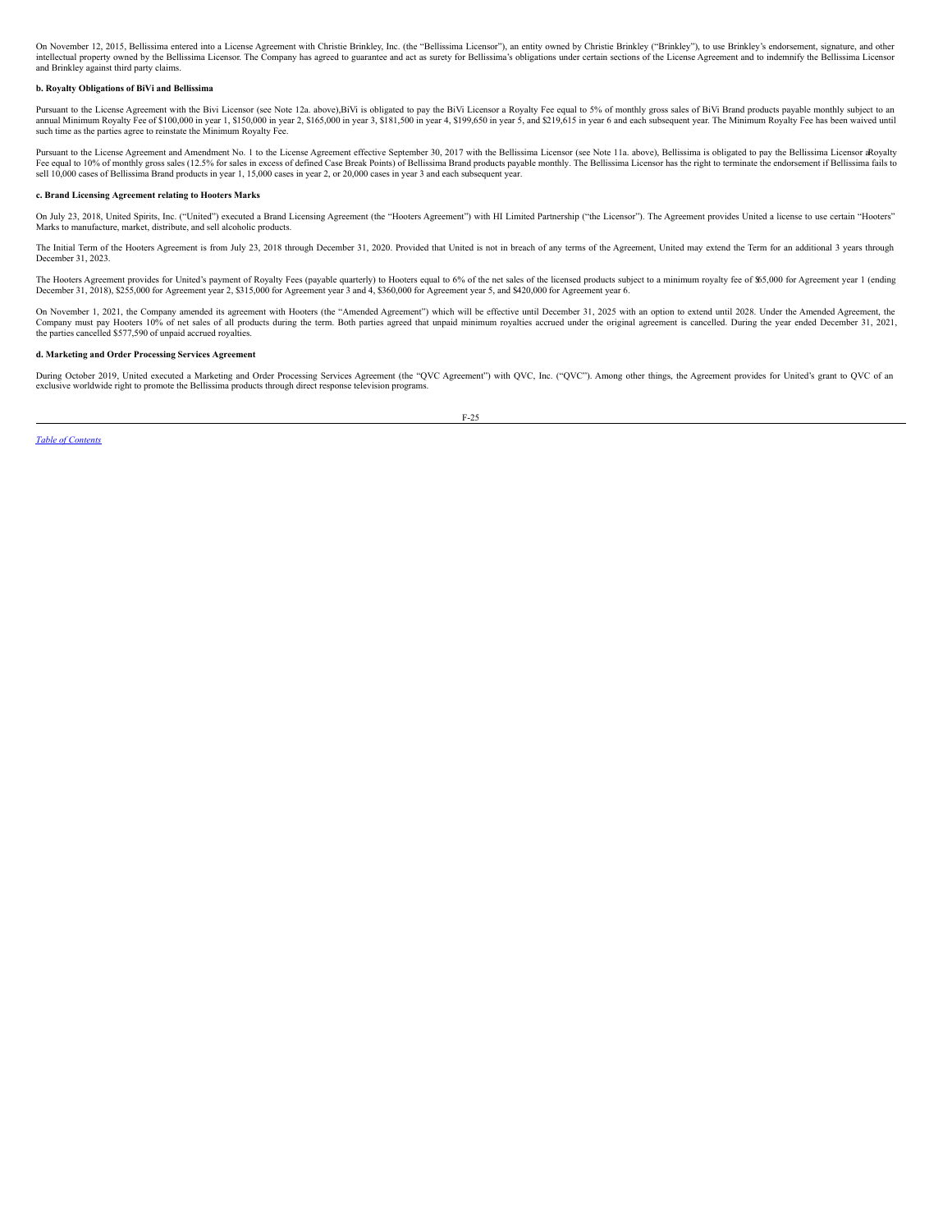On November 12, 2015, Bellissima entered into a License Agreement with Christie Brinkley, Inc. (the "Bellissima Licensor"), an entity owned by Christie Brinkley ("Brinkley"), to use Brinkley's endorsement, signature, and o intellectual property owned by the Bellissima Licensor. The Company has agreed to guarantee and act as surety for Bellissima's obligations under certain sections of the License Agreement and to indemnify the Bellissima Lic and Brinkley against third party claims.

#### **b. Royalty Obligations of BiVi and Bellissima**

Pursuant to the License Agreement with the Bivi Licensor (see Note 12a. above),BiVi is obligated to pay the BiVi Licensor a Royalty Fee equal to 5% of monthly gross sales of BiVi Brand products payable monthly subject to a such time as the parties agree to reinstate the Minimum Royalty Fee.

Pursuant to the License Agreement and Amendment No. 1 to the License Agreement effective September 30, 2017 with the Bellissima Licensor (see Note 11a. above), Bellissima is obligated to pay the Bellissima Licensor aRoyalt Fee equal to 10% of monthly gross sales (12.5% for sales in excess of defined Case Break Points) of Bellissima Brand products payable monthly. The Bellissima Licensor has the right to terminate the endorsement if Bellissim

### **c. Brand Licensing Agreement relating to Hooters Marks**

On July 23, 2018, United Spirits, Inc. ("United") executed a Brand Licensing Agreement (the "Hooters Agreement") with HI Limited Partnership ("the Licensor"). The Agreement provides United a license to use certain "Hooters

The Initial Term of the Hooters Agreement is from July 23, 2018 through December 31, 2020. Provided that United is not in breach of any terms of the Agreement, United may extend the Term for an additional 3 years through December 31, 2023.

The Hooters Agreement provides for United's payment of Royalty Fees (payable quarterly) to Hooters equal to 6% of the net sales of the licensed products subject to a minimum royalty fee of \$55,000 for Agreement year 1 (end

On November 1, 2021, the Company amended its agreement with Hooters (the "Amended Agreement") which will be effective until December 31, 2025 with an option to extend until 2028. Under the Amended Agreement, the Company must pay Hooters 10% of net sales of all products during the term. Both parties agreed that unpaid minimum royalties accrued under the original agreement is cancelled. During the year ended December 31, 2021, the p

### **d. Marketing and Order Processing Services Agreement**

During October 2019, United executed a Marketing and Order Processing Services Agreement (the "QVC Agreement") with QVC, Inc. ("QVC"). Among other things, the Agreement provides for United's grant to QVC of an exclusive worldwide right to promote the Bellissima products through direct response television programs.

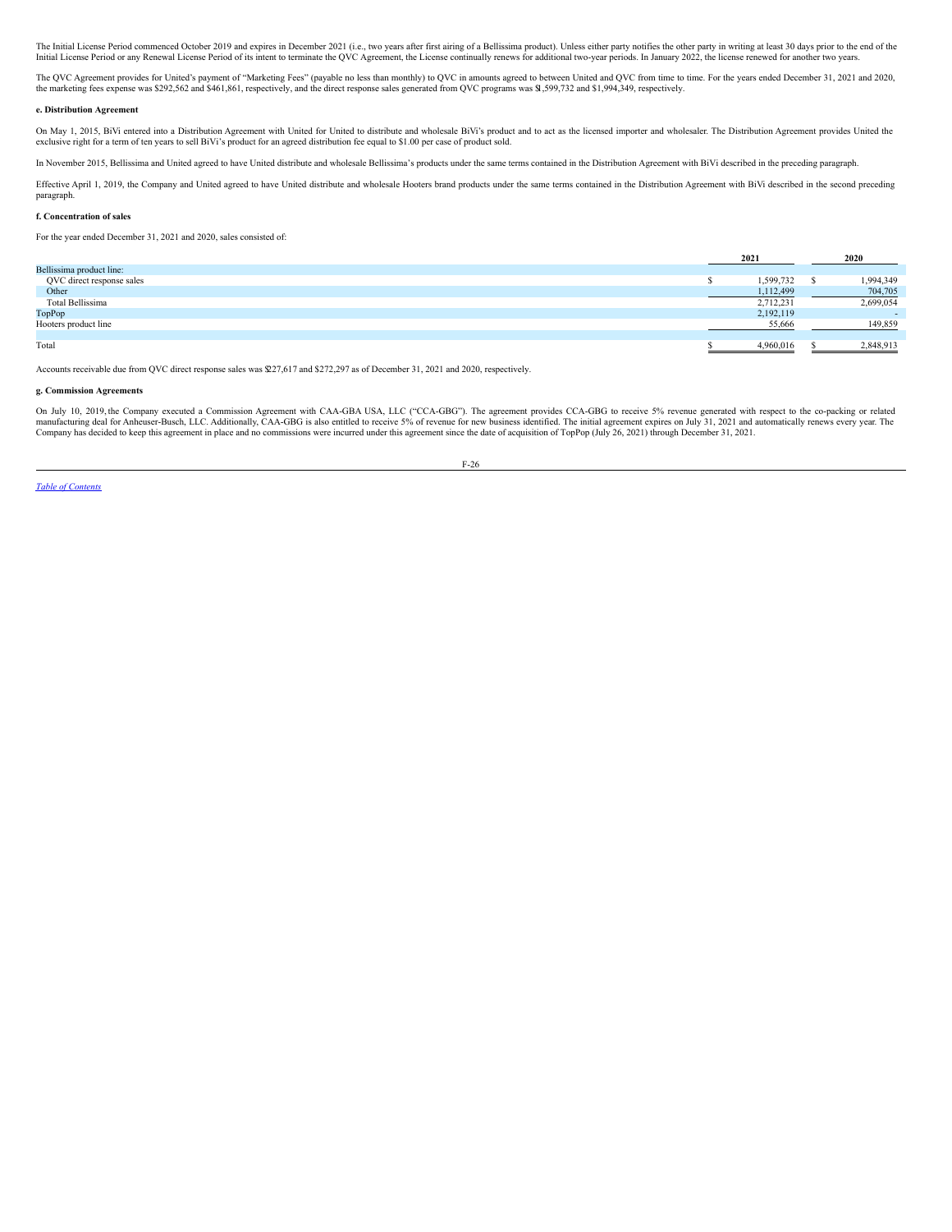The Initial License Period commenced October 2019 and expires in December 2021 (i.e., two years after first airing of a Bellissima product). Unless either party notifies the other party in writing at least 30 days prior to Initial License Period or any Renewal License Period of its intent to terminate the QVC Agreement, the License continually renews for additional two-year periods. In January 2022, the license renewed for another two years.

The QVC Agreement provides for United's payment of "Marketing Fees" (payable no less than monthly) to QVC in amounts agreed to between United and QVC from time to time. For the years ended December 31, 2021 and 2020, the marketing fees expense was \$292,562 and \$461,861, respectively, and the direct response sales generated from QVC programs was \$1,599,732 and \$1,994,349, respectively.

# **e. Distribution Agreement**

On May 1, 2015, BiVi entered into a Distribution Agreement with United for United to distribute and wholesale BiVi's product and to act as the licensed importer and wholesaler. The Distribution Agreement provides United the exclusive right for a term of ten years to sell BiVi's product for an agreed distribution fee equal to \$1.00 per case of product sold.

In November 2015, Bellissima and United agreed to have United distribute and wholesale Bellissima's products under the same terms contained in the Distribution Agreement with BiVi described in the preceding paragraph.

Effective April 1, 2019, the Company and United agreed to have United distribute and wholesale Hooters brand products under the same terms contained in the Distribution Agreement with BiVi described in the second preceding paragraph.

#### **f. Concentration of sales**

For the year ended December 31, 2021 and 2020, sales consisted of:

|                           | 2021      |  | 2020            |
|---------------------------|-----------|--|-----------------|
| Bellissima product line:  |           |  |                 |
| QVC direct response sales | 1,599,732 |  | 1,994,349       |
| Other                     | 1,112,499 |  | 704,705         |
| Total Bellissima          | 2,712,231 |  | 2,699,054       |
| TopPop                    | 2,192,119 |  | <b>Contract</b> |
| Hooters product line      | 55,666    |  | 149,859         |
|                           |           |  |                 |
| Total                     | 4,960,016 |  | 2,848,913       |
|                           |           |  |                 |

Accounts receivable due from QVC direct response sales was \$227,617 and \$272,297 as of December 31, 2021 and 2020, respectively.

### **g. Commission Agreements**

On July 10, 2019, the Company executed a Commission Agreement with CAA-GBA USA, LLC ("CCA-GBG"). The agreement provides CCA-GBG to receive 5% revenue generated with respect to the co-packing or related orn Anheuser-Busch,

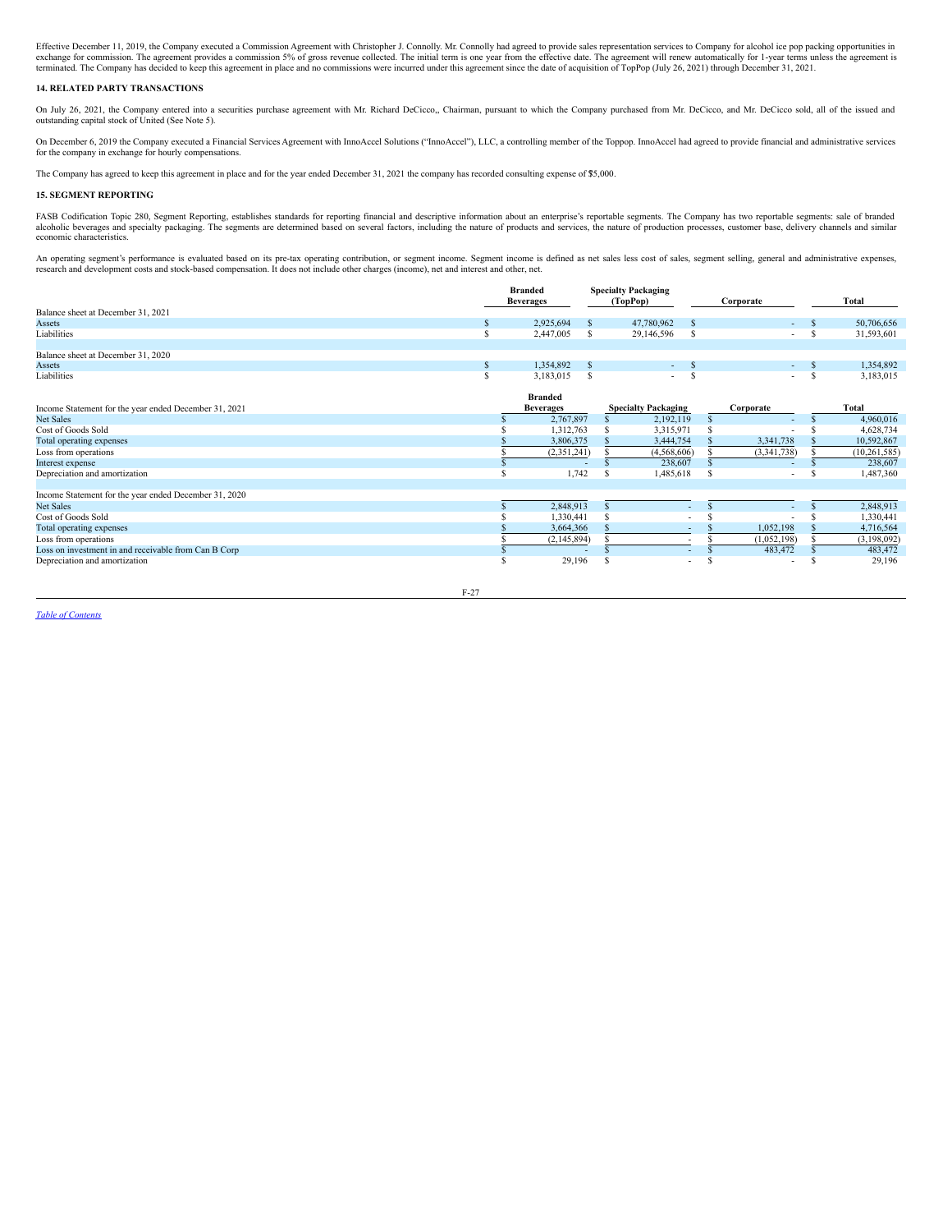Effective December 11, 2019, the Company executed a Commission Agreement with Christopher J. Connolly. Mr. Connolly had agreed to provide sales representation services to Company for alcohol ice pop packing opportunities i exchange for commission. The agreement provides a commission 5% of gross revenue collected. The initial term is one year from the effective date. The agreement will renew automatically for 1-year terms unless the agreement terminated. The Company has decided to keep this agreement in place and no commissions were incurred under this agreement since the date of acquisition of TopPop (July 26, 2021) through December 31, 2021.

### **14. RELATED PARTY TRANSACTIONS**

On July 26, 2021, the Company entered into a securities purchase agreement with Mr. Richard DeCicco,, Chairman, pursuant to which the Company purchased from Mr. DeCicco, and Mr. DeCicco sold, all of the issued and outstand

On December 6, 2019 the Company executed a Financial Services Agreement with InnoAccel Solutions ("InnoAccel"), LLC, a controlling member of the Toppop. InnoAccel had agreed to provide financial and administrative services

The Company has agreed to keep this agreement in place and for the year ended December 31, 2021 the company has recorded consulting expense of \$75,000.

# **15. SEGMENT REPORTING**

FASB Codification Topic 280, Segment Reporting, establishes standards for reporting financial and descriptive information about an enterprise's reportable segments. The Company has two reportable segments: sale of branded economic characteristics.

An operating segment's performance is evaluated based on its pre-tax operating contribution, or segment income. Segment income is defined as net sales less cost of sales, segment selling, general and administrative expense research and development costs and stock-based compensation. It does not include other charges (income), net and interest and other, net.

|                                                       |   | <b>Branded</b><br><b>Beverages</b> |    | <b>Specialty Packaging</b><br>(TopPop) |               | Corporate                |     | Total          |
|-------------------------------------------------------|---|------------------------------------|----|----------------------------------------|---------------|--------------------------|-----|----------------|
| Balance sheet at December 31, 2021                    |   |                                    |    |                                        |               |                          |     |                |
| Assets                                                |   | 2,925,694                          | -S | 47,780,962                             | $\mathcal{S}$ |                          |     | 50,706,656     |
| Liabilities                                           | S | 2,447,005                          | S  | 29,146,596                             | S             | $\sim$                   | -S  | 31,593,601     |
| Balance sheet at December 31, 2020                    |   |                                    |    |                                        |               |                          |     |                |
| Assets                                                | S | 1,354,892                          | -S | $\Delta \sim 10^4$                     | -8            | $\sim 10$                | - S | 1,354,892      |
| Liabilities                                           | S | 3,183,015                          | -S | $\sim 10$                              | S             | $\sim$                   | -S  | 3,183,015      |
|                                                       |   | <b>Branded</b>                     |    |                                        |               |                          |     |                |
| Income Statement for the year ended December 31, 2021 |   | <b>Beverages</b>                   |    | <b>Specialty Packaging</b>             |               | Corporate                |     | Total          |
| <b>Net Sales</b>                                      |   | 2,767,897                          |    | 2,192,119                              |               | $\sim$                   | S   | 4,960,016      |
| Cost of Goods Sold                                    |   | 1,312,763                          |    | 3,315,971                              |               |                          |     | 4,628,734      |
| Total operating expenses                              |   | 3,806,375                          |    | 3,444,754                              |               | 3,341,738                |     | 10,592,867     |
| Loss from operations                                  |   | (2,351,241)                        |    | (4,568,606)                            |               | (3,341,738)              |     | (10, 261, 585) |
| Interest expense                                      |   |                                    |    | 238,607                                |               |                          |     | 238,607        |
| Depreciation and amortization                         |   | 1,742                              |    | 1,485,618                              |               | $\overline{\phantom{a}}$ |     | 1,487,360      |
| Income Statement for the year ended December 31, 2020 |   |                                    |    |                                        |               |                          |     |                |
| <b>Net Sales</b>                                      |   | 2,848,913                          |    | ٠                                      |               | $\sim$                   |     | 2,848,913      |
| Cost of Goods Sold                                    |   | 1,330,441                          |    | ٠                                      |               |                          |     | 1,330,441      |
| Total operating expenses                              |   | 3,664,366                          |    | ٠                                      |               | 1,052,198                |     | 4,716,564      |
| Loss from operations                                  |   | (2, 145, 894)                      |    | $\overline{\phantom{a}}$               |               | (1,052,198)              |     | (3,198,092)    |
| Loss on investment in and receivable from Can B Corp  |   |                                    |    | ٠                                      |               | 483,472                  |     | 483,472        |
| Depreciation and amortization                         | ъ | 29,196                             |    | ٠                                      | S             |                          |     | 29,196         |

F-27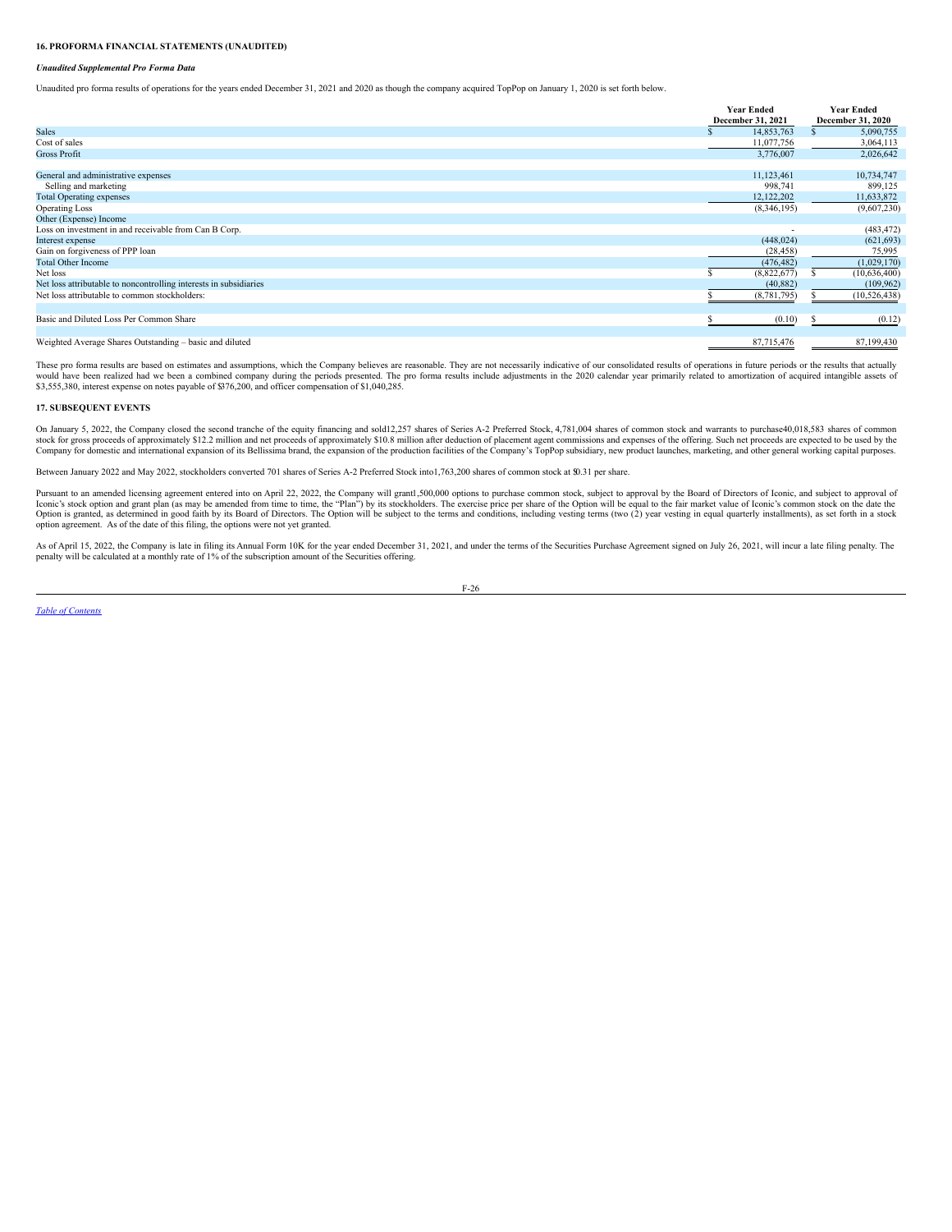# **16. PROFORMA FINANCIAL STATEMENTS (UNAUDITED)**

#### *Unaudited Supplemental Pro Forma Data*

Unaudited pro forma results of operations for the years ended December 31, 2021 and 2020 as though the company acquired TopPop on January 1, 2020 is set forth below.

|                                                                   | <b>Year Ended</b> | <b>Year Ended</b> |  |
|-------------------------------------------------------------------|-------------------|-------------------|--|
|                                                                   | December 31, 2021 | December 31, 2020 |  |
| <b>Sales</b>                                                      | 14,853,763        | 5,090,755         |  |
| Cost of sales                                                     | 11,077,756        | 3,064,113         |  |
| <b>Gross Profit</b>                                               | 3,776,007         | 2,026,642         |  |
|                                                                   |                   |                   |  |
| General and administrative expenses                               | 11,123,461        | 10,734,747        |  |
| Selling and marketing                                             | 998,741           | 899,125           |  |
| <b>Total Operating expenses</b>                                   | 12,122,202        | 11,633,872        |  |
| <b>Operating Loss</b>                                             | (8,346,195)       | (9,607,230)       |  |
| Other (Expense) Income                                            |                   |                   |  |
| Loss on investment in and receivable from Can B Corp.             |                   | (483, 472)        |  |
| Interest expense                                                  | (448, 024)        | (621, 693)        |  |
| Gain on forgiveness of PPP loan                                   | (28, 458)         | 75,995            |  |
| <b>Total Other Income</b>                                         | (476, 482)        | (1,029,170)       |  |
| Net loss                                                          | (8,822,677)       | (10,636,400)      |  |
| Net loss attributable to noncontrolling interests in subsidiaries | (40, 882)         | (109, 962)        |  |
| Net loss attributable to common stockholders:                     | (8,781,795)       | (10, 526, 438)    |  |
|                                                                   |                   |                   |  |
| Basic and Diluted Loss Per Common Share                           | (0.10)            | (0.12)            |  |
| Weighted Average Shares Outstanding - basic and diluted           | 87,715,476        | 87,199,430        |  |

These pro forma results are based on estimates and assumptions, which the Company believes are reasonable. They are not necessarily indicative of our consolidated results of operations in future periods or the results that would have been realized had we been a combined company during the periods presented. The pro forma results include adjustments in the 2020 calendar year primarily related to amortization of acquired intangible assets of \$

### **17. SUBSEQUENT EVENTS**

On January 5, 2022, the Company closed the second tranche of the equity financing and sold12,257 shares of Series A-2 Preferred Stock, 4,781,004 shares of common stock and warrants to purchase40,018,583 shares of common<br>st Company for domestic and international expansion of its Bellissima brand, the expansion of the production facilities of the Company's TopPop subsidiary, new product launches, marketing, and other general working capital pu

Between January 2022 and May 2022, stockholders converted 701 shares of Series A-2 Preferred Stock into1,763,200 shares of common stock at \$0.31 per share.

Pursuant to an amended licensing agreement entered into on April 22, 2022, the Company will grant1,500,000 options to purchase common stock, subject to approval by the Board of Directors of Iconic, and subject to approval Iconic's stock option and grant plan (as may be amended from time to time, the "Plan") by its stockholders. The exercise price per share of the Option will be equal to the fair market value of Iconic's common stock on the option agreement. As of the date of this filing, the options were not yet granted.

As of April 15, 2022, the Company is late in filing its Annual Form 10K for the year ended December 31, 2021, and under the terms of the Securities Purchase Agreement signed on July 26, 2021, will incur a late filing penal penalty will be calculated at a monthly rate of 1% of the subscription amount of the Securities offering.

F-26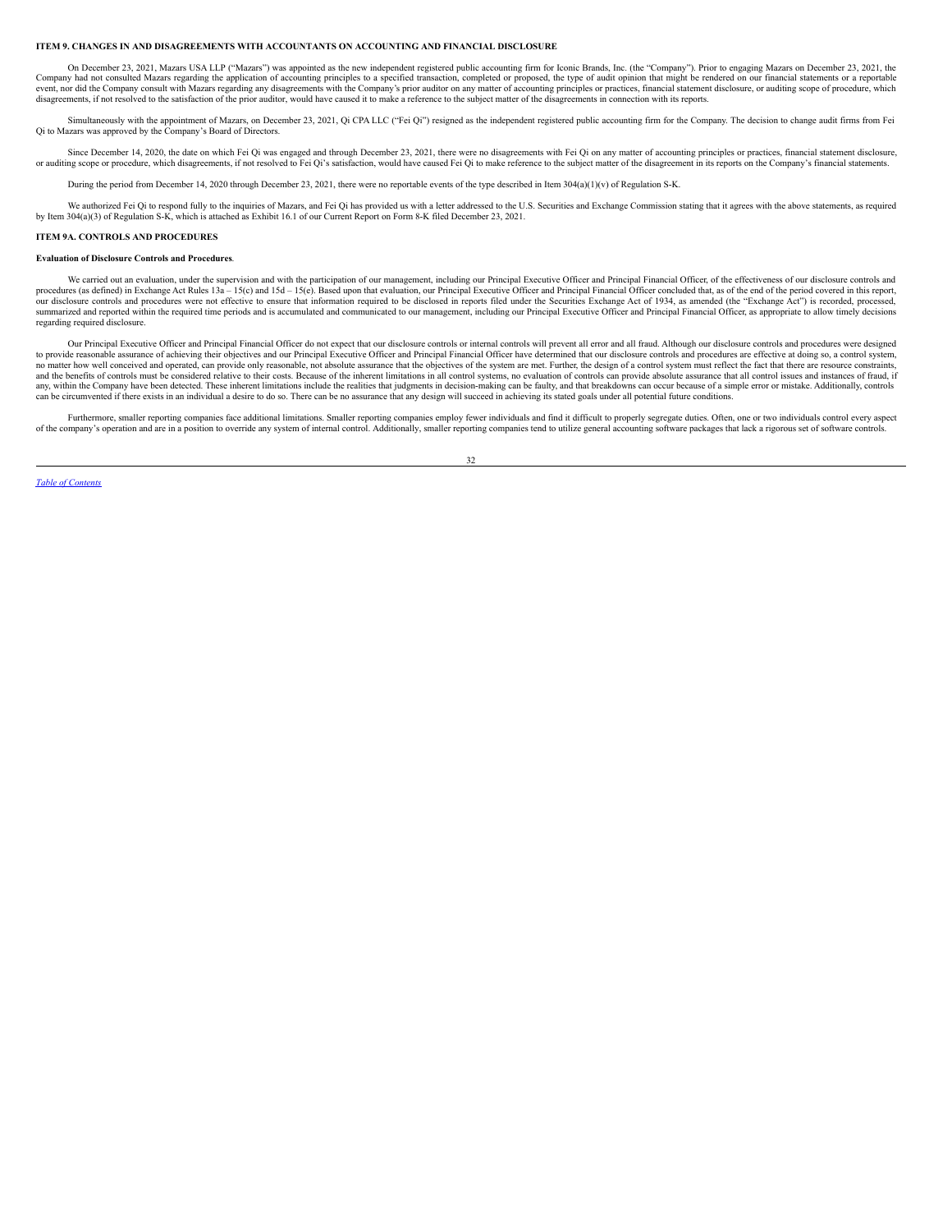# **ITEM 9. CHANGES IN AND DISAGREEMENTS WITH ACCOUNTANTS ON ACCOUNTING AND FINANCIAL DISCLOSURE**

On December 23, 2021, Mazars USA LLP ("Mazars") was appointed as the new independent registered public accounting firm for Iconic Brands, Inc. (the "Company"). Prior to engaging Mazars on December 23, 2021, the Company had not consulted Mazars regarding the application of accounting principles to a specified transaction, completed or proposed, the type of audit opinion that might be rendered on our financial statements or a repor event, nor did the Company consult with Mazars regarding any disagreements with the Company's prior auditor on any matter of accounting principles or practices, financial statement disclosure, or auditing scope of procedur

Simultaneously with the appointment of Mazars, on December 23, 2021, Qi CPA LLC ("Fei Qi") resigned as the independent registered public accounting firm for the Company. The decision to change audit firms from Fei Qi to Mazars was approved by the Company's Board of Directors.

Since December 14, 2020, the date on which Fei Qi was engaged and through December 23, 2021, there were no disagreements with Fei Qi on any matter of accounting principles or practices, financial statement disclosure, or auditing scope or procedure, which disagreements, if not resolved to Fei Qi's satisfaction, would have caused Fei Qi to make reference to the subject matter of the disagreement in its reports on the Company's financial

During the period from December 14, 2020 through December 23, 2021, there were no reportable events of the type described in Item 304(a)(1)(v) of Regulation S-K.

We authorized Fei Qi to respond fully to the inquiries of Mazars, and Fei Qi has provided us with a letter addressed to the U.S. Securities and Exchange Commission stating that it agrees with the above statements, as requi by Item 304(a)(3) of Regulation S-K, which is attached as Exhibit 16.1 of our Current Report on Form 8-K filed December 23, 2021.

#### **ITEM 9A. CONTROLS AND PROCEDURES**

#### **Evaluation of Disclosure Controls and Procedures**.

We carried out an evaluation, under the supervision and with the participation of our management, including our Principal Executive Officer and Principal Financial Officer, of the effectiveness of our disclosure controls a procedures (as defined) in Exchange Act Rules 13a - 15(c) and 15d - 15(e). Based upon that evaluation, our Principal Executive Officer and Principal Financial Officer concluded that, as of the end of the period covered in our disclosure controls and procedures were not effective to ensure that information required to be disclosed in reports filed under the Securities Exchange Act of 1934, as amended (the "Exchange Act") is recorded, process summarized and reported within the required time periods and is accumulated and communicated to our management, including our Principal Executive Officer and Principal Financial Officer, as appropriate to allow timely deci regarding required disclosure.

Our Principal Executive Officer and Principal Financial Officer do not expect that our disclosure controls or internal controls will prevent all error and all fraud. Although our disclosure controls and procedures were des to provide reasonable assurance of achieving their objectives and our Principal Executive Officer and Principal Einancial Officer have determined that our disclosure controls and procedures are effective at doing so, a con no matter how well conceived and operated, can provide only reasonable, not absolute assurance that the objectives of the system are met. Further, the design of a control system must reflect the fact that there are resourc and the benefits of controls must be considered relative to their costs. Because of the inherent limitations in all control systems, no evaluation of controls can provide absolute assurance that all control issues and inst any, within the Company have been detected. These inherent limitations include the realities that judgments in decision-making can be faulty, and that breakdowns can occur because of a simple error or mistake. Additionally can be circumvented if there exists in an individual a desire to do so. There can be no assurance that any design will succeed in achieving its stated goals under all potential future conditions.

Furthermore, smaller reporting companies face additional limitations. Smaller reporting companies employ fewer individuals and find it difficult to properly segregate duties. Often, one or two individuals control every asp of the company's operation and are in a position to override any system of internal control. Additionally, smaller reporting companies tend to utilize general accounting software packages that lack a rigorous set of softwa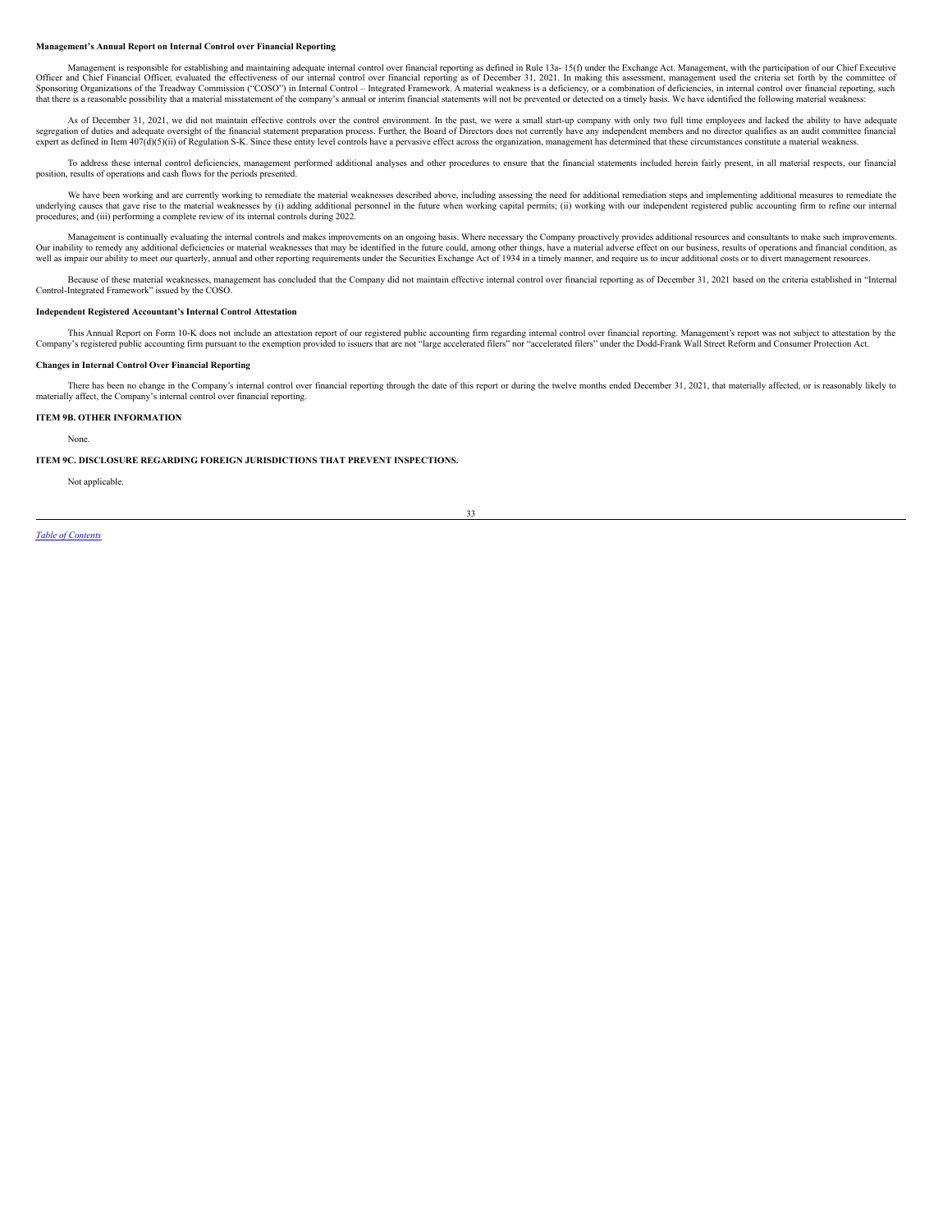# **Management's Annual Report on Internal Control over Financial Reporting**.

Management is responsible for establishing and maintaining adequate internal control over financial reporting as defined in Rule 13a-15(f) under the Exchange Act. Management, with the participation of our Chief Executive<br>O Sponsoring Organizations of the Treadway Commission ("COSO") in Internal Control – Integrated Framework. A material weakness is a deficiency, or a combination of deficiencies, in internal control over financial reporting,

As of December 31, 2021, we did not maintain effective controls over the control environment. In the past, we were a small start-up company with only two full time employees and lacked the ability to have adequate segregation of duties and adequate oversight of the financial statement preparation process. Further, the Board of Directors does not currently have any independent members and no director qualifies as an audit committee f expert as defined in Item 407(d)(5)(ii) of Regulation S-K. Since these entity level controls have a pervasive effect across the organization, management has determined that these circumstances constitute a material weaknes

To address these internal control deficiencies, management performed additional analyses and other procedures to ensure that the financial statements included herein fairly present, in all material respects, our financial position, results of operations and cash flows for the periods presented.

We have been working and are currently working to remediate the material weaknesses described above, including assessing the need for additional remediation steps and implementing additional measures to remediate the mater procedures; and (iii) performing a complete review of its internal controls during 2022.

Management is continually evaluating the internal controls and makes improvements on an ongoing basis. Where necessary the Company proactively provides additional resources and consultants to make such improvements.<br>Our in well as impair our additional costs or to divert management resources. We are a set of the Securities Exchange Act of 1934 in a timely manner, and require us to incur additional costs or to divert management resources.

Because of these material weaknesses, management has concluded that the Company did not maintain effective internal control over financial reporting as of December 31, 2021 based on the criteria established in "Internal Control-Integrated Framework" issued by the COSO.

#### **Independent Registered Accountant's Internal Control Attestation**

This Annual Report on Form 10-K does not include an attestation report of our registered public accounting firm regarding internal control over financial reporting. Management's report was not subject to attestation by the Company's registered public accounting firm pursuant to the exemption provided to issuers that are not "large accelerated filers" nor "accelerated filers" under the Dodd-Frank Wall Street Reform and Consumer Protection Act.

### **Changes in Internal Control Over Financial Reporting**

There has been no change in the Company's internal control over financial reporting through the date of this report or during the twelve months ended December 31, 2021, that materially affected, or is reasonably likely to materially affect, the Company's internal control over financial reporting.

### **ITEM 9B. OTHER INFORMATION**

None.

# **ITEM 9C. DISCLOSURE REGARDING FOREIGN JURISDICTIONS THAT PREVENT INSPECTIONS.**

Not applicable.

33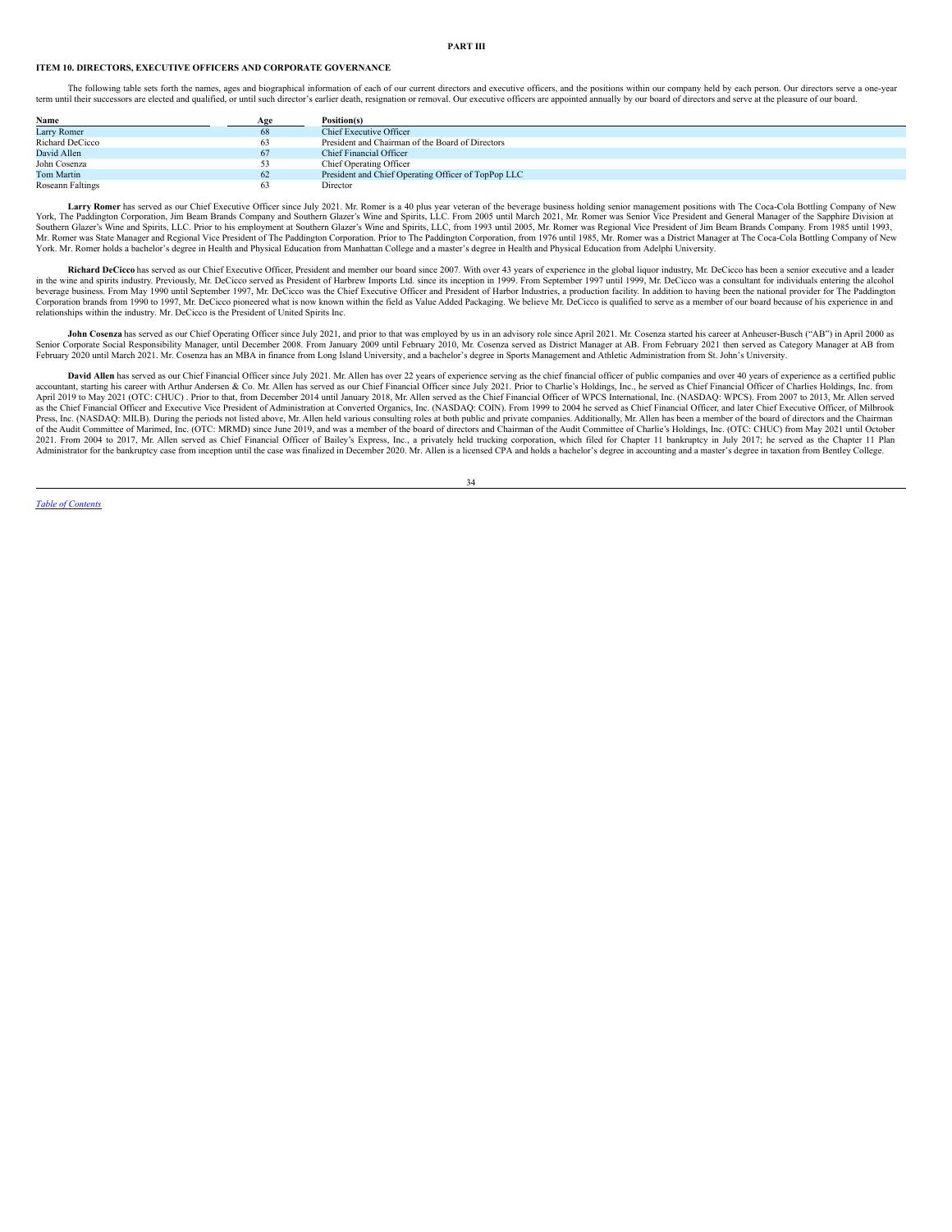### **ITEM 10. DIRECTORS, EXECUTIVE OFFICERS AND CORPORATE GOVERNANCE**

The following table sets forth the names, ages and biographical information of each of our current directors and executive officers, and the positions within our company held by each person. Our directors serve a one-year term until their successors are elected and qualified, or until such director's earlier death, resignation or removal. Our executive officers are appointed annually by our board of directors and serve at the pleasure of ou

| Name             | Age | Position(s)                                         |
|------------------|-----|-----------------------------------------------------|
| Larry Romer      | -68 | Chief Executive Officer                             |
| Richard DeCicco  | 63  | President and Chairman of the Board of Directors    |
| David Allen      | 67  | <b>Chief Financial Officer</b>                      |
| John Cosenza     | 53. | Chief Operating Officer                             |
| Tom Martin       | 62  | President and Chief Operating Officer of TopPop LLC |
| Roseann Faltings | 63  | Director                                            |

Larry Romer has served as our Chief Executive Officer since July 2021. Mr. Romer is a 40 plus year veteran of the beverage business holding senior management positions with The Coca-Cola Bottling Company of New York, The Paddington Corporation, Jim Beam Brands Company and Southern Glazer's Wine and Spirits, LLC. From 2005 until March 2021, Mr. Romer was Senior Vice President and General Manager of the Sapphire Division at Southern Glazer's Wine and Spirits, LLC. Prior to his employment at Southern Glazer's Wine and Spirits, LLC, from 1993 until 2005, Mr. Romer was Regional Vice President of Jim Beam Brands Company. From 1985 until 1993, Mr. Romer was State Manager and Regional Vice President of The Paddington Corporation. Prior to The Paddington Corporation, from 1976 until 1985, Mr. Romer was a District Manager at The Coca-Cola Bottling Company of New York. Mr. Romer holds a bachelor's degree in Health and Physical Education from Manhattan College and a master's degree in Health and Physical Education from Adelphi University.

Richard DeCicco has served as our Chief Executive Officer, President and member our board since 2007. With over 43 years of experience in the global liquor industry, Mr. DeCicco has been a senior executive and a leader in the system of Harbrew Imports Ltd, since its inception in 1999. From September 1997 until 1999, Mr. DeCicco was a consultant for individuals entering the altownal security. Previously, Mr. DeCicco served as President of beverage business. From May 1990 until September 1997, Mr. DeCicco was the Chief Executive Officer and President of Harbor Industries, a production facility. In addition to having been the national provider for The Padding Corporation brands from 1990 to 1997, Mr. DeCicco pioneered what is now known within the field as Value Added Packaging. We believe Mr. DeCicco is qualified to serve as a member of our board because of his experience in an relationships within the industry. Mr. DeCicco is the President of United Spirits Inc.

John Cosenza has served as our Chief Operating Officer since July 2021, and prior to that was employed by us in an advisory role since April 2021. Mr. Cosenza started his career at Anheuser-Busch ("AB") in April 2000 as Senior Corporate Social Responsibility Manager, until December 2008. From January 2009 until February 2010, Mr. Cosenza served as District Manager at AB. From February 2021 then served as Category Manager at AB from<br>Februa

David Allen has served as our Chief Financial Officer since July 2021. Mr. Allen has over 22 years of experience serving as the chief financial officer of public companies and over 40 years of experience as a certified pub April 2019 to May 2021 (OTC: CHUC) . Prior to that, from December 2014 until January 2018, Mr. Allen served as the Chief Financial Officer of WPCS International, Inc. (NASDAQ: WPCS). From 2007 to 2013, Mr. Allen served as Press, Inc. (NASDAQ: MILB). During the periods not listed above, Mr. Allen held various consulting roles at both public and private companies. Additionally, Mr. Allen has been a member of the board of directors and the Cha of the Audit Committee of Marimed, Inc. (OTC: MRMD) since June 2019, and was a member of the board of directors and Chairman of the Audit Committee of Charlie's Holdings, Inc. (OTC: CHUC) from May 2021 until October<br>2021. Administrator for the bankruptcy case from inception until the case was finalized in December 2020. Mr. Allen is a licensed CPA and holds a bachelor's degree in accounting and a master's degree in taxation from Bentley Col

34

#### **PART III**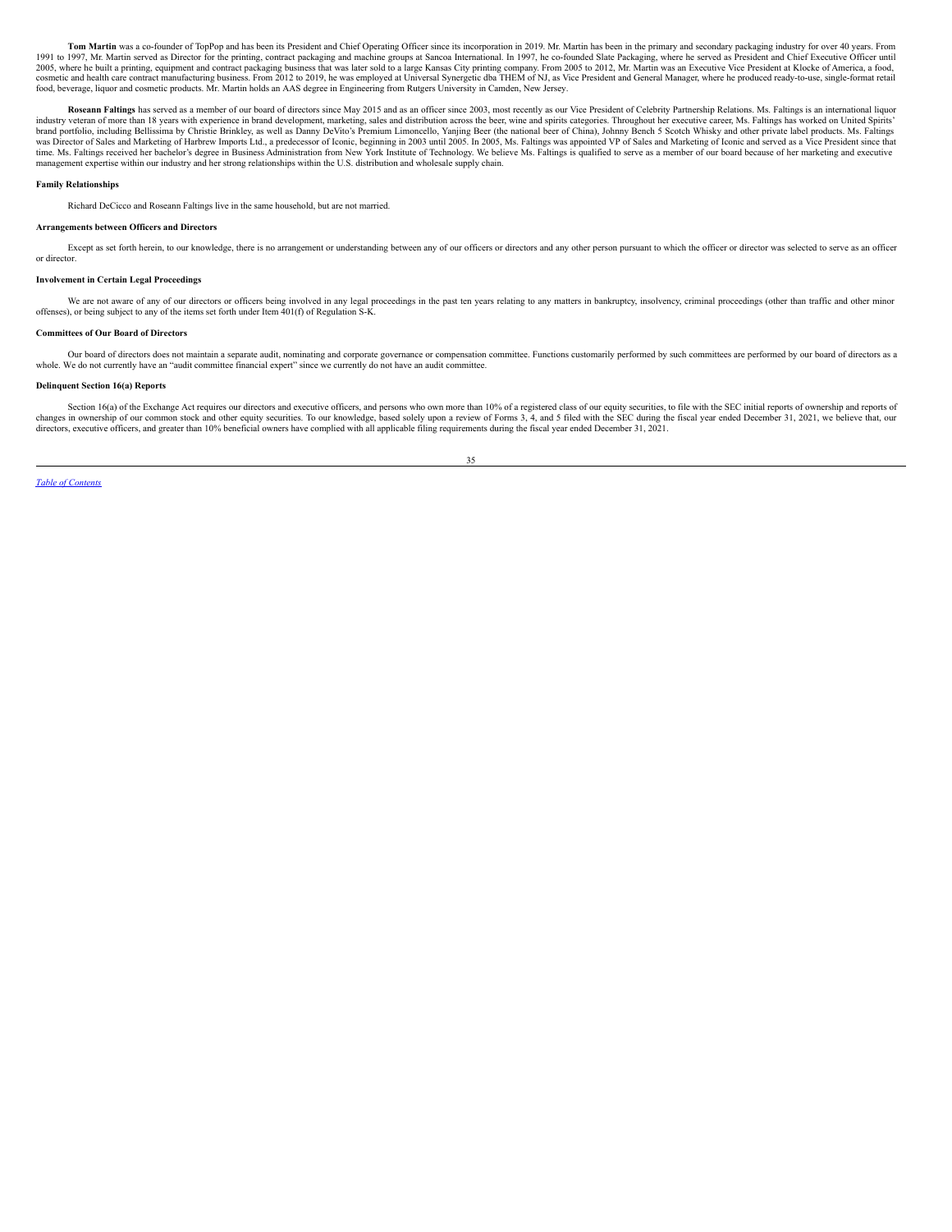Tom Martin was a co-founder of TopPop and has been its President and Chief Operating Officer since its incorporation in 2019. Mr. Martin has been in the primary and secondary packaging industry for over 40 years. From 1991 to 1997, Mr. Martin served as Director for the printing, contract packaging and machine groups at Sancoa International. In 1997, he co-founded Slate Packaging, where he served as President and Chief Executive Officer 2005, where he built a printing, equipment and contract packaging business that was later sold to a large Kansas City printing company. From 2005 to 2012, Mr. Martin was an Executive Vice President at Klocke of America, a food, beverage, liquor and cosmetic products. Mr. Martin holds an AAS degree in Engineering from Rutgers University in Camden, New Jersey.

Roseann Faltings has served as a member of our board of directors since May 2015 and as an officer since 2003, most recently as our Vice President of Celebrity Partnership Relations. Ms. Faltings is an international liquor industry veteran of more than 18 years with experience in brand development, marketing, sales and distribution across the beer, wine and spirits categories. Throughout her executive career, Ms. Faltings has worked on Unite was Director of Sales and Marketing of Harbrew Imports Ltd., a predecessor of Iconic, beginning in 2003 until 2005. In 2005, Ms. Faltings was appointed VP of Sales and Marketing of Iconic and served as a Vice President sin management expertise within our industry and her strong relationships within the U.S. distribution and wholesale supply chain.

# **Family Relationships**

Richard DeCicco and Roseann Faltings live in the same household, but are not married.

# **Arrangements between Officers and Directors**

Except as set forth herein, to our knowledge, there is no arrangement or understanding between any of our officers or directors and any other person pursuant to which the officer or director was selected to serve as an off or director.

#### **Involvement in Certain Legal Proceedings**

We are not aware of any of our directors or officers being involved in any legal proceedings in the past ten years relating to any matters in bankruptcy, insolvency, criminal proceedings (other than traffic and other minor offenses), or being subject to any of the items set forth under Item 401(f) of Regulation S-K.

# **Committees of Our Board of Directors**

Our board of directors does not maintain a separate audit, nominating and corporate governance or compensation committee. Functions customarily performed by such committees are performed by our board of directors as a whole. We do not currently have an "audit committee financial expert" since we currently do not have an audit committee.

### **Delinquent Section 16(a) Reports**

Section 16(a) of the Exchange Act requires our directors and executive officers, and persons who own more than 10% of a registered class of our equity securities, to file with the SEC initial reports of ownership and repor changes in ownership of our common stock and other equity securities. To our knowledge, based solely upon a review of Forms 3, 4, and 5 filed with the SEC during the fiscal year ended December 31, 2021, we believe that, ou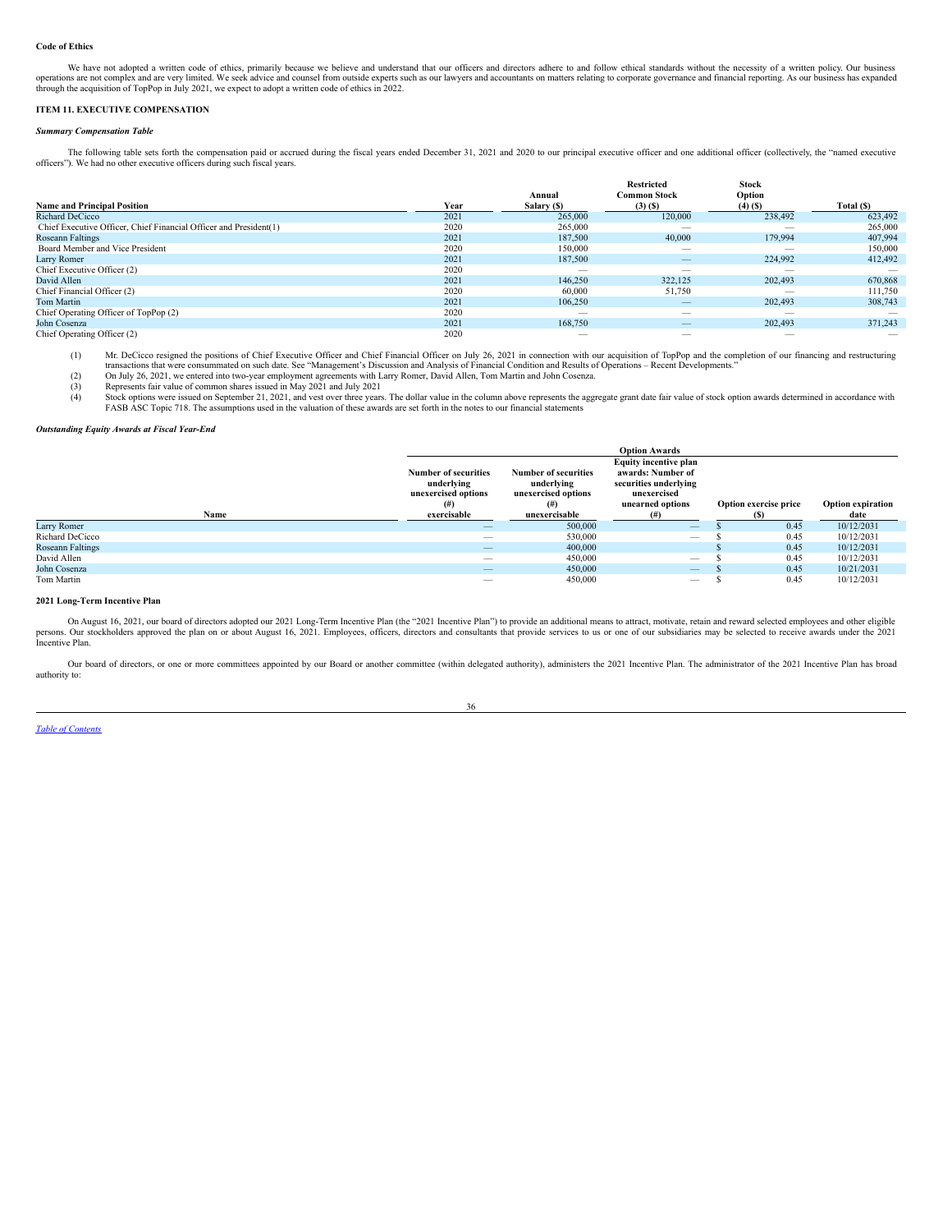# **Code of Ethics**

We have not adopted a written code of ethics, primarily because we believe and understand that our officers and directors adhere to and follow ethical standards without the necessity of a written policy. Our business poera through the acquisition of TopPop in July 2021, we expect to adopt a written code of ethics in 2022.

# **ITEM 11. EXECUTIVE COMPENSATION**

# *Summary Compensation Table*

The following table sets forth the compensation paid or accrued during the fiscal years ended December 31, 2021 and 2020 to our principal executive officer and one additional officer (collectively, the "named executive officers"). We had no other executive officers during such fiscal years.

|                                                                   |      |                          | <b>Restricted</b>        | <b>Stock</b>             |            |
|-------------------------------------------------------------------|------|--------------------------|--------------------------|--------------------------|------------|
|                                                                   |      | Annual                   | <b>Common Stock</b>      | Option                   |            |
| <b>Name and Principal Position</b>                                | Year | Salary (\$)              | $(3)(\$)$                | $(4)$ $(S)$              | Total (\$) |
| Richard DeCicco                                                   | 2021 | 265,000                  | 120,000                  | 238,492                  | 623,492    |
| Chief Executive Officer, Chief Financial Officer and President(1) | 2020 | 265,000                  |                          | $\overline{\phantom{a}}$ | 265,000    |
| <b>Roseann Faltings</b>                                           | 2021 | 187,500                  | 40,000                   | 179,994                  | 407.994    |
| Board Member and Vice President                                   | 2020 | 150,000                  | $\overline{\phantom{a}}$ | $\overline{\phantom{a}}$ | 150,000    |
| Larry Romer                                                       | 2021 | 187,500                  | $\overline{\phantom{a}}$ | 224,992                  | 412,492    |
| Chief Executive Officer (2)                                       | 2020 |                          | $\overline{\phantom{a}}$ | $\overline{\phantom{a}}$ |            |
| David Allen                                                       | 2021 | 146,250                  | 322,125                  | 202.493                  | 670,868    |
| Chief Financial Officer (2)                                       | 2020 | 60,000                   | 51,750                   | $\overline{\phantom{a}}$ | 111,750    |
| Tom Martin                                                        | 2021 | 106,250                  | $\overline{\phantom{a}}$ | 202.493                  | 308,743    |
| Chief Operating Officer of TopPop (2)                             | 2020 |                          | $\overline{\phantom{a}}$ | $\overline{\phantom{a}}$ |            |
| John Cosenza                                                      | 2021 | 168,750                  | $\overline{\phantom{a}}$ | 202,493                  | 371,243    |
| Chief Operating Officer (2)                                       | 2020 | $\overline{\phantom{a}}$ |                          |                          |            |

(1) Mr. DeCicco resigned the positions of Chief Executive Officer and Chief Financial Officer on July 26, 2021 in connection with our acquisition of TopPop and the completion of our financing and restructuring transactions that were consummated on such date. See "Management's Discussion and Analysis of Financial Condition and Results of Operations – Recent Developments."

(2) On July 26, 2021, we entered into two-year employment agreements with Larry Romer, David Allen, Tom Martin and John Cosenza. (3) Represents fair value of common shares issued in May 2021 and July 2021

(4) Stock options were issued on September 21, 2021, and vest over three years. The dollar value in the column above represents the aggregate grant date fair value of stock option awards determined in accordance with FASB

#### *Outstanding Equity Awards at Fiscal Year-End*

|                         | <b>Option Awards</b><br>Equity incentive plan<br><b>Number of securities</b><br><b>Number of securities</b><br>awards: Number of<br>underlying<br>securities underlying<br>underlying<br>unexercised options<br>unexercised<br>unexercised options |               |                                 |  |                       |                          |
|-------------------------|----------------------------------------------------------------------------------------------------------------------------------------------------------------------------------------------------------------------------------------------------|---------------|---------------------------------|--|-----------------------|--------------------------|
|                         | $^{(#)}$                                                                                                                                                                                                                                           | (# )          | unearned options                |  | Option exercise price | <b>Option expiration</b> |
| Name                    | exercisable                                                                                                                                                                                                                                        | unexercisable |                                 |  | (S)                   | date                     |
| Larry Romer             | $\overline{\phantom{a}}$                                                                                                                                                                                                                           | 500,000       | $\hspace{0.1mm}-\hspace{0.1mm}$ |  | 0.45                  | 10/12/2031               |
| Richard DeCicco         |                                                                                                                                                                                                                                                    | 530,000       | $\overline{\phantom{a}}$        |  | 0.45                  | 10/12/2031               |
| <b>Roseann Faltings</b> | $\overline{\phantom{a}}$                                                                                                                                                                                                                           | 400,000       |                                 |  | 0.45                  | 10/12/2031               |
| David Allen             | $\hspace{0.1mm}-\hspace{0.1mm}$                                                                                                                                                                                                                    | 450,000       | $\overline{\phantom{a}}$        |  | 0.45                  | 10/12/2031               |
| John Cosenza            | $\overline{\phantom{a}}$                                                                                                                                                                                                                           | 450,000       | $\overline{\phantom{a}}$        |  | 0.45                  | 10/21/2031               |
| Tom Martin              |                                                                                                                                                                                                                                                    | 450,000       |                                 |  | 0.45                  | 10/12/2031               |

#### **2021 Long-Term Incentive Plan**

On August 16, 2021, our board of directors adopted our 2021 Long-Term Incentive Plan (the "2021 Incentive Plan") to provide an additional means to attract, motivate, retain and reward selected employees and other eligible persons. Our stockholders approved the plan on or about August 16, 2021. Employees, officers, directors and consultants that provide services to us or one of our subsidiaries may be selected to receive awards under the 2021 Incentive Plan.

Our board of directors, or one or more committees appointed by our Board or another committee (within delegated authority), administers the 2021 Incentive Plan. The administrator of the 2021 Incentive Plan has broad authority to:

36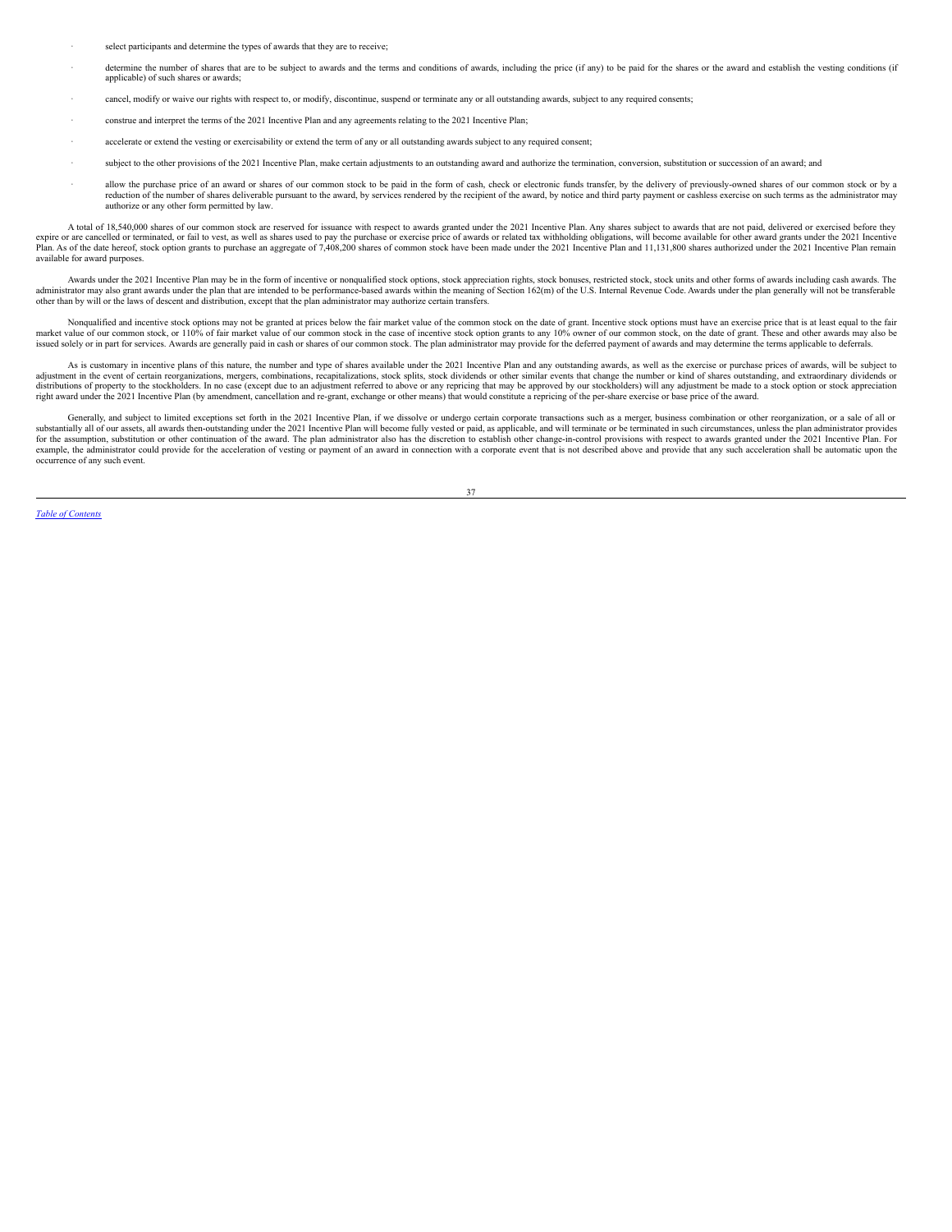- select participants and determine the types of awards that they are to receive;
- determine the number of shares that are to be subject to awards and the terms and conditions of awards, including the price (if any) to be paid for the shares or the award and establish the vesting conditions (if applicable) of such shares or awards;
- cancel, modify or waive our rights with respect to, or modify, discontinue, suspend or terminate any or all outstanding awards, subject to any required consents;
- · construe and interpret the terms of the 2021 Incentive Plan and any agreements relating to the 2021 Incentive Plan;
- accelerate or extend the vesting or exercisability or extend the term of any or all outstanding awards subject to any required consent;
- subject to the other provisions of the 2021 Incentive Plan, make certain adjustments to an outstanding award and authorize the termination, conversion, substitution or succession of an award; and
- allow the purchase price of an award or shares of our common stock to be paid in the form of cash, check or electronic funds transfer, by the delivery of previously-owned shares of our common stock or by a reduction of the number of shares deliverable pursuant to the award, by services rendered by the recipient of the award, by notice and third party payment or cashless exercise on such terms as the administrator may authorize or any other form permitted by law.

A total of 18,540,000 shares of our common stock are reserved for issuance with respect to awards granted under the 2021 Incentive Plan. Any shares subject to awards that are not paid, delivered or exercised before they expire or are cancelled or terminated, or fail to vest, as well as shares used to pay the purchase or exercise price of awards or related tax withholding obligations, will become available for other award grants under the available for award purposes.

Awards under the 2021 Incentive Plan may be in the form of incentive or nonqualified stock options, stock appreciation rights, stock bonuses, restricted stock, stock units and other forms of awards including cash awards. T administrator may also grant awards under the plan that are intended to be performance-based awards within the meaning of Section 162(m) of the U.S. Internal Revenue Code. Awards under the plan generally will not be transf other than by will or the laws of descent and distribution, except that the plan administrator may authorize certain transfers.

Nonqualified and incentive stock options may not be granted at prices below the fair market value of the common stock on the date of grant. Incentive stock options must have an exercise price that is at least equal to the issued solely or in part for services. Awards are generally paid in cash or shares of our common stock. The plan administrator may provide for the deferred payment of awards and may determine the terms applicable to deferr

As is customary in incentive plans of this nature, the number and type of shares available under the 2021 Incentive Plan and any outstanding awards, as well as the exercise or purchase prices of awards, will be subject to adjustment in the event of certain reorganizations, mergers, combinations, recapitalizations, stock splits, stock dividends or other similar events that change the number or kind of shares outstanding, and extraordinary di right award under the 2021 Incentive Plan (by amendment, cancellation and re-grant, exchange or other means) that would constitute a repricing of the per-share exercise or base price of the award.

Generally, and subject to limited exceptions set forth in the 2021 Incentive Plan, if we dissolve or undergo certain corporate transactions such as a merger, business combination or other reorganization, or a sale of all or substantially all of our assets, all awards then-outstanding under the 2021 Incentive Plan will become fully vested or paid, as applicable, and will terminate or be terminated in such circumstances, unless the plan adminis example, the administrator could provide for the acceleration of vesting or payment of an award in connection with a corporate event that is not described above and provide that any such acceleration shall be automatic upo occurrence of any such event.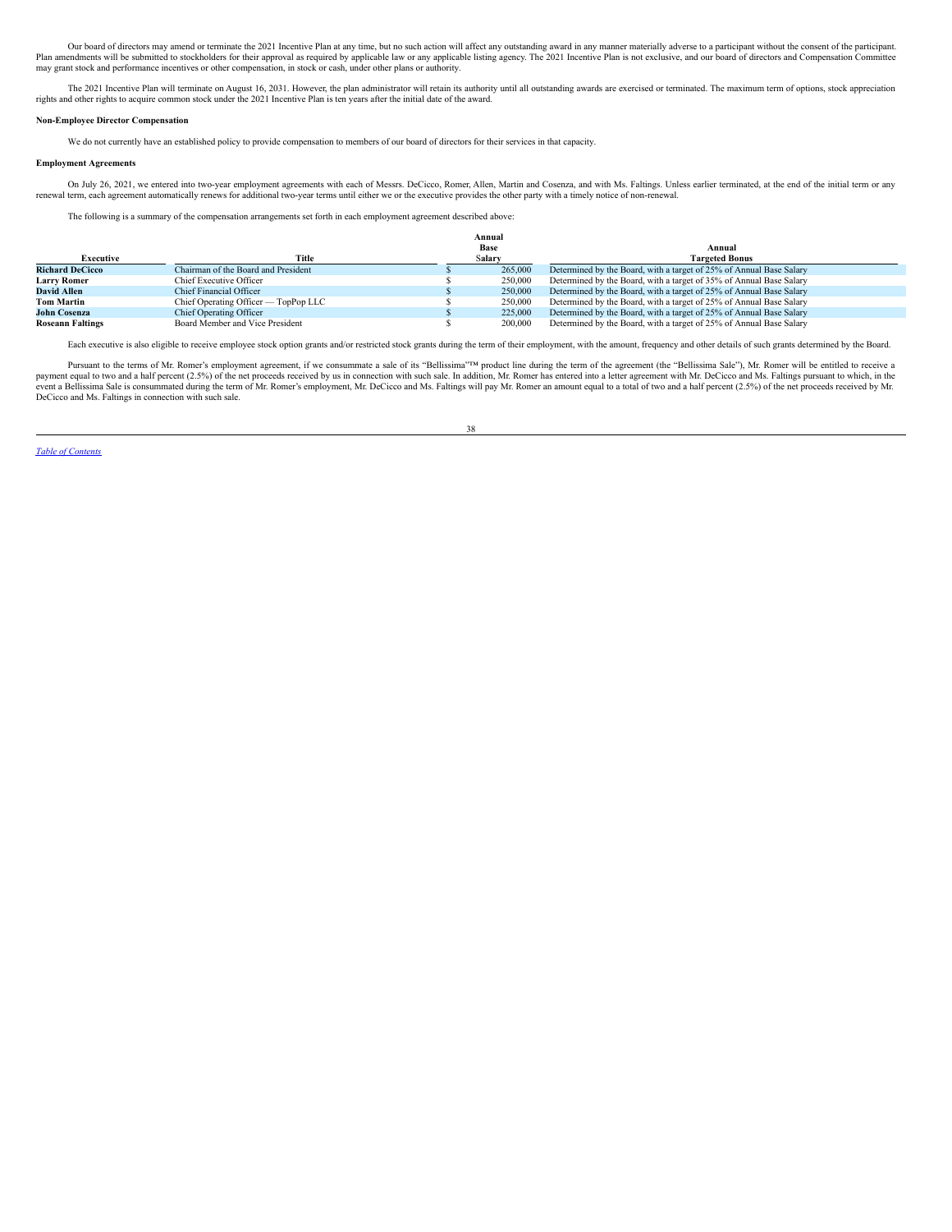Our board of directors may amend or terminate the 2021 Incentive Plan at any time, but no such action will affect any outstanding award in any manner materially adverse to a participant without the consent of the participa Plan amendments will be submitted to stockholders for their approval as required by applicable law or any applicable listing agency. The 2021 Incentive Plan is not exclusive, and our board of directors and Compensation Com may grant stock and performance incentives or other compensation, in stock or cash, under other plans or authority.

The 2021 Incentive Plan will terminate on August 16, 2031. However, the plan administrator will retain its authority until all outstanding awards are exercised or terminated. The maximum term of options, stock appreciation rights and other rights to acquire common stock under the 2021 Incentive Plan is ten years after the initial date of the award.

### **Non-Employee Director Compensation**

We do not currently have an established policy to provide compensation to members of our board of directors for their services in that capacity.

# **Employment Agreements**

On July 26, 2021, we entered into two-year employment agreements with each of Messrs. DeCicco, Romer, Allen, Martin and Cosenza, and with Ms. Faltings. Unless earlier terminated, at the end of the initial term or any renewal term, each agreement automatically renews for additional two-year terms until either we or the executive provides the other party with a timely notice of non-renewal.

The following is a summary of the compensation arrangements set forth in each employment agreement described above:

| Annual                  |                                      |  |         |                                                                     |  |  |  |  |
|-------------------------|--------------------------------------|--|---------|---------------------------------------------------------------------|--|--|--|--|
|                         |                                      |  | Base    | Annual                                                              |  |  |  |  |
| Executive               | Title                                |  | Salarv  | <b>Targeted Bonus</b>                                               |  |  |  |  |
| <b>Richard DeCicco</b>  | Chairman of the Board and President  |  | 265,000 | Determined by the Board, with a target of 25% of Annual Base Salary |  |  |  |  |
| <b>Larry Romer</b>      | Chief Executive Officer              |  | 250,000 | Determined by the Board, with a target of 35% of Annual Base Salary |  |  |  |  |
| <b>David Allen</b>      | <b>Chief Financial Officer</b>       |  | 250,000 | Determined by the Board, with a target of 25% of Annual Base Salary |  |  |  |  |
| <b>Tom Martin</b>       | Chief Operating Officer — TopPop LLC |  | 250,000 | Determined by the Board, with a target of 25% of Annual Base Salary |  |  |  |  |
| <b>John Cosenza</b>     | <b>Chief Operating Officer</b>       |  | 225,000 | Determined by the Board, with a target of 25% of Annual Base Salary |  |  |  |  |
| <b>Roseann Faltings</b> | Board Member and Vice President      |  | 200,000 | Determined by the Board, with a target of 25% of Annual Base Salary |  |  |  |  |

Each executive is also eligible to receive employee stock option grants and/or restricted stock grants during the term of their employment, with the amount, frequency and other details of such grants determined by the Boar

Pursuant to the terms of Mr. Romer's employment agreement, if we consummate a sale of its "Bellissima"™ product line during the term of the agreement (the "Bellissima Sale"), Mr. Romer will be entitled to receive a payment equal to two and a half percent (2.5%) of the net proceeds received by us in connection with such sale. In addition, Mr. Romer has entered into a letter agreement with Mr. DeCicco and Ms. Faltings pursuant to which DeCicco and Ms. Faltings in connection with such sale.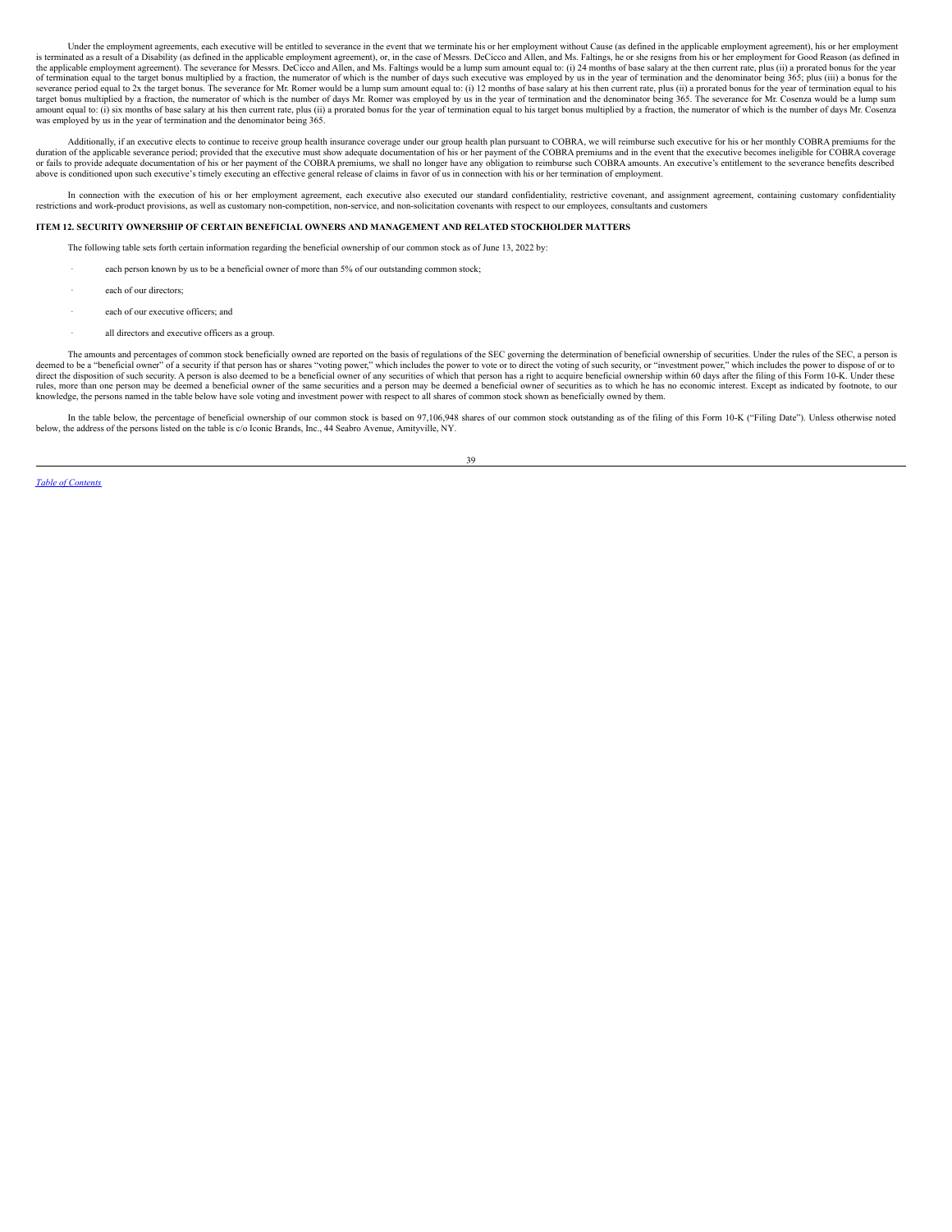Under the employment agreements, each executive will be entitled to severance in the event that we terminate his or her employment without Cause (as defined in the applicable employment agreement), his or her employment is terminated as a result of a Disability (as defined in the applicable employment agreement), or, in the case of Messrs. DeCicco and Allen, and Ms. Faltings, he or she resigns from his or her employment for Good Reason (a the applicable employment agreement). The severance for Messrs. DeCicco and Allen, and Ms. Faltings would be a lump sum amount equal to: (i) 24 months of base salary at the then current rate, plus (ii) a prorated bonus for severance period equal to 2x the target bonus. The severance for Mr. Romer would be a lump sum amount equal to: (i) 12 months of base salary at his then current rate, plus (ii) a prorated bonus for the year of termination target bonus multiplied by a fraction, the numerator of which is the number of days Mr. Romer was employed by us in the year of termination and the denominator being 365. The severance for Mr. Cosenza would be a lump sum amount equal to: (i) six months of base salary at his then current rate, plus (ii) a prorated bonus for the year of termination equal to his target bonus multiplied by a fraction, the numerator of which is the number of da was employed by us in the year of termination and the denominator being 365.

Additionally, if an executive elects to continue to receive group health insurance coverage under our group health plan pursuant to COBRA, we will reimburse such executive for his or her monthly COBRA premiums for the dura or fails to provide adequate documentation of his or her payment of the COBRA premiums, we shall no longer have any obligation to reimburse such COBRA amounts. An executive's entitlement to the severance benefits described above is conditioned upon such executive's timely executing an effective general release of claims in favor of us in connection with his or her termination of employment.

In connection with the execution of his or her employment agreement, each executive also executed our standard confidentiality, restrictive covenant, and assignment agreement, containing customary confidentiality restrictions and work-product provisions, as well as customary non-competition, non-service, and non-solicitation covenants with respect to our employees, consultants and customers restrictions and work-product provisions,

## **ITEM 12. SECURITY OWNERSHIP OF CERTAIN BENEFICIAL OWNERS AND MANAGEMENT AND RELATED STOCKHOLDER MATTERS**

The following table sets forth certain information regarding the beneficial ownership of our common stock as of June 13, 2022 by:

- each person known by us to be a beneficial owner of more than 5% of our outstanding common stock;
- each of our directors;
- each of our executive officers; and
- all directors and executive officers as a group.

The amounts and percentages of common stock beneficially owned are reported on the basis of regulations of the SEC governing the determination of beneficial ownership of securities. Under the rules of the SEC, a person is deemed to be a "beneficial owner" of a security if that person has or shares "voting power," which includes the power to vote or to direct the voting of such security, or "investment power," which includes the power to dis direct the disposition of such security. A person is also deemed to be a beneficial owner of any securities of which that person has a right to acquire beneficial ownership within 60 days after the filing of this Form 10-K rules, more than one person may be deemed a beneficial owner of the same securities and a person may be deemed a beneficial owner of securities as to which he has no economic interest. Except as indicated by footnote, to our knowledge, the persons named in the table below have sole voting and investment power with respect to all shares of common stock shown as beneficially owned by them.

In the table below, the percentage of beneficial ownership of our common stock is based on 97,106,948 shares of our common stock outstanding as of the filing of this Form 10-K ("Filing Date"). Unless otherwise noted below, the address of the persons listed on the table is c/o Iconic Brands, Inc., 44 Seabro Avenue, Amityville, NY.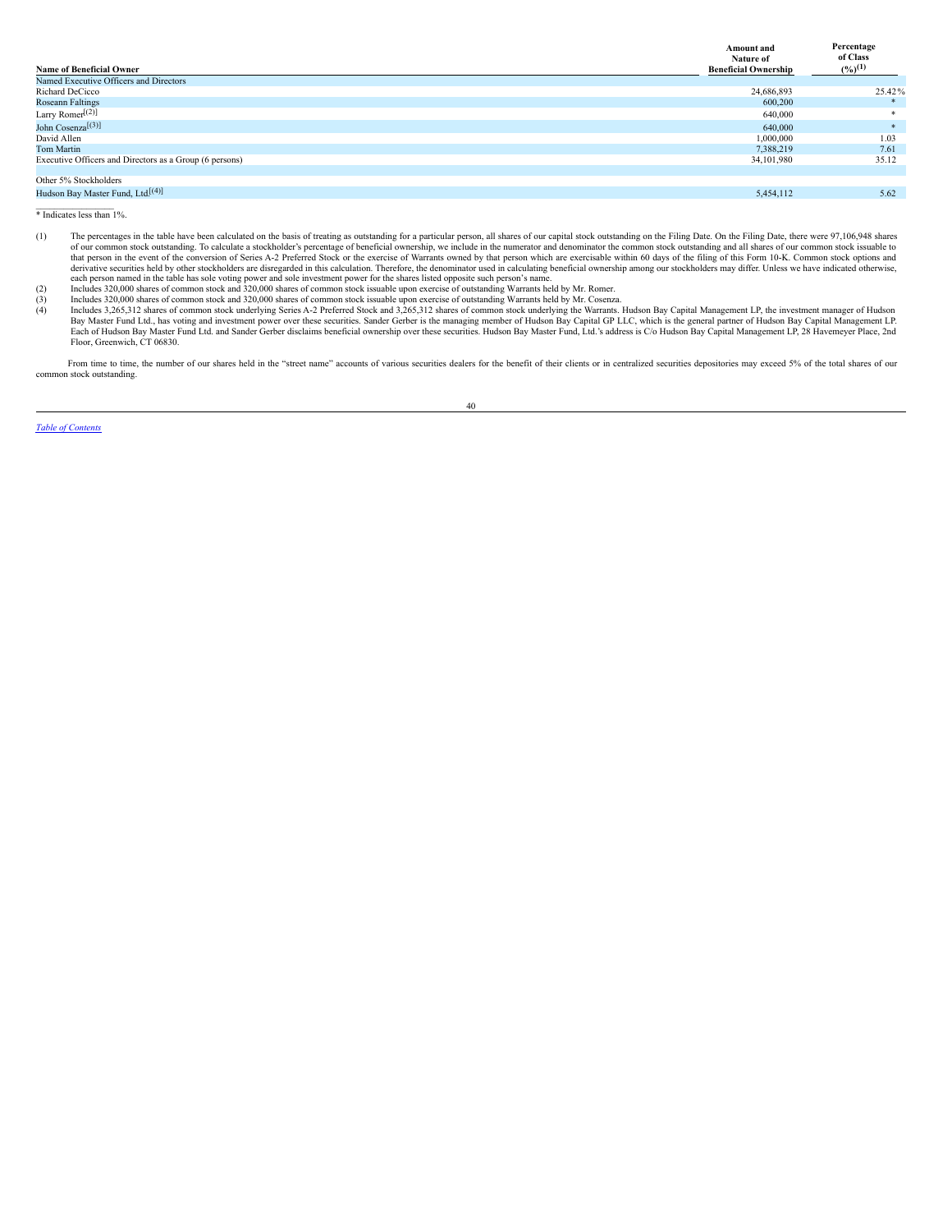|                                                         | <b>Amount</b> and<br>Nature of | Percentage<br>of Class |
|---------------------------------------------------------|--------------------------------|------------------------|
| <b>Name of Beneficial Owner</b>                         | <b>Beneficial Ownership</b>    | $(%)^{(1)}$            |
| Named Executive Officers and Directors                  |                                |                        |
| Richard DeCicco                                         | 24,686,893                     | 25.42%                 |
| <b>Roseann Faltings</b>                                 | 600,200                        |                        |
| Larry Romer <sup>[(2)]</sup>                            | 640,000                        |                        |
| John Cosenza <sup>[(3)]</sup>                           | 640,000                        |                        |
| David Allen                                             | 1,000,000                      | 1.03                   |
| Tom Martin                                              | 7,388,219                      | 7.61                   |
| Executive Officers and Directors as a Group (6 persons) | 34,101,980                     | 35.12                  |
| Other 5% Stockholders                                   |                                |                        |
| Hudson Bay Master Fund, Ltd. <sup>[(4)]</sup>           | 5,454,112                      | 5.62                   |

 $*$  Indicates less than 1%.

(1) The percentages in the table have been calculated on the basis of treating as outstanding for a particular person, all shares of our capital stock outstanding on the Filing Date. On the Filing Date, there were 97,106,9 that person in the event of the conversion of Series A-2 Preferred Stock or the exercise of Warrants owned by that person which are exercisable within 60 days of the filing of this Form 10-K. Common stock options and<br>deriv each person named in the table has sole voting power and sole investment power for the shares listed opposite such person's name.

Includes 320,000 shares of common stock and 320,000 shares of common stock issuable upon exercise of outstanding Warrants held by Mr. Romer.<br>(4) Includes 320,000 shares of common stock and 320,000 shares of common stock is

From time to time, the number of our shares held in the "street name" accounts of various securities dealers for the benefit of their clients or in centralized securities depositories may exceed 5% of the total shares of o common stock outstanding.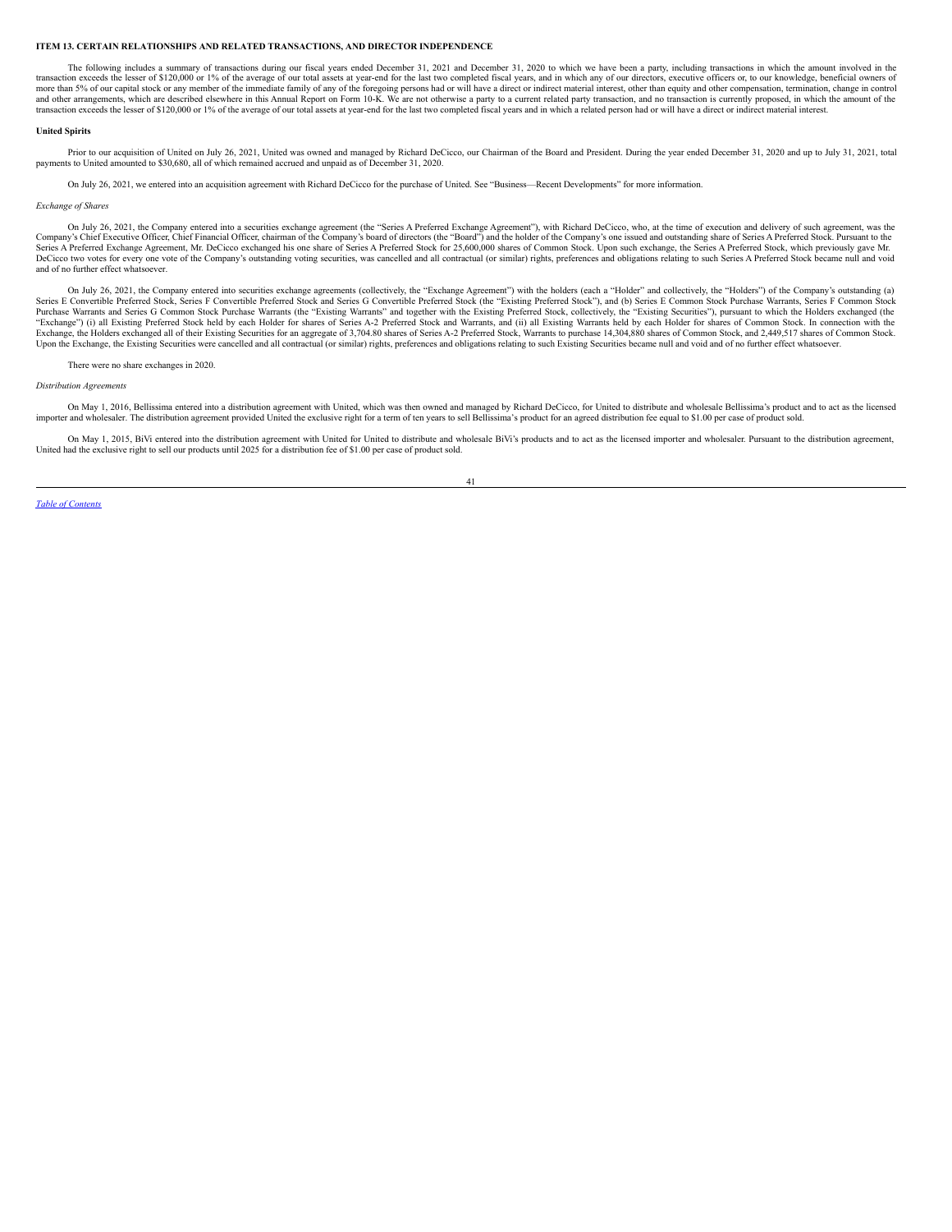# **ITEM 13. CERTAIN RELATIONSHIPS AND RELATED TRANSACTIONS, AND DIRECTOR INDEPENDENCE**

The following includes a summary of transactions during our fiscal years ended December 31, 2021 and December 31, 2020 to which we have been a party, including transactions in which the amount involved in the amount involv more than 5% of our capital stock or any member of the immediate family of any of the foregoing persons had or will have a direct or indirect material interest, other than equity and other compensation, termination, change transaction exceeds the lesser of \$120,000 or 1% of the average of our total assets at year-end for the last two completed fiscal years and in which a related person had or will have a direct or indirect material interest.

### **United Spirits**

Prior to our acquisition of United on July 26, 2021, United was owned and managed by Richard DeCicco, our Chairman of the Board and President. During the year ended December 31, 2020 and up to July 31, 2021, total payments to United amounted to \$30,680, all of which remained accrued and unpaid as of December 31, 2020.

On July 26, 2021, we entered into an acquisition agreement with Richard DeCicco for the purchase of United. See "Business—Recent Developments" for more information.

# *Exchange of Shares*

On July 26, 2021, the Company entered into a securities exchange agreement (the "Series A Preferred Exchange Agreement"), with Richard DeCicco, who, at the time of execution and delivery of such agreement, was the Company's Chief Executive Officer, Chief Financial Officer, chairman of the Company's board of directors (the "Board") and the holder of the Company's one issued and outstanding share of Series A Preferred Stock. Pursuant DeCicco two votes for every one vote of the Company's outstanding voting securities, was cancelled and all contractual (or similar) rights, preferences and obligations relating to such Series A Preferred Stock became null and of no further effect whatsoever.

On July 26, 2021, the Company entered into securities exchange agreements (collectively, the "Exchange Agreement") with the holders (each a "Holder" and collectively, the "Holders") of the Company's outstanding (a) Series E Convertible Preferred Stock, Series F Convertible Preferred Stock and Series G Convertible Preferred Stock (the "Existing Preferred Stock"), and (b) Series E Common Stock Purchase Warrants, Series F Common Stock Purchase Warrants and Series G Common Stock Purchase Warrants (the "Existing Warrants" and together with the Existing Preferred Stock, collectively, the "Existing Securities"), pursuant to which the Holders exchanged (the "Exchange") (i) all Existing Preferred Stock held by each Holder for shares of Series A-2 Preferred Stock and Warrants, and (ii) all Existing Warrants held by each Holder for shares of Common Stock. In connection with the Upon the Exchange, the Existing Securities were cancelled and all contractual (or similar) rights, preferences and obligations relating to such Existing Securities became null and void and of no further effect whatsoever.

#### There were no share exchanges in 2020.

#### *Distribution Agreements*

On May 1, 2016, Bellissima entered into a distribution agreement with United, which was then owned and managed by Richard DeCicco, for United to distribute and wholesale Bellissima's product and to act as the licensed importer and wholesaler. The distribution agreement provided United the exclusive right for a term of ten years to sell Bellissima's product for an agreed distribution fee equal to \$1.00 per case of product sold.

On May 1, 2015, BiVi entered into the distribution agreement with United for United to distribute and wholesale BiVi's products and to act as the licensed importer and wholesaler. Pursuant to the distribution agreement, United had the exclusive right to sell our products until 2025 for a distribution fee of \$1.00 per case of product sold.

|--|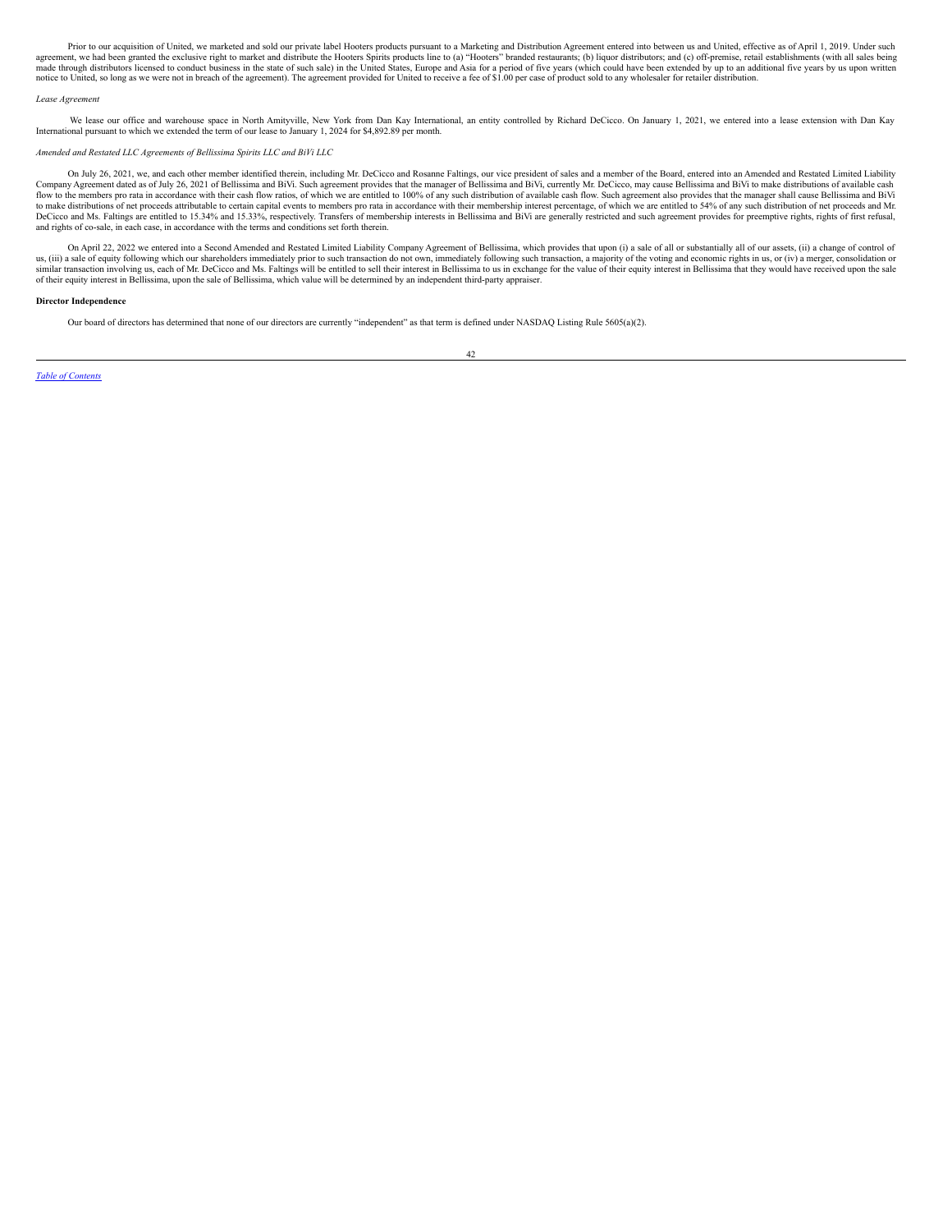Prior to our acquisition of United, we marketed and sold our private label Hooters products pursuant to a Marketing and Distribution Agreement entered into between us and United, effective as of April 1, 2019. Under such agreement, we had been granted the exclusive right to market and distribute the Hooters Spirits products line to (a) "Hooters" branded restaurants; (b) liquor distributors; and (c) off-premise, retail establishments (with made through distributors licensed to conduct business in the state of such sale) in the United States, Europe and Asia for a period of five years (which could have been extended by up to an additional five years by us upo

#### *Lease Agreement*

We lease our office and warehouse space in North Amityville, New York from Dan Kay International, an entity controlled by Richard DeCicco. On January 1, 2021, we entered into a lease extension with Dan Kay International pursuant to which we extended the term of our lease to January 1, 2024 for \$4,892.89 per month.

# *Amended and Restated LLC Agreements of Bellissima Spirits LLC and BiVi LLC*

On July 26, 2021, we, and each other member identified therein, including Mr. DeCicco and Rosanne Faltings, our vice president of sales and a member of the Board, entered into an Amended and Restated Limited Liability Company Agreement dated as of July 26, 2021 of Bellissima and BiVi. Such agreement provides that the manager of Bellissima and BiVi, currently Mr. DeCicco, may cause Bellissima and BiVi to make distributions of available c flow to the members pro rata in accordance with their cash flow ratios, of which we are entitled to 100% of any such distribution of available cash flow. Such agreement also provides that the manager shall cause Bellissima DeCicco and Ms. Faltings are entitled to 15.34% and 15.33%, respectively. Transfers of membership interests in Bellissima and BiVi are generally restricted and such agreement provides for preemptive rights, rights of first

On April 22, 2022 we entered into a Second Amended and Restated Limited Liability Company Agreement of Bellissima, which provides that upon (i) a sale of all or substantially all of our assets, (ii) a change of control of us, (iii) a sale of equity following which our shareholders immediately prior to such transaction do not own, immediately following such transaction, a majority of the voting and economic rights in us, or (iv) a merger, co similar transaction involving us, each of Mr. DeCicco and Ms. Faltings will be entitled to sell their interest in Bellissima to us in exchange for the value of their equity interest in Bellissima that they would have recei

### **Director Independence**

Our board of directors has determined that none of our directors are currently "independent" as that term is defined under NASDAQ Listing Rule 5605(a)(2).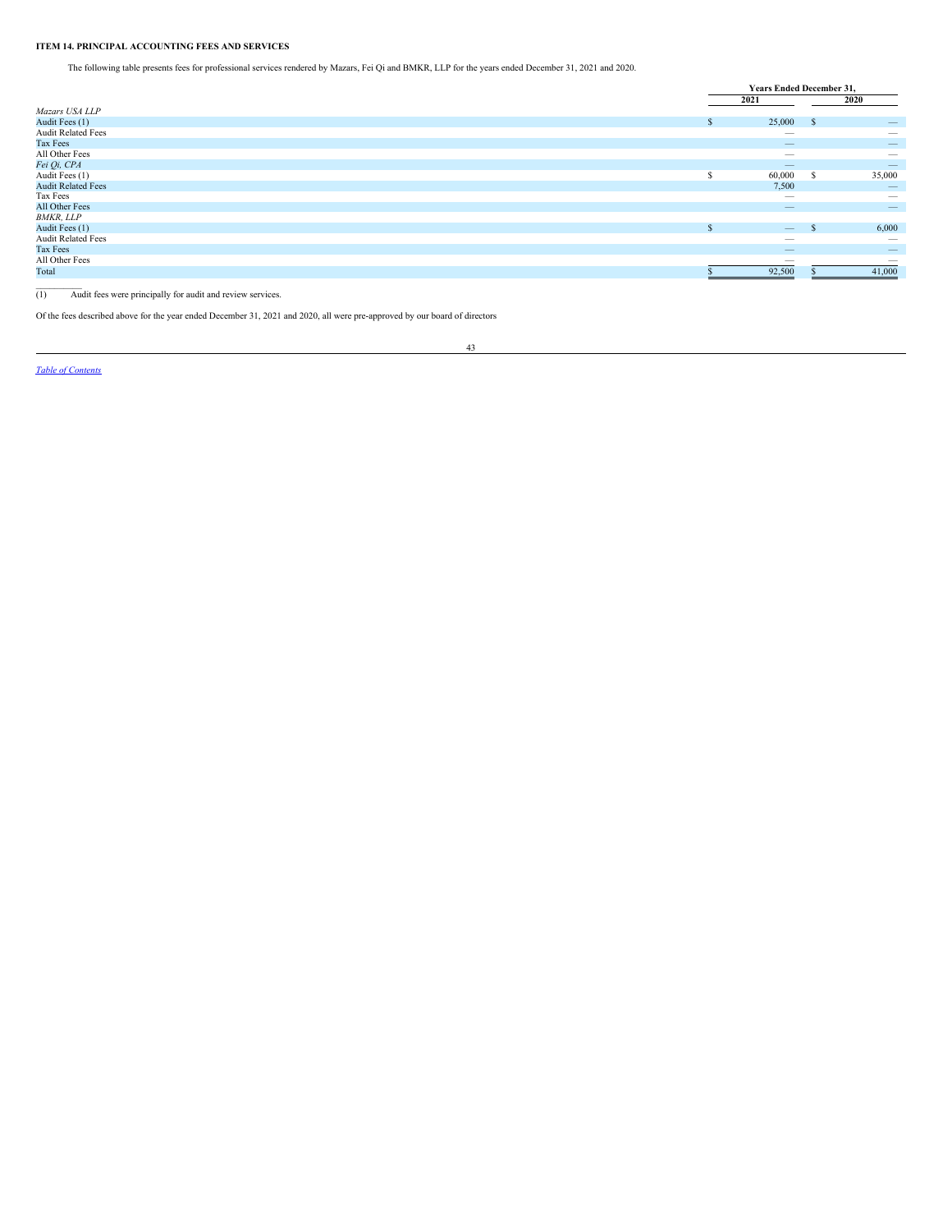# **ITEM 14. PRINCIPAL ACCOUNTING FEES AND SERVICES**

The following table presents fees for professional services rendered by Mazars, Fei Qi and BMKR, LLP for the years ended December 31, 2021 and 2020.

|                           |    | <b>Years Ended December 31,</b> |      |                                 |
|---------------------------|----|---------------------------------|------|---------------------------------|
|                           |    | 2021                            |      | 2020                            |
| Mazars USA LLP            |    |                                 |      |                                 |
| Audit Fees (1)            |    | 25,000                          | - \$ | $\hspace{0.1mm}-\hspace{0.1mm}$ |
| <b>Audit Related Fees</b> |    | $\hspace{0.1mm}-\hspace{0.1mm}$ |      |                                 |
| Tax Fees                  |    | $\hspace{0.1mm}-\hspace{0.1mm}$ |      | $\qquad \qquad - \qquad$        |
| All Other Fees            |    | $\overline{\phantom{a}}$        |      | $\overbrace{\hspace{25mm}}^{}$  |
| Fei Qi, CPA               |    | $\qquad \qquad - \qquad$        |      |                                 |
| Audit Fees (1)            | N. | 60,000                          | - S  | 35,000                          |
| <b>Audit Related Fees</b> |    | 7,500                           |      | $\hspace{0.1mm}-\hspace{0.1mm}$ |
| Tax Fees                  |    | $\hspace{0.1mm}-\hspace{0.1mm}$ |      |                                 |
| All Other Fees            |    | $\hspace{0.1mm}-\hspace{0.1mm}$ |      | $\qquad \qquad - \qquad$        |
| BMKR, LLP                 |    |                                 |      |                                 |
| Audit Fees (1)            |    | $\overline{\phantom{a}}$        | -8   | 6,000                           |
| <b>Audit Related Fees</b> |    | $\hspace{0.1mm}-\hspace{0.1mm}$ |      |                                 |
| Tax Fees                  |    | $\qquad \qquad$                 |      | $\qquad \qquad - \qquad$        |
| All Other Fees            |    | $\hspace{0.1mm}-\hspace{0.1mm}$ |      | $\overbrace{\hspace{25mm}}^{}$  |
| Total                     |    | 92,500                          |      | 41,000                          |

\_\_\_\_\_\_\_\_\_\_ (1) Audit fees were principally for audit and review services.

Of the fees described above for the year ended December 31, 2021 and 2020, all were pre-approved by our board of directors

43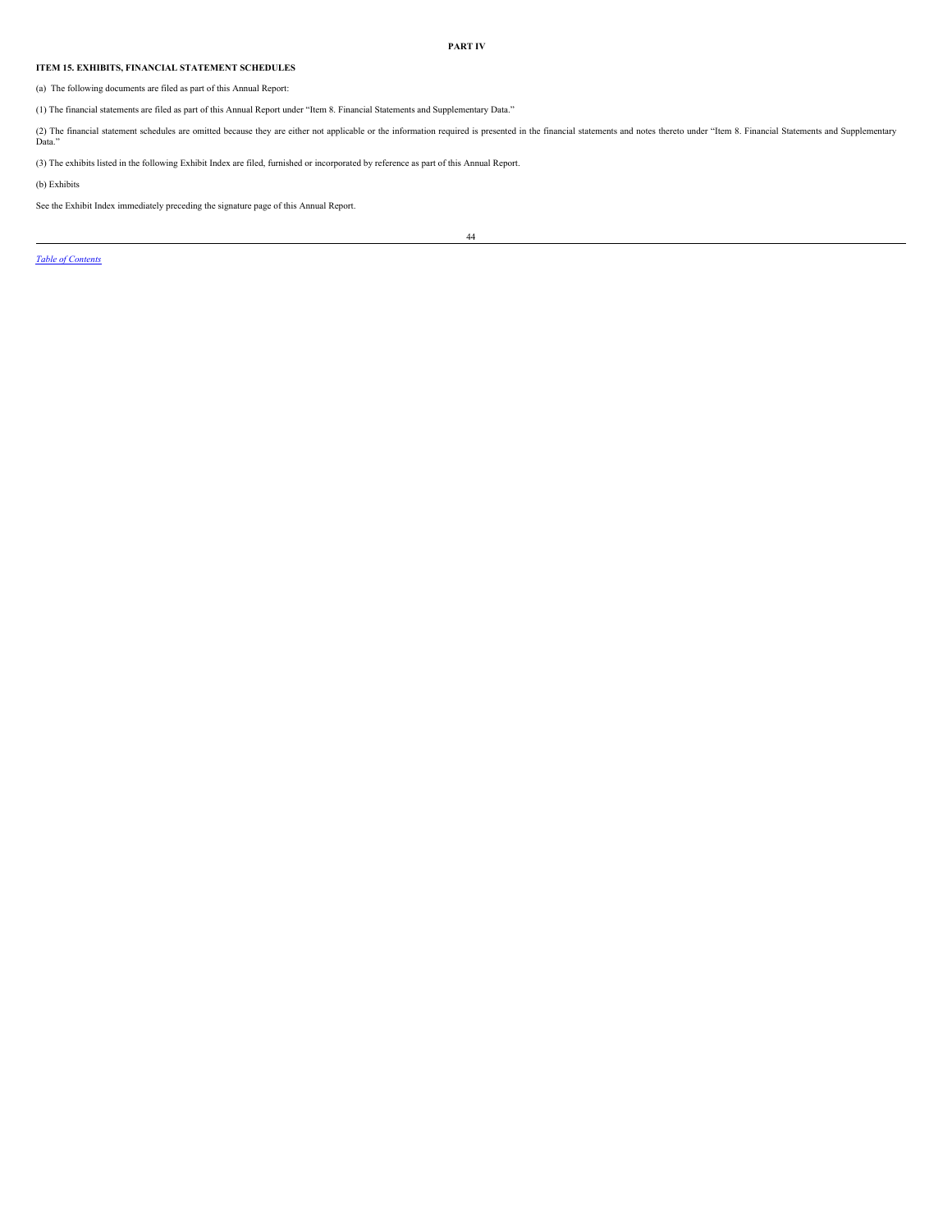# **ITEM 15. EXHIBITS, FINANCIAL STATEMENT SCHEDULES**

(a) The following documents are filed as part of this Annual Report:

(1) The financial statements are filed as part of this Annual Report under "Item 8. Financial Statements and Supplementary Data."

(2) The financial statement schedules are omitted because they are either not applicable or the information required is presented in the financial statements and notes thereto under "Item 8. Financial Statements and Supple

44

(3) The exhibits listed in the following Exhibit Index are filed, furnished or incorporated by reference as part of this Annual Report.

(b) Exhibits

See the Exhibit Index immediately preceding the signature page of this Annual Report.

*Table of [Contents](#page-1-0)*

**PART IV**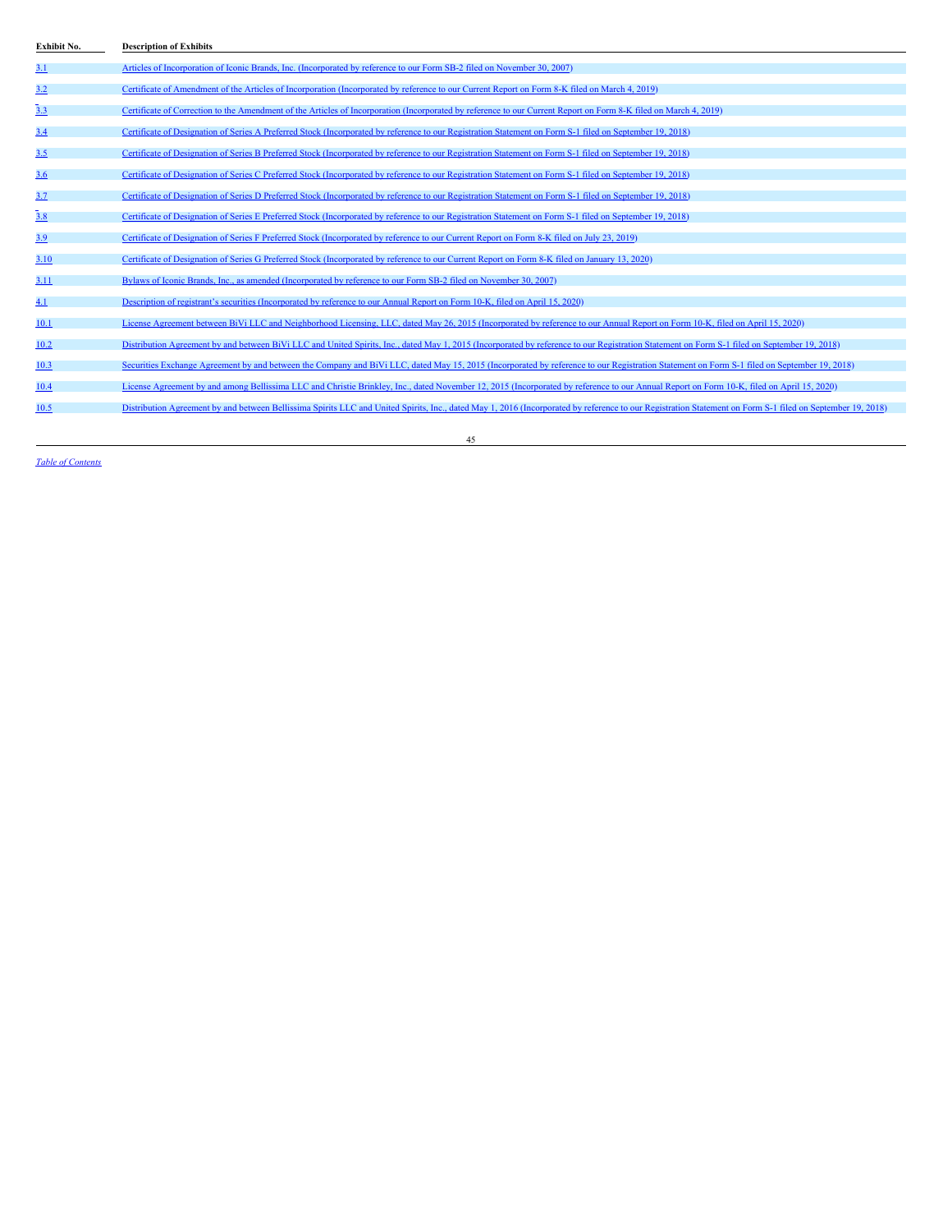| Exhibit No. | <b>Description of Exhibits</b>                                                                                                                                                                             |
|-------------|------------------------------------------------------------------------------------------------------------------------------------------------------------------------------------------------------------|
| 3.1         | Articles of Incorporation of Iconic Brands, Inc. (Incorporated by reference to our Form SB-2 filed on November 30, 2007)                                                                                   |
| 3.2         | Certificate of Amendment of the Articles of Incorporation (Incorporated by reference to our Current Report on Form 8-K filed on March 4, 2019)                                                             |
| 3.3         | Certificate of Correction to the Amendment of the Articles of Incorporation (Incorporated by reference to our Current Report on Form 8-K filed on March 4, 2019)                                           |
| 3.4         | Certificate of Designation of Series A Preferred Stock (Incorporated by reference to our Registration Statement on Form S-1 filed on September 19, 2018)                                                   |
| 3.5         | Certificate of Designation of Series B Preferred Stock (Incorporated by reference to our Registration Statement on Form S-1 filed on September 19, 2018)                                                   |
| 3.6         | Certificate of Designation of Series C Preferred Stock (Incorporated by reference to our Registration Statement on Form S-1 filed on September 19, 2018)                                                   |
| 3.7         | Certificate of Designation of Series D Preferred Stock (Incorporated by reference to our Registration Statement on Form S-1 filed on September 19, 2018)                                                   |
| 3.8         | Certificate of Designation of Series E Preferred Stock (Incorporated by reference to our Registration Statement on Form S-1 filed on September 19, 2018)                                                   |
| 3.9         | Certificate of Designation of Series F Preferred Stock (Incorporated by reference to our Current Report on Form 8-K filed on July 23, 2019)                                                                |
| 3.10        | Certificate of Designation of Series G Preferred Stock (Incorporated by reference to our Current Report on Form 8-K filed on January 13, 2020)                                                             |
| 3.11        | Bylaws of Iconic Brands, Inc., as amended (Incorporated by reference to our Form SB-2 filed on November 30, 2007)                                                                                          |
| 4.1         | Description of registrant's securities (Incorporated by reference to our Annual Report on Form 10-K, filed on April 15, 2020)                                                                              |
| 10.1        | License Agreement between BiVi LLC and Neighborhood Licensing, LLC, dated May 26, 2015 (Incorporated by reference to our Annual Report on Form 10-K, filed on April 15, 2020)                              |
| 10.2        | Distribution Agreement by and between BiVi LLC and United Spirits, Inc., dated May 1, 2015 (Incorporated by reference to our Registration Statement on Form S-1 filed on September 19, 2018)               |
| 10.3        | Securities Exchange Agreement by and between the Company and BiVi LLC, dated May 15, 2015 (Incorporated by reference to our Registration Statement on Form S-1 filed on September 19, 2018)                |
| 10.4        | License Agreement by and among Bellissima LLC and Christie Brinkley, Inc., dated November 12, 2015 (Incorporated by reference to our Annual Report on Form 10-K, filed on April 15, 2020)                  |
| 10.5        | Distribution Agreement by and between Bellissima Spirits LLC and United Spirits. Inc., dated May 1, 2016 (Incorporated by reference to our Registration Statement on Form S-1 filed on September 19, 2018) |
|             |                                                                                                                                                                                                            |

45

*Table of [Contents](#page-1-0)*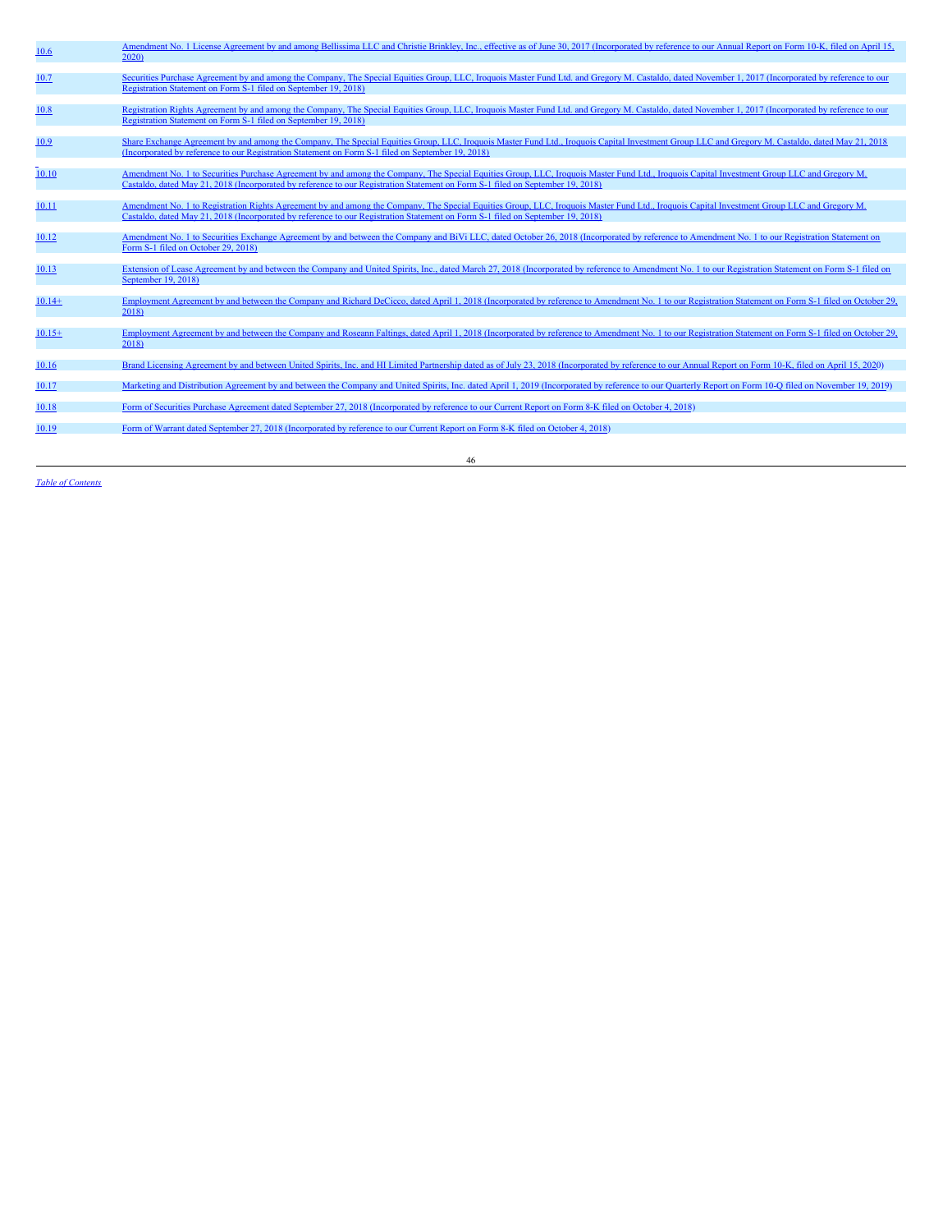| 10.6     | Amendment No. 1 License Agreement by and among Bellissima LLC and Christie Brinkley. Inc., effective as of June 30, 2017 (Incorporated by reference to our Annual Report on Form 10-K, filed on April 15,<br>2020)                                                                                                            |
|----------|-------------------------------------------------------------------------------------------------------------------------------------------------------------------------------------------------------------------------------------------------------------------------------------------------------------------------------|
| 10.7     | Securities Purchase Agreement by and among the Company, The Special Equities Group, LLC, Iroquois Master Fund Ltd. and Gregory M. Castaldo, dated November 1, 2017 (Incorporated by reference to our<br>Registration Statement on Form S-1 filed on September 19, 2018)                                                       |
| 10.8     | Registration Rights Agreement by and among the Company, The Special Equities Group, LLC, Iroquois Master Fund Ltd, and Gregory M. Castaldo, dated November 1, 2017 (Incorporated by reference to our<br>Registration Statement on Form S-1 filed on September 19, 2018)                                                       |
| 10.9     | Share Exchange Agreement by and among the Company, The Special Equities Group, LLC, Iroquois Master Fund Ltd., Iroquois Capital Investment Group LLC and Gregory M. Castaldo, dated May 21, 2018<br>(Incorporated by reference to our Registration Statement on Form S-1 filed on September 19, 2018)                         |
| 10.10    | Amendment No. 1 to Securities Purchase Agreement by and among the Company, The Special Equities Group, LLC, Iroquois Master Fund Ltd., Iroquois Capital Investment Group LLC and Gregory M.<br>Castaldo, dated May 21, 2018 (Incorporated by reference to our Registration Statement on Form S-1 filed on September 19, 2018) |
| 10.11    | Amendment No. 1 to Registration Rights Agreement by and among the Company, The Special Equities Group, LLC, Iroquois Master Fund Ltd., Iroquois Capital Investment Group LLC and Gregory M.<br>Castaldo, dated May 21, 2018 (Incorporated by reference to our Registration Statement on Form S-1 filed on September 19, 2018) |
| 10.12    | Amendment No. 1 to Securities Exchange Agreement by and between the Company and BiVi LLC, dated October 26, 2018 (Incorporated by reference to Amendment No. 1 to our Registration Statement on<br>Form S-1 filed on October 29, 2018)                                                                                        |
| 10.13    | Extension of Lease Agreement by and between the Company and United Spirits, Inc., dated March 27, 2018 (Incorporated by reference to Amendment No. 1 to our Registration Statement on Form S-1 filed on<br>September 19, 2018)                                                                                                |
| $10.14+$ | Employment Agreement by and between the Company and Richard DeCicco, dated April 1, 2018 (Incorporated by reference to Amendment No. 1 to our Registration Statement on Form S-1 filed on October 29,<br>2018)                                                                                                                |
| $10.15+$ | Employment Agreement by and between the Company and Roseann Faltings, dated April 1, 2018 (Incorporated by reference to Amendment No. 1 to our Registration Statement on Form S-1 filed on October 29,<br>2018)                                                                                                               |
| 10.16    | Brand Licensing Agreement by and between United Spirits, Inc. and HI Limited Partnership dated as of July 23, 2018 (Incorporated by reference to our Annual Report on Form 10-K, filed on April 15, 2020)                                                                                                                     |
| 10.17    | Marketing and Distribution Agreement by and between the Company and United Spirits, Inc. dated April 1, 2019 (Incorporated by reference to our Quarterly Report on Form 10-Q filed on November 19, 2019)                                                                                                                      |
| 10.18    | Form of Securities Purchase Agreement dated September 27, 2018 (Incorporated by reference to our Current Report on Form 8-K filed on October 4, 2018)                                                                                                                                                                         |
| 10.19    | Form of Warrant dated September 27, 2018 (Incorporated by reference to our Current Report on Form 8-K filed on October 4, 2018)                                                                                                                                                                                               |

*Table of [Contents](#page-1-0)*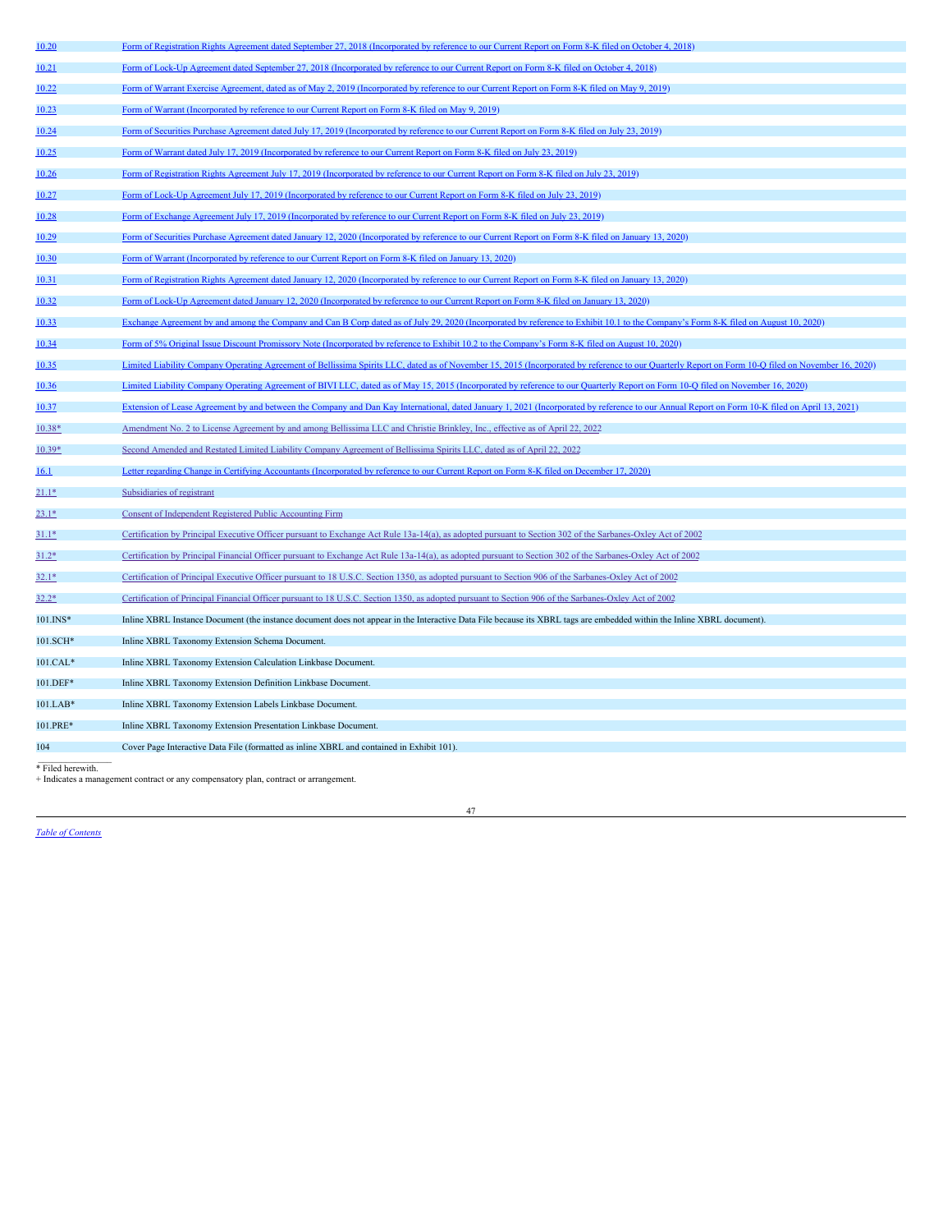| 10.21<br>Form of Lock-Up Agreement dated September 27, 2018 (Incorporated by reference to our Current Report on Form 8-K filed on October 4, 2018)<br>10.22<br>Form of Warrant Exercise Agreement, dated as of May 2, 2019 (Incorporated by reference to our Current Report on Form 8-K filed on May 9, 2019)<br>Form of Warrant (Incorporated by reference to our Current Report on Form 8-K filed on May 9, 2019)<br>10.23<br>10.24<br>Form of Securities Purchase Agreement dated July 17, 2019 (Incorporated by reference to our Current Report on Form 8-K filed on July 23, 2019)<br>10.25<br>Form of Warrant dated July 17, 2019 (Incorporated by reference to our Current Report on Form 8-K filed on July 23, 2019) |  |
|------------------------------------------------------------------------------------------------------------------------------------------------------------------------------------------------------------------------------------------------------------------------------------------------------------------------------------------------------------------------------------------------------------------------------------------------------------------------------------------------------------------------------------------------------------------------------------------------------------------------------------------------------------------------------------------------------------------------------|--|
|                                                                                                                                                                                                                                                                                                                                                                                                                                                                                                                                                                                                                                                                                                                              |  |
|                                                                                                                                                                                                                                                                                                                                                                                                                                                                                                                                                                                                                                                                                                                              |  |
|                                                                                                                                                                                                                                                                                                                                                                                                                                                                                                                                                                                                                                                                                                                              |  |
|                                                                                                                                                                                                                                                                                                                                                                                                                                                                                                                                                                                                                                                                                                                              |  |
|                                                                                                                                                                                                                                                                                                                                                                                                                                                                                                                                                                                                                                                                                                                              |  |
| 10.26<br>Form of Registration Rights Agreement July 17, 2019 (Incorporated by reference to our Current Report on Form 8-K filed on July 23, 2019)                                                                                                                                                                                                                                                                                                                                                                                                                                                                                                                                                                            |  |
| 10.27<br>Form of Lock-Up Agreement July 17, 2019 (Incorporated by reference to our Current Report on Form 8-K filed on July 23, 2019)                                                                                                                                                                                                                                                                                                                                                                                                                                                                                                                                                                                        |  |
| 10.28<br>Form of Exchange Agreement July 17, 2019 (Incorporated by reference to our Current Report on Form 8-K filed on July 23, 2019)                                                                                                                                                                                                                                                                                                                                                                                                                                                                                                                                                                                       |  |
| 10.29<br>Form of Securities Purchase Agreement dated January 12, 2020 (Incorporated by reference to our Current Report on Form 8-K filed on January 13, 2020)                                                                                                                                                                                                                                                                                                                                                                                                                                                                                                                                                                |  |
| 10.30<br>Form of Warrant (Incorporated by reference to our Current Report on Form 8-K filed on January 13, 2020)                                                                                                                                                                                                                                                                                                                                                                                                                                                                                                                                                                                                             |  |
| 10.31<br>Form of Registration Rights Agreement dated January 12, 2020 (Incorporated by reference to our Current Report on Form 8-K filed on January 13, 2020)                                                                                                                                                                                                                                                                                                                                                                                                                                                                                                                                                                |  |
| 10.32<br>Form of Lock-Up Agreement dated January 12, 2020 (Incorporated by reference to our Current Report on Form 8-K filed on January 13, 2020)                                                                                                                                                                                                                                                                                                                                                                                                                                                                                                                                                                            |  |
| 10.33<br>Exchange Agreement by and among the Company and Can B Corp dated as of July 29, 2020 (Incorporated by reference to Exhibit 10.1 to the Company's Form 8-K filed on August 10, 2020)                                                                                                                                                                                                                                                                                                                                                                                                                                                                                                                                 |  |
| 10.34<br>Form of 5% Original Issue Discount Promissory Note (Incorporated by reference to Exhibit 10.2 to the Company's Form 8-K filed on August 10, 2020)                                                                                                                                                                                                                                                                                                                                                                                                                                                                                                                                                                   |  |
| 10.35<br>Limited Liability Company Operating Agreement of Bellissima Spirits LLC, dated as of November 15, 2015 (Incorporated by reference to our Quarterly Report on Form 10-Q filed on November 16, 2020)                                                                                                                                                                                                                                                                                                                                                                                                                                                                                                                  |  |
| 10.36<br>Limited Liability Company Operating Agreement of BIVI LLC, dated as of May 15, 2015 (Incorporated by reference to our Quarterly Report on Form 10-Q filed on November 16, 2020)                                                                                                                                                                                                                                                                                                                                                                                                                                                                                                                                     |  |
| 10.37<br>Extension of Lease Agreement by and between the Company and Dan Kay International, dated January 1, 2021 (Incorporated by reference to our Annual Report on Form 10-K filed on April 13, 2021)                                                                                                                                                                                                                                                                                                                                                                                                                                                                                                                      |  |
| 10.38*<br>Amendment No. 2 to License Agreement by and among Bellissima LLC and Christie Brinkley, Inc., effective as of April 22, 2022                                                                                                                                                                                                                                                                                                                                                                                                                                                                                                                                                                                       |  |
| $10.39*$<br>Second Amended and Restated Limited Liability Company Agreement of Bellissima Spirits LLC, dated as of April 22, 2022                                                                                                                                                                                                                                                                                                                                                                                                                                                                                                                                                                                            |  |
| Letter regarding Change in Certifying Accountants (Incorporated by reference to our Current Report on Form 8-K filed on December 17, 2020)<br>16.1                                                                                                                                                                                                                                                                                                                                                                                                                                                                                                                                                                           |  |
| $21.1*$<br>Subsidiaries of registrant                                                                                                                                                                                                                                                                                                                                                                                                                                                                                                                                                                                                                                                                                        |  |
| $23.1*$<br>Consent of Independent Registered Public Accounting Firm                                                                                                                                                                                                                                                                                                                                                                                                                                                                                                                                                                                                                                                          |  |
| $31.1*$<br>Certification by Principal Executive Officer pursuant to Exchange Act Rule 13a-14(a), as adopted pursuant to Section 302 of the Sarbanes-Oxley Act of 2002                                                                                                                                                                                                                                                                                                                                                                                                                                                                                                                                                        |  |
| $31.2*$<br>Certification by Principal Financial Officer pursuant to Exchange Act Rule 13a-14(a), as adopted pursuant to Section 302 of the Sarbanes-Oxley Act of 2002                                                                                                                                                                                                                                                                                                                                                                                                                                                                                                                                                        |  |
| $32.1*$<br>Certification of Principal Executive Officer pursuant to 18 U.S.C. Section 1350, as adopted pursuant to Section 906 of the Sarbanes-Oxley Act of 2002                                                                                                                                                                                                                                                                                                                                                                                                                                                                                                                                                             |  |
| $32.2*$<br>Certification of Principal Financial Officer pursuant to 18 U.S.C. Section 1350, as adopted pursuant to Section 906 of the Sarbanes-Oxley Act of 2002                                                                                                                                                                                                                                                                                                                                                                                                                                                                                                                                                             |  |
| 101.INS*<br>Inline XBRL Instance Document (the instance document does not appear in the Interactive Data File because its XBRL tags are embedded within the Inline XBRL document).                                                                                                                                                                                                                                                                                                                                                                                                                                                                                                                                           |  |
| 101.SCH*<br>Inline XBRL Taxonomy Extension Schema Document.                                                                                                                                                                                                                                                                                                                                                                                                                                                                                                                                                                                                                                                                  |  |
| 101.CAL*<br>Inline XBRL Taxonomy Extension Calculation Linkbase Document.                                                                                                                                                                                                                                                                                                                                                                                                                                                                                                                                                                                                                                                    |  |
| 101.DEF*<br>Inline XBRL Taxonomy Extension Definition Linkbase Document.                                                                                                                                                                                                                                                                                                                                                                                                                                                                                                                                                                                                                                                     |  |
| 101.LAB*<br>Inline XBRL Taxonomy Extension Labels Linkbase Document.                                                                                                                                                                                                                                                                                                                                                                                                                                                                                                                                                                                                                                                         |  |
| 101.PRE*<br>Inline XBRL Taxonomy Extension Presentation Linkbase Document.                                                                                                                                                                                                                                                                                                                                                                                                                                                                                                                                                                                                                                                   |  |
| 104<br>Cover Page Interactive Data File (formatted as inline XBRL and contained in Exhibit 101).                                                                                                                                                                                                                                                                                                                                                                                                                                                                                                                                                                                                                             |  |
| * Filed herewith.<br>+ Indicates a management contract or any compensatory plan, contract or arrangement.                                                                                                                                                                                                                                                                                                                                                                                                                                                                                                                                                                                                                    |  |

47

*Table of [Contents](#page-1-0)*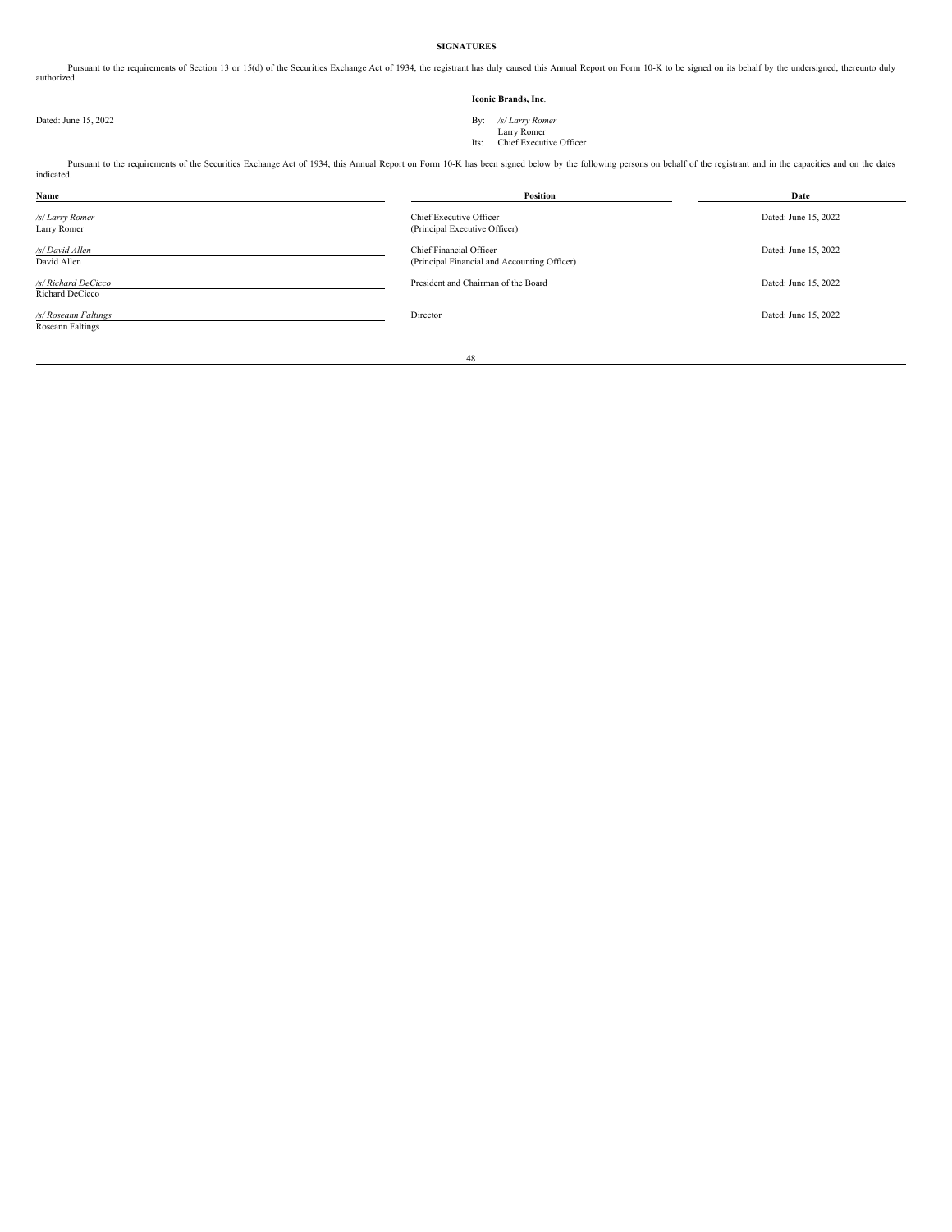#### **SIGNATURES**

Pursuant to the requirements of Section 13 or 15(d) of the Securities Exchange Act of 1934, the registrant has duly caused this Annual Report on Form 10-K to be signed on its behalf by the undersigned, thereunto duly autho

| Dated: June 15, 2022 |  |  |
|----------------------|--|--|

| Iconic Brands, Inc. |  |
|---------------------|--|
|---------------------|--|

Dated: June 15, 2022<br> **Dated:** June 15, 2022<br>
Its: Chief Executive Officer

Pursuant to the requirements of the Securities Exchange Act of 1934, this Annual Report on Form 10-K has been signed below by the following persons on behalf of the registrant and in the capacities and on the dates indicat

| Name                                     | Position                                                                | Date                 |
|------------------------------------------|-------------------------------------------------------------------------|----------------------|
| /s/ Larry Romer<br>Larry Romer           | Chief Executive Officer<br>(Principal Executive Officer)                | Dated: June 15, 2022 |
| /s/ David Allen<br>David Allen           | Chief Financial Officer<br>(Principal Financial and Accounting Officer) | Dated: June 15, 2022 |
| /s/ Richard DeCicco<br>Richard DeCicco   | President and Chairman of the Board                                     | Dated: June 15, 2022 |
| /s/ Roseann Faltings<br>Roseann Faltings | Director                                                                | Dated: June 15, 2022 |
|                                          | 48                                                                      |                      |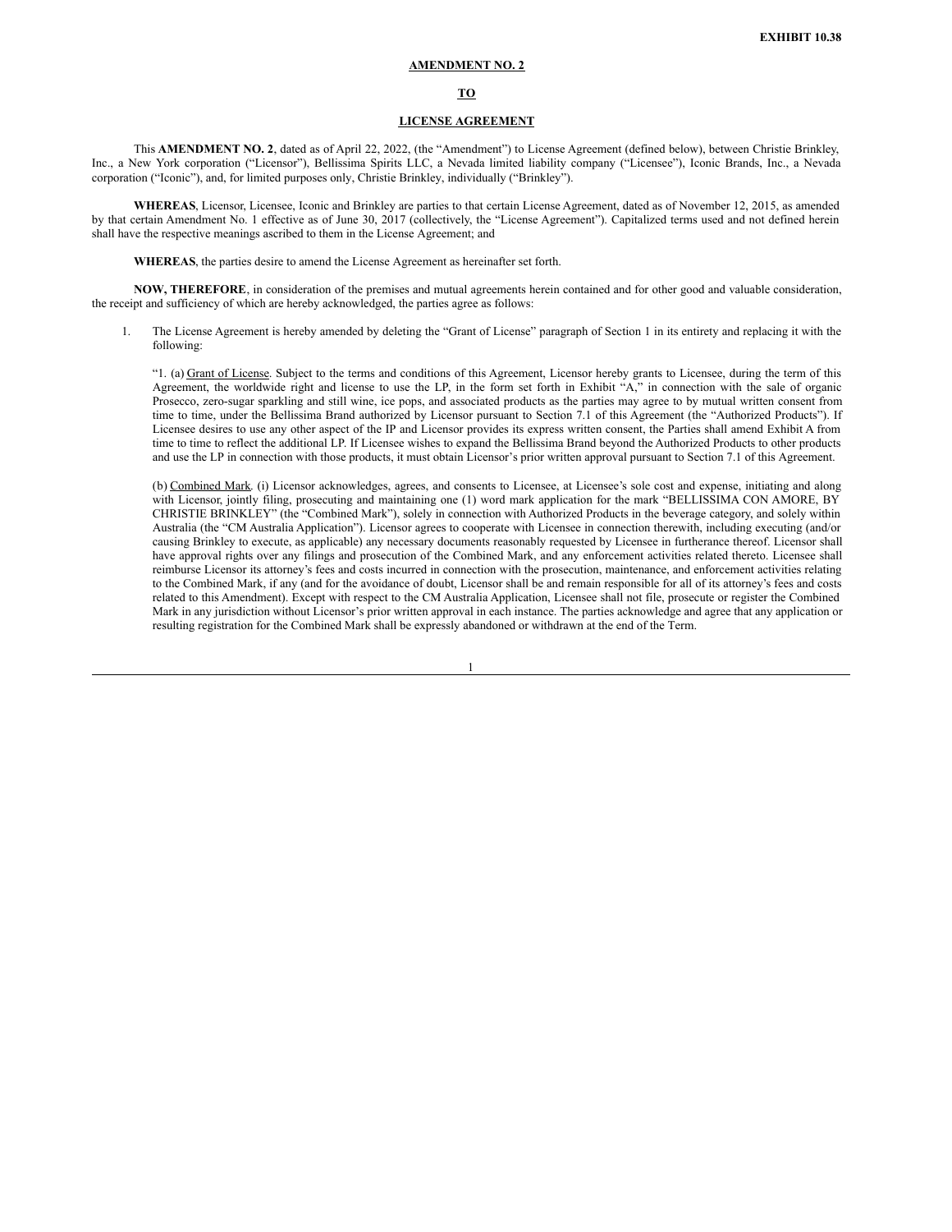#### **AMENDMENT NO. 2**

#### **TO**

#### **LICENSE AGREEMENT**

This **AMENDMENT NO. 2**, dated as of April 22, 2022, (the "Amendment") to License Agreement (defined below), between Christie Brinkley, Inc., a New York corporation ("Licensor"), Bellissima Spirits LLC, a Nevada limited liability company ("Licensee"), Iconic Brands, Inc., a Nevada corporation ("Iconic"), and, for limited purposes only, Christie Brinkley, individually ("Brinkley").

**WHEREAS**, Licensor, Licensee, Iconic and Brinkley are parties to that certain License Agreement, dated as of November 12, 2015, as amended by that certain Amendment No. 1 effective as of June 30, 2017 (collectively, the "License Agreement"). Capitalized terms used and not defined herein shall have the respective meanings ascribed to them in the License Agreement; and

**WHEREAS**, the parties desire to amend the License Agreement as hereinafter set forth.

**NOW, THEREFORE**, in consideration of the premises and mutual agreements herein contained and for other good and valuable consideration, the receipt and sufficiency of which are hereby acknowledged, the parties agree as follows:

1. The License Agreement is hereby amended by deleting the "Grant of License" paragraph of Section 1 in its entirety and replacing it with the following:

"1. (a) Grant of License. Subject to the terms and conditions of this Agreement, Licensor hereby grants to Licensee, during the term of this Agreement, the worldwide right and license to use the LP, in the form set forth in Exhibit "A," in connection with the sale of organic Prosecco, zero-sugar sparkling and still wine, ice pops, and associated products as the parties may agree to by mutual written consent from time to time, under the Bellissima Brand authorized by Licensor pursuant to Section 7.1 of this Agreement (the "Authorized Products"). If Licensee desires to use any other aspect of the IP and Licensor provides its express written consent, the Parties shall amend Exhibit A from time to time to reflect the additional LP. If Licensee wishes to expand the Bellissima Brand beyond the Authorized Products to other products and use the LP in connection with those products, it must obtain Licensor's prior written approval pursuant to Section 7.1 of this Agreement.

(b) Combined Mark. (i) Licensor acknowledges, agrees, and consents to Licensee, at Licensee's sole cost and expense, initiating and along with Licensor, jointly filing, prosecuting and maintaining one (1) word mark application for the mark "BELLISSIMA CON AMORE, BY CHRISTIE BRINKLEY" (the "Combined Mark"), solely in connection with Authorized Products in the beverage category, and solely within Australia (the "CM Australia Application"). Licensor agrees to cooperate with Licensee in connection therewith, including executing (and/or causing Brinkley to execute, as applicable) any necessary documents reasonably requested by Licensee in furtherance thereof. Licensor shall have approval rights over any filings and prosecution of the Combined Mark, and any enforcement activities related thereto. Licensee shall reimburse Licensor its attorney's fees and costs incurred in connection with the prosecution, maintenance, and enforcement activities relating to the Combined Mark, if any (and for the avoidance of doubt, Licensor shall be and remain responsible for all of its attorney's fees and costs related to this Amendment). Except with respect to the CM Australia Application, Licensee shall not file, prosecute or register the Combined Mark in any jurisdiction without Licensor's prior written approval in each instance. The parties acknowledge and agree that any application or resulting registration for the Combined Mark shall be expressly abandoned or withdrawn at the end of the Term.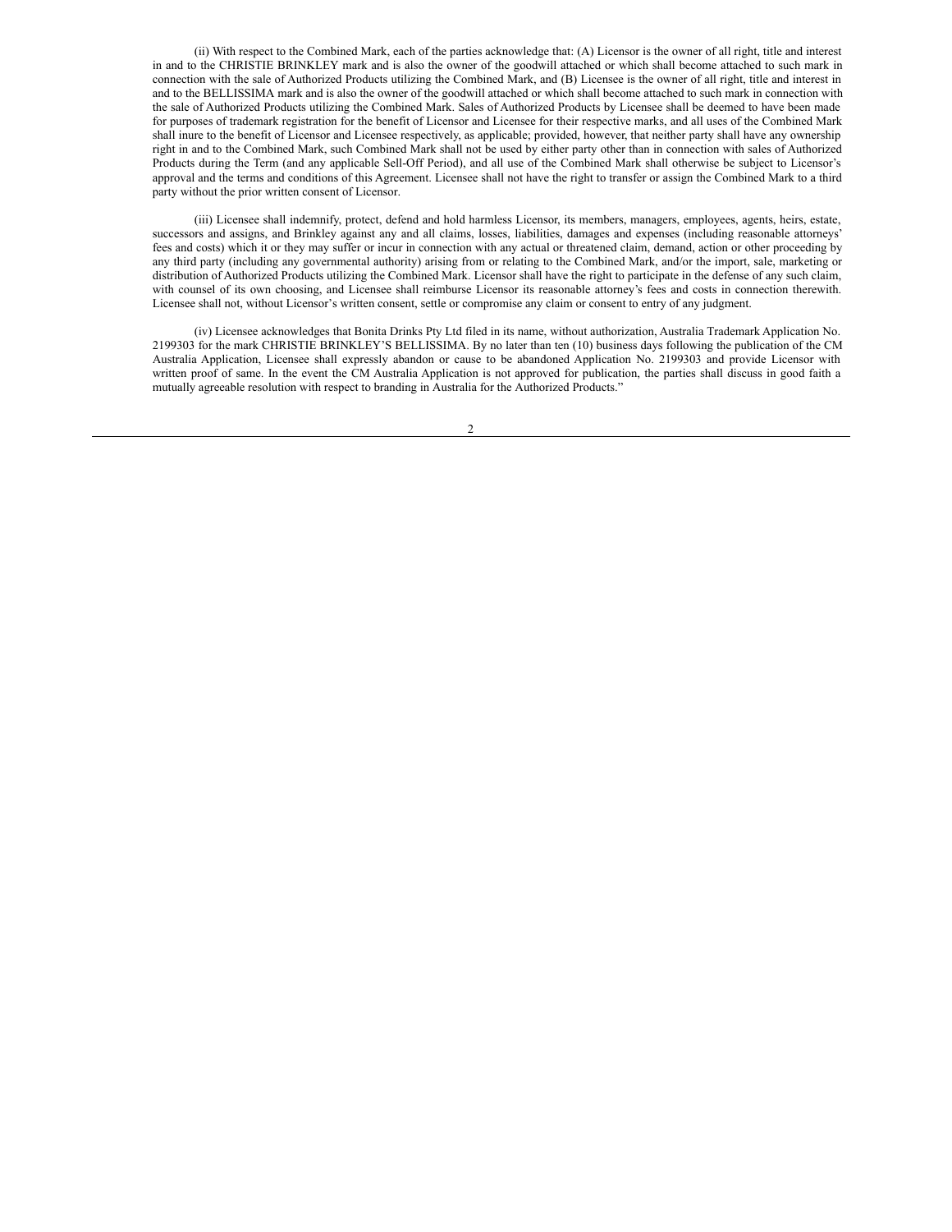(ii) With respect to the Combined Mark, each of the parties acknowledge that: (A) Licensor is the owner of all right, title and interest in and to the CHRISTIE BRINKLEY mark and is also the owner of the goodwill attached or which shall become attached to such mark in connection with the sale of Authorized Products utilizing the Combined Mark, and (B) Licensee is the owner of all right, title and interest in and to the BELLISSIMA mark and is also the owner of the goodwill attached or which shall become attached to such mark in connection with the sale of Authorized Products utilizing the Combined Mark. Sales of Authorized Products by Licensee shall be deemed to have been made for purposes of trademark registration for the benefit of Licensor and Licensee for their respective marks, and all uses of the Combined Mark shall inure to the benefit of Licensor and Licensee respectively, as applicable; provided, however, that neither party shall have any ownership right in and to the Combined Mark, such Combined Mark shall not be used by either party other than in connection with sales of Authorized Products during the Term (and any applicable Sell-Off Period), and all use of the Combined Mark shall otherwise be subject to Licensor's approval and the terms and conditions of this Agreement. Licensee shall not have the right to transfer or assign the Combined Mark to a third party without the prior written consent of Licensor.

(iii) Licensee shall indemnify, protect, defend and hold harmless Licensor, its members, managers, employees, agents, heirs, estate, successors and assigns, and Brinkley against any and all claims, losses, liabilities, damages and expenses (including reasonable attorneys' fees and costs) which it or they may suffer or incur in connection with any actual or threatened claim, demand, action or other proceeding by any third party (including any governmental authority) arising from or relating to the Combined Mark, and/or the import, sale, marketing or distribution of Authorized Products utilizing the Combined Mark. Licensor shall have the right to participate in the defense of any such claim, with counsel of its own choosing, and Licensee shall reimburse Licensor its reasonable attorney's fees and costs in connection therewith. Licensee shall not, without Licensor's written consent, settle or compromise any claim or consent to entry of any judgment.

(iv) Licensee acknowledges that Bonita Drinks Pty Ltd filed in its name, without authorization, Australia Trademark Application No. 2199303 for the mark CHRISTIE BRINKLEY'S BELLISSIMA. By no later than ten (10) business days following the publication of the CM Australia Application, Licensee shall expressly abandon or cause to be abandoned Application No. 2199303 and provide Licensor with written proof of same. In the event the CM Australia Application is not approved for publication, the parties shall discuss in good faith a mutually agreeable resolution with respect to branding in Australia for the Authorized Products."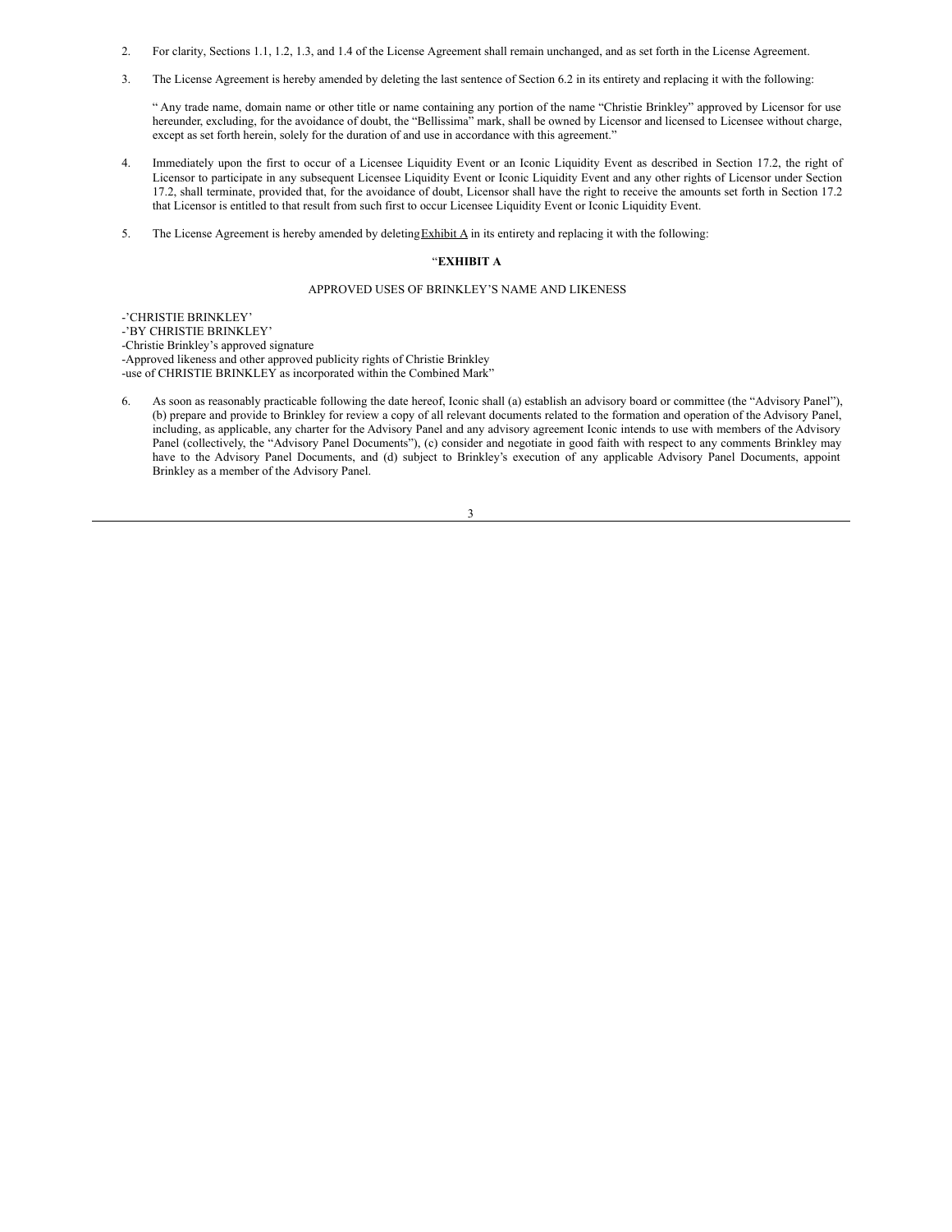- <span id="page-78-0"></span>2. For clarity, Sections 1.1, 1.2, 1.3, and 1.4 of the License Agreement shall remain unchanged, and as set forth in the License Agreement.
- 3. The License Agreement is hereby amended by deleting the last sentence of Section 6.2 in its entirety and replacing it with the following:

" Any trade name, domain name or other title or name containing any portion of the name "Christie Brinkley" approved by Licensor for use hereunder, excluding, for the avoidance of doubt, the "Bellissima" mark, shall be owned by Licensor and licensed to Licensee without charge, except as set forth herein, solely for the duration of and use in accordance with this agreement."

- 4. Immediately upon the first to occur of a Licensee Liquidity Event or an Iconic Liquidity Event as described in Section 17.2, the right of Licensor to participate in any subsequent Licensee Liquidity Event or Iconic Liquidity Event and any other rights of Licensor under Section 17.2, shall terminate, provided that, for the avoidance of doubt, Licensor shall have the right to receive the amounts set forth in Section 17.2 that Licensor is entitled to that result from such first to occur Licensee Liquidity Event or Iconic Liquidity Event.
- 5. The License Agreement is hereby amended by deleting  $\frac{Exhibit A}{\text{ in its entirety}}$  and replacing it with the following:

### "**EXHIBIT A**

#### APPROVED USES OF BRINKLEY'S NAME AND LIKENESS

-'CHRISTIE BRINKLEY' -'BY CHRISTIE BRINKLEY' -Christie Brinkley's approved signature -Approved likeness and other approved publicity rights of Christie Brinkley -use of CHRISTIE BRINKLEY as incorporated within the Combined Mark"

6. As soon as reasonably practicable following the date hereof, Iconic shall (a) establish an advisory board or committee (the "Advisory Panel"), (b) prepare and provide to Brinkley for review a copy of all relevant documents related to the formation and operation of the Advisory Panel, including, as applicable, any charter for the Advisory Panel and any advisory agreement Iconic intends to use with members of the Advisory Panel (collectively, the "Advisory Panel Documents"), (c) consider and negotiate in good faith with respect to any comments Brinkley may have to the Advisory Panel Documents, and (d) subject to Brinkley's execution of any applicable Advisory Panel Documents, appoint Brinkley as a member of the Advisory Panel.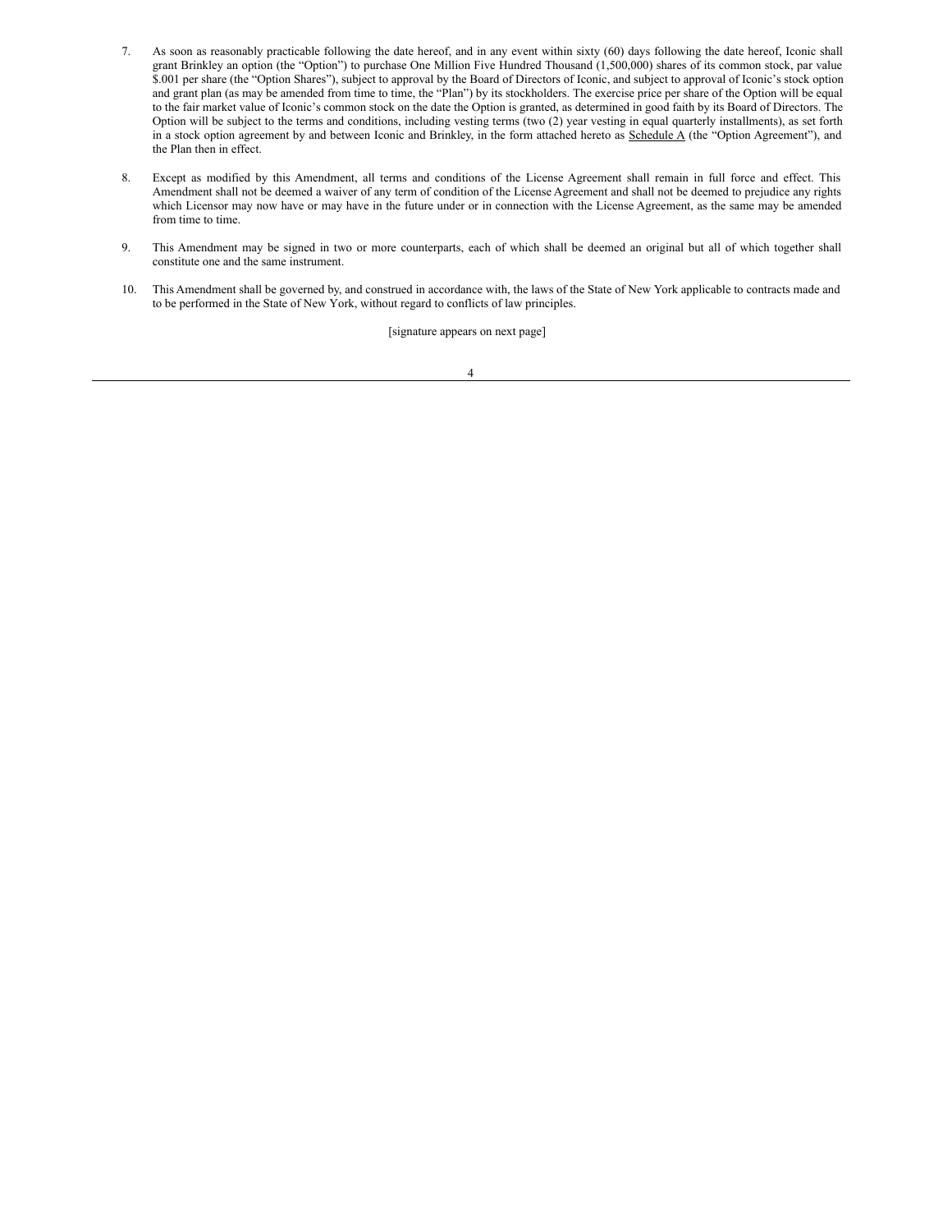- 7. As soon as reasonably practicable following the date hereof, and in any event within sixty (60) days following the date hereof, Iconic shall grant Brinkley an option (the "Option") to purchase One Million Five Hundred Thousand (1,500,000) shares of its common stock, par value \$.001 per share (the "Option Shares"), subject to approval by the Board of Directors of Iconic, and subject to approval of Iconic's stock option and grant plan (as may be amended from time to time, the "Plan") by its stockholders. The exercise price per share of the Option will be equal to the fair market value of Iconic's common stock on the date the Option is granted, as determined in good faith by its Board of Directors. The Option will be subject to the terms and conditions, including vesting terms (two (2) year vesting in equal quarterly installments), as set forth in a stock option agreement by and between Iconic and Brinkley, in the form attached hereto as  $Schedule A$  (the "Option Agreement"), and the Plan then in effect.
- 8. Except as modified by this Amendment, all terms and conditions of the License Agreement shall remain in full force and effect. This Amendment shall not be deemed a waiver of any term of condition of the License Agreement and shall not be deemed to prejudice any rights which Licensor may now have or may have in the future under or in connection with the License Agreement, as the same may be amended from time to time.
- 9. This Amendment may be signed in two or more counterparts, each of which shall be deemed an original but all of which together shall constitute one and the same instrument.
- 10. This Amendment shall be governed by, and construed in accordance with, the laws of the State of New York applicable to contracts made and to be performed in the State of New York, without regard to conflicts of law principles.

[signature appears on next page]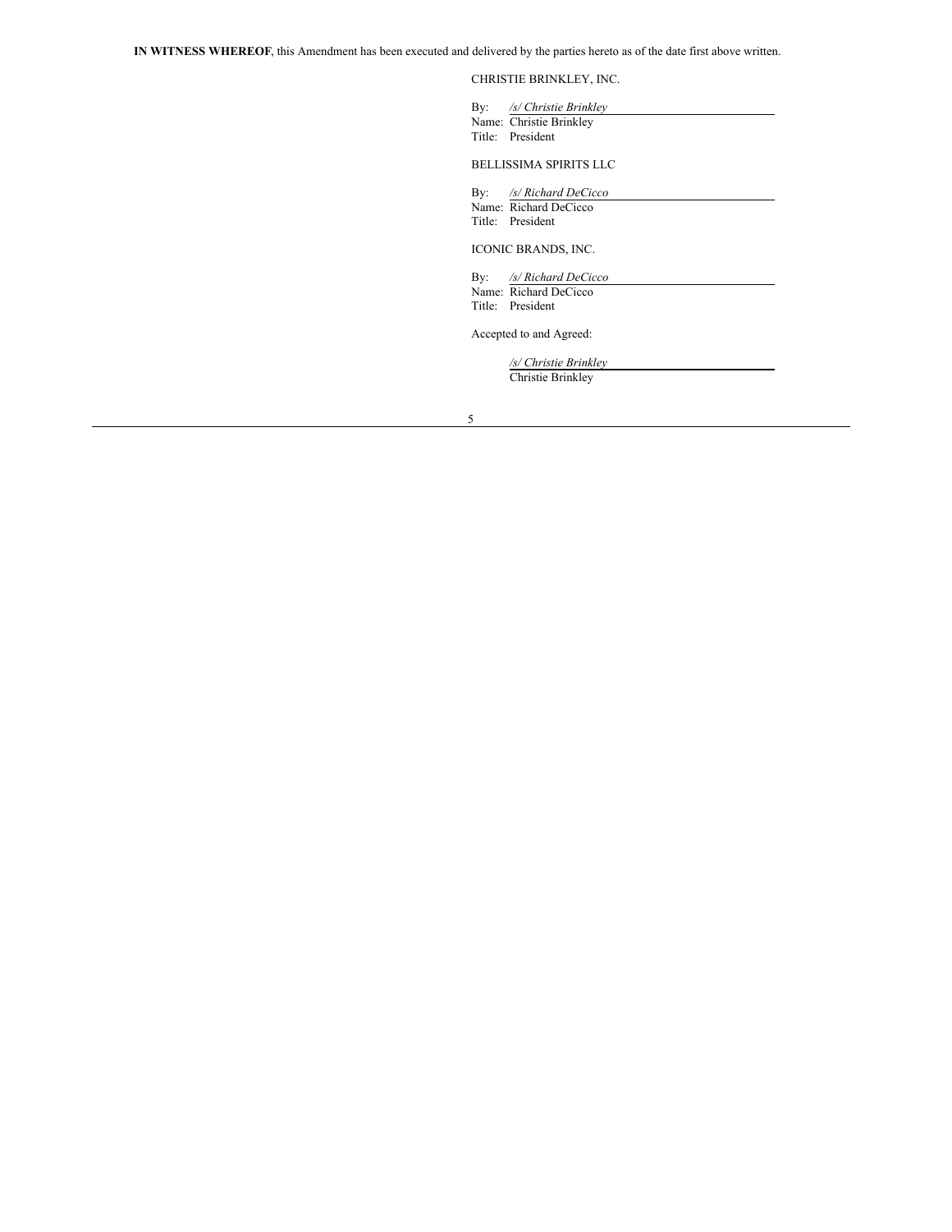**IN WITNESS WHEREOF**, this Amendment has been executed and delivered by the parties hereto as of the date first above written.

CHRISTIE BRINKLEY, INC.

| By: $\frac{s}{\sqrt{s}}$ Christie Brinkley |
|--------------------------------------------|
| Name: Christie Brinkley                    |
| Title: President                           |
| <b>BELLISSIMA SPIRITS LLC</b>              |
| By: /s/ Richard DeCicco                    |
| Name: Richard DeCicco                      |
| Title: President                           |
| <b>ICONIC BRANDS, INC.</b>                 |
| By: /s/ Richard DeCicco                    |
| Name: Richard DeCicco                      |
| Title: President                           |
| Accepted to and Agreed:                    |
| /s/ Christie Brinkley                      |
| Christie Brinkley                          |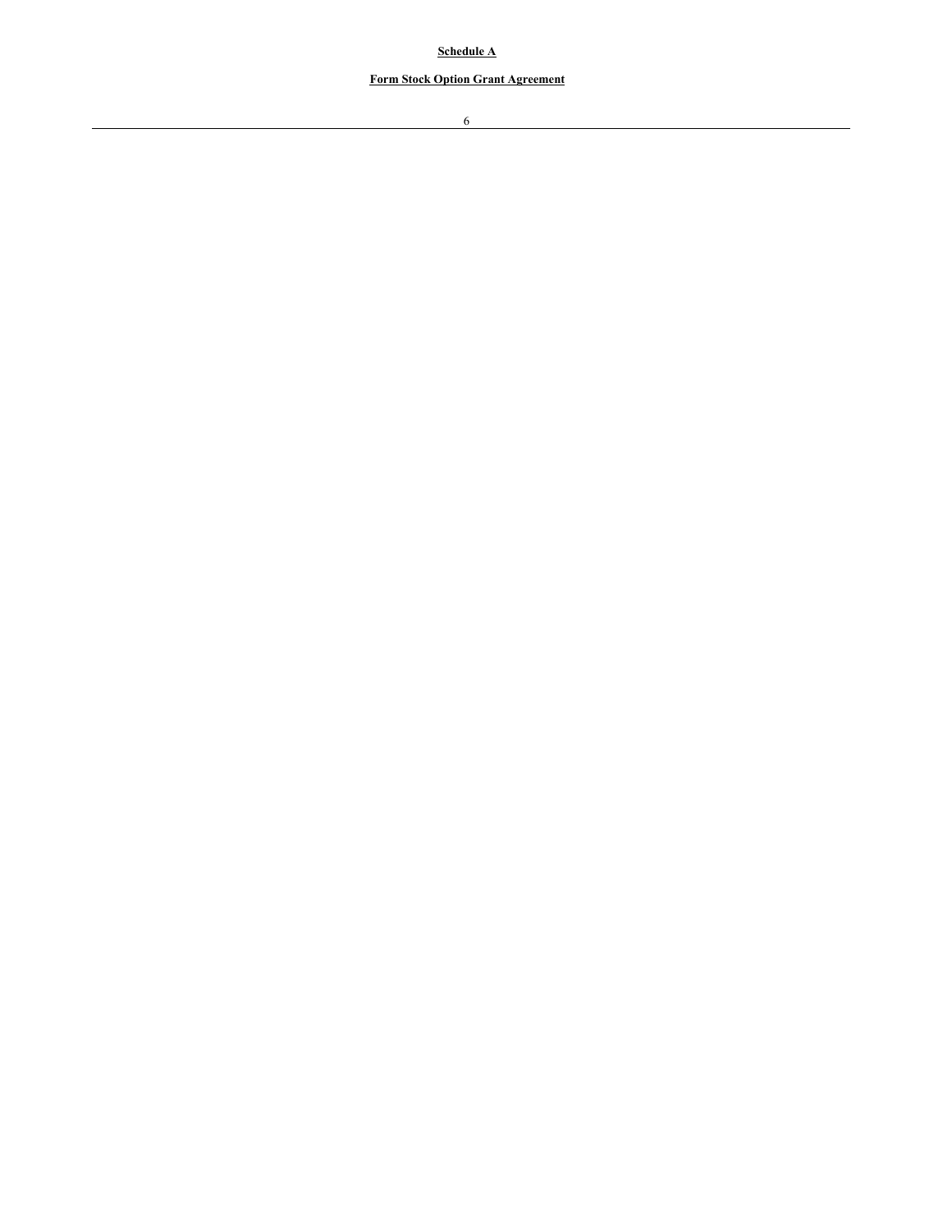**Schedule A**

# **Form Stock Option Grant Agreement**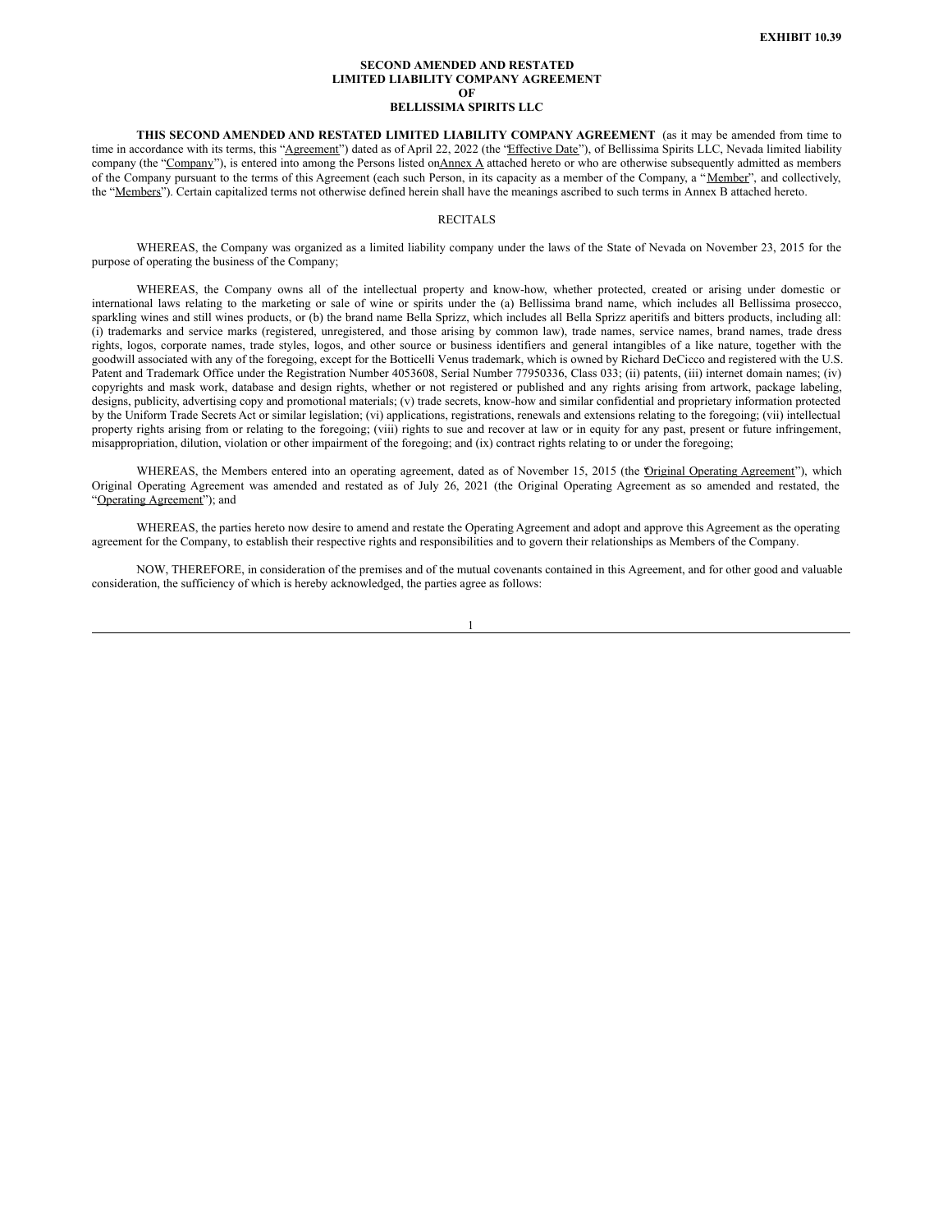### **SECOND AMENDED AND RESTATED LIMITED LIABILITY COMPANY AGREEMENT OF**

## **BELLISSIMA SPIRITS LLC**

**THIS SECOND AMENDED AND RESTATED LIMITED LIABILITY COMPANY AGREEMENT** (as it may be amended from time to time in accordance with its terms, this "Agreement") dated as of April 22, 2022 (the 'Effective Date'"), of Bellissima Spirits LLC, Nevada limited liability company (the "Company"), is entered into among the Persons listed on Annex A attached hereto or who are otherwise subsequently admitted as members of the Company pursuant to the terms of this Agreement (each such Person, in its capacity as a member of the Company, a "Member", and collectively, the "<u>Members</u>"). Certain capitalized terms not otherwise defined herein shall have the meanings ascribed to such terms in Annex B attached hereto.

### RECITALS

WHEREAS, the Company was organized as a limited liability company under the laws of the State of Nevada on November 23, 2015 for the purpose of operating the business of the Company;

WHEREAS, the Company owns all of the intellectual property and know-how, whether protected, created or arising under domestic or international laws relating to the marketing or sale of wine or spirits under the (a) Bellissima brand name, which includes all Bellissima prosecco, sparkling wines and still wines products, or (b) the brand name Bella Sprizz, which includes all Bella Sprizz aperitifs and bitters products, including all: (i) trademarks and service marks (registered, unregistered, and those arising by common law), trade names, service names, brand names, trade dress rights, logos, corporate names, trade styles, logos, and other source or business identifiers and general intangibles of a like nature, together with the goodwill associated with any of the foregoing, except for the Botticelli Venus trademark, which is owned by Richard DeCicco and registered with the U.S. Patent and Trademark Office under the Registration Number 4053608, Serial Number 77950336, Class 033; (ii) patents, (iii) internet domain names; (iv) copyrights and mask work, database and design rights, whether or not registered or published and any rights arising from artwork, package labeling, designs, publicity, advertising copy and promotional materials; (v) trade secrets, know-how and similar confidential and proprietary information protected by the Uniform Trade Secrets Act or similar legislation; (vi) applications, registrations, renewals and extensions relating to the foregoing; (vii) intellectual property rights arising from or relating to the foregoing; (viii) rights to sue and recover at law or in equity for any past, present or future infringement, misappropriation, dilution, violation or other impairment of the foregoing; and (ix) contract rights relating to or under the foregoing;

WHEREAS, the Members entered into an operating agreement, dated as of November 15, 2015 (the Original Operating Agreement"), which Original Operating Agreement was amended and restated as of July 26, 2021 (the Original Operating Agreement as so amended and restated, the "Operating Agreement"); and

WHEREAS, the parties hereto now desire to amend and restate the Operating Agreement and adopt and approve this Agreement as the operating agreement for the Company, to establish their respective rights and responsibilities and to govern their relationships as Members of the Company.

NOW, THEREFORE, in consideration of the premises and of the mutual covenants contained in this Agreement, and for other good and valuable consideration, the sufficiency of which is hereby acknowledged, the parties agree as follows: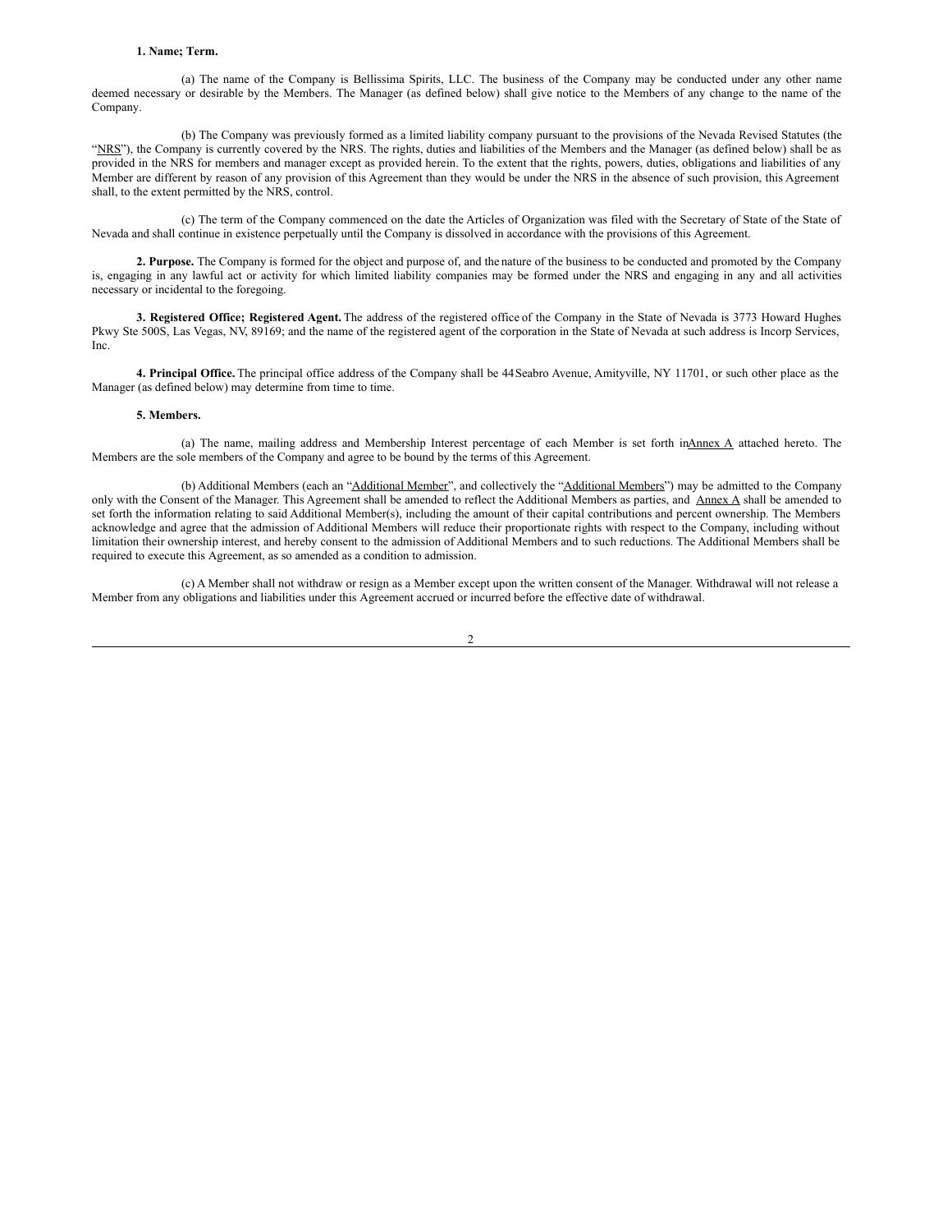#### **1. Name; Term.**

(a) The name of the Company is Bellissima Spirits, LLC. The business of the Company may be conducted under any other name deemed necessary or desirable by the Members. The Manager (as defined below) shall give notice to the Members of any change to the name of the Company.

(b) The Company was previously formed as a limited liability company pursuant to the provisions of the Nevada Revised Statutes (the "NRS"), the Company is currently covered by the NRS. The rights, duties and liabilities of the Members and the Manager (as defined below) shall be as provided in the NRS for members and manager except as provided herein. To the extent that the rights, powers, duties, obligations and liabilities of any Member are different by reason of any provision of this Agreement than they would be under the NRS in the absence of such provision, this Agreement shall, to the extent permitted by the NRS, control.

(c) The term of the Company commenced on the date the Articles of Organization was filed with the Secretary of State of the State of Nevada and shall continue in existence perpetually until the Company is dissolved in accordance with the provisions of this Agreement.

**2. Purpose.** The Company is formed for the object and purpose of, and the nature of the business to be conducted and promoted by the Company is, engaging in any lawful act or activity for which limited liability companies may be formed under the NRS and engaging in any and all activities necessary or incidental to the foregoing.

**3. Registered Office; Registered Agent.** The address of the registered office of the Company in the State of Nevada is 3773 Howard Hughes Pkwy Ste 500S, Las Vegas, NV, 89169; and the name of the registered agent of the corporation in the State of Nevada at such address is Incorp Services, Inc.

**4. Principal Office.** The principal office address of the Company shall be 44Seabro Avenue, Amityville, NY 11701, or such other place as the Manager (as defined below) may determine from time to time.

#### **5. Members.**

(a) The name, mailing address and Membership Interest percentage of each Member is set forth inAnnex A attached hereto. The Members are the sole members of the Company and agree to be bound by the terms of this Agreement.

(b) Additional Members (each an "Additional Member", and collectively the "Additional Members") may be admitted to the Company only with the Consent of the Manager. This Agreement shall be amended to reflect the Additional Members as parties, and Annex A shall be amended to set forth the information relating to said Additional Member(s), including the amount of their capital contributions and percent ownership. The Members acknowledge and agree that the admission of Additional Members will reduce their proportionate rights with respect to the Company, including without limitation their ownership interest, and hereby consent to the admission of Additional Members and to such reductions. The Additional Members shall be required to execute this Agreement, as so amended as a condition to admission.

(c) A Member shall not withdraw or resign as a Member except upon the written consent of the Manager. Withdrawal will not release a Member from any obligations and liabilities under this Agreement accrued or incurred before the effective date of withdrawal.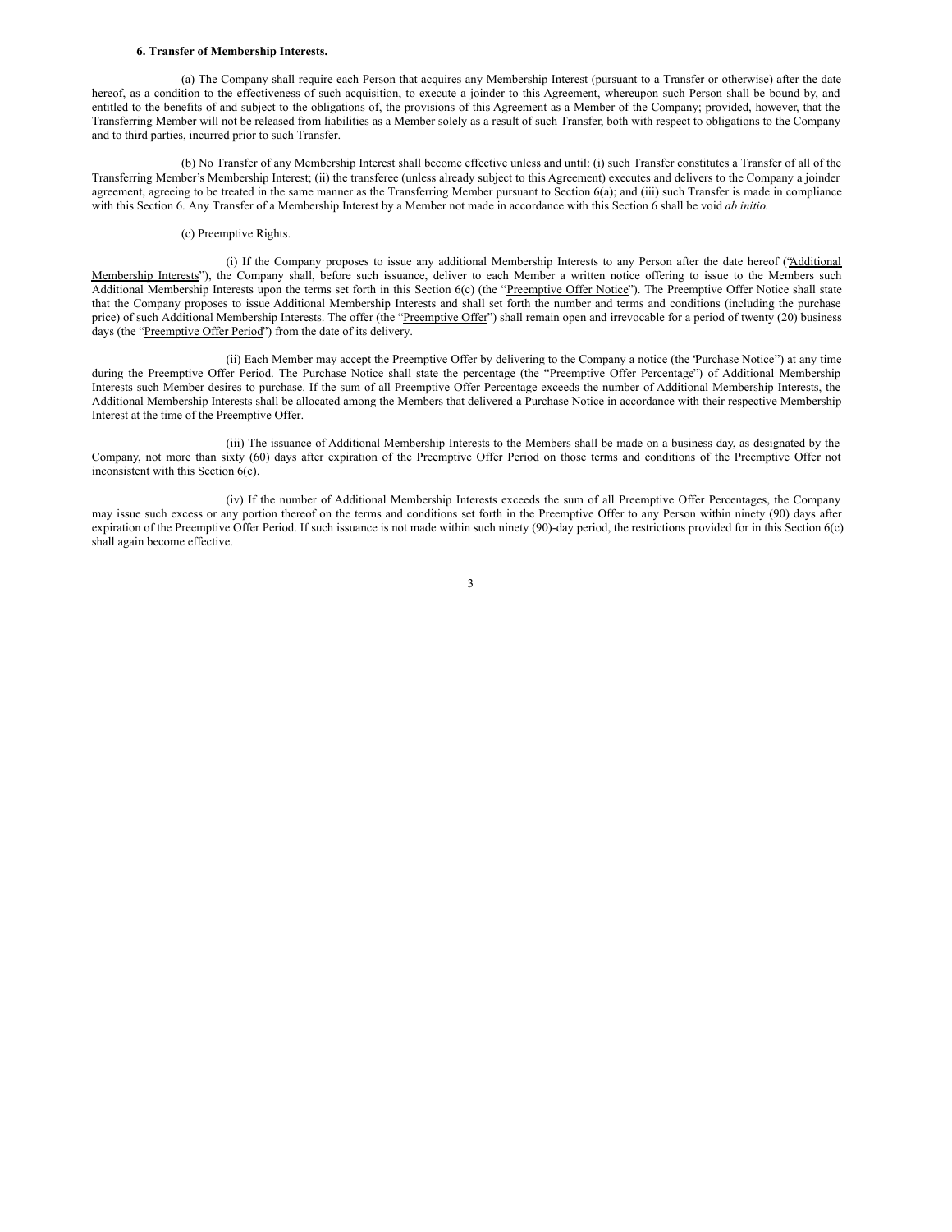#### **6. Transfer of Membership Interests.**

(a) The Company shall require each Person that acquires any Membership Interest (pursuant to a Transfer or otherwise) after the date hereof, as a condition to the effectiveness of such acquisition, to execute a joinder to this Agreement, whereupon such Person shall be bound by, and entitled to the benefits of and subject to the obligations of, the provisions of this Agreement as a Member of the Company; provided, however, that the Transferring Member will not be released from liabilities as a Member solely as a result of such Transfer, both with respect to obligations to the Company and to third parties, incurred prior to such Transfer.

(b) No Transfer of any Membership Interest shall become effective unless and until: (i) such Transfer constitutes a Transfer of all of the Transferring Member's Membership Interest; (ii) the transferee (unless already subject to this Agreement) executes and delivers to the Company a joinder agreement, agreeing to be treated in the same manner as the Transferring Member pursuant to Section 6(a); and (iii) such Transfer is made in compliance with this Section 6. Any Transfer of a Membership Interest by a Member not made in accordance with this Section 6 shall be void *ab initio*.

#### (c) Preemptive Rights.

(i) If the Company proposes to issue any additional Membership Interests to any Person after the date hereof ("Additional Membership Interests"), the Company shall, before such issuance, deliver to each Member a written notice offering to issue to the Members such Additional Membership Interests upon the terms set forth in this Section 6(c) (the "Preemptive Offer Notice"). The Preemptive Offer Notice shall state that the Company proposes to issue Additional Membership Interests and shall set forth the number and terms and conditions (including the purchase price) of such Additional Membership Interests. The offer (the "Preemptive Offer") shall remain open and irrevocable for a period of twenty (20) business days (the "Preemptive Offer Period") from the date of its delivery.

(ii) Each Member may accept the Preemptive Offer by delivering to the Company a notice (the "Purchase Notice") at any time during the Preemptive Offer Period. The Purchase Notice shall state the percentage (the "Preemptive Offer Percentage") of Additional Membership Interests such Member desires to purchase. If the sum of all Preemptive Offer Percentage exceeds the number of Additional Membership Interests, the Additional Membership Interests shall be allocated among the Members that delivered a Purchase Notice in accordance with their respective Membership Interest at the time of the Preemptive Offer.

(iii) The issuance of Additional Membership Interests to the Members shall be made on a business day, as designated by the Company, not more than sixty (60) days after expiration of the Preemptive Offer Period on those terms and conditions of the Preemptive Offer not inconsistent with this Section 6(c).

(iv) If the number of Additional Membership Interests exceeds the sum of all Preemptive Offer Percentages, the Company may issue such excess or any portion thereof on the terms and conditions set forth in the Preemptive Offer to any Person within ninety (90) days after expiration of the Preemptive Offer Period. If such issuance is not made within such ninety (90)-day period, the restrictions provided for in this Section 6(c) shall again become effective.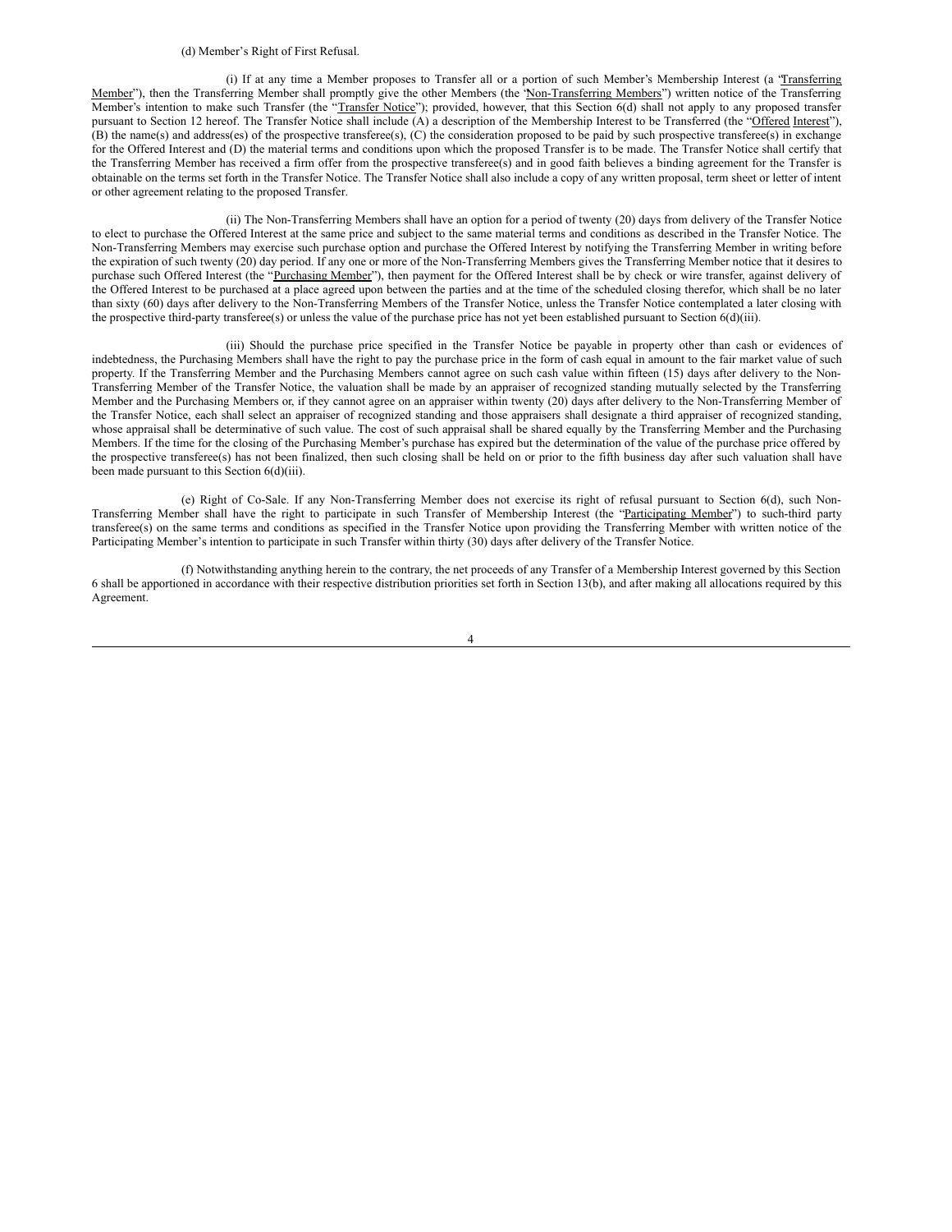#### (d) Member's Right of First Refusal.

(i) If at any time a Member proposes to Transfer all or a portion of such Member's Membership Interest (a "Transferring Member"), then the Transferring Member shall promptly give the other Members (the 'Non-Transferring Members'') written notice of the Transferring Member's intention to make such Transfer (the "Transfer Notice"); provided, however, that this Section 6(d) shall not apply to any proposed transfer pursuant to Section 12 hereof. The Transfer Notice shall include (A) a description of the Membership Interest to be Transferred (the "Offered Interest"), (B) the name(s) and address(es) of the prospective transferee(s), (C) the consideration proposed to be paid by such prospective transferee(s) in exchange for the Offered Interest and (D) the material terms and conditions upon which the proposed Transfer is to be made. The Transfer Notice shall certify that the Transferring Member has received a firm offer from the prospective transferee(s) and in good faith believes a binding agreement for the Transfer is obtainable on the terms set forth in the Transfer Notice. The Transfer Notice shall also include a copy of any written proposal, term sheet or letter of intent or other agreement relating to the proposed Transfer.

(ii) The Non-Transferring Members shall have an option for a period of twenty (20) days from delivery of the Transfer Notice to elect to purchase the Offered Interest at the same price and subject to the same material terms and conditions as described in the Transfer Notice. The Non-Transferring Members may exercise such purchase option and purchase the Offered Interest by notifying the Transferring Member in writing before the expiration of such twenty (20) day period. If any one or more of the Non-Transferring Members gives the Transferring Member notice that it desires to purchase such Offered Interest (the "Purchasing Member"), then payment for the Offered Interest shall be by check or wire transfer, against delivery of the Offered Interest to be purchased at a place agreed upon between the parties and at the time of the scheduled closing therefor, which shall be no later than sixty (60) days after delivery to the Non-Transferring Members of the Transfer Notice, unless the Transfer Notice contemplated a later closing with the prospective third-party transferee(s) or unless the value of the purchase price has not yet been established pursuant to Section 6(d)(iii).

(iii) Should the purchase price specified in the Transfer Notice be payable in property other than cash or evidences of indebtedness, the Purchasing Members shall have the right to pay the purchase price in the form of cash equal in amount to the fair market value of such property. If the Transferring Member and the Purchasing Members cannot agree on such cash value within fifteen (15) days after delivery to the Non-Transferring Member of the Transfer Notice, the valuation shall be made by an appraiser of recognized standing mutually selected by the Transferring Member and the Purchasing Members or, if they cannot agree on an appraiser within twenty (20) days after delivery to the Non-Transferring Member of the Transfer Notice, each shall select an appraiser of recognized standing and those appraisers shall designate a third appraiser of recognized standing, whose appraisal shall be determinative of such value. The cost of such appraisal shall be shared equally by the Transferring Member and the Purchasing Members. If the time for the closing of the Purchasing Member's purchase has expired but the determination of the value of the purchase price offered by the prospective transferee(s) has not been finalized, then such closing shall be held on or prior to the fifth business day after such valuation shall have been made pursuant to this Section 6(d)(iii).

(e) Right of Co-Sale. If any Non-Transferring Member does not exercise its right of refusal pursuant to Section 6(d), such Non-Transferring Member shall have the right to participate in such Transfer of Membership Interest (the "Participating Member") to such-third party transferee(s) on the same terms and conditions as specified in the Transfer Notice upon providing the Transferring Member with written notice of the Participating Member's intention to participate in such Transfer within thirty (30) days after delivery of the Transfer Notice.

(f) Notwithstanding anything herein to the contrary, the net proceeds of any Transfer of a Membership Interest governed by this Section 6 shall be apportioned in accordance with their respective distribution priorities set forth in Section 13(b), and after making all allocations required by this Agreement.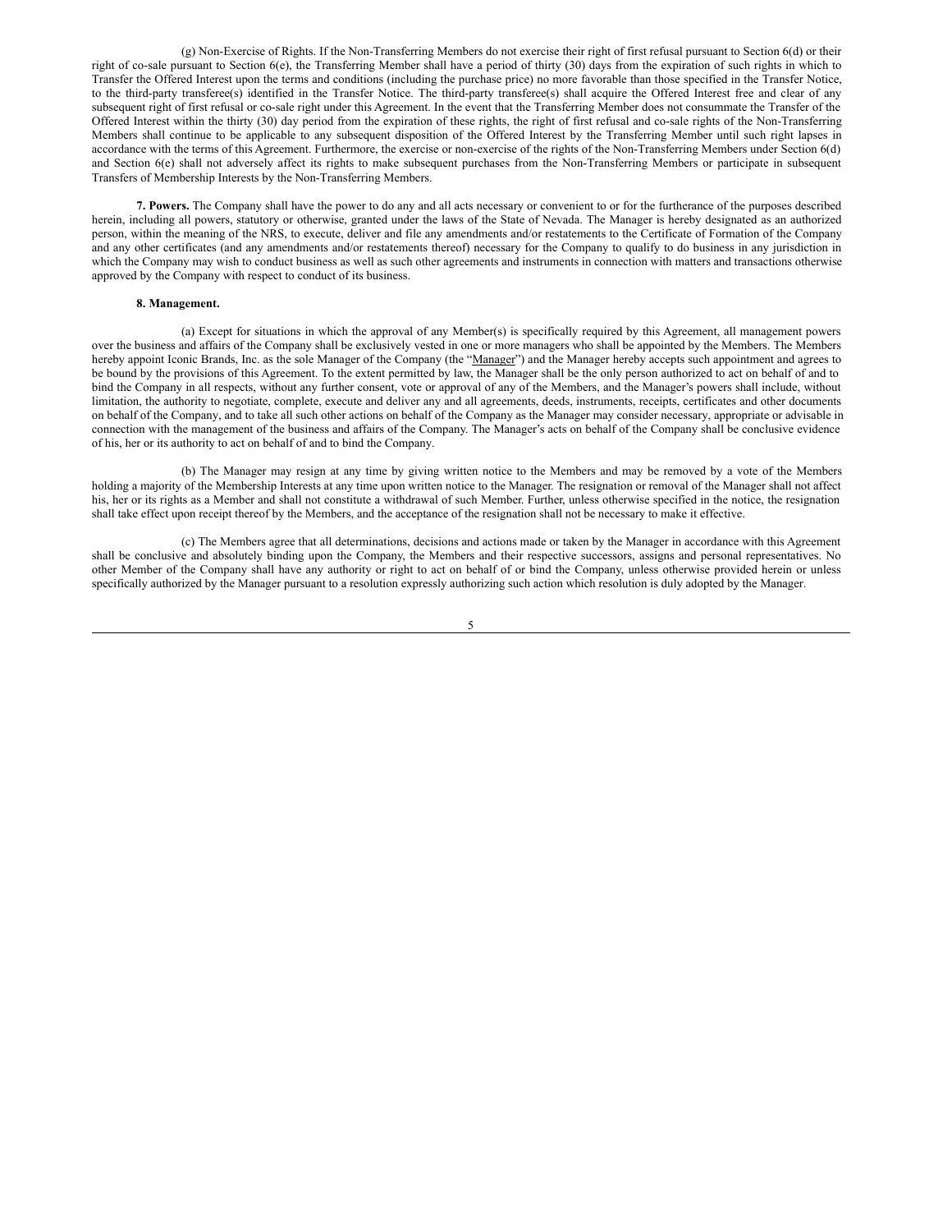(g) Non-Exercise of Rights. If the Non-Transferring Members do not exercise their right of first refusal pursuant to Section 6(d) or their right of co-sale pursuant to Section 6(e), the Transferring Member shall have a period of thirty (30) days from the expiration of such rights in which to Transfer the Offered Interest upon the terms and conditions (including the purchase price) no more favorable than those specified in the Transfer Notice, to the third-party transferee(s) identified in the Transfer Notice. The third-party transferee(s) shall acquire the Offered Interest free and clear of any subsequent right of first refusal or co-sale right under this Agreement. In the event that the Transferring Member does not consummate the Transfer of the Offered Interest within the thirty (30) day period from the expiration of these rights, the right of first refusal and co-sale rights of the Non-Transferring Members shall continue to be applicable to any subsequent disposition of the Offered Interest by the Transferring Member until such right lapses in accordance with the terms of this Agreement. Furthermore, the exercise or non-exercise of the rights of the Non-Transferring Members under Section 6(d) and Section 6(e) shall not adversely affect its rights to make subsequent purchases from the Non-Transferring Members or participate in subsequent Transfers of Membership Interests by the Non-Transferring Members.

**7. Powers.** The Company shall have the power to do any and all acts necessary or convenient to or for the furtherance of the purposes described herein, including all powers, statutory or otherwise, granted under the laws of the State of Nevada. The Manager is hereby designated as an authorized person, within the meaning of the NRS, to execute, deliver and file any amendments and/or restatements to the Certificate of Formation of the Company and any other certificates (and any amendments and/or restatements thereof) necessary for the Company to qualify to do business in any jurisdiction in which the Company may wish to conduct business as well as such other agreements and instruments in connection with matters and transactions otherwise approved by the Company with respect to conduct of its business.

### **8. Management.**

(a) Except for situations in which the approval of any Member(s) is specifically required by this Agreement, all management powers over the business and affairs of the Company shall be exclusively vested in one or more managers who shall be appointed by the Members. The Members hereby appoint Iconic Brands, Inc. as the sole Manager of the Company (the "Manager") and the Manager hereby accepts such appointment and agrees to be bound by the provisions of this Agreement. To the extent permitted by law, the Manager shall be the only person authorized to act on behalf of and to bind the Company in all respects, without any further consent, vote or approval of any of the Members, and the Manager's powers shall include, without limitation, the authority to negotiate, complete, execute and deliver any and all agreements, deeds, instruments, receipts, certificates and other documents on behalf of the Company, and to take all such other actions on behalf of the Company as the Manager may consider necessary, appropriate or advisable in connection with the management of the business and affairs of the Company. The Manager's acts on behalf of the Company shall be conclusive evidence of his, her or its authority to act on behalf of and to bind the Company.

(b) The Manager may resign at any time by giving written notice to the Members and may be removed by a vote of the Members holding a majority of the Membership Interests at any time upon written notice to the Manager. The resignation or removal of the Manager shall not affect his, her or its rights as a Member and shall not constitute a withdrawal of such Member. Further, unless otherwise specified in the notice, the resignation shall take effect upon receipt thereof by the Members, and the acceptance of the resignation shall not be necessary to make it effective.

(c) The Members agree that all determinations, decisions and actions made or taken by the Manager in accordance with this Agreement shall be conclusive and absolutely binding upon the Company, the Members and their respective successors, assigns and personal representatives. No other Member of the Company shall have any authority or right to act on behalf of or bind the Company, unless otherwise provided herein or unless specifically authorized by the Manager pursuant to a resolution expressly authorizing such action which resolution is duly adopted by the Manager.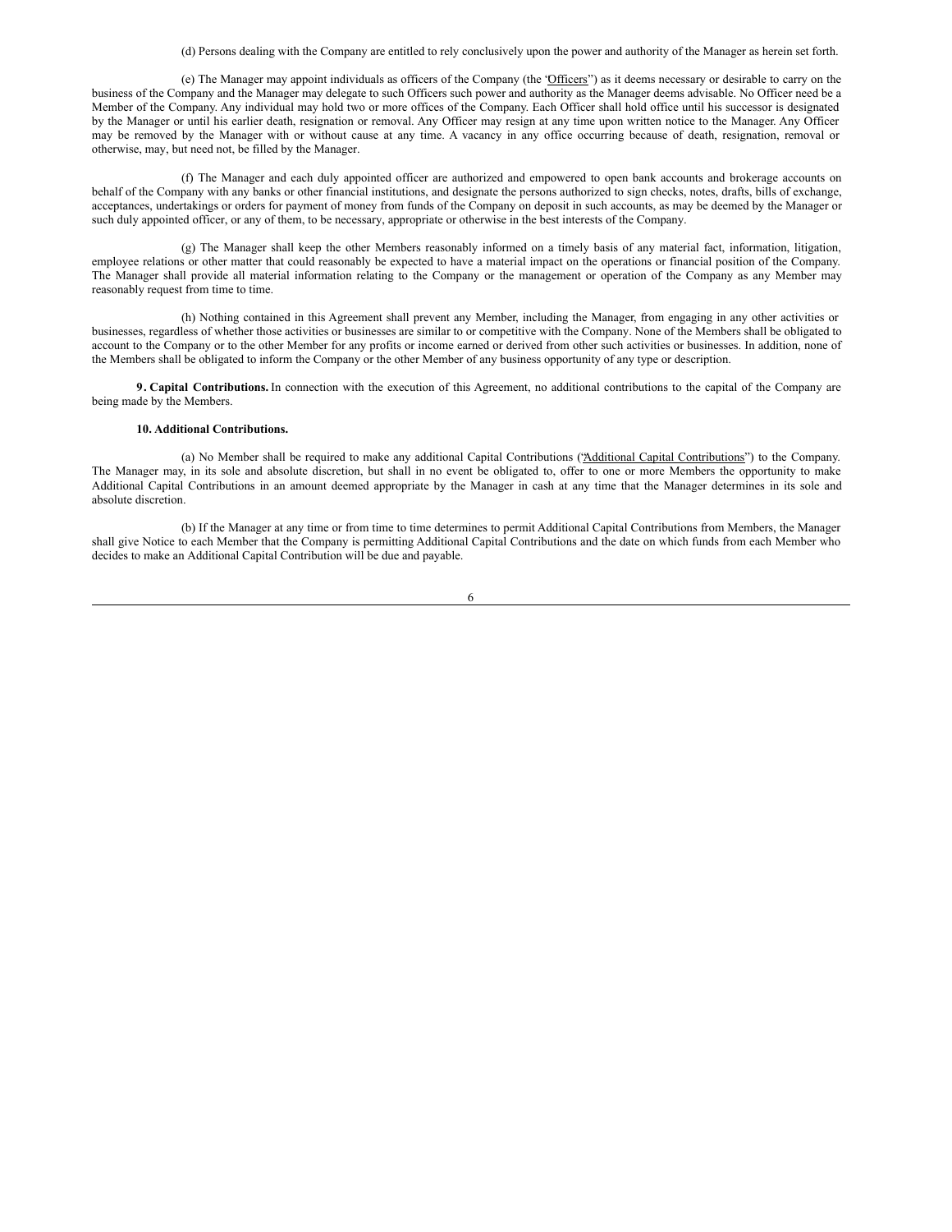(d) Persons dealing with the Company are entitled to rely conclusively upon the power and authority of the Manager as herein set forth.

(e) The Manager may appoint individuals as officers of the Company (the "Officers") as it deems necessary or desirable to carry on the business of the Company and the Manager may delegate to such Officers such power and authority as the Manager deems advisable. No Officer need be a Member of the Company. Any individual may hold two or more offices of the Company. Each Officer shall hold office until his successor is designated by the Manager or until his earlier death, resignation or removal. Any Officer may resign at any time upon written notice to the Manager. Any Officer may be removed by the Manager with or without cause at any time. A vacancy in any office occurring because of death, resignation, removal or otherwise, may, but need not, be filled by the Manager.

(f) The Manager and each duly appointed officer are authorized and empowered to open bank accounts and brokerage accounts on behalf of the Company with any banks or other financial institutions, and designate the persons authorized to sign checks, notes, drafts, bills of exchange, acceptances, undertakings or orders for payment of money from funds of the Company on deposit in such accounts, as may be deemed by the Manager or such duly appointed officer, or any of them, to be necessary, appropriate or otherwise in the best interests of the Company.

(g) The Manager shall keep the other Members reasonably informed on a timely basis of any material fact, information, litigation, employee relations or other matter that could reasonably be expected to have a material impact on the operations or financial position of the Company. The Manager shall provide all material information relating to the Company or the management or operation of the Company as any Member may reasonably request from time to time.

(h) Nothing contained in this Agreement shall prevent any Member, including the Manager, from engaging in any other activities or businesses, regardless of whether those activities or businesses are similar to or competitive with the Company. None of the Members shall be obligated to account to the Company or to the other Member for any profits or income earned or derived from other such activities or businesses. In addition, none of the Members shall be obligated to inform the Company or the other Member of any business opportunity of any type or description.

**9. Capital Contributions.** In connection with the execution of this Agreement, no additional contributions to the capital of the Company are being made by the Members.

#### **10. Additional Contributions.**

(a) No Member shall be required to make any additional Capital Contributions ("Additional Capital Contributions") to the Company. The Manager may, in its sole and absolute discretion, but shall in no event be obligated to, offer to one or more Members the opportunity to make Additional Capital Contributions in an amount deemed appropriate by the Manager in cash at any time that the Manager determines in its sole and absolute discretion.

(b) If the Manager at any time or from time to time determines to permit Additional Capital Contributions from Members, the Manager shall give Notice to each Member that the Company is permitting Additional Capital Contributions and the date on which funds from each Member who decides to make an Additional Capital Contribution will be due and payable.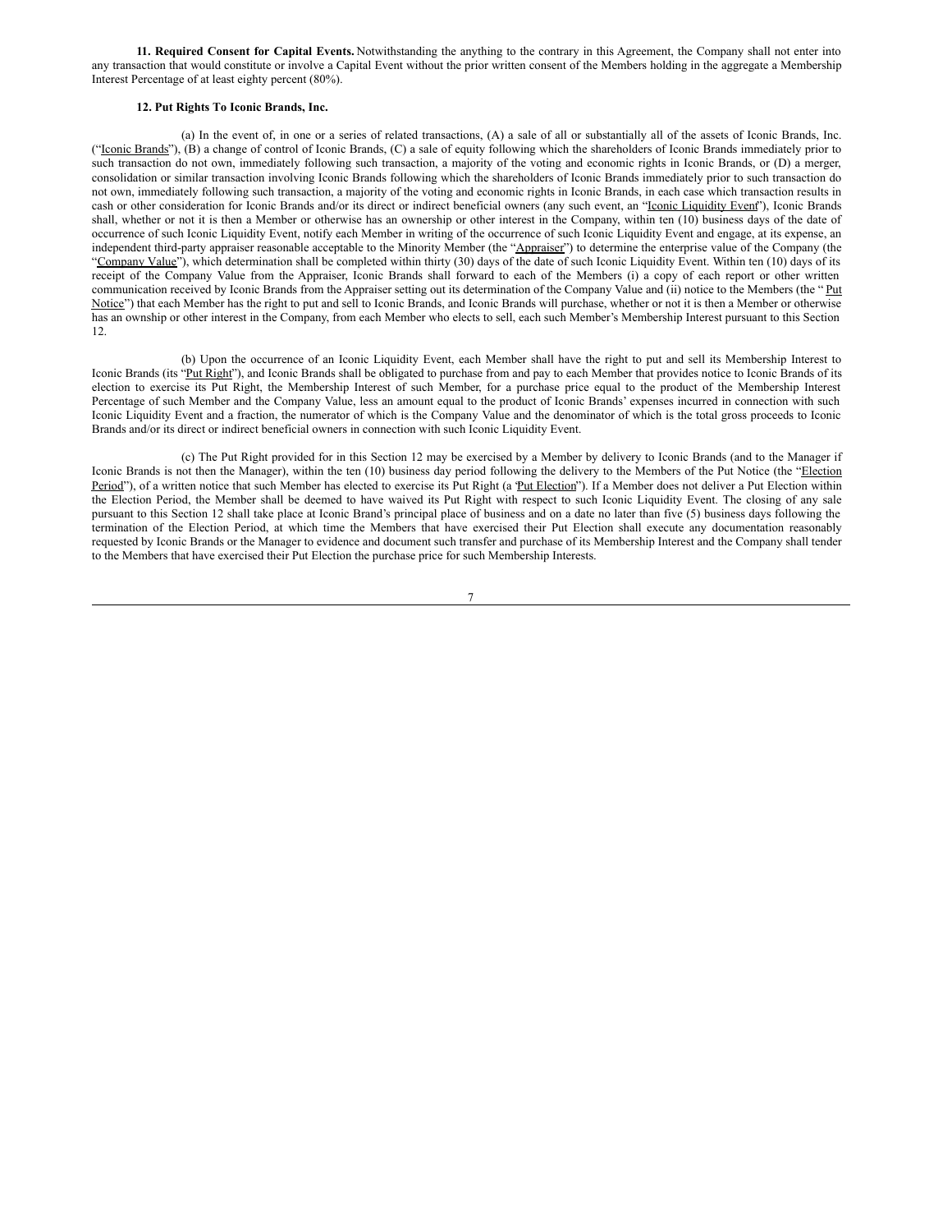**11. Required Consent for Capital Events.** Notwithstanding the anything to the contrary in this Agreement, the Company shall not enter into any transaction that would constitute or involve a Capital Event without the prior written consent of the Members holding in the aggregate a Membership Interest Percentage of at least eighty percent (80%).

### **12. Put Rights To Iconic Brands, Inc.**

(a) In the event of, in one or a series of related transactions, (A) a sale of all or substantially all of the assets of Iconic Brands, Inc. ("Iconic Brands"), (B) a change of control of Iconic Brands, (C) a sale of equity following which the shareholders of Iconic Brands immediately prior to such transaction do not own, immediately following such transaction, a majority of the voting and economic rights in Iconic Brands, or (D) a merger, consolidation or similar transaction involving Iconic Brands following which the shareholders of Iconic Brands immediately prior to such transaction do not own, immediately following such transaction, a majority of the voting and economic rights in Iconic Brands, in each case which transaction results in cash or other consideration for Iconic Brands and/or its direct or indirect beneficial owners (any such event, an "Iconic Liquidity Event"), Iconic Brands shall, whether or not it is then a Member or otherwise has an ownership or other interest in the Company, within ten (10) business days of the date of occurrence of such Iconic Liquidity Event, notify each Member in writing of the occurrence of such Iconic Liquidity Event and engage, at its expense, an independent third-party appraiser reasonable acceptable to the Minority Member (the "Appraiser") to determine the enterprise value of the Company (the "Company Value"), which determination shall be completed within thirty (30) days of the date of such Iconic Liquidity Event. Within ten (10) days of its receipt of the Company Value from the Appraiser, Iconic Brands shall forward to each of the Members (i) a copy of each report or other written communication received by Iconic Brands from the Appraiser setting out its determination of the Company Value and (ii) notice to the Members (the "Put Notice") that each Member has the right to put and sell to Iconic Brands, and Iconic Brands will purchase, whether or not it is then a Member or otherwise has an ownship or other interest in the Company, from each Member who elects to sell, each such Member's Membership Interest pursuant to this Section 12.

(b) Upon the occurrence of an Iconic Liquidity Event, each Member shall have the right to put and sell its Membership Interest to Iconic Brands (its "Put Right"), and Iconic Brands shall be obligated to purchase from and pay to each Member that provides notice to Iconic Brands of its election to exercise its Put Right, the Membership Interest of such Member, for a purchase price equal to the product of the Membership Interest Percentage of such Member and the Company Value, less an amount equal to the product of Iconic Brands' expenses incurred in connection with such Iconic Liquidity Event and a fraction, the numerator of which is the Company Value and the denominator of which is the total gross proceeds to Iconic Brands and/or its direct or indirect beneficial owners in connection with such Iconic Liquidity Event.

(c) The Put Right provided for in this Section 12 may be exercised by a Member by delivery to Iconic Brands (and to the Manager if Iconic Brands is not then the Manager), within the ten (10) business day period following the delivery to the Members of the Put Notice (the "Election Period"), of a written notice that such Member has elected to exercise its Put Right (a "Put Election"). If a Member does not deliver a Put Election within the Election Period, the Member shall be deemed to have waived its Put Right with respect to such Iconic Liquidity Event. The closing of any sale pursuant to this Section 12 shall take place at Iconic Brand's principal place of business and on a date no later than five (5) business days following the termination of the Election Period, at which time the Members that have exercised their Put Election shall execute any documentation reasonably requested by Iconic Brands or the Manager to evidence and document such transfer and purchase of its Membership Interest and the Company shall tender to the Members that have exercised their Put Election the purchase price for such Membership Interests.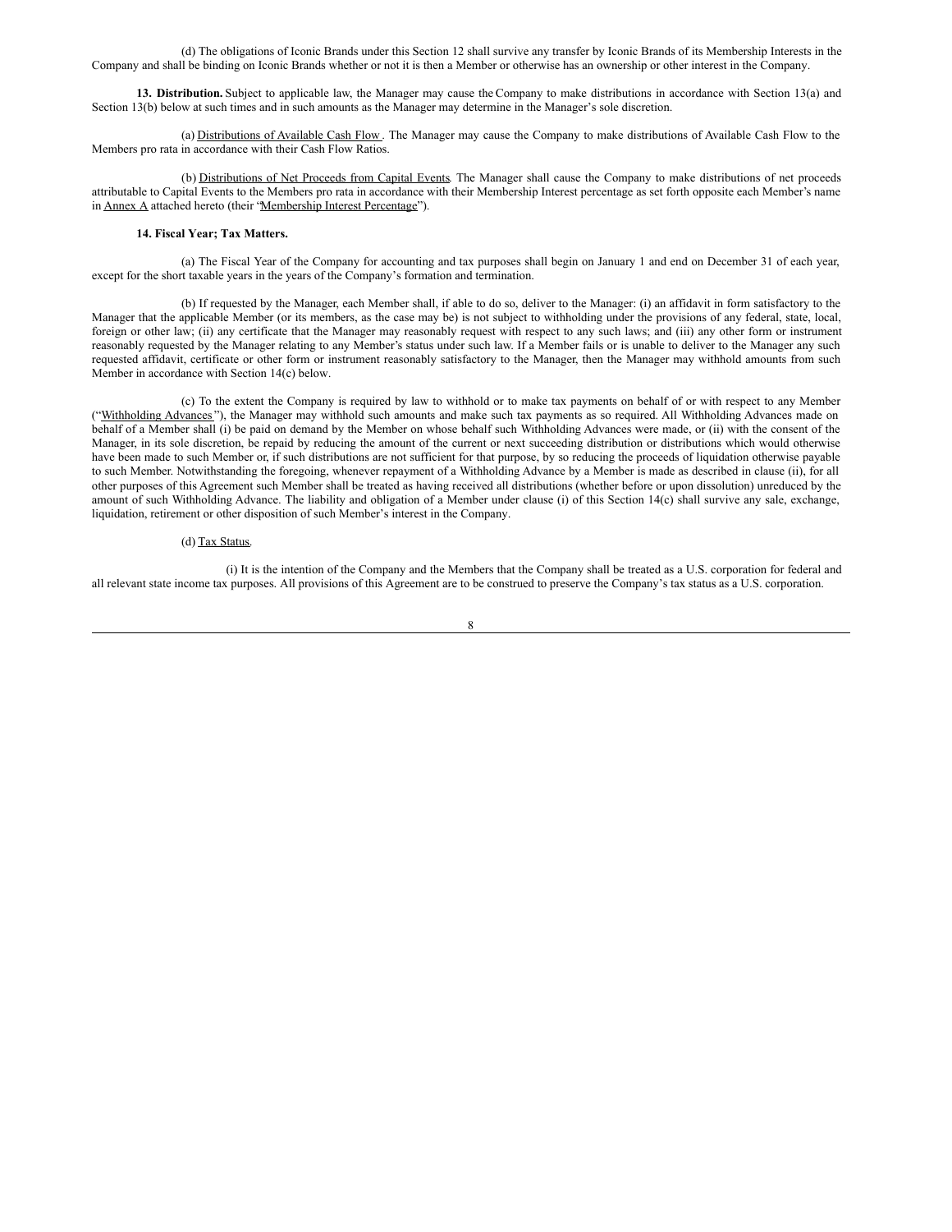<span id="page-89-0"></span>(d) The obligations of Iconic Brands under this Section 12 shall survive any transfer by Iconic Brands of its Membership Interests in the Company and shall be binding on Iconic Brands whether or not it is then a Member or otherwise has an ownership or other interest in the Company.

**13. Distribution.** Subject to applicable law, the Manager may cause the Company to make distributions in accordance with Section 13(a) and Section 13(b) below at such times and in such amounts as the Manager may determine in the Manager's sole discretion.

(a) Distributions of Available Cash Flow . The Manager may cause the Company to make distributions of Available Cash Flow to the Members pro rata in accordance with their Cash Flow Ratios.

(b) Distributions of Net Proceeds from Capital Events. The Manager shall cause the Company to make distributions of net proceeds attributable to Capital Events to the Members pro rata in accordance with their Membership Interest percentage as set forth opposite each Member's name in Annex A attached hereto (their 'Membership Interest Percentage'').

### **14. Fiscal Year; Tax Matters.**

(a) The Fiscal Year of the Company for accounting and tax purposes shall begin on January 1 and end on December 31 of each year, except for the short taxable years in the years of the Company's formation and termination.

(b) If requested by the Manager, each Member shall, if able to do so, deliver to the Manager: (i) an affidavit in form satisfactory to the Manager that the applicable Member (or its members, as the case may be) is not subject to withholding under the provisions of any federal, state, local, foreign or other law; (ii) any certificate that the Manager may reasonably request with respect to any such laws; and (iii) any other form or instrument reasonably requested by the Manager relating to any Member's status under such law. If a Member fails or is unable to deliver to the Manager any such requested affidavit, certificate or other form or instrument reasonably satisfactory to the Manager, then the Manager may withhold amounts from such Member in accordance with Section 14(c) below.

(c) To the extent the Company is required by law to withhold or to make tax payments on behalf of or with respect to any Member ("Withholding Advances"), the Manager may withhold such amounts and make such tax payments as so required. All Withholding Advances made on behalf of a Member shall (i) be paid on demand by the Member on whose behalf such Withholding Advances were made, or (ii) with the consent of the Manager, in its sole discretion, be repaid by reducing the amount of the current or next succeeding distribution or distributions which would otherwise have been made to such Member or, if such distributions are not sufficient for that purpose, by so reducing the proceeds of liquidation otherwise payable to such Member. Notwithstanding the foregoing, whenever repayment of a Withholding Advance by a Member is made as described in clause (ii), for all other purposes of this Agreement such Member shall be treated as having received all distributions (whether before or upon dissolution) unreduced by the amount of such Withholding Advance. The liability and obligation of a Member under clause (i) of this Section 14(c) shall survive any sale, exchange, liquidation, retirement or other disposition of such Member's interest in the Company.

#### (d) Tax Status.

(i) It is the intention of the Company and the Members that the Company shall be treated as a U.S. corporation for federal and all relevant state income tax purposes. All provisions of this Agreement are to be construed to preserve the Company's tax status as a U.S. corporation.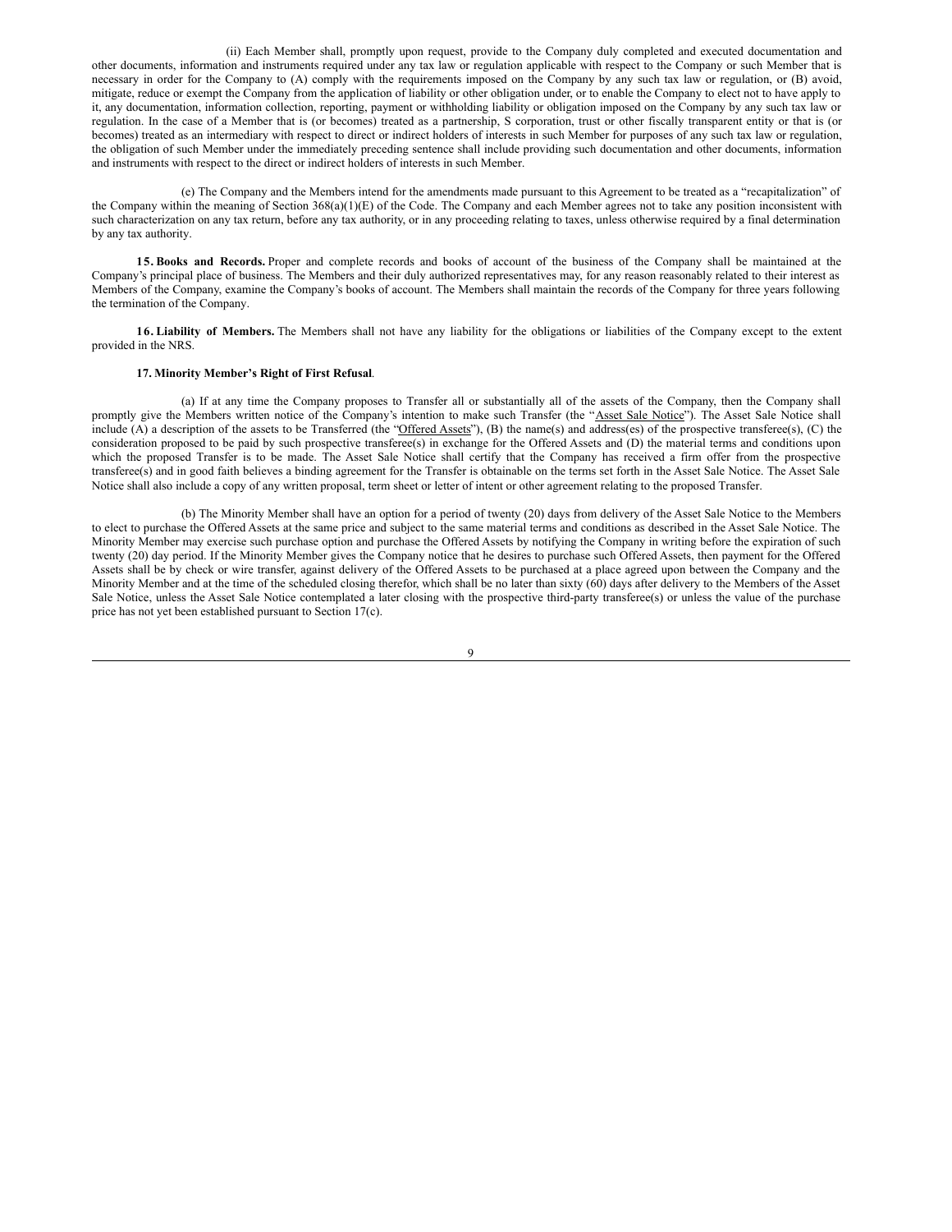(ii) Each Member shall, promptly upon request, provide to the Company duly completed and executed documentation and other documents, information and instruments required under any tax law or regulation applicable with respect to the Company or such Member that is necessary in order for the Company to (A) comply with the requirements imposed on the Company by any such tax law or regulation, or (B) avoid, mitigate, reduce or exempt the Company from the application of liability or other obligation under, or to enable the Company to elect not to have apply to it, any documentation, information collection, reporting, payment or withholding liability or obligation imposed on the Company by any such tax law or regulation. In the case of a Member that is (or becomes) treated as a partnership, S corporation, trust or other fiscally transparent entity or that is (or becomes) treated as an intermediary with respect to direct or indirect holders of interests in such Member for purposes of any such tax law or regulation, the obligation of such Member under the immediately preceding sentence shall include providing such documentation and other documents, information and instruments with respect to the direct or indirect holders of interests in such Member.

(e) The Company and the Members intend for the amendments made pursuant to this Agreement to be treated as a "recapitalization" of the Company within the meaning of Section 368(a)(1)(E) of the Code. The Company and each Member agrees not to take any position inconsistent with such characterization on any tax return, before any tax authority, or in any proceeding relating to taxes, unless otherwise required by a final determination by any tax authority.

**15. Books and Records.** Proper and complete records and books of account of the business of the Company shall be maintained at the Company's principal place of business. The Members and their duly authorized representatives may, for any reason reasonably related to their interest as Members of the Company, examine the Company's books of account. The Members shall maintain the records of the Company for three years following the termination of the Company.

**16. Liability of Members.** The Members shall not have any liability for the obligations or liabilities of the Company except to the extent provided in the NRS.

#### **17. Minority Member's Right of First Refusal**.

(a) If at any time the Company proposes to Transfer all or substantially all of the assets of the Company, then the Company shall promptly give the Members written notice of the Company's intention to make such Transfer (the "Asset Sale Notice"). The Asset Sale Notice shall include (A) a description of the assets to be Transferred (the "Offered Assets"), (B) the name(s) and address(es) of the prospective transferee(s), (C) the consideration proposed to be paid by such prospective transferee(s) in exchange for the Offered Assets and (D) the material terms and conditions upon which the proposed Transfer is to be made. The Asset Sale Notice shall certify that the Company has received a firm offer from the prospective transferee(s) and in good faith believes a binding agreement for the Transfer is obtainable on the terms set forth in the Asset Sale Notice. The Asset Sale Notice shall also include a copy of any written proposal, term sheet or letter of intent or other agreement relating to the proposed Transfer.

(b) The Minority Member shall have an option for a period of twenty (20) days from delivery of the Asset Sale Notice to the Members to elect to purchase the Offered Assets at the same price and subject to the same material terms and conditions as described in the Asset Sale Notice. The Minority Member may exercise such purchase option and purchase the Offered Assets by notifying the Company in writing before the expiration of such twenty (20) day period. If the Minority Member gives the Company notice that he desires to purchase such Offered Assets, then payment for the Offered Assets shall be by check or wire transfer, against delivery of the Offered Assets to be purchased at a place agreed upon between the Company and the Minority Member and at the time of the scheduled closing therefor, which shall be no later than sixty (60) days after delivery to the Members of the Asset Sale Notice, unless the Asset Sale Notice contemplated a later closing with the prospective third-party transferee(s) or unless the value of the purchase price has not yet been established pursuant to Section 17(c).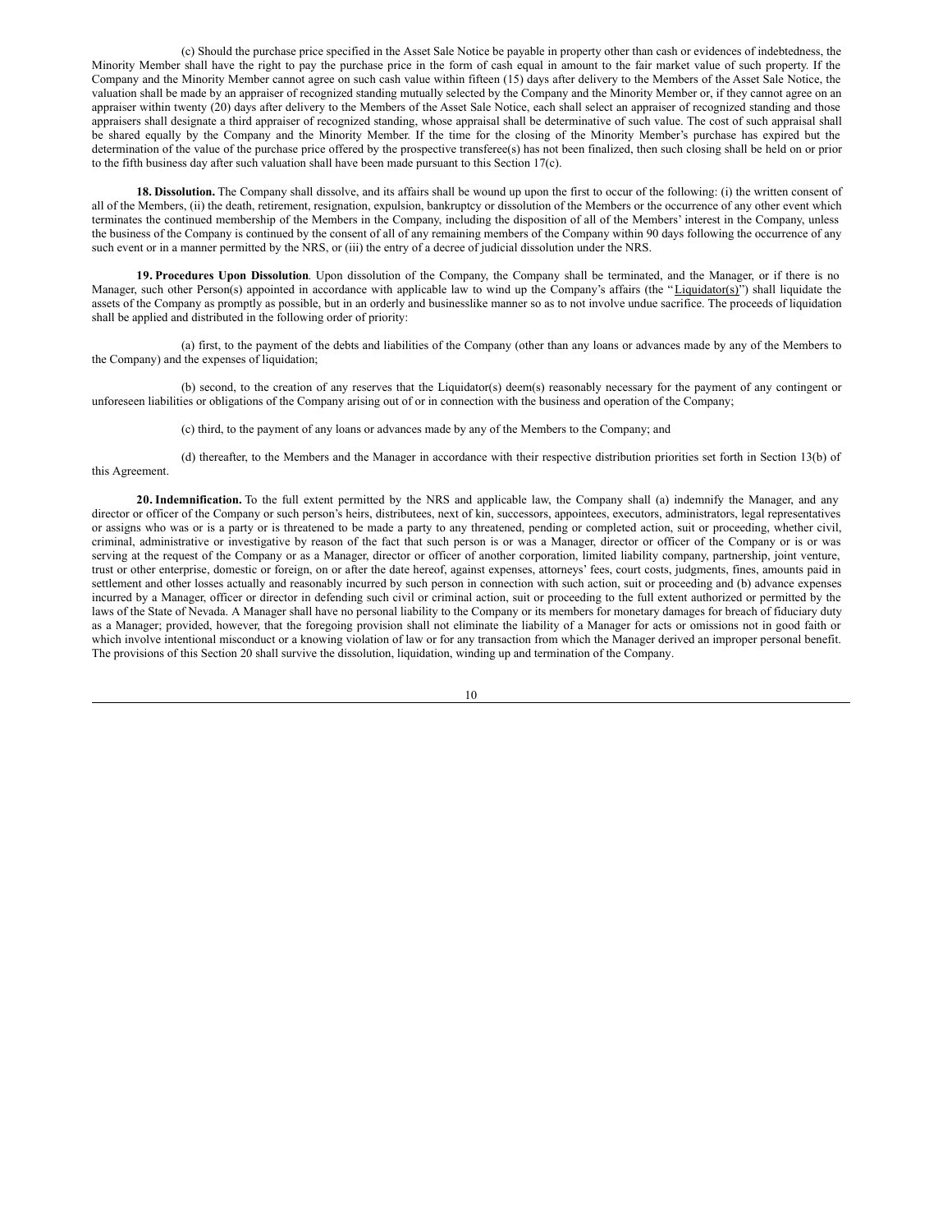(c) Should the purchase price specified in the Asset Sale Notice be payable in property other than cash or evidences of indebtedness, the Minority Member shall have the right to pay the purchase price in the form of cash equal in amount to the fair market value of such property. If the Company and the Minority Member cannot agree on such cash value within fifteen (15) days after delivery to the Members of the Asset Sale Notice, the valuation shall be made by an appraiser of recognized standing mutually selected by the Company and the Minority Member or, if they cannot agree on an appraiser within twenty (20) days after delivery to the Members of the Asset Sale Notice, each shall select an appraiser of recognized standing and those appraisers shall designate a third appraiser of recognized standing, whose appraisal shall be determinative of such value. The cost of such appraisal shall be shared equally by the Company and the Minority Member. If the time for the closing of the Minority Member's purchase has expired but the determination of the value of the purchase price offered by the prospective transferee(s) has not been finalized, then such closing shall be held on or prior to the fifth business day after such valuation shall have been made pursuant to this Section 17(c).

**18. Dissolution.** The Company shall dissolve, and its affairs shall be wound up upon the first to occur of the following: (i) the written consent of all of the Members, (ii) the death, retirement, resignation, expulsion, bankruptcy or dissolution of the Members or the occurrence of any other event which terminates the continued membership of the Members in the Company, including the disposition of all of the Members' interest in the Company, unless the business of the Company is continued by the consent of all of any remaining members of the Company within 90 days following the occurrence of any such event or in a manner permitted by the NRS, or (iii) the entry of a decree of judicial dissolution under the NRS.

**19. Procedures Upon Dissolution**. Upon dissolution of the Company, the Company shall be terminated, and the Manager, or if there is no Manager, such other Person(s) appointed in accordance with applicable law to wind up the Company's affairs (the "Liquidator(s)") shall liquidate the assets of the Company as promptly as possible, but in an orderly and businesslike manner so as to not involve undue sacrifice. The proceeds of liquidation shall be applied and distributed in the following order of priority:

(a) first, to the payment of the debts and liabilities of the Company (other than any loans or advances made by any of the Members to the Company) and the expenses of liquidation;

(b) second, to the creation of any reserves that the Liquidator(s) deem(s) reasonably necessary for the payment of any contingent or unforeseen liabilities or obligations of the Company arising out of or in connection with the business and operation of the Company;

(c) third, to the payment of any loans or advances made by any of the Members to the Company; and

(d) thereafter, to the Members and the Manager in accordance with their respective distribution priorities set forth in Section 13(b) of this Agreement.

**20. Indemnification.** To the full extent permitted by the NRS and applicable law, the Company shall (a) indemnify the Manager, and any director or officer of the Company or such person's heirs, distributees, next of kin, successors, appointees, executors, administrators, legal representatives or assigns who was or is a party or is threatened to be made a party to any threatened, pending or completed action, suit or proceeding, whether civil, criminal, administrative or investigative by reason of the fact that such person is or was a Manager, director or officer of the Company or is or was serving at the request of the Company or as a Manager, director or officer of another corporation, limited liability company, partnership, joint venture, trust or other enterprise, domestic or foreign, on or after the date hereof, against expenses, attorneys' fees, court costs, judgments, fines, amounts paid in settlement and other losses actually and reasonably incurred by such person in connection with such action, suit or proceeding and (b) advance expenses incurred by a Manager, officer or director in defending such civil or criminal action, suit or proceeding to the full extent authorized or permitted by the laws of the State of Nevada. A Manager shall have no personal liability to the Company or its members for monetary damages for breach of fiduciary duty as a Manager; provided, however, that the foregoing provision shall not eliminate the liability of a Manager for acts or omissions not in good faith or which involve intentional misconduct or a knowing violation of law or for any transaction from which the Manager derived an improper personal benefit. The provisions of this Section 20 shall survive the dissolution, liquidation, winding up and termination of the Company.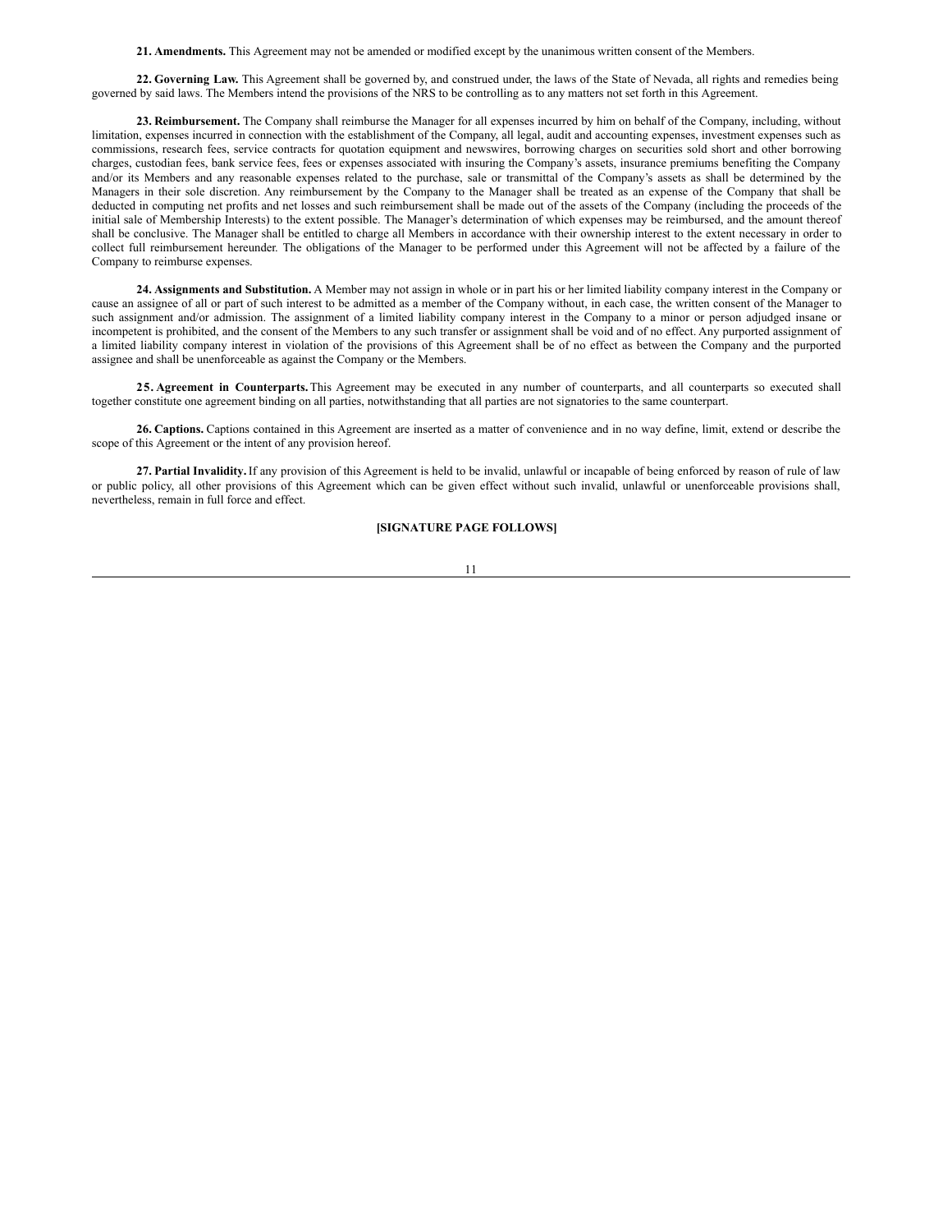**21. Amendments.** This Agreement may not be amended or modified except by the unanimous written consent of the Members.

**22. Governing Law.** This Agreement shall be governed by, and construed under, the laws of the State of Nevada, all rights and remedies being governed by said laws. The Members intend the provisions of the NRS to be controlling as to any matters not set forth in this Agreement.

**23. Reimbursement.** The Company shall reimburse the Manager for all expenses incurred by him on behalf of the Company, including, without limitation, expenses incurred in connection with the establishment of the Company, all legal, audit and accounting expenses, investment expenses such as commissions, research fees, service contracts for quotation equipment and newswires, borrowing charges on securities sold short and other borrowing charges, custodian fees, bank service fees, fees or expenses associated with insuring the Company's assets, insurance premiums benefiting the Company and/or its Members and any reasonable expenses related to the purchase, sale or transmittal of the Company's assets as shall be determined by the Managers in their sole discretion. Any reimbursement by the Company to the Manager shall be treated as an expense of the Company that shall be deducted in computing net profits and net losses and such reimbursement shall be made out of the assets of the Company (including the proceeds of the initial sale of Membership Interests) to the extent possible. The Manager's determination of which expenses may be reimbursed, and the amount thereof shall be conclusive. The Manager shall be entitled to charge all Members in accordance with their ownership interest to the extent necessary in order to collect full reimbursement hereunder. The obligations of the Manager to be performed under this Agreement will not be affected by a failure of the Company to reimburse expenses.

**24. Assignments and Substitution.** A Member may not assign in whole or in part his or her limited liability company interest in the Company or cause an assignee of all or part of such interest to be admitted as a member of the Company without, in each case, the written consent of the Manager to such assignment and/or admission. The assignment of a limited liability company interest in the Company to a minor or person adjudged insane or incompetent is prohibited, and the consent of the Members to any such transfer or assignment shall be void and of no effect. Any purported assignment of a limited liability company interest in violation of the provisions of this Agreement shall be of no effect as between the Company and the purported assignee and shall be unenforceable as against the Company or the Members.

**25. Agreement in Counterparts.** This Agreement may be executed in any number of counterparts, and all counterparts so executed shall together constitute one agreement binding on all parties, notwithstanding that all parties are not signatories to the same counterpart.

**26. Captions.** Captions contained in this Agreement are inserted as a matter of convenience and in no way define, limit, extend or describe the scope of this Agreement or the intent of any provision hereof.

**27. Partial Invalidity.**If any provision of this Agreement is held to be invalid, unlawful or incapable of being enforced by reason of rule of law or public policy, all other provisions of this Agreement which can be given effect without such invalid, unlawful or unenforceable provisions shall, nevertheless, remain in full force and effect.

### **[SIGNATURE PAGE FOLLOWS]**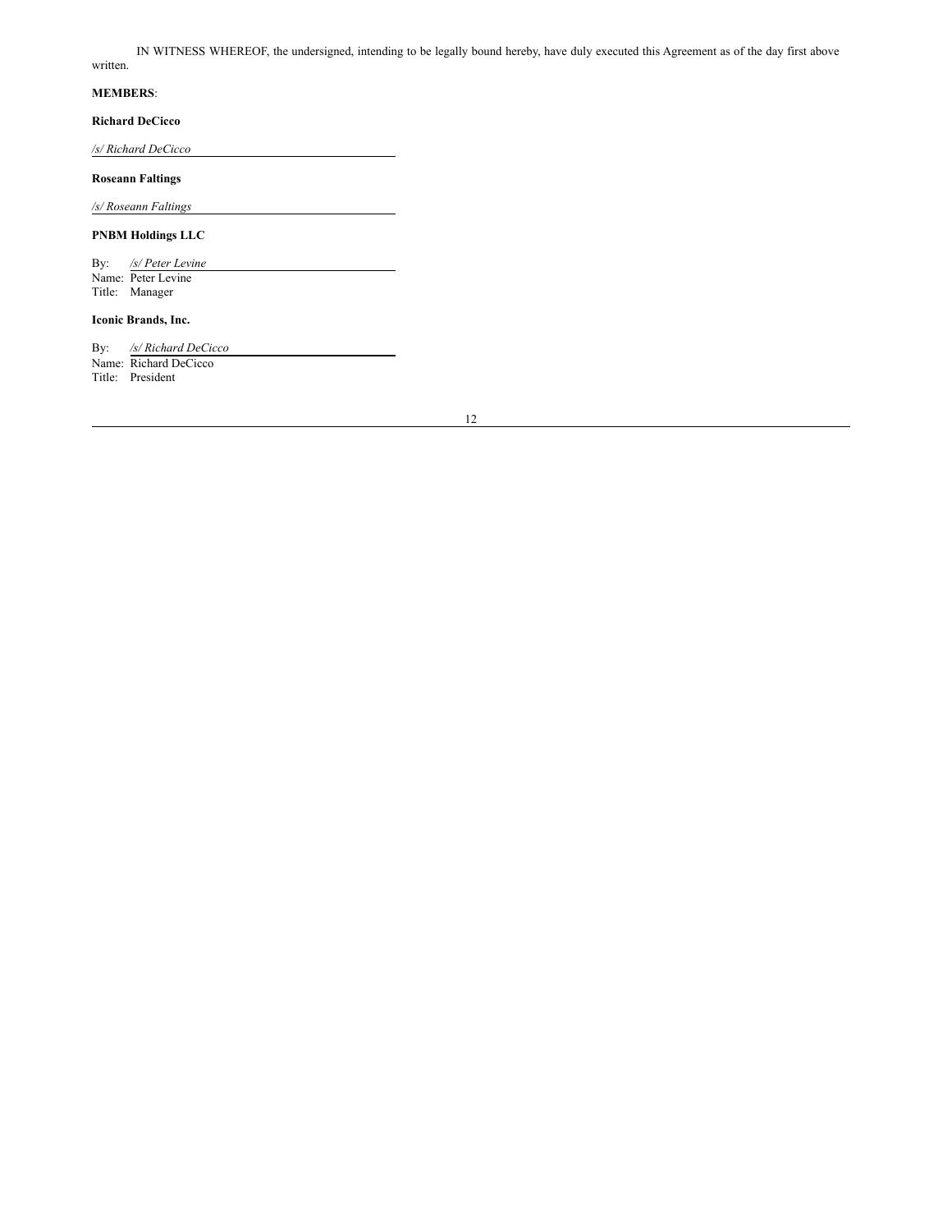IN WITNESS WHEREOF, the undersigned, intending to be legally bound hereby, have duly executed this Agreement as of the day first above written.

# **MEMBERS**:

# **Richard DeCicco**

*/s/ Richard DeCicco*

# **Roseann Faltings**

*/s/ Roseann Faltings*

# **PNBM Holdings LLC**

By: */s/ Peter Levine* Name: Peter Levine Title: Manager

### **Iconic Brands, Inc.**

By: */s/ Richard DeCicco* Name: Richard DeCicco Title: President

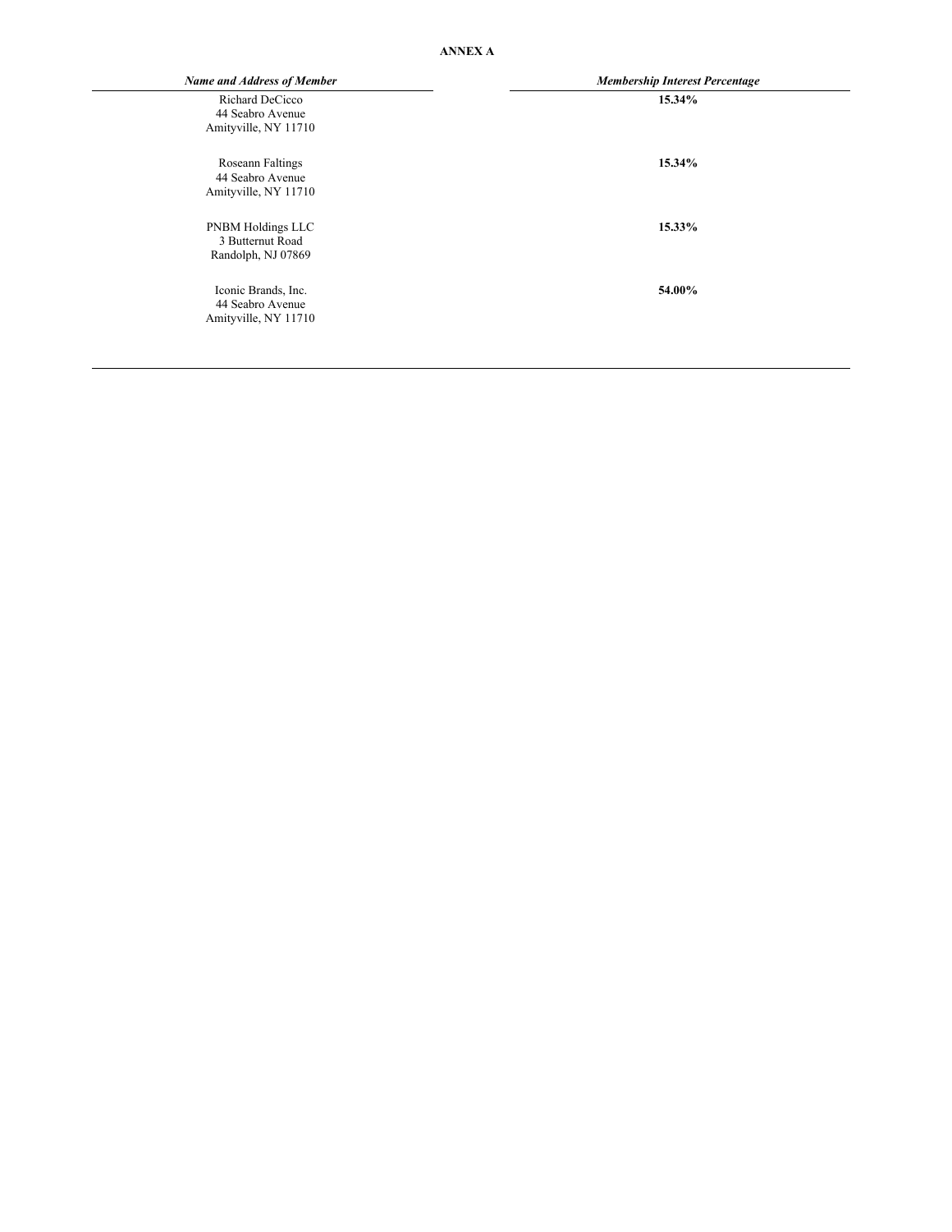# **ANNEX A**

| <b>Name and Address of Member</b>                               | <b>Membership Interest Percentage</b> |
|-----------------------------------------------------------------|---------------------------------------|
| Richard DeCicco<br>44 Seabro Avenue                             | 15.34%                                |
| Amityville, NY 11710                                            |                                       |
| Roseann Faltings<br>44 Seabro Avenue<br>Amityville, NY 11710    | 15.34%                                |
| PNBM Holdings LLC<br>3 Butternut Road<br>Randolph, NJ 07869     | 15.33%                                |
| Iconic Brands, Inc.<br>44 Seabro Avenue<br>Amityville, NY 11710 | 54.00%                                |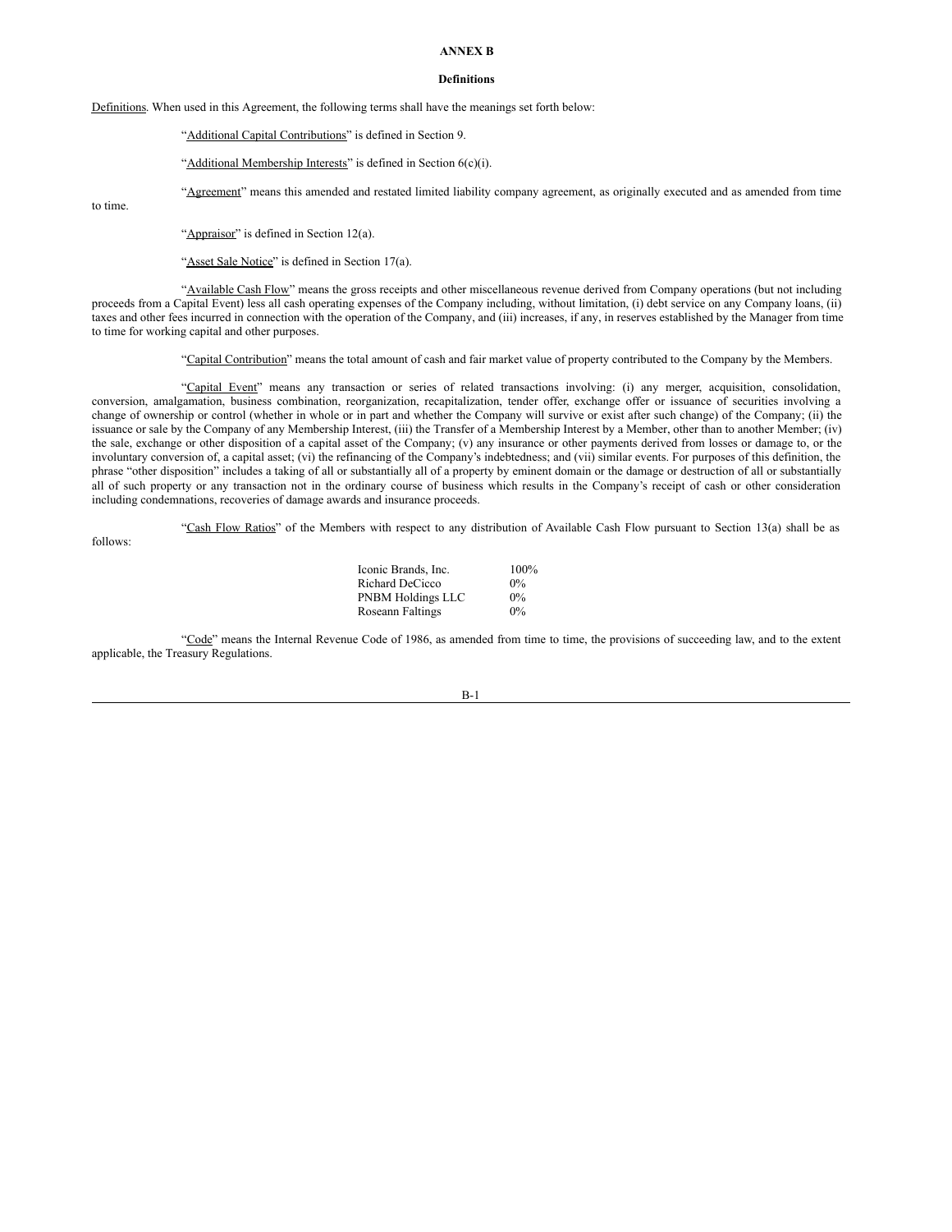#### **ANNEX B**

#### **Definitions**

Definitions. When used in this Agreement, the following terms shall have the meanings set forth below:

"Additional Capital Contributions" is defined in Section 9.

"Additional Membership Interests" is defined in Section 6(c)(i).

"Agreement" means this amended and restated limited liability company agreement, as originally executed and as amended from time

to time.

"Appraisor" is defined in Section 12(a).

"Asset Sale Notice" is defined in Section 17(a).

"Available Cash Flow" means the gross receipts and other miscellaneous revenue derived from Company operations (but not including proceeds from a Capital Event) less all cash operating expenses of the Company including, without limitation, (i) debt service on any Company loans, (ii) taxes and other fees incurred in connection with the operation of the Company, and (iii) increases, if any, in reserves established by the Manager from time to time for working capital and other purposes.

"Capital Contribution" means the total amount of cash and fair market value of property contributed to the Company by the Members.

"Capital Event" means any transaction or series of related transactions involving: (i) any merger, acquisition, consolidation, conversion, amalgamation, business combination, reorganization, recapitalization, tender offer, exchange offer or issuance of securities involving a change of ownership or control (whether in whole or in part and whether the Company will survive or exist after such change) of the Company; (ii) the issuance or sale by the Company of any Membership Interest, (iii) the Transfer of a Membership Interest by a Member, other than to another Member; (iv) the sale, exchange or other disposition of a capital asset of the Company; (v) any insurance or other payments derived from losses or damage to, or the involuntary conversion of, a capital asset; (vi) the refinancing of the Company's indebtedness; and (vii) similar events. For purposes of this definition, the phrase "other disposition" includes a taking of all or substantially all of a property by eminent domain or the damage or destruction of all or substantially all of such property or any transaction not in the ordinary course of business which results in the Company's receipt of cash or other consideration including condemnations, recoveries of damage awards and insurance proceeds.

"Cash Flow Ratios" of the Members with respect to any distribution of Available Cash Flow pursuant to Section 13(a) shall be as

follows:

| Iconic Brands, Inc. | 100%  |
|---------------------|-------|
| Richard DeCicco     | $0\%$ |
| PNBM Holdings LLC   | $0\%$ |
| Roseann Faltings    | $0\%$ |

"Code" means the Internal Revenue Code of 1986, as amended from time to time, the provisions of succeeding law, and to the extent applicable, the Treasury Regulations.

| -<br>I |  |
|--------|--|
| I      |  |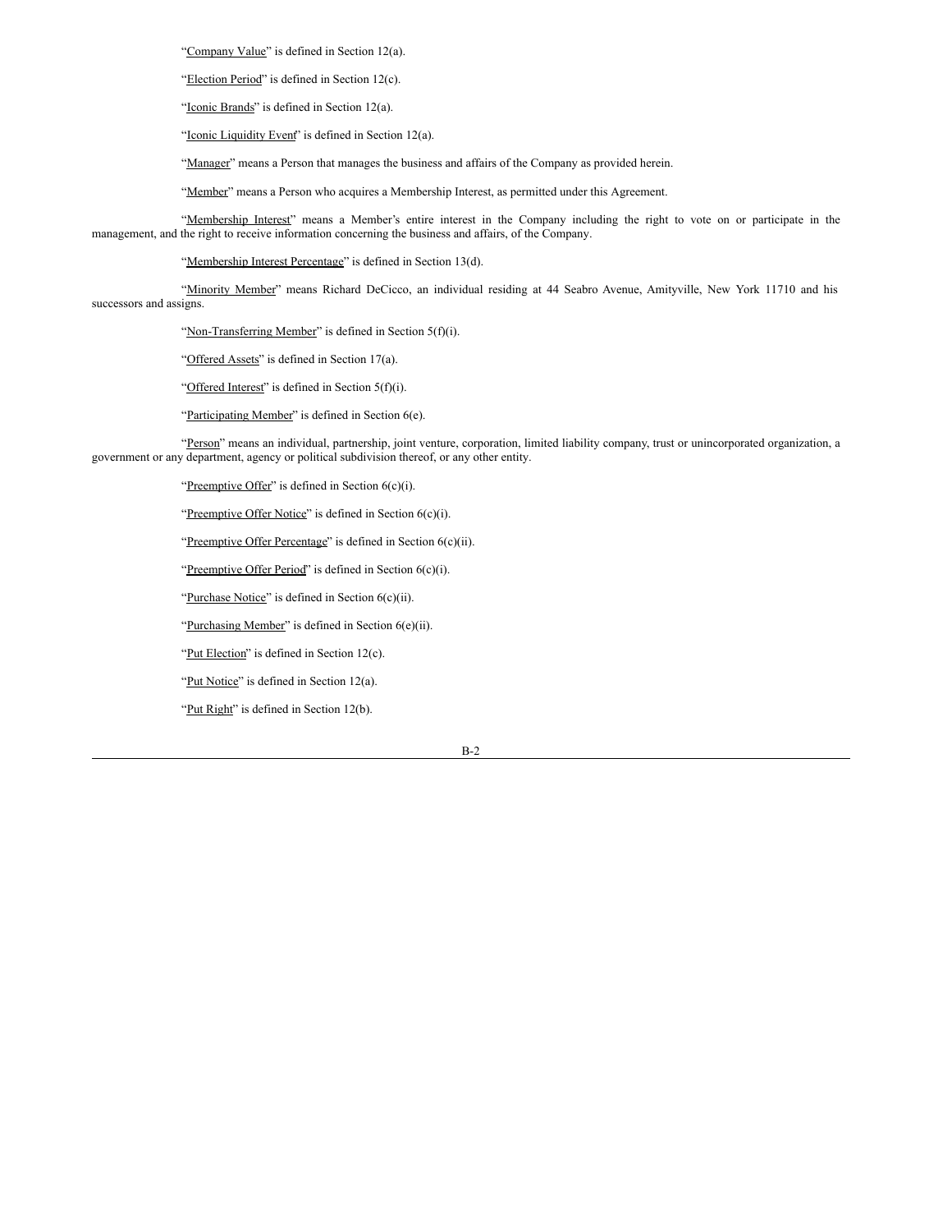"Company Value" is defined in Section 12(a).

"Election Period" is defined in Section 12(c).

"Iconic Brands" is defined in Section 12(a).

"Iconic Liquidity Event" is defined in Section 12(a).

"Manager" means a Person that manages the business and affairs of the Company as provided herein.

"Member" means a Person who acquires a Membership Interest, as permitted under this Agreement.

"Membership Interest" means a Member's entire interest in the Company including the right to vote on or participate in the management, and the right to receive information concerning the business and affairs, of the Company.

"Membership Interest Percentage" is defined in Section 13(d).

"Minority Member" means Richard DeCicco, an individual residing at 44 Seabro Avenue, Amityville, New York 11710 and his successors and assigns.

"Non-Transferring Member" is defined in Section 5(f)(i).

"Offered Assets" is defined in Section 17(a).

" $Offered Interest"$  is defined in Section 5(f)(i).

"Participating Member" is defined in Section 6(e).

"Person" means an individual, partnership, joint venture, corporation, limited liability company, trust or unincorporated organization, a government or any department, agency or political subdivision thereof, or any other entity.

"Preemptive Offer" is defined in Section 6(c)(i).

"Preemptive Offer Notice" is defined in Section 6(c)(i).

"Preemptive Offer Percentage" is defined in Section 6(c)(ii).

"Preemptive Offer Period" is defined in Section 6(c)(i).

"Purchase Notice" is defined in Section 6(c)(ii).

"Purchasing Member" is defined in Section  $6(e)$ (ii).

"Put Election" is defined in Section 12(c).

"Put Notice" is defined in Section 12(a).

"Put Right" is defined in Section 12(b).

B-2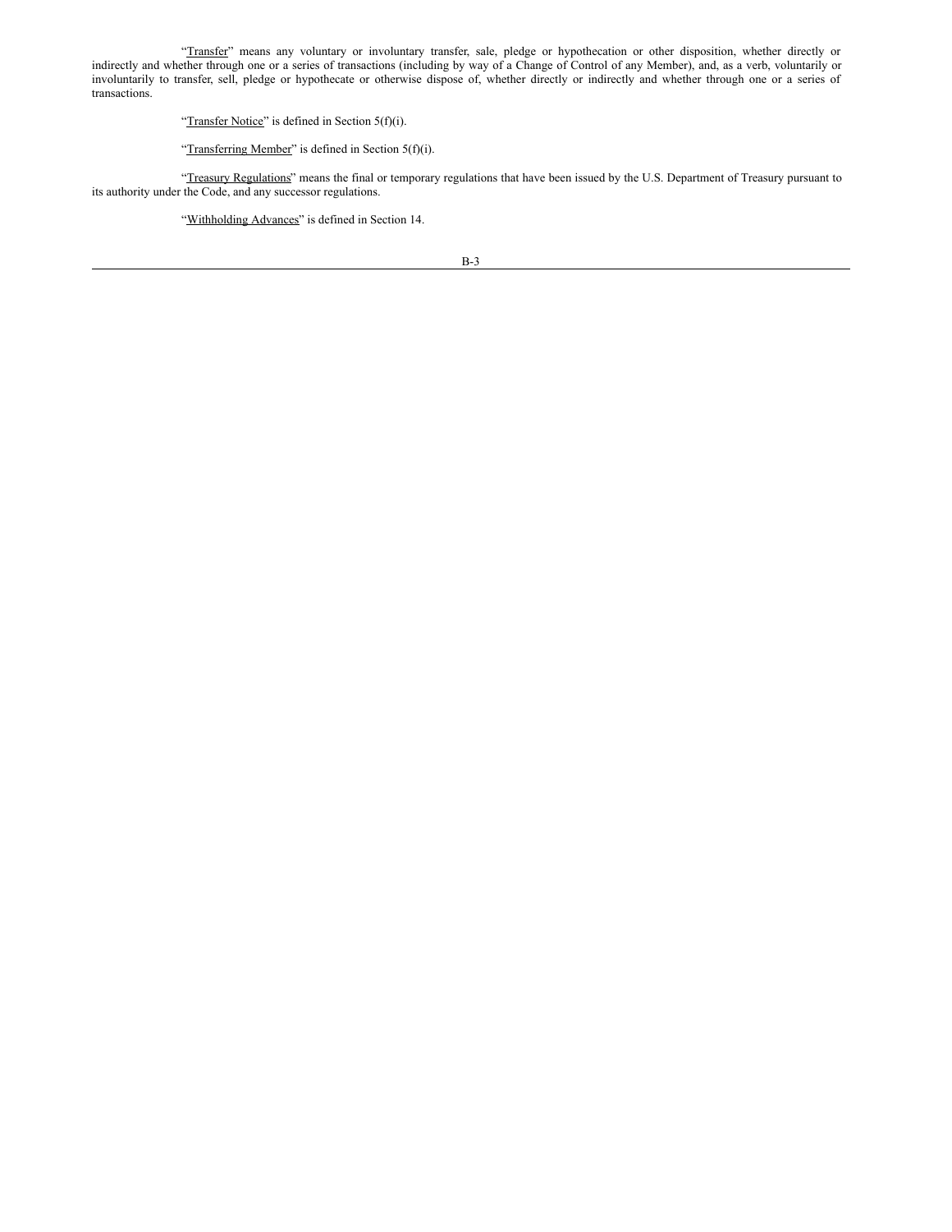"Transfer" means any voluntary or involuntary transfer, sale, pledge or hypothecation or other disposition, whether directly or indirectly and whether through one or a series of transactions (including by way of a Change of Control of any Member), and, as a verb, voluntarily or involuntarily to transfer, sell, pledge or hypothecate or otherwise dispose of, whether directly or indirectly and whether through one or a series of transactions.

"Transfer Notice" is defined in Section 5(f)(i).

"Transferring Member" is defined in Section 5(f)(i).

"Treasury Regulations" means the final or temporary regulations that have been issued by the U.S. Department of Treasury pursuant to its authority under the Code, and any successor regulations.

"Withholding Advances" is defined in Section 14.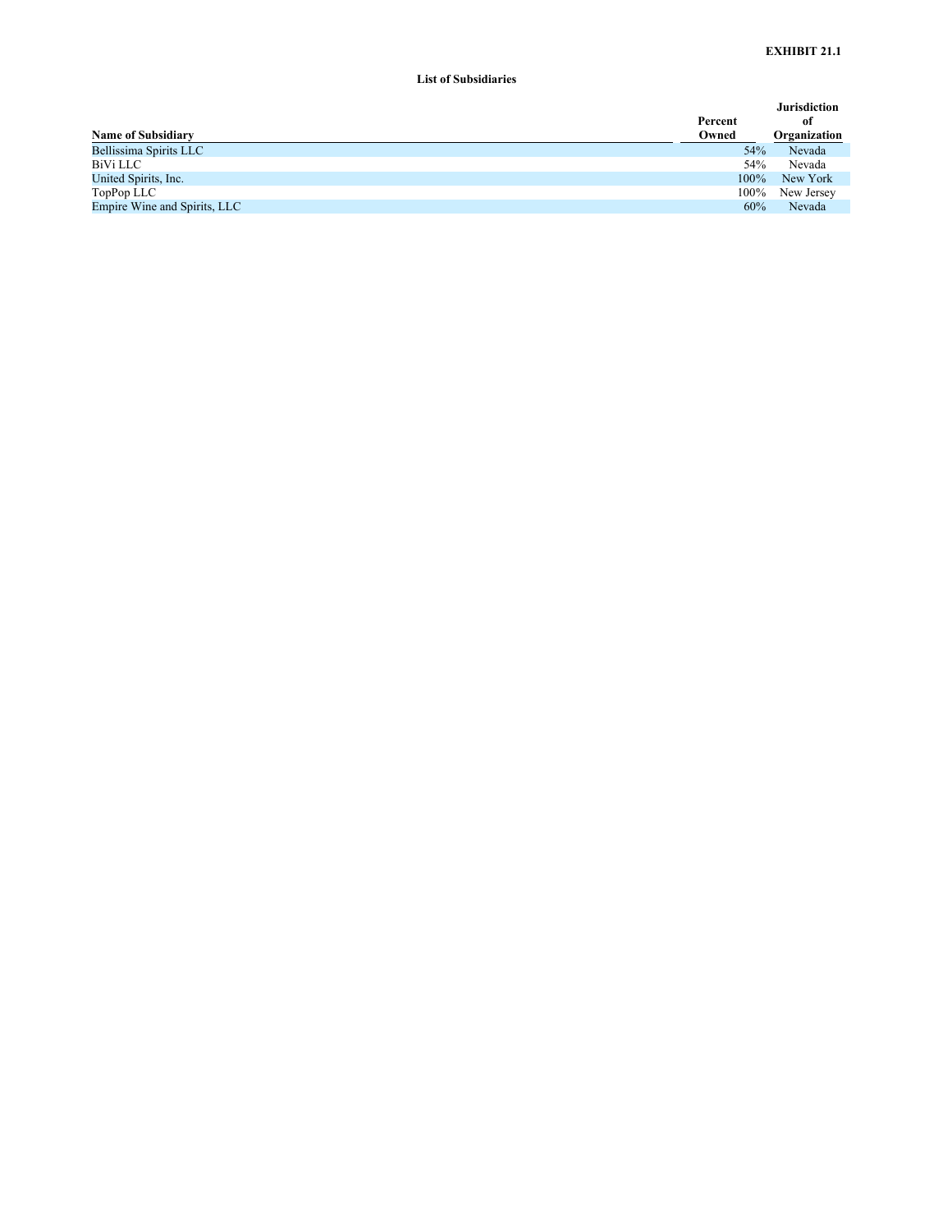#### List of Subsidiaries

<span id="page-98-0"></span>

|                              |         | Jurisdiction |
|------------------------------|---------|--------------|
|                              | Percent | -of          |
| <b>Name of Subsidiary</b>    | Owned   | Organization |
| Bellissima Spirits LLC       | 54%     | Nevada       |
| BiVi LLC                     | 54%     | Nevada       |
| United Spirits, Inc.         | $100\%$ | New York     |
| TopPop LLC                   | $100\%$ | New Jersey   |
| Empire Wine and Spirits, LLC | 60%     | Nevada       |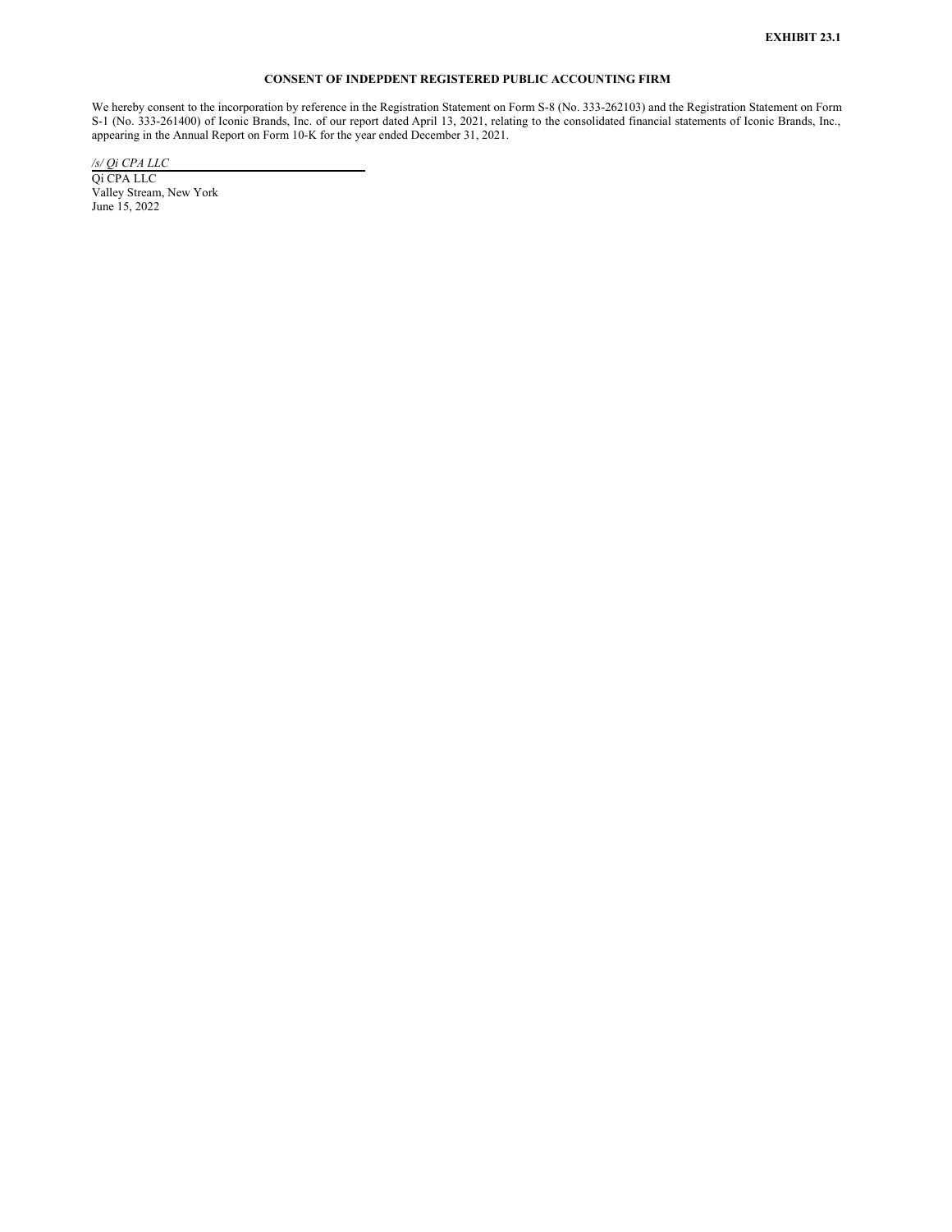## **CONSENT OF INDEPDENT REGISTERED PUBLIC ACCOUNTING FIRM**

<span id="page-99-0"></span>We hereby consent to the incorporation by reference in the Registration Statement on Form S-8 (No. 333-262103) and the Registration Statement on Form S-1 (No. 333-261400) of Iconic Brands, Inc. of our report dated April 13, 2021, relating to the consolidated financial statements of Iconic Brands, Inc., appearing in the Annual Report on Form 10-K for the year ended December 31, 2021.

*/s/ Qi CPA LLC*

Qi CPA LLC Valley Stream, New York June 15, 2022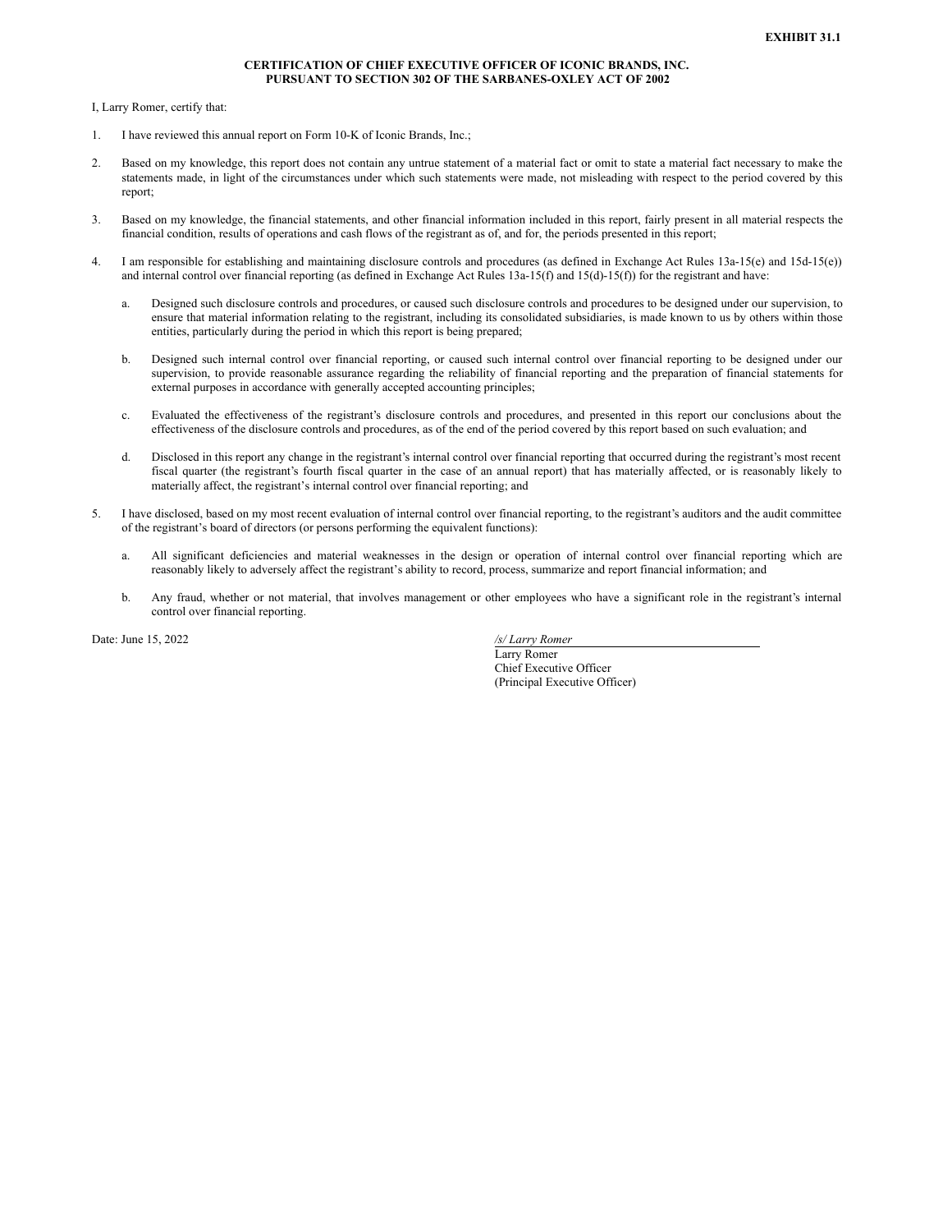#### **CERTIFICATION OF CHIEF EXECUTIVE OFFICER OF ICONIC BRANDS, INC. PURSUANT TO SECTION 302 OF THE SARBANES-OXLEY ACT OF 2002**

<span id="page-100-0"></span>I, Larry Romer, certify that:

- 1. I have reviewed this annual report on Form 10-K of Iconic Brands, Inc.;
- 2. Based on my knowledge, this report does not contain any untrue statement of a material fact or omit to state a material fact necessary to make the statements made, in light of the circumstances under which such statements were made, not misleading with respect to the period covered by this report;
- 3. Based on my knowledge, the financial statements, and other financial information included in this report, fairly present in all material respects the financial condition, results of operations and cash flows of the registrant as of, and for, the periods presented in this report;
- 4. I am responsible for establishing and maintaining disclosure controls and procedures (as defined in Exchange Act Rules 13a-15(e) and 15d-15(e)) and internal control over financial reporting (as defined in Exchange Act Rules 13a-15(f) and 15(d)-15(f)) for the registrant and have:
	- a. Designed such disclosure controls and procedures, or caused such disclosure controls and procedures to be designed under our supervision, to ensure that material information relating to the registrant, including its consolidated subsidiaries, is made known to us by others within those entities, particularly during the period in which this report is being prepared;
	- b. Designed such internal control over financial reporting, or caused such internal control over financial reporting to be designed under our supervision, to provide reasonable assurance regarding the reliability of financial reporting and the preparation of financial statements for external purposes in accordance with generally accepted accounting principles;
	- c. Evaluated the effectiveness of the registrant's disclosure controls and procedures, and presented in this report our conclusions about the effectiveness of the disclosure controls and procedures, as of the end of the period covered by this report based on such evaluation; and
	- d. Disclosed in this report any change in the registrant's internal control over financial reporting that occurred during the registrant's most recent fiscal quarter (the registrant's fourth fiscal quarter in the case of an annual report) that has materially affected, or is reasonably likely to materially affect, the registrant's internal control over financial reporting; and
- 5. I have disclosed, based on my most recent evaluation of internal control over financial reporting, to the registrant's auditors and the audit committee of the registrant's board of directors (or persons performing the equivalent functions):
	- a. All significant deficiencies and material weaknesses in the design or operation of internal control over financial reporting which are reasonably likely to adversely affect the registrant's ability to record, process, summarize and report financial information; and
	- b. Any fraud, whether or not material, that involves management or other employees who have a significant role in the registrant's internal control over financial reporting.

Date: June 15, 2022 */s/ Larry Romer*

Larry Romer Chief Executive Officer (Principal Executive Officer)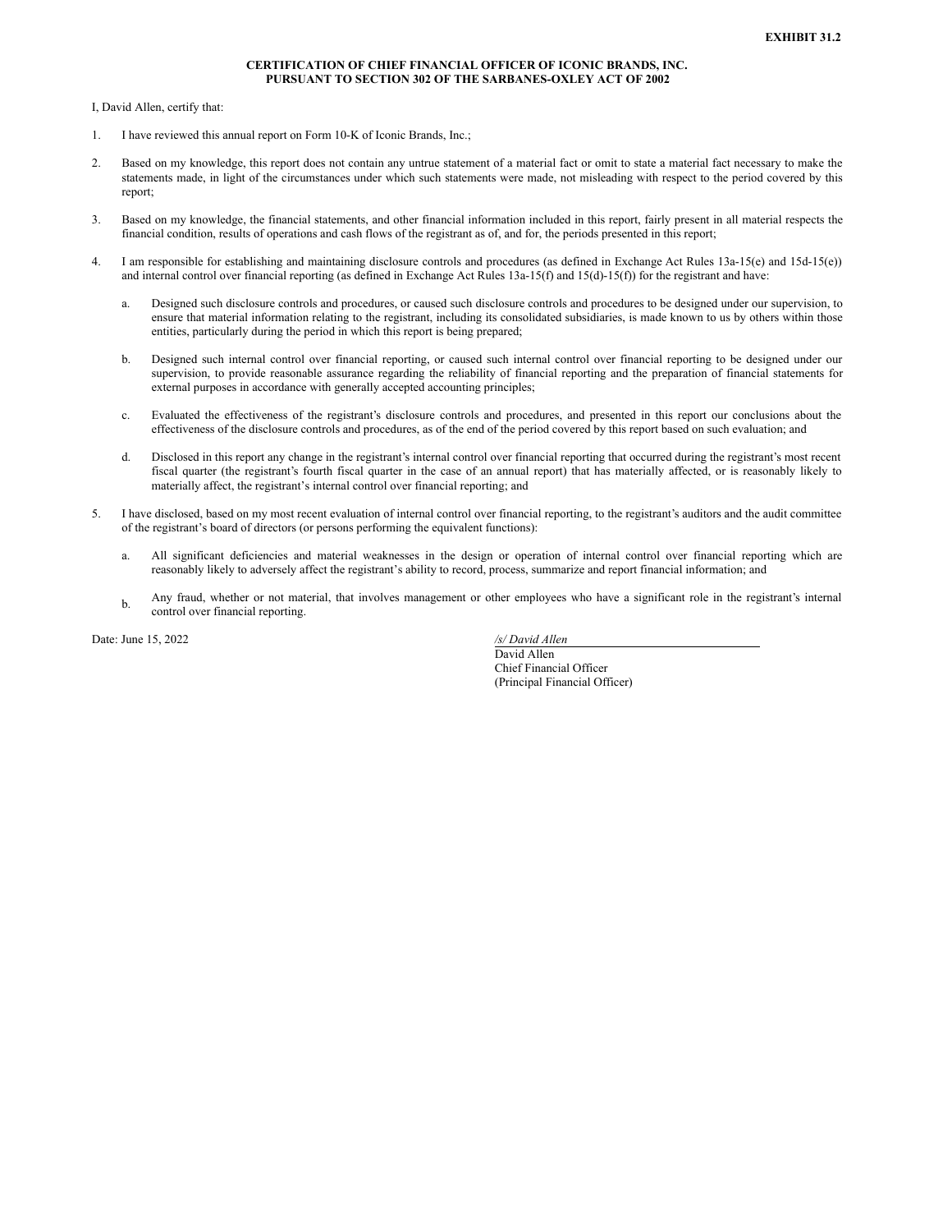#### **CERTIFICATION OF CHIEF FINANCIAL OFFICER OF ICONIC BRANDS, INC. PURSUANT TO SECTION 302 OF THE SARBANES-OXLEY ACT OF 2002**

<span id="page-101-0"></span>I, David Allen, certify that:

- 1. I have reviewed this annual report on Form 10-K of Iconic Brands, Inc.;
- 2. Based on my knowledge, this report does not contain any untrue statement of a material fact or omit to state a material fact necessary to make the statements made, in light of the circumstances under which such statements were made, not misleading with respect to the period covered by this report;
- 3. Based on my knowledge, the financial statements, and other financial information included in this report, fairly present in all material respects the financial condition, results of operations and cash flows of the registrant as of, and for, the periods presented in this report;
- 4. I am responsible for establishing and maintaining disclosure controls and procedures (as defined in Exchange Act Rules 13a-15(e) and 15d-15(e)) and internal control over financial reporting (as defined in Exchange Act Rules 13a-15(f) and 15(d)-15(f)) for the registrant and have:
	- a. Designed such disclosure controls and procedures, or caused such disclosure controls and procedures to be designed under our supervision, to ensure that material information relating to the registrant, including its consolidated subsidiaries, is made known to us by others within those entities, particularly during the period in which this report is being prepared;
	- b. Designed such internal control over financial reporting, or caused such internal control over financial reporting to be designed under our supervision, to provide reasonable assurance regarding the reliability of financial reporting and the preparation of financial statements for external purposes in accordance with generally accepted accounting principles;
	- c. Evaluated the effectiveness of the registrant's disclosure controls and procedures, and presented in this report our conclusions about the effectiveness of the disclosure controls and procedures, as of the end of the period covered by this report based on such evaluation; and
	- d. Disclosed in this report any change in the registrant's internal control over financial reporting that occurred during the registrant's most recent fiscal quarter (the registrant's fourth fiscal quarter in the case of an annual report) that has materially affected, or is reasonably likely to materially affect, the registrant's internal control over financial reporting; and
- 5. I have disclosed, based on my most recent evaluation of internal control over financial reporting, to the registrant's auditors and the audit committee of the registrant's board of directors (or persons performing the equivalent functions):
	- a. All significant deficiencies and material weaknesses in the design or operation of internal control over financial reporting which are reasonably likely to adversely affect the registrant's ability to record, process, summarize and report financial information; and
	- b. Any fraud, whether or not material, that involves management or other employees who have <sup>a</sup> significant role in the registrant's internal control over financial reporting.

Date: June 15, 2022 */s/ David Allen*

David Allen

Chief Financial Officer (Principal Financial Officer)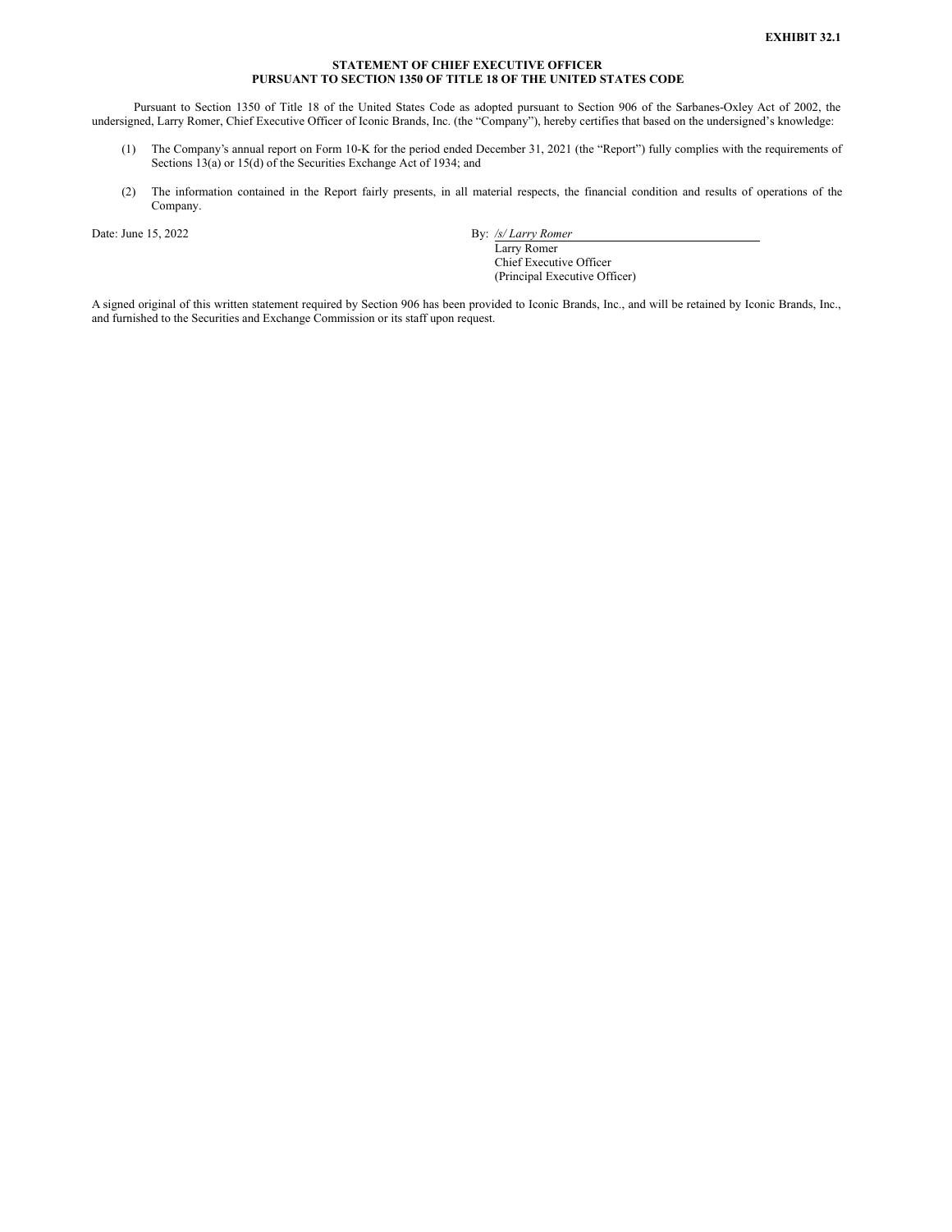#### **STATEMENT OF CHIEF EXECUTIVE OFFICER PURSUANT TO SECTION 1350 OF TITLE 18 OF THE UNITED STATES CODE**

<span id="page-102-0"></span>Pursuant to Section 1350 of Title 18 of the United States Code as adopted pursuant to Section 906 of the Sarbanes-Oxley Act of 2002, the undersigned, Larry Romer, Chief Executive Officer of Iconic Brands, Inc. (the "Company"), hereby certifies that based on the undersigned's knowledge:

- (1) The Company's annual report on Form 10-K for the period ended December 31, 2021 (the "Report") fully complies with the requirements of Sections 13(a) or 15(d) of the Securities Exchange Act of 1934; and
- (2) The information contained in the Report fairly presents, in all material respects, the financial condition and results of operations of the Company.

Date: June 15, 2022 By: */s/ Larry Romer*

Larry Romer Chief Executive Officer (Principal Executive Officer)

A signed original of this written statement required by Section 906 has been provided to Iconic Brands, Inc., and will be retained by Iconic Brands, Inc., and furnished to the Securities and Exchange Commission or its staff upon request.